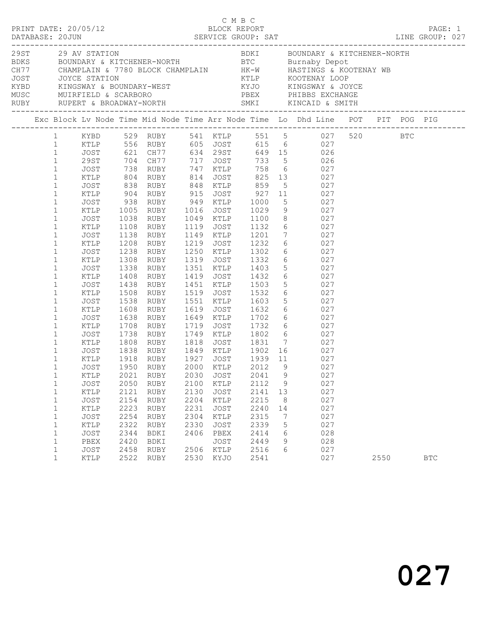|  |                                                                                                                                                                                                                                                                                                                                                                                                                                                                                     |                                                                                                                                                                                                                                                      |                                                                                                                                                                     |                                                                                                                                                                                                                                                                                                  |                                                                                      |                                                                                                                     | C M B C                                                                                                                                                                                                                                                  |                              |                                                                                                                                                                                                                                                                                                                                                                                                                                                                                                                                                                                                                                                                                               |      |            |  |
|--|-------------------------------------------------------------------------------------------------------------------------------------------------------------------------------------------------------------------------------------------------------------------------------------------------------------------------------------------------------------------------------------------------------------------------------------------------------------------------------------|------------------------------------------------------------------------------------------------------------------------------------------------------------------------------------------------------------------------------------------------------|---------------------------------------------------------------------------------------------------------------------------------------------------------------------|--------------------------------------------------------------------------------------------------------------------------------------------------------------------------------------------------------------------------------------------------------------------------------------------------|--------------------------------------------------------------------------------------|---------------------------------------------------------------------------------------------------------------------|----------------------------------------------------------------------------------------------------------------------------------------------------------------------------------------------------------------------------------------------------------|------------------------------|-----------------------------------------------------------------------------------------------------------------------------------------------------------------------------------------------------------------------------------------------------------------------------------------------------------------------------------------------------------------------------------------------------------------------------------------------------------------------------------------------------------------------------------------------------------------------------------------------------------------------------------------------------------------------------------------------|------|------------|--|
|  |                                                                                                                                                                                                                                                                                                                                                                                                                                                                                     |                                                                                                                                                                                                                                                      |                                                                                                                                                                     |                                                                                                                                                                                                                                                                                                  |                                                                                      |                                                                                                                     |                                                                                                                                                                                                                                                          |                              |                                                                                                                                                                                                                                                                                                                                                                                                                                                                                                                                                                                                                                                                                               |      |            |  |
|  |                                                                                                                                                                                                                                                                                                                                                                                                                                                                                     |                                                                                                                                                                                                                                                      |                                                                                                                                                                     |                                                                                                                                                                                                                                                                                                  |                                                                                      |                                                                                                                     |                                                                                                                                                                                                                                                          |                              | Exc Block Lv Node Time Mid Node Time Arr Node Time Lo Dhd Line POT PIT POG PIG                                                                                                                                                                                                                                                                                                                                                                                                                                                                                                                                                                                                                |      |            |  |
|  | $\mathbf{1}$<br>$\mathbf{1}$<br>$\mathbf{1}$<br>$\mathbf{1}$<br>$\mathbf{1}$<br>$\mathbf{1}$<br>$\mathbf{1}$<br>$\mathbf{1}$<br>$\mathbf{1}$<br>$\mathbf{1}$<br>$\mathbf{1}$<br>$\mathbf{1}$<br>$\mathbf{1}$<br>$\mathbf{1}$<br>$\mathbf{1}$<br>$\mathbf{1}$<br>$\mathbf{1}$<br>$\mathbf{1}$<br>$\mathbf{1}$<br>$\mathbf{1}$<br>$\mathbf{1}$<br>$\mathbf{1}$<br>$\mathbf{1}$<br>$\mathbf{1}$<br>$\mathbf{1}$<br>1<br>$\mathbf 1$<br>$\mathbf 1$<br>$\mathbf{1}$<br>$\mathbf 1$<br>1 | 29ST<br>JOST<br>KTLP<br>JOST<br>KTLP<br>JOST<br>KTLP<br>JOST<br>KTLP<br>JOST<br>KTLP<br>JOST<br>KTLP<br>JOST<br>KTLP<br>JOST<br>KTLP<br>JOST<br>KTLP<br>JOST<br>KTLP<br>JOST<br>KTLP<br>JOST<br>KTLP<br>JOST<br>KTLP<br>JOST<br>KTLP<br>JOST<br>KTLP | 904<br>1108<br>1138<br>1208<br>1238<br>1308<br>1338<br>1408<br>1438<br>1508<br>1538<br>1608<br>1638<br>1708<br>1738<br>1950<br>2021<br>2050<br>2121<br>2154<br>2223 | 938 RUBY 949 KTLP<br>1005 RUBY 1016 JOST<br>1038 RUBY 1049 KTLP<br>RUBY 949 KTLP 1000<br>RUBY 1016 JOST 1029<br>RUBY<br>RUBY<br>RUBY<br>RUBY<br>RUBY<br>RUBY<br>RUBY<br>RUBY<br>RUBY<br>RUBY<br>RUBY<br>RUBY<br>RUBY<br>RUBY<br>1918 RUBY<br>RUBY<br><b>RUBY</b><br>RUBY<br>RUBY<br>RUBY<br>RUBY | 1119<br>1519<br>1551<br>1719<br>1927<br>2000<br>2030<br>2100<br>2130<br>2204<br>2231 | JOST<br>1149 KTLP<br>1319 JOST<br>JOST<br>KTLP<br>KTLP<br><b>JOST</b><br>KTLP<br><b>JOST</b><br>KTLP<br><b>JOST</b> | 1100<br>1149 KTLP        1201<br>1219    JOST         1232<br>1250    KTLP        1302<br>1332<br>1351 KTLP 1403<br>1419 JOST 1432<br>1451 KTLP 1503<br>1532<br>1603<br>1619 JOST 1632<br>1649 KTLP 1702<br>2012<br>2041<br>2112<br>2141<br>2215<br>2240 | 9<br>9<br>9<br>13<br>8<br>14 | 1 KYBD 529 RUBY 541 KTLP 551 5 027 520 BTC<br>1 KTLP 556 RUBY 605 JOST 615 6 027<br>1 JOST 621 CH77 634 29ST 649 15 026<br>704 CH77 717 JOST 733 5<br>738 RUBY 747 KTLP 758 6 027<br>804 RUBY 814 JOST 825 13 027<br>838 RUBY 848 KTLP 859 5 027<br>RUBY 915 JOST 927 11 027<br>$\begin{array}{ccc} 5 & 027 \\ 9 & 027 \\ 8 & 027 \end{array}$<br>1132 6 027<br>$\begin{array}{ccc} 7 & 027 \\ 6 & 027 \\ 6 & 027 \end{array}$<br>6 027<br>$\begin{array}{ccc} 5 & 027 \\ 6 & 027 \\ 5 & 027 \end{array}$<br>6 027<br>$\begin{array}{ccc} 5 & 027 \\ 6 & 027 \\ 6 & 027 \end{array}$<br>JOST 1732 6 027<br>1749 KTLP 1802 6 027<br>JOST 1939 11 027<br>027<br>027<br>027<br>027<br>027<br>027 |      |            |  |
|  | $\mathbf 1$<br>1<br>$\mathbf 1$<br>$\mathbf{1}$<br>$\mathbf 1$<br>$\mathbf{1}$                                                                                                                                                                                                                                                                                                                                                                                                      | JOST<br>KTLP<br>JOST<br>PBEX<br>JOST<br>KTLP                                                                                                                                                                                                         | 2254<br>2322<br>2344<br>2420<br>2458<br>2522                                                                                                                        | RUBY<br>RUBY<br>BDKI<br>BDKI<br>RUBY<br>RUBY                                                                                                                                                                                                                                                     | 2304<br>2330<br>2406<br>2506<br>2530                                                 | KTLP<br><b>JOST</b><br>PBEX<br><b>JOST</b><br>KTLP<br>KYJO                                                          | 2315<br>2339<br>2414<br>2449<br>2516<br>2541                                                                                                                                                                                                             | 7<br>5<br>6<br>9<br>6        | 027<br>027<br>028<br>028<br>027<br>027                                                                                                                                                                                                                                                                                                                                                                                                                                                                                                                                                                                                                                                        | 2550 | <b>BTC</b> |  |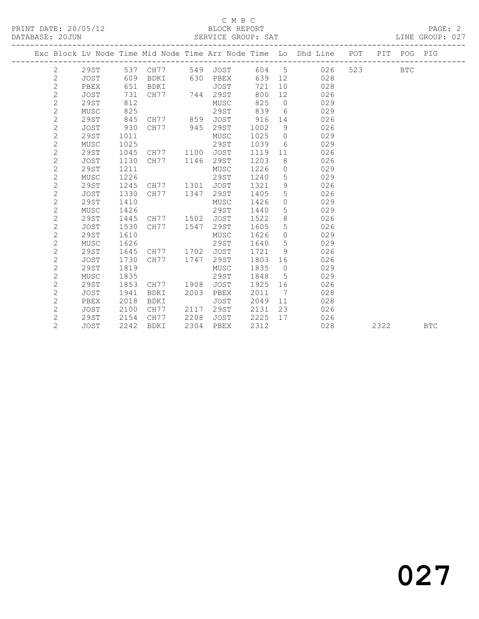#### C M B C<br>BLOCK REPORT

LINE GROUP: 027

|  |                |             |      |             |      |             |      |                 | Exc Block Lv Node Time Mid Node Time Arr Node Time Lo Dhd Line POT |     | PIT  | POG PIG    |            |
|--|----------------|-------------|------|-------------|------|-------------|------|-----------------|--------------------------------------------------------------------|-----|------|------------|------------|
|  | 2              | 29ST        |      | 537 CH77    | 549  | JOST        | 604  | 5               | 026                                                                | 523 |      | <b>BTC</b> |            |
|  | $\overline{2}$ | <b>JOST</b> | 609  | BDKI        | 630  | PBEX        | 639  | 12              | 028                                                                |     |      |            |            |
|  | 2              | PBEX        | 651  | BDKI        |      | JOST        | 721  | 10 <sup>°</sup> | 028                                                                |     |      |            |            |
|  | $\mathbf{2}$   | <b>JOST</b> | 731  | CH77        | 744  | 29ST        | 800  | 12              | 026                                                                |     |      |            |            |
|  | $\mathbf{2}$   | 29ST        | 812  |             |      | MUSC        | 825  | $\overline{0}$  | 029                                                                |     |      |            |            |
|  | $\mathbf{2}$   | MUSC        | 825  |             |      | 29ST        | 839  | 6               | 029                                                                |     |      |            |            |
|  | $\mathbf{2}$   | 29ST        | 845  | CH77        | 859  | JOST        | 916  | 14              | 026                                                                |     |      |            |            |
|  | $\mathbf{2}$   | JOST        | 930  | CH77        | 945  | 29ST        | 1002 | 9               | 026                                                                |     |      |            |            |
|  | $\overline{c}$ | 29ST        | 1011 |             |      | MUSC        | 1025 | $\circ$         | 029                                                                |     |      |            |            |
|  | $\mathbf{2}$   | MUSC        | 1025 |             |      | 29ST        | 1039 | 6               | 029                                                                |     |      |            |            |
|  | $\overline{c}$ | 29ST        | 1045 | CH77        | 1100 | JOST        | 1119 | 11              | 026                                                                |     |      |            |            |
|  | $\sqrt{2}$     | <b>JOST</b> | 1130 | CH77        | 1146 | 29ST        | 1203 | 8               | 026                                                                |     |      |            |            |
|  | $\mathbf{2}$   | 29ST        | 1211 |             |      | MUSC        | 1226 | $\circ$         | 029                                                                |     |      |            |            |
|  | $\overline{c}$ | MUSC        | 1226 |             |      | 29ST        | 1240 | 5               | 029                                                                |     |      |            |            |
|  | $\overline{2}$ | 29ST        | 1245 | CH77        | 1301 | JOST        | 1321 | 9               | 026                                                                |     |      |            |            |
|  | $\mathbf{2}$   | <b>JOST</b> | 1330 | CH77        | 1347 | 29ST        | 1405 | 5               | 026                                                                |     |      |            |            |
|  | $\mathbf{2}$   | 29ST        | 1410 |             |      | MUSC        | 1426 | $\circ$         | 029                                                                |     |      |            |            |
|  | $\mathbf{2}$   | MUSC        | 1426 |             |      | 29ST        | 1440 | 5               | 029                                                                |     |      |            |            |
|  | $\mathbf{2}$   | 29ST        | 1445 | CH77        | 1502 | <b>JOST</b> | 1522 | 8               | 026                                                                |     |      |            |            |
|  | 2              | <b>JOST</b> | 1530 | CH77        | 1547 | 29ST        | 1605 | 5               | 026                                                                |     |      |            |            |
|  | $\sqrt{2}$     | 29ST        | 1610 |             |      | MUSC        | 1626 | $\circ$         | 029                                                                |     |      |            |            |
|  | $\mathbf{2}$   | MUSC        | 1626 |             |      | 29ST        | 1640 | 5               | 029                                                                |     |      |            |            |
|  | $\mathbf 2$    | 29ST        | 1645 | CH77        | 1702 | <b>JOST</b> | 1721 | 9               | 026                                                                |     |      |            |            |
|  | $\mathbf{2}$   | <b>JOST</b> | 1730 | CH77        | 1747 | 29ST        | 1803 | 16              | 026                                                                |     |      |            |            |
|  | $\mathbf{2}$   | 29ST        | 1819 |             |      | MUSC        | 1835 | $\circ$         | 029                                                                |     |      |            |            |
|  | $\mathbf{2}$   | MUSC        | 1835 |             |      | 29ST        | 1848 | 5               | 029                                                                |     |      |            |            |
|  | $\mathbf 2$    | 29ST        | 1853 | CH77        | 1908 | JOST        | 1925 | 16              | 026                                                                |     |      |            |            |
|  | $\mathbf 2$    | JOST        | 1941 | BDKI        | 2003 | PBEX        | 2011 | 7               | 028                                                                |     |      |            |            |
|  | $\mathbf 2$    | PBEX        | 2018 | <b>BDKI</b> |      | <b>JOST</b> | 2049 | 11              | 028                                                                |     |      |            |            |
|  | $\overline{c}$ | JOST        | 2100 | CH77        | 2117 | 29ST        | 2131 | 23              | 026                                                                |     |      |            |            |
|  | $\mathbf{2}$   | 29ST        | 2154 | CH77        | 2208 | JOST        | 2225 | 17              | 026                                                                |     |      |            |            |
|  | $\overline{2}$ | <b>JOST</b> | 2242 | <b>BDKI</b> | 2304 | PBEX        | 2312 |                 | 028                                                                |     | 2322 |            | <b>BTC</b> |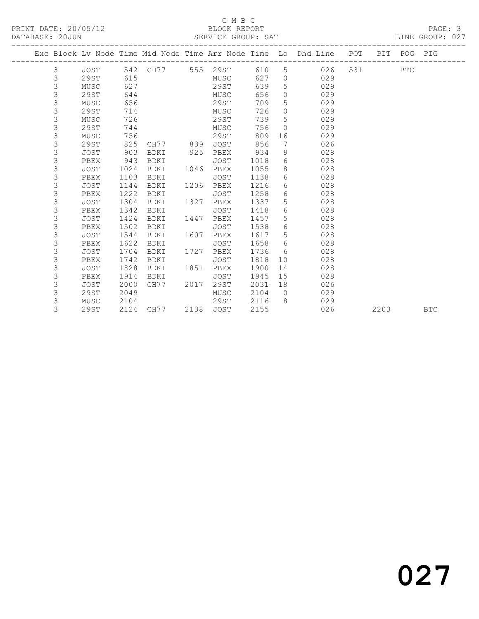#### C M B C<br>BLOCK REPORT

LINE GROUP: 027

|  |   |             |      |                   |      |             |      |                | Exc Block Lv Node Time Mid Node Time Arr Node Time Lo Dhd Line POT PIT POG PIG |       |      |            |            |
|--|---|-------------|------|-------------------|------|-------------|------|----------------|--------------------------------------------------------------------------------|-------|------|------------|------------|
|  | 3 | JOST        |      | 542 CH77 555 29ST |      |             | 610  |                | $5^{\circ}$<br>026                                                             | 531 6 |      | <b>BTC</b> |            |
|  | 3 | 29ST        | 615  |                   |      | MUSC        | 627  | $\overline{0}$ | 029                                                                            |       |      |            |            |
|  | 3 | MUSC        | 627  |                   |      | 29ST        | 639  | 5              | 029                                                                            |       |      |            |            |
|  | 3 | 29ST        | 644  |                   |      | MUSC        | 656  | $\Omega$       | 029                                                                            |       |      |            |            |
|  | 3 | MUSC        | 656  |                   |      | 29ST        | 709  | 5              | 029                                                                            |       |      |            |            |
|  | 3 | 29ST        | 714  |                   |      | MUSC        | 726  | $\circ$        | 029                                                                            |       |      |            |            |
|  | 3 | MUSC        | 726  |                   |      | 29ST        | 739  | $5^{\circ}$    | 029                                                                            |       |      |            |            |
|  | 3 | 29ST        | 744  |                   |      | MUSC        | 756  | $\Omega$       | 029                                                                            |       |      |            |            |
|  | 3 | MUSC        | 756  |                   |      | 29ST        | 809  | 16             | 029                                                                            |       |      |            |            |
|  | 3 | 29ST        | 825  | CH77              | 839  | JOST        | 856  | 7              | 026                                                                            |       |      |            |            |
|  | 3 | <b>JOST</b> | 903  | <b>BDKI</b>       | 925  | PBEX        | 934  | 9              | 028                                                                            |       |      |            |            |
|  | 3 | PBEX        | 943  | BDKI              |      | JOST        | 1018 | 6              | 028                                                                            |       |      |            |            |
|  | 3 | <b>JOST</b> | 1024 | BDKI              | 1046 | PBEX        | 1055 | 8              | 028                                                                            |       |      |            |            |
|  | 3 | PBEX        | 1103 | BDKI              |      | JOST        | 1138 | 6              | 028                                                                            |       |      |            |            |
|  | 3 | <b>JOST</b> | 1144 | BDKI              | 1206 | PBEX        | 1216 | 6              | 028                                                                            |       |      |            |            |
|  | 3 | PBEX        | 1222 | BDKI              |      | JOST        | 1258 | 6              | 028                                                                            |       |      |            |            |
|  | 3 | <b>JOST</b> | 1304 | BDKI              | 1327 | PBEX        | 1337 | 5              | 028                                                                            |       |      |            |            |
|  | 3 | PBEX        | 1342 | BDKI              |      | JOST        | 1418 | 6              | 028                                                                            |       |      |            |            |
|  | 3 | <b>JOST</b> | 1424 | BDKI              | 1447 | PBEX        | 1457 | 5              | 028                                                                            |       |      |            |            |
|  | 3 | PBEX        | 1502 | BDKI              |      | JOST        | 1538 | 6              | 028                                                                            |       |      |            |            |
|  | 3 | <b>JOST</b> | 1544 | BDKI              | 1607 | PBEX        | 1617 | 5              | 028                                                                            |       |      |            |            |
|  | 3 | PBEX        | 1622 | BDKI              |      | JOST        | 1658 | 6              | 028                                                                            |       |      |            |            |
|  | 3 | <b>JOST</b> | 1704 | BDKI              | 1727 | PBEX        | 1736 | 6              | 028                                                                            |       |      |            |            |
|  | 3 | PBEX        | 1742 | BDKI              |      | <b>JOST</b> | 1818 | 10             | 028                                                                            |       |      |            |            |
|  | 3 | <b>JOST</b> | 1828 | BDKI              | 1851 | PBEX        | 1900 | 14             | 028                                                                            |       |      |            |            |
|  | 3 | PBEX        | 1914 | BDKI              |      | JOST        | 1945 | 15             | 028                                                                            |       |      |            |            |
|  | 3 | <b>JOST</b> | 2000 | CH77              | 2017 | 29ST        | 2031 | 18             | 026                                                                            |       |      |            |            |
|  | 3 | 29ST        | 2049 |                   |      | MUSC        | 2104 | $\bigcirc$     | 029                                                                            |       |      |            |            |
|  | 3 | MUSC        | 2104 |                   |      | 29ST        | 2116 | 8              | 029                                                                            |       |      |            |            |
|  | 3 | 29ST        |      | 2124 CH77         | 2138 | JOST        | 2155 |                | 026                                                                            |       | 2203 |            | <b>BTC</b> |

027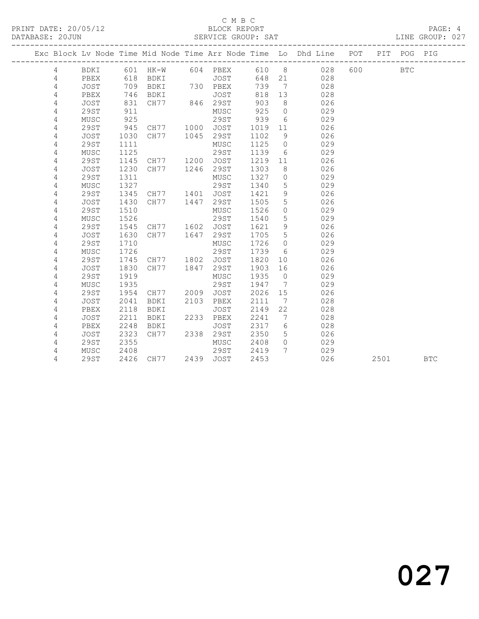### C M B C<br>BLOCK REPORT

LINE GROUP: 027

|                |             |      |                     |      |           |      |                 | Exc Block Lv Node Time Mid Node Time Arr Node Time Lo Dhd Line POT |         | PIT POG PIG |            |
|----------------|-------------|------|---------------------|------|-----------|------|-----------------|--------------------------------------------------------------------|---------|-------------|------------|
| 4              | BDKI        |      | 601 HK-W 604 PBEX   |      |           |      |                 | 610 8 028                                                          | 600 000 | <b>BTC</b>  |            |
| 4              | PBEX        | 618  | <b>BDKI</b>         |      | JOST      |      |                 | 648 21 028                                                         |         |             |            |
| 4              | JOST        | 709  | BDKI 730 PBEX       |      |           | 739  | $\overline{7}$  | 028                                                                |         |             |            |
| 4              | PBEX        | 746  | BDKI                |      | JOST      | 818  | 13              | 028                                                                |         |             |            |
| 4              | <b>JOST</b> | 831  | CH77 846 29ST       |      |           | 903  | 8 <sup>8</sup>  | 026                                                                |         |             |            |
| 4              | <b>29ST</b> | 911  |                     |      | MUSC      | 925  | $\overline{0}$  | 029                                                                |         |             |            |
| 4              | MUSC        | 925  |                     |      | 29ST      | 939  | 6               | 029                                                                |         |             |            |
| 4              | <b>29ST</b> | 945  | CH77 1000 JOST      |      |           | 1019 | 11              | 026                                                                |         |             |            |
| 4              | <b>JOST</b> | 1030 | CH77 1045           |      | 29ST      | 1102 | 9               | 026                                                                |         |             |            |
| 4              | <b>29ST</b> | 1111 |                     |      | MUSC      | 1125 | $\overline{0}$  | 029                                                                |         |             |            |
| 4              | MUSC        | 1125 |                     |      | 29ST      | 1139 | 6               | 029                                                                |         |             |            |
| 4              | <b>29ST</b> | 1145 | CH77 1200 JOST      |      |           | 1219 | 11              | 026                                                                |         |             |            |
| 4              | JOST        | 1230 | CH77 1246           |      | 29ST      | 1303 | 8 <sup>8</sup>  | 026                                                                |         |             |            |
| 4              | 29ST        | 1311 |                     |      | MUSC      | 1327 | $\overline{0}$  | 029                                                                |         |             |            |
| 4              | MUSC        | 1327 |                     |      | 29ST      | 1340 | 5               | 029                                                                |         |             |            |
| 4              | 29ST        | 1345 | CH77 1401           |      | JOST      | 1421 | 9               | 026                                                                |         |             |            |
| 4              | <b>JOST</b> | 1430 | CH77 1447           |      | 29ST      | 1505 | 5               | 026                                                                |         |             |            |
| 4              | 29ST        | 1510 |                     |      | MUSC      | 1526 | $\circ$         | 029                                                                |         |             |            |
| 4              | MUSC        | 1526 |                     |      | 29ST      | 1540 | 5               | 029                                                                |         |             |            |
| $\sqrt{4}$     | <b>29ST</b> | 1545 | CH77 1602 JOST      |      |           | 1621 | 9               | 026                                                                |         |             |            |
| 4              | <b>JOST</b> | 1630 | CH77 1647           |      | 29ST      | 1705 | $5^{\circ}$     | 026                                                                |         |             |            |
| 4              | <b>29ST</b> | 1710 |                     |      | MUSC      | 1726 | $\overline{0}$  | 029                                                                |         |             |            |
| 4              | MUSC        | 1726 |                     |      | 29ST      | 1739 | 6               | 029                                                                |         |             |            |
| 4              | 29ST        | 1745 | CH77                | 1802 | JOST      | 1820 | 10              | 026                                                                |         |             |            |
| 4              | JOST        | 1830 | CH77                | 1847 | 29ST      | 1903 | 16              | 026                                                                |         |             |            |
| 4              | <b>29ST</b> | 1919 |                     |      | MUSC      | 1935 | $\overline{0}$  | 029                                                                |         |             |            |
| 4              | MUSC        | 1935 |                     |      | 29ST      | 1947 | $7\phantom{0}$  | 029                                                                |         |             |            |
| 4              | 29ST        | 1954 | CH77 2009           |      | JOST      | 2026 | 15              | 026                                                                |         |             |            |
| 4              | <b>JOST</b> | 2041 | BDKI                | 2103 | PBEX      | 2111 | $\overline{7}$  | 028                                                                |         |             |            |
| 4              | PBEX        | 2118 | BDKI                |      | JOST      | 2149 | 22              | 028                                                                |         |             |            |
| 4              | <b>JOST</b> | 2211 | BDKI                | 2233 | PBEX      | 2241 | $\overline{7}$  | 028                                                                |         |             |            |
| $\overline{4}$ | PBEX        | 2248 | BDKI                |      | JOST      | 2317 | $6\overline{6}$ | 028                                                                |         |             |            |
| 4              | JOST        | 2323 | CH77                |      | 2338 29ST | 2350 | 5               | 026                                                                |         |             |            |
| 4              | 29ST        | 2355 |                     |      | MUSC      | 2408 | $\overline{0}$  | 029                                                                |         |             |            |
| 4              | MUSC        | 2408 |                     |      | 29ST      | 2419 | $7\overline{ }$ | 029                                                                |         |             |            |
| 4              | 29ST        |      | 2426 CH77 2439 JOST |      |           | 2453 |                 | 026                                                                |         | 2501        | <b>BTC</b> |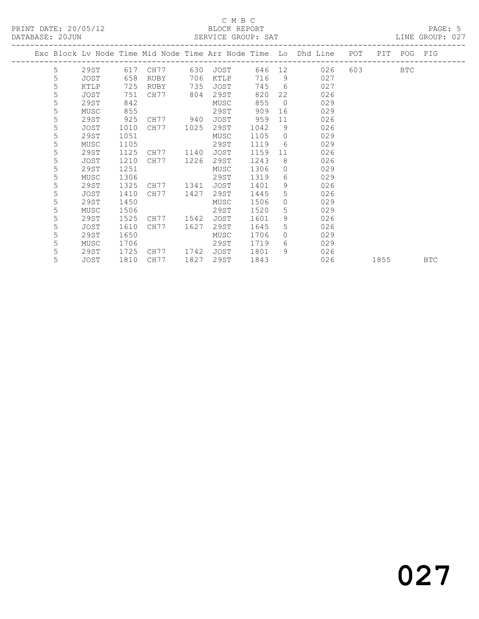#### C M B C<br>BLOCK REPORT SERVICE GROUP: SAT

|  |   |             |      |      |      |             |      |                | Exc Block Lv Node Time Mid Node Time Arr Node Time Lo Dhd Line | POT | PIT  | POG        | PIG        |
|--|---|-------------|------|------|------|-------------|------|----------------|----------------------------------------------------------------|-----|------|------------|------------|
|  | 5 | 29ST        | 617  | CH77 | 630  | JOST        | 646  | 12             | 026                                                            | 603 |      | <b>BTC</b> |            |
|  | 5 | JOST        | 658  | RUBY | 706  | KTLP        | 716  | 9              | 027                                                            |     |      |            |            |
|  | 5 | <b>KTLP</b> | 725  | RUBY | 735  | JOST        | 745  | 6              | 027                                                            |     |      |            |            |
|  | 5 | JOST        | 751  | CH77 | 804  | 29ST        | 820  | 22             | 026                                                            |     |      |            |            |
|  | 5 | 29ST        | 842  |      |      | MUSC        | 855  | $\overline{0}$ | 029                                                            |     |      |            |            |
|  | 5 | MUSC        | 855  |      |      | 29ST        | 909  | 16             | 029                                                            |     |      |            |            |
|  | 5 | 29ST        | 925  | CH77 | 940  | JOST        | 959  | 11             | 026                                                            |     |      |            |            |
|  | 5 | JOST        | 1010 | CH77 | 1025 | 29ST        | 1042 | 9              | 026                                                            |     |      |            |            |
|  | 5 | 29ST        | 1051 |      |      | MUSC        | 1105 | $\Omega$       | 029                                                            |     |      |            |            |
|  | 5 | MUSC        | 1105 |      |      | 29ST        | 1119 | 6              | 029                                                            |     |      |            |            |
|  | 5 | 29ST        | 1125 | CH77 | 1140 | JOST        | 1159 | 11             | 026                                                            |     |      |            |            |
|  | 5 | JOST        | 1210 | CH77 | 1226 | 29ST        | 1243 | 8              | 026                                                            |     |      |            |            |
|  | 5 | 29ST        | 1251 |      |      | MUSC        | 1306 | $\Omega$       | 029                                                            |     |      |            |            |
|  | 5 | MUSC        | 1306 |      |      | 29ST        | 1319 | 6              | 029                                                            |     |      |            |            |
|  | 5 | 29ST        | 1325 | CH77 | 1341 | <b>JOST</b> | 1401 | 9              | 026                                                            |     |      |            |            |
|  | 5 | JOST        | 1410 | CH77 | 1427 | 29ST        | 1445 | 5              | 026                                                            |     |      |            |            |
|  | 5 | 29ST        | 1450 |      |      | MUSC        | 1506 | $\Omega$       | 029                                                            |     |      |            |            |
|  | 5 | MUSC        | 1506 |      |      | 29ST        | 1520 | 5              | 029                                                            |     |      |            |            |
|  | 5 | 29ST        | 1525 | CH77 | 1542 | JOST        | 1601 | 9              | 026                                                            |     |      |            |            |
|  | 5 | JOST        | 1610 | CH77 | 1627 | 29ST        | 1645 | 5              | 026                                                            |     |      |            |            |
|  | 5 | 29ST        | 1650 |      |      | MUSC        | 1706 | $\Omega$       | 029                                                            |     |      |            |            |
|  | 5 | MUSC        | 1706 |      |      | 29ST        | 1719 | 6              | 029                                                            |     |      |            |            |
|  | 5 | 29ST        | 1725 | CH77 | 1742 | <b>JOST</b> | 1801 | 9              | 026                                                            |     |      |            |            |
|  | 5 | JOST        | 1810 | CH77 | 1827 | 29ST        | 1843 |                | 026                                                            |     | 1855 |            | <b>BTC</b> |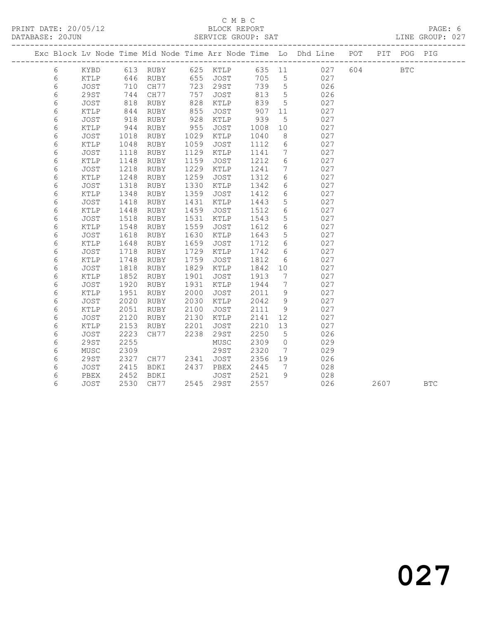#### C M B C<br>BLOCK REPORT SERVICE GROUP: SAT

|            |                 |      |           |      |           |      |                              | Exc Block Lv Node Time Mid Node Time Arr Node Time Lo Dhd Line POT |     |      | PIT POG PIG |            |
|------------|-----------------|------|-----------|------|-----------|------|------------------------------|--------------------------------------------------------------------|-----|------|-------------|------------|
| 6          | KYBD            |      |           |      |           |      |                              |                                                                    | 604 |      | <b>BTC</b>  |            |
| 6          | KTLP            | 646  |           |      |           |      |                              |                                                                    |     |      |             |            |
| 6          | JOST            | 710  | CH77      |      | 723 29ST  | 739  | $5\overline{)}$              | 026                                                                |     |      |             |            |
| 6          | 29ST            | 744  | CH77      | 757  | JOST      | 813  | $5^{\circ}$                  | 026                                                                |     |      |             |            |
| 6          | JOST            | 818  | RUBY      | 828  | KTLP      | 839  | $5\overline{)}$              | 027                                                                |     |      |             |            |
| 6          | $\texttt{KTLP}$ | 844  | RUBY      | 855  | JOST      | 907  | 11                           | 027                                                                |     |      |             |            |
| $\epsilon$ | JOST            | 918  | RUBY      | 928  | KTLP      | 939  | $5\phantom{.0}$              | 027                                                                |     |      |             |            |
| 6          | KTLP            | 944  | RUBY      | 955  | JOST      | 1008 | 10                           | 027                                                                |     |      |             |            |
| $\epsilon$ | <b>JOST</b>     | 1018 | RUBY      | 1029 | KTLP      | 1040 | 8                            | 027                                                                |     |      |             |            |
| 6          | $\verb KTLP $   | 1048 | RUBY      | 1059 | JOST      | 1112 | 6                            | 027                                                                |     |      |             |            |
| 6          | <b>JOST</b>     | 1118 | RUBY      | 1129 | KTLP      | 1141 | $7\phantom{.0}$              | 027                                                                |     |      |             |            |
| 6          | KTLP            | 1148 | RUBY      | 1159 | JOST      | 1212 | 6                            | 027                                                                |     |      |             |            |
| 6          | <b>JOST</b>     | 1218 | RUBY      | 1229 | KTLP      | 1241 | $7\phantom{.0}\,$            | 027                                                                |     |      |             |            |
| 6          | KTLP            | 1248 | RUBY      | 1259 | JOST      | 1312 | $6\overline{6}$              | 027                                                                |     |      |             |            |
| 6          | <b>JOST</b>     | 1318 | RUBY      | 1330 | KTLP      | 1342 | $6\overline{6}$              | 027                                                                |     |      |             |            |
| $\epsilon$ | KTLP            | 1348 | RUBY      | 1359 | JOST      | 1412 | $6\overline{6}$              | 027                                                                |     |      |             |            |
| 6          | JOST            | 1418 | RUBY      | 1431 | KTLP      | 1443 | $5\phantom{.0}$              | 027                                                                |     |      |             |            |
| 6          | KTLP            | 1448 | RUBY      | 1459 | JOST      | 1512 | 6                            | 027                                                                |     |      |             |            |
| 6          | JOST            | 1518 | RUBY      | 1531 | KTLP      | 1543 | $5\phantom{.0}$              | 027                                                                |     |      |             |            |
| 6          | KTLP            | 1548 | RUBY      | 1559 | JOST      | 1612 | 6                            | 027                                                                |     |      |             |            |
| $\epsilon$ | JOST            | 1618 | RUBY      | 1630 | KTLP      | 1643 | $5\phantom{.0}$              | 027                                                                |     |      |             |            |
| 6          | KTLP            | 1648 | RUBY      | 1659 | JOST      | 1712 | 6                            | 027                                                                |     |      |             |            |
| $\epsilon$ | JOST            | 1718 | RUBY      | 1729 | KTLP      | 1742 | 6                            | 027                                                                |     |      |             |            |
| 6          | KTLP            | 1748 | RUBY      | 1759 | JOST      | 1812 | 6                            | 027                                                                |     |      |             |            |
| 6          | JOST            | 1818 | RUBY      | 1829 | KTLP      | 1842 | 10                           | 027                                                                |     |      |             |            |
| 6          | KTLP            | 1852 | RUBY      | 1901 | JOST      | 1913 | $7\phantom{.0}\phantom{.0}7$ | 027                                                                |     |      |             |            |
| $\epsilon$ | <b>JOST</b>     | 1920 | RUBY      | 1931 | KTLP      | 1944 | $7\overline{ }$              | 027                                                                |     |      |             |            |
| 6          | KTLP            | 1951 | RUBY      | 2000 | JOST      | 2011 | 9                            | 027                                                                |     |      |             |            |
| 6          | JOST            | 2020 | RUBY      | 2030 | KTLP      | 2042 | 9                            | 027                                                                |     |      |             |            |
| 6          | KTLP            | 2051 | RUBY      | 2100 | JOST      | 2111 | 9                            | 027                                                                |     |      |             |            |
| 6          | JOST            | 2120 | RUBY      | 2130 | KTLP      | 2141 | 12                           | 027                                                                |     |      |             |            |
| 6          | KTLP            | 2153 | RUBY      | 2201 | JOST      | 2210 | 13                           | 027                                                                |     |      |             |            |
| 6          | <b>JOST</b>     | 2223 | CH77      | 2238 | 29ST      | 2250 | 5                            | 026                                                                |     |      |             |            |
| $\sqrt{6}$ | <b>29ST</b>     | 2255 |           |      | MUSC      | 2309 | $\overline{0}$               | 029                                                                |     |      |             |            |
| 6          | MUSC            | 2309 |           |      | 29ST      | 2320 | $7\phantom{.0}\phantom{.0}7$ | 029                                                                |     |      |             |            |
| 6          | 29ST            | 2327 | CH77 2341 |      | JOST      | 2356 | 19                           | 026                                                                |     |      |             |            |
| 6          | JOST            | 2415 | BDKI      | 2437 | PBEX      | 2445 | $\overline{7}$               | 028                                                                |     |      |             |            |
| 6          | PBEX            | 2452 | BDKI      |      | JOST      | 2521 | 9                            | 028                                                                |     |      |             |            |
| 6          | <b>JOST</b>     | 2530 | CH77      |      | 2545 29ST | 2557 |                              | 026                                                                |     | 2607 |             | <b>BTC</b> |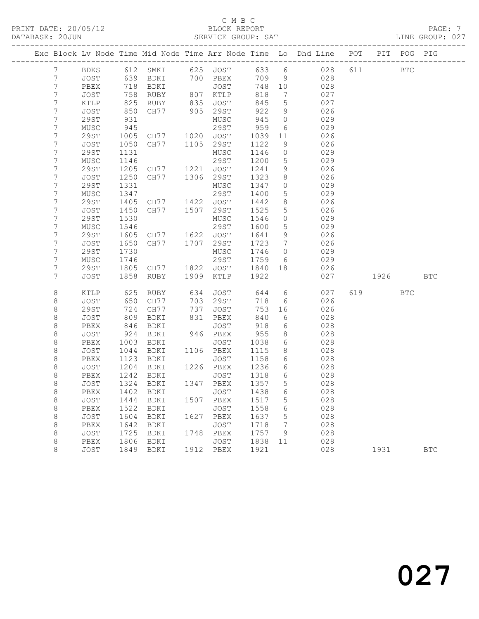## C M B C<br>BLOCK REPORT

LINE GROUP: 027

|                     |              |              |                                  |      |                      |              |                                   | Exc Block Lv Node Time Mid Node Time Arr Node Time Lo Dhd Line POT |     |            | PIT POG PIG |            |
|---------------------|--------------|--------------|----------------------------------|------|----------------------|--------------|-----------------------------------|--------------------------------------------------------------------|-----|------------|-------------|------------|
| $7\phantom{.}$      | BDKS         |              |                                  |      |                      |              |                                   | 612 SMKI 625 JOST 633 6 028                                        | 611 | <b>BTC</b> |             |            |
| 7                   | JOST         | 639          |                                  |      | BDKI 700 PBEX        | 709          | 9                                 | 028                                                                |     |            |             |            |
| 7                   | PBEX         | 718          | BDKI                             |      | JOST                 | 748 10       |                                   | 028                                                                |     |            |             |            |
| 7                   | JOST         | 758          | RUBY                             |      | 807 KTLP             | 818          | $\overline{7}$                    | 027                                                                |     |            |             |            |
| 7                   | KTLP         | 825          | RUBY                             |      | 835 JOST<br>905 29ST | 845          | $5\overline{)}$                   | 027                                                                |     |            |             |            |
| 7                   | JOST         | 850          | CH77                             |      |                      | 922          | 9                                 | 026                                                                |     |            |             |            |
| 7                   | 29ST         | 931          |                                  |      | MUSC                 | 945          | $\overline{0}$                    | 029                                                                |     |            |             |            |
| 7                   | MUSC         | 945          |                                  |      | 29ST                 | 959          | 6                                 | 029                                                                |     |            |             |            |
| 7                   | 29ST         | 1005         | CH77 1020 JOST                   |      |                      | 1039         | 11                                | 026                                                                |     |            |             |            |
| 7                   | JOST         | 1050         | CH77 1105                        |      | 29ST                 | 1122         | 9                                 | 026                                                                |     |            |             |            |
| 7                   | 29ST         | 1131         |                                  |      | MUSC                 | 1146         | $\overline{0}$                    | 029                                                                |     |            |             |            |
| 7                   | MUSC         | 1146         |                                  |      | 29ST                 | 1200         | 5                                 | 029                                                                |     |            |             |            |
| 7                   | 29ST         | 1205         | CH77 1221 JOST<br>CH77 1306 29ST |      |                      | 1241         | 9                                 | 026                                                                |     |            |             |            |
| 7                   | JOST         | 1250         |                                  |      |                      | 1323         | 8                                 | 026                                                                |     |            |             |            |
| 7                   | <b>29ST</b>  | 1331         |                                  |      | MUSC                 | 1347         | $\overline{0}$                    | 029                                                                |     |            |             |            |
| 7                   | MUSC         | 1347         |                                  |      | 29ST                 | 1400         | 5                                 | 029                                                                |     |            |             |            |
| 7                   | 29ST         | 1405         | CH77 1422 JOST<br>CH77 1507 29ST |      |                      | 1442         | 8 <sup>8</sup>                    | 026                                                                |     |            |             |            |
| $\overline{7}$<br>7 | JOST         | 1450         |                                  |      |                      | 1525         | $5\phantom{.0}$<br>$\overline{0}$ | 026<br>029                                                         |     |            |             |            |
| 7                   | 29ST<br>MUSC | 1530<br>1546 |                                  |      | MUSC<br>29ST         | 1546<br>1600 | $5\phantom{.0}$                   | 029                                                                |     |            |             |            |
| 7                   | 29ST         | 1605         |                                  |      |                      | 1641         | 9                                 | 026                                                                |     |            |             |            |
| $\overline{7}$      | JOST         | 1650         | CH77 1622 JOST<br>CH77 1707 29ST |      |                      | 1723         | $7\overline{)}$                   | 026                                                                |     |            |             |            |
| 7                   | 29ST         | 1730         |                                  |      | MUSC                 | 1746         | $\overline{0}$                    | 029                                                                |     |            |             |            |
| 7                   | MUSC         | 1746         |                                  |      | 29ST                 | 1759         | 6                                 | 029                                                                |     |            |             |            |
| 7                   | 29ST         | 1805         | CH77                             |      | 1822 JOST            | 1840         | 18                                | 026                                                                |     |            |             |            |
| $\overline{7}$      | JOST         | 1858         | RUBY                             | 1909 | KTLP                 | 1922         |                                   | 027                                                                |     | 1926 1990  |             | <b>BTC</b> |
|                     |              |              |                                  |      |                      |              |                                   |                                                                    |     |            |             |            |
| 8                   | KTLP         | 625          | RUBY                             | 634  | JOST                 | 644          |                                   | $6\overline{6}$<br>027                                             |     | 619        | <b>BTC</b>  |            |
| 8                   | JOST         | 650          | CH77                             | 703  | 29ST                 | 718          | 6                                 | 026                                                                |     |            |             |            |
| $\,8\,$             | 29ST         | 724          | CH77                             | 737  | JOST                 | 753          | 16                                | 026                                                                |     |            |             |            |
| $\,8\,$             | JOST         | 809          | BDKI                             |      | 831 PBEX             | 840          | 6                                 | 028                                                                |     |            |             |            |
| 8                   | PBEX         | 846          | BDKI                             |      | JOST                 | 918          | 6                                 | 028                                                                |     |            |             |            |
| 8                   | JOST         | 924          | BDKI                             |      | 946 PBEX             | 955          | 8                                 | 028                                                                |     |            |             |            |
| $\,8\,$             | PBEX         | 1003         | BDKI                             |      | JOST                 | 1038         | 6                                 | 028                                                                |     |            |             |            |
| $\,8\,$             | JOST         | 1044         | BDKI                             |      | 1106 PBEX            | 1115         | 8 <sup>8</sup>                    | 028                                                                |     |            |             |            |
| 8                   | PBEX         | 1123         | BDKI                             |      | JOST                 | 1158         | 6                                 | 028                                                                |     |            |             |            |
| 8                   | JOST         | 1204         | BDKI                             |      | 1226 PBEX            | 1236         | 6                                 | 028                                                                |     |            |             |            |
| $\,8\,$             | PBEX         | 1242         | BDKI                             |      | JOST                 | 1318         | 6                                 | 028                                                                |     |            |             |            |
| 8                   | JOST         | 1324         | BDKI                             |      | 1347 PBEX            | 1357         | 5                                 | 028                                                                |     |            |             |            |
| 8                   |              |              | PBEX 1402 BDKI JOST 1438 6       |      |                      |              |                                   | 028                                                                |     |            |             |            |
| 8                   | JOST         | 1444         | BDKI                             | 1507 | PBEX                 | 1517         | 5                                 | 028                                                                |     |            |             |            |
| 8                   | PBEX         | 1522         | BDKI                             |      | JOST<br>1627 PBEX    | 1558<br>1637 | 6                                 | 028<br>028                                                         |     |            |             |            |
| $\,8\,$<br>8        | JOST<br>PBEX | 1604<br>1642 | BDKI<br>BDKI                     |      | JOST                 | 1718         | $\mathsf S$<br>7                  | 028                                                                |     |            |             |            |
| 8                   | JOST         | 1725         | BDKI                             | 1748 | PBEX                 | 1757         | 9                                 | 028                                                                |     |            |             |            |
| 8                   | PBEX         | 1806         | BDKI                             |      | JOST                 | 1838         | 11                                | 028                                                                |     |            |             |            |
| 8                   | JOST         | 1849         | BDKI                             |      | 1912 PBEX            | 1921         |                                   | 028                                                                |     | 1931       |             | <b>BTC</b> |
|                     |              |              |                                  |      |                      |              |                                   |                                                                    |     |            |             |            |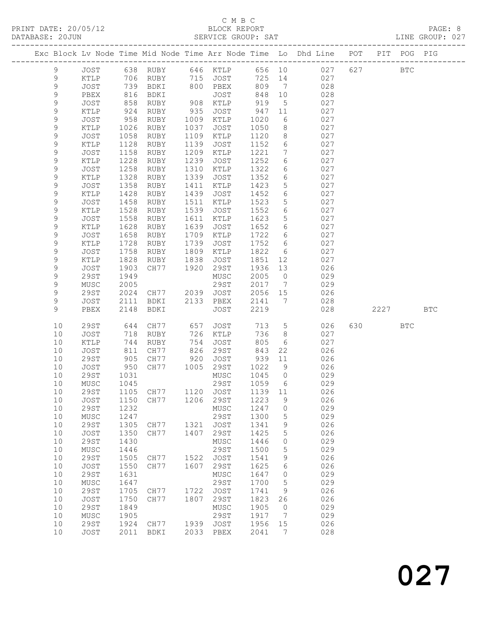### C M B C<br>BLOCK REPORT

| DATABASE: 20JUN |             |                 |      |                     |      | SERVICE GROUP: SAT |         |                              |                                                                                |      |     | LINE GROUP: 027 |  |
|-----------------|-------------|-----------------|------|---------------------|------|--------------------|---------|------------------------------|--------------------------------------------------------------------------------|------|-----|-----------------|--|
|                 |             |                 |      |                     |      |                    |         |                              | Exc Block Lv Node Time Mid Node Time Arr Node Time Lo Dhd Line POT PIT POG PIG |      |     |                 |  |
|                 | 9           |                 |      |                     |      |                    |         |                              | JOST 638 RUBY 646 KTLP 656 10 027 627 BTC                                      |      |     |                 |  |
|                 | 9           | KTLP            | 706  |                     |      | RUBY 715 JOST      | 725 14  |                              | 027                                                                            |      |     |                 |  |
|                 | $\mathsf 9$ | JOST            | 739  | BDKI                |      | 800 PBEX           | 809     | $7\overline{ }$              | 028                                                                            |      |     |                 |  |
|                 | $\mathsf 9$ | PBEX            | 816  | BDKI                |      | JOST               | 848     | 10                           | 028                                                                            |      |     |                 |  |
|                 | 9           | JOST            | 858  | RUBY                |      | 908 KTLP           | 919     | $5\overline{)}$              | 027                                                                            |      |     |                 |  |
|                 | 9           | KTLP            | 924  | RUBY                | 935  | JOST               | 947     | 11                           | 027                                                                            |      |     |                 |  |
|                 | 9           | JOST            | 958  | RUBY                | 1009 | KTLP               | 1020    | 6                            | 027                                                                            |      |     |                 |  |
|                 | 9           | KTLP            | 1026 | RUBY                | 1037 | JOST               | 1050    | 8                            | 027                                                                            |      |     |                 |  |
|                 | $\mathsf 9$ | JOST            | 1058 | RUBY                | 1109 | KTLP               | 1120    | 8                            | 027                                                                            |      |     |                 |  |
|                 | 9           | KTLP            | 1128 | RUBY                | 1139 | JOST               | 1152    | $6\overline{6}$              | 027                                                                            |      |     |                 |  |
|                 | $\mathsf 9$ | JOST            | 1158 | RUBY                | 1209 | KTLP               | 1221    | $7\overline{ }$              | 027                                                                            |      |     |                 |  |
|                 | 9           | KTLP            | 1228 | RUBY                | 1239 | JOST               | 1252    | 6                            | 027                                                                            |      |     |                 |  |
|                 | $\mathsf 9$ | JOST            | 1258 | RUBY                | 1310 | KTLP               | 1322    | 6                            | 027                                                                            |      |     |                 |  |
|                 | 9           | KTLP            | 1328 | RUBY                | 1339 | JOST               | 1352    | 6                            | 027                                                                            |      |     |                 |  |
|                 | 9           | JOST            | 1358 | RUBY                | 1411 | KTLP               | 1423    | $5\phantom{.0}$              | 027                                                                            |      |     |                 |  |
|                 | 9           | KTLP            | 1428 |                     | 1439 |                    | 1452    | 6                            | 027                                                                            |      |     |                 |  |
|                 |             |                 |      | RUBY                |      | JOST               |         |                              |                                                                                |      |     |                 |  |
|                 | $\mathsf 9$ | JOST            | 1458 | RUBY                | 1511 | KTLP               | 1523    | $5\phantom{.0}$              | 027                                                                            |      |     |                 |  |
|                 | 9           | KTLP            | 1528 | RUBY                | 1539 | JOST               | 1552    | 6                            | 027                                                                            |      |     |                 |  |
|                 | 9           | JOST            | 1558 | RUBY                | 1611 | KTLP               | 1623    | 5                            | 027                                                                            |      |     |                 |  |
|                 | 9           | KTLP            | 1628 | RUBY                | 1639 | JOST               | 1652    | 6                            | 027                                                                            |      |     |                 |  |
|                 | $\mathsf 9$ | JOST            | 1658 | RUBY                | 1709 | KTLP               | 1722    | 6                            | 027                                                                            |      |     |                 |  |
|                 | 9           | $\texttt{KTLP}$ | 1728 | RUBY                | 1739 | JOST               | 1752    | 6                            | 027                                                                            |      |     |                 |  |
|                 | 9           | JOST            | 1758 | RUBY                | 1809 | KTLP               | 1822    | $6\overline{6}$              | 027                                                                            |      |     |                 |  |
|                 | 9           | KTLP            | 1828 | RUBY                | 1838 | JOST               | 1851    | 12                           | 027                                                                            |      |     |                 |  |
|                 | $\mathsf 9$ | JOST            | 1903 | CH77                | 1920 | 29ST               | 1936    | 13                           | 026                                                                            |      |     |                 |  |
|                 | 9           | <b>29ST</b>     | 1949 |                     |      | MUSC               | 2005    | $\overline{0}$               | 029                                                                            |      |     |                 |  |
|                 | 9           | MUSC            | 2005 |                     |      | 29ST               | 2017    | $7\overline{ }$              | 029                                                                            |      |     |                 |  |
|                 | 9           | <b>29ST</b>     | 2024 | CH77 2039           |      | JOST               | 2056    | 15                           | 026                                                                            |      |     |                 |  |
|                 | 9           | JOST            | 2111 | BDKI                | 2133 | PBEX               | 2141    | $\overline{7}$               | 028                                                                            |      |     |                 |  |
|                 | 9           | PBEX            | 2148 | BDKI                |      | JOST               | 2219    |                              | 028                                                                            | 2227 |     | <b>BTC</b>      |  |
|                 | 10          | 29ST            | 644  | CH77                | 657  | JOST               | 713     | $5\overline{)}$              | 026                                                                            |      | BTC |                 |  |
|                 | 10          | JOST            | 718  | RUBY                |      | 726 KTLP           | 736     | 8                            | 027                                                                            |      |     |                 |  |
|                 | 10          | KTLP            | 744  | RUBY                | 754  | JOST               | 805     | 6                            | 027                                                                            |      |     |                 |  |
|                 | 10          | JOST            | 811  | CH77                |      | 826 29ST           | 843     | 22                           | 026                                                                            |      |     |                 |  |
|                 | 10          | 29ST            | 905  | CH77                | 920  | JOST               | 939     | 11                           | 026                                                                            |      |     |                 |  |
|                 | 10          | JOST            | 950  | CH77                |      | 1005 29ST          | 1022    | 9                            | 026                                                                            |      |     |                 |  |
|                 | 10          | 29ST            | 1031 |                     |      | MUSC               | 1045    | $\overline{0}$               | 029                                                                            |      |     |                 |  |
|                 |             | 10 MUSC         | 1045 |                     |      | 29ST 1059 6        |         |                              | 029                                                                            |      |     |                 |  |
|                 | 10          | 29ST            | 1105 | CH77 1120           |      | JOST               | 1139    | 11                           | 026                                                                            |      |     |                 |  |
|                 | 10          | JOST            | 1150 | CH77                | 1206 | 29ST               | 1223    | 9                            | 026                                                                            |      |     |                 |  |
|                 | 10          | <b>29ST</b>     | 1232 |                     |      | MUSC               | 1247    | $\overline{0}$               | 029                                                                            |      |     |                 |  |
|                 | 10          | MUSC            | 1247 |                     |      | 29ST               | 1300    | 5                            | 029                                                                            |      |     |                 |  |
|                 | 10          | <b>29ST</b>     | 1305 | CH77                | 1321 | JOST               | 1341    | 9                            | 026                                                                            |      |     |                 |  |
|                 | 10          | JOST            | 1350 | CH77                | 1407 | 29ST               | 1425    | $5\phantom{.0}$              | 026                                                                            |      |     |                 |  |
|                 | 10          | <b>29ST</b>     | 1430 |                     |      | MUSC               | 1446    | $\circ$                      | 029                                                                            |      |     |                 |  |
|                 | 10          | MUSC            | 1446 |                     |      | 29ST               | 1500    | $\overline{5}$               | 029                                                                            |      |     |                 |  |
|                 | 10          | <b>29ST</b>     | 1505 | CH77 1522           |      | JOST               | 1541    | 9                            | 026                                                                            |      |     |                 |  |
|                 | 10          | JOST            | 1550 | CH77                | 1607 | 29ST               | 1625    | 6                            | 026                                                                            |      |     |                 |  |
|                 | 10          | <b>29ST</b>     | 1631 |                     |      | MUSC               | 1647    | $\overline{0}$               | 029                                                                            |      |     |                 |  |
|                 | 10          | ${\tt MUSC}$    | 1647 |                     |      | 29ST               | 1700    | 5                            | 029                                                                            |      |     |                 |  |
|                 | 10          | <b>29ST</b>     | 1705 | CH77                | 1722 | JOST               | 1741    | 9                            | 026                                                                            |      |     |                 |  |
|                 | 10          | JOST            | 1750 | CH77                | 1807 | 29ST               | 1823    | 26                           | 026                                                                            |      |     |                 |  |
|                 | 10          | <b>29ST</b>     | 1849 |                     |      | MUSC               | 1905    | $\overline{0}$               | 029                                                                            |      |     |                 |  |
|                 | 10          | MUSC            | 1905 |                     |      | 29ST               | 1917    | $7\phantom{.0}\phantom{.0}7$ | 029                                                                            |      |     |                 |  |
|                 | 10          | 29ST            |      | 1924 CH77 1939 JOST |      |                    | 1956 15 |                              | 026                                                                            |      |     |                 |  |
|                 | 10          | JOST            |      | 2011 BDKI           |      | 2033 PBEX          | 2041    | $\overline{7}$               | 028                                                                            |      |     |                 |  |
|                 |             |                 |      |                     |      |                    |         |                              |                                                                                |      |     |                 |  |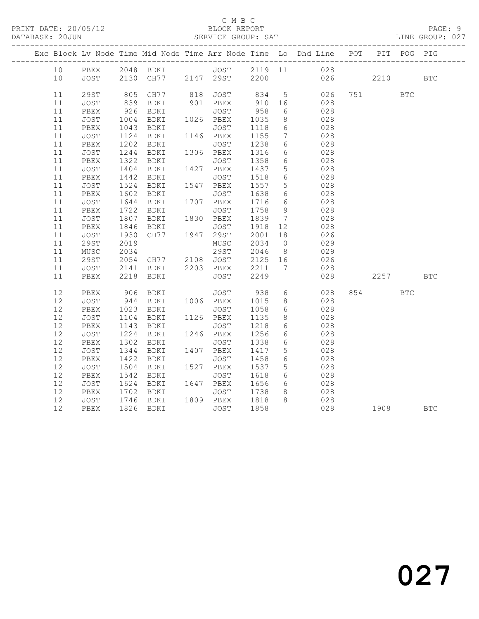#### C M B C<br>BLOCK REPORT

LINE GROUP: 027

|    |             |              |                                                 |                     |              |                 | Exc Block Lv Node Time Mid Node Time Arr Node Time Lo Dhd Line POT |     |           | PIT POG PIG  |            |
|----|-------------|--------------|-------------------------------------------------|---------------------|--------------|-----------------|--------------------------------------------------------------------|-----|-----------|--------------|------------|
| 10 |             |              |                                                 |                     |              |                 | PBEX 2048 BDKI JOST 2119 11 028                                    |     |           |              |            |
| 10 | JOST        |              | 2130 CH77 2147 29ST 2200                        |                     |              |                 |                                                                    | 026 | 2210      |              | <b>BTC</b> |
| 11 | 29ST        | 805          | CH77                                            |                     |              |                 | 818 JOST 834 5 026                                                 |     |           | $_{\rm BTC}$ |            |
| 11 | JOST        |              | BDKI                                            | 901 PBEX            | 910          | 16              | 028                                                                |     |           |              |            |
| 11 | PBEX        | 839<br>926   | BDKI                                            | JOST                | 958          | 6               | 028                                                                |     |           |              |            |
| 11 | JOST        | 1004         |                                                 |                     | 1035         | 8 <sup>8</sup>  | 028                                                                |     |           |              |            |
| 11 | PBEX        |              | BDKI                                            | JOST                | 1118         | 6               | 028                                                                |     |           |              |            |
| 11 | JOST        | 1043<br>1124 | BDKI                                            | 1146 PBEX           | 1155         | $7\overline{ }$ | 028                                                                |     |           |              |            |
| 11 | PBEX        | 1202         | BDKI                                            | JOST                | 1238         | 6               | 028                                                                |     |           |              |            |
| 11 | JOST        |              | BDKI                                            | 1306 PBEX           | 1316         | 6               | 028                                                                |     |           |              |            |
| 11 | PBEX        | 1244<br>1322 | BDKI                                            | JOST                | 1358         | $6\overline{6}$ | 028                                                                |     |           |              |            |
| 11 | JOST        | 1404         | BDKI 1427 PBEX                                  |                     | 1437         | $5\overline{)}$ | 028                                                                |     |           |              |            |
| 11 | PBEX        | 1442<br>1524 | BDKI                                            | JOST                | 1518         | $6\overline{6}$ | 028                                                                |     |           |              |            |
| 11 | JOST        |              | BDKI                                            | 1547 PBEX           | 1557         | 5 <sup>5</sup>  | 028                                                                |     |           |              |            |
| 11 | PBEX        | 1602         | BDKI                                            | JOST                | 1638         | 6               | 028                                                                |     |           |              |            |
| 11 | JOST        | 1644<br>1722 | BDKI                                            | 1707 PBEX           | 1716         | $6\overline{6}$ | 028                                                                |     |           |              |            |
| 11 | PBEX        |              | BDKI                                            | JOST                | 1758         | 9               | 028                                                                |     |           |              |            |
| 11 | JOST        | 1807         | BDKI 1830 PBEX                                  |                     | 1839 7       |                 | 028                                                                |     |           |              |            |
| 11 | PBEX        | 1846<br>1930 | BDKI                                            | JOST                | 1918<br>2001 | 12              | 028                                                                |     |           |              |            |
| 11 | <b>JOST</b> |              |                                                 |                     | 2001         | 18              | 026                                                                |     |           |              |            |
| 11 | 29ST        | 2019         |                                                 | MUSC                | 2034         | $\overline{0}$  | 029                                                                |     |           |              |            |
| 11 | MUSC        |              | 2034 29ST 2046 8<br>2054 CH77 2108 JOST 2125 16 |                     |              | 8 <sup>8</sup>  | 029                                                                |     |           |              |            |
| 11 | 29ST        |              |                                                 |                     |              |                 | 026                                                                |     |           |              |            |
| 11 | JOST        | 2141         |                                                 | BDKI 2203 PBEX 2211 |              | $\overline{7}$  | 028                                                                |     |           |              |            |
| 11 | PBEX        | 2218         | BDKI                                            | JOST                | 2249         |                 | 028                                                                |     | 2257      |              | <b>BTC</b> |
| 12 | PBEX        | 906          | BDKI                                            | JOST                | 938          | $6\overline{6}$ | 028                                                                |     | 854 7     | <b>BTC</b>   |            |
| 12 | JOST        |              |                                                 |                     | 1015<br>1058 | 8 <sup>8</sup>  | 028                                                                |     |           |              |            |
| 12 | PBEX        |              |                                                 |                     |              | $6\overline{6}$ | 028                                                                |     |           |              |            |
| 12 | JOST        | 1104         | BDKI 1126 PBEX                                  |                     | 1135         | 8 <sup>8</sup>  | 028                                                                |     |           |              |            |
| 12 | PBEX        | 1143<br>1224 | BDKI                                            | JOST                | 1218<br>1256 | $6\overline{6}$ | 028                                                                |     |           |              |            |
| 12 | JOST        |              | BDKI                                            | 1246 PBEX           |              | 6               | 028                                                                |     |           |              |            |
| 12 | PBEX        | 1302         | BDKI                                            | JOST                | 1338         | 6               | 028                                                                |     |           |              |            |
| 12 | JOST        | 1344<br>1422 | BDKI                                            | 1407 PBEX           | 1417         | $5^{\circ}$     | 028                                                                |     |           |              |            |
| 12 | PBEX        |              | BDKI                                            | JOST                | 1458         | $6\overline{6}$ | 028                                                                |     |           |              |            |
| 12 | JOST        | 1504         | BDKI 1527 PBEX                                  |                     | 1537         | $5\overline{)}$ | 028                                                                |     |           |              |            |
| 12 | PBEX        | 1542<br>1624 | BDKI                                            | JOST                | 1618<br>1656 | $6\overline{6}$ | 028                                                                |     |           |              |            |
| 12 | JOST        |              | BDKI                                            | 1647 PBEX           | 1656         | 6               | 028                                                                |     |           |              |            |
| 12 | PBEX        | 1702         | BDKI                                            | JOST                | 1738         | 8 <sup>8</sup>  | 028                                                                |     |           |              |            |
| 12 | JOST        |              | 1746 BDKI<br>1826 BDKI                          | 1809 PBEX           | 1818<br>1858 | 8 <sup>8</sup>  | 028                                                                |     |           |              |            |
| 12 | PBEX        |              |                                                 | JOST                | 1858         |                 | 028                                                                |     | 1908 1908 |              | <b>BTC</b> |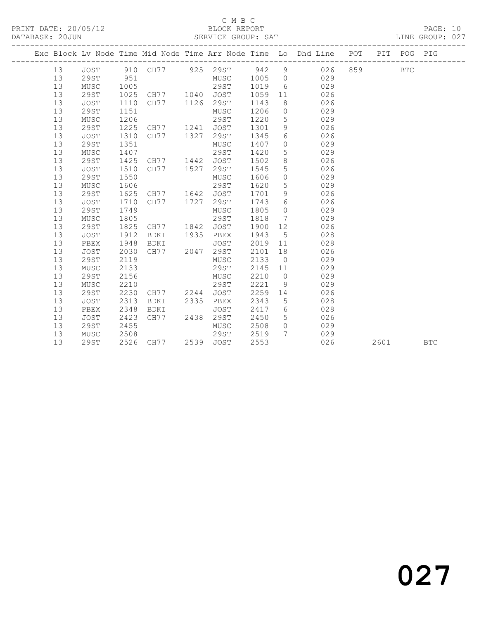#### C M B C<br>BLOCK REPORT SERVICE GROUP: SAT

|  |    |             |      |             |      |                       |      |                 | Exc Block Lv Node Time Mid Node Time Arr Node Time Lo Dhd Line POT PIT POG PIG |     |      |            |            |
|--|----|-------------|------|-------------|------|-----------------------|------|-----------------|--------------------------------------------------------------------------------|-----|------|------------|------------|
|  | 13 | JOST        |      |             |      | 910 CH77 925 29ST 942 |      | 9               | 026                                                                            | 859 |      | <b>BTC</b> |            |
|  | 13 | <b>29ST</b> | 951  |             |      | MUSC                  | 1005 | $\overline{0}$  | 029                                                                            |     |      |            |            |
|  | 13 | MUSC        | 1005 |             |      | 29ST                  | 1019 | 6               | 029                                                                            |     |      |            |            |
|  | 13 | 29ST        | 1025 | CH77        | 1040 | JOST                  | 1059 | 11              | 026                                                                            |     |      |            |            |
|  | 13 | <b>JOST</b> | 1110 | CH77        | 1126 | 29ST                  | 1143 | 8               | 026                                                                            |     |      |            |            |
|  | 13 | <b>29ST</b> | 1151 |             |      | MUSC                  | 1206 | $\circ$         | 029                                                                            |     |      |            |            |
|  | 13 | MUSC        | 1206 |             |      | 29ST                  | 1220 | 5               | 029                                                                            |     |      |            |            |
|  | 13 | 29ST        | 1225 | CH77        | 1241 | JOST                  | 1301 | 9               | 026                                                                            |     |      |            |            |
|  | 13 | <b>JOST</b> | 1310 | CH77        | 1327 | 29ST                  | 1345 | 6               | 026                                                                            |     |      |            |            |
|  | 13 | <b>29ST</b> | 1351 |             |      | MUSC                  | 1407 | $\Omega$        | 029                                                                            |     |      |            |            |
|  | 13 | MUSC        | 1407 |             |      | 29ST                  | 1420 | 5               | 029                                                                            |     |      |            |            |
|  | 13 | 29ST        | 1425 | CH77        | 1442 | JOST                  | 1502 | 8               | 026                                                                            |     |      |            |            |
|  | 13 | <b>JOST</b> | 1510 | CH77        | 1527 | 29ST                  | 1545 | 5               | 026                                                                            |     |      |            |            |
|  | 13 | <b>29ST</b> | 1550 |             |      | MUSC                  | 1606 | $\circ$         | 029                                                                            |     |      |            |            |
|  | 13 | MUSC        | 1606 |             |      | 29ST                  | 1620 | 5               | 029                                                                            |     |      |            |            |
|  | 13 | 29ST        | 1625 | CH77        | 1642 | JOST                  | 1701 | 9               | 026                                                                            |     |      |            |            |
|  | 13 | <b>JOST</b> | 1710 | CH77        | 1727 | 29ST                  | 1743 | 6               | 026                                                                            |     |      |            |            |
|  | 13 | 29ST        | 1749 |             |      | MUSC                  | 1805 | $\Omega$        | 029                                                                            |     |      |            |            |
|  | 13 | MUSC        | 1805 |             |      | 29ST                  | 1818 | 7               | 029                                                                            |     |      |            |            |
|  | 13 | 29ST        | 1825 | CH77        | 1842 | JOST                  | 1900 | 12 <sup>°</sup> | 026                                                                            |     |      |            |            |
|  | 13 | <b>JOST</b> | 1912 | BDKI        | 1935 | PBEX                  | 1943 | 5               | 028                                                                            |     |      |            |            |
|  | 13 | PBEX        | 1948 | BDKI        |      | JOST                  | 2019 | 11              | 028                                                                            |     |      |            |            |
|  | 13 | JOST        | 2030 | CH77        | 2047 | 29ST                  | 2101 | 18              | 026                                                                            |     |      |            |            |
|  | 13 | 29ST        | 2119 |             |      | MUSC                  | 2133 | $\overline{0}$  | 029                                                                            |     |      |            |            |
|  | 13 | MUSC        | 2133 |             |      | 29ST                  | 2145 | 11              | 029                                                                            |     |      |            |            |
|  | 13 | <b>29ST</b> | 2156 |             |      | MUSC                  | 2210 | $\overline{0}$  | 029                                                                            |     |      |            |            |
|  | 13 | MUSC        | 2210 |             |      | 29ST                  | 2221 | 9               | 029                                                                            |     |      |            |            |
|  | 13 | 29ST        | 2230 | CH77        | 2244 | JOST                  | 2259 | 14              | 026                                                                            |     |      |            |            |
|  | 13 | <b>JOST</b> | 2313 | BDKI        | 2335 | PBEX                  | 2343 | 5               | 028                                                                            |     |      |            |            |
|  | 13 | PBEX        | 2348 | <b>BDKI</b> |      | JOST                  | 2417 | 6               | 028                                                                            |     |      |            |            |
|  | 13 | <b>JOST</b> | 2423 | CH77        | 2438 | 29ST                  | 2450 | 5               | 026                                                                            |     |      |            |            |
|  | 13 | 29ST        | 2455 |             |      | MUSC                  | 2508 | $\circ$         | 029                                                                            |     |      |            |            |
|  | 13 | MUSC        | 2508 |             |      | 29ST                  | 2519 | $7\phantom{.0}$ | 029                                                                            |     |      |            |            |
|  | 13 | 29ST        | 2526 | CH77        |      | 2539 JOST             | 2553 |                 | 026                                                                            |     | 2601 |            | <b>BTC</b> |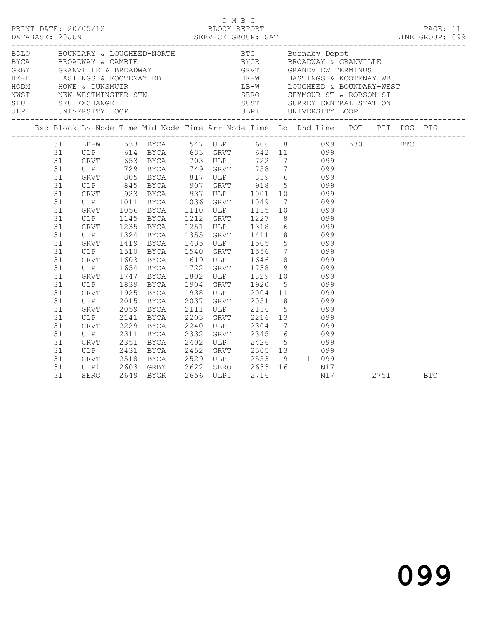|                                                                                        | PRINT DATE: 20/05/12                                      |                                 |                                                                                                                 |                                                                                                                                                                                                                | C M B C<br>BLOCK REPORT                                        |                                                                                                                    |                                                                                                                                                                                                                                                                                                                                                                                                                                                                                                                                                                                                                                                    |  | PAGE: 11 |                                                                                                                                                                                                                                                                                                           |
|----------------------------------------------------------------------------------------|-----------------------------------------------------------|---------------------------------|-----------------------------------------------------------------------------------------------------------------|----------------------------------------------------------------------------------------------------------------------------------------------------------------------------------------------------------------|----------------------------------------------------------------|--------------------------------------------------------------------------------------------------------------------|----------------------------------------------------------------------------------------------------------------------------------------------------------------------------------------------------------------------------------------------------------------------------------------------------------------------------------------------------------------------------------------------------------------------------------------------------------------------------------------------------------------------------------------------------------------------------------------------------------------------------------------------------|--|----------|-----------------------------------------------------------------------------------------------------------------------------------------------------------------------------------------------------------------------------------------------------------------------------------------------------------|
|                                                                                        |                                                           |                                 |                                                                                                                 |                                                                                                                                                                                                                |                                                                |                                                                                                                    |                                                                                                                                                                                                                                                                                                                                                                                                                                                                                                                                                                                                                                                    |  |          |                                                                                                                                                                                                                                                                                                           |
|                                                                                        |                                                           |                                 |                                                                                                                 |                                                                                                                                                                                                                |                                                                |                                                                                                                    |                                                                                                                                                                                                                                                                                                                                                                                                                                                                                                                                                                                                                                                    |  |          |                                                                                                                                                                                                                                                                                                           |
| 31<br>31<br>31<br>31<br>31<br>31<br>31<br>31<br>31                                     |                                                           | 1235                            | <b>BYCA</b><br><b>BYCA</b><br>BYCA<br><b>BYCA</b>                                                               |                                                                                                                                                                                                                |                                                                |                                                                                                                    |                                                                                                                                                                                                                                                                                                                                                                                                                                                                                                                                                                                                                                                    |  |          |                                                                                                                                                                                                                                                                                                           |
| 31<br>31<br>31<br>31<br>31<br>31<br>31<br>31<br>31<br>31<br>31<br>31<br>31<br>31<br>31 | ULP<br>GRVT<br>ULP<br>GRVT<br>GRVT<br>ULP<br>GRVT<br>ULP1 | 1510<br>2059                    | BYCA<br>BYCA<br><b>BYCA</b><br><b>BYCA</b><br><b>BYCA</b><br>BYCA<br><b>BYCA</b><br>BYCA<br><b>BYCA</b><br>BYCA |                                                                                                                                                                                                                |                                                                |                                                                                                                    |                                                                                                                                                                                                                                                                                                                                                                                                                                                                                                                                                                                                                                                    |  |          |                                                                                                                                                                                                                                                                                                           |
|                                                                                        | 31<br>31                                                  | DATABASE: 20JUN<br>GRVT<br>SERO | GRVT<br>ULP<br>GRVT<br>GRVT<br>ULP<br>ULP                                                                       | ULP 1011<br>GRVT 1056<br>ULP 1145 BYCA<br>1324<br>1419 BYCA<br>1603<br>1654 BYCA<br>1747 BYCA<br>1839<br>1925<br>2015<br>ULP 2141 BICA<br>GRVT 2229 BYCA<br>2311<br>GRVT 2351<br>ULP 2431<br>2518<br>2649 BYGR | 2111<br>2203<br>2240<br>2332<br>2402<br>2452<br>2603 GRBY 2622 | GRVT 923 BYCA 937 ULP 1001<br>1540 GRVT 1556<br>1619 ULP 1646<br>1722 GRVT 1738<br>2037 GRVT 2051<br>2529 ULP 2553 | ULP 729 BYCA 749 GRVT 758 7<br>GRVT 805 BYCA 817 ULP 839 6 099<br>ULP 845 BYCA 907 GRVT 918 5 099<br>10 099<br>1036 GRVT 1049 7 099<br>1110 ULP 1135 10 099<br>1212 GRVT 1227 8 099<br>1251 ULP 1318 6 099<br>1355 GRVT 1411 8 099<br>1435 ULP 1505 5 099<br>$\begin{array}{ccc} 7 & 0.99 \\ 8 & 0.99 \\ 9 & 0.99 \end{array}$<br>1802 ULP 1829 10 099<br>1904 GRVT 1920 5 099<br>1938 ULP 2004 11 099<br>2037 GRVT 2051 8 099<br>$5 \qquad \qquad 099$<br>ULP 2136 5 099<br>GRVT 2216 13 099<br>ULP 2304 7 099<br>GRVT 2345 6 099<br>ULP 2426 5 099<br>GRVT 2505 13 099<br>ULP 2553 9 1 099<br>2622 SERO 2633 16 N17<br>2656 ULP1 2716 N17<br>N17 |  |          | DATABASE: 20JUN<br>DATABASE: 20JUN SERVICE GROUP: SAT LINE GROUP: 099<br>Exc Block Lv Node Time Mid Node Time Arr Node Time Lo Dhd Line POT PIT POG PIG<br>131 LB-W 533 BYCA 547 ULP 606 8 099 530 BTC<br>31 ULP 614 BYCA 633 GRVT 642 11 099<br>31 GRVT 653 BYCA 703 ULP 722 7 099<br>2751<br><b>BTC</b> |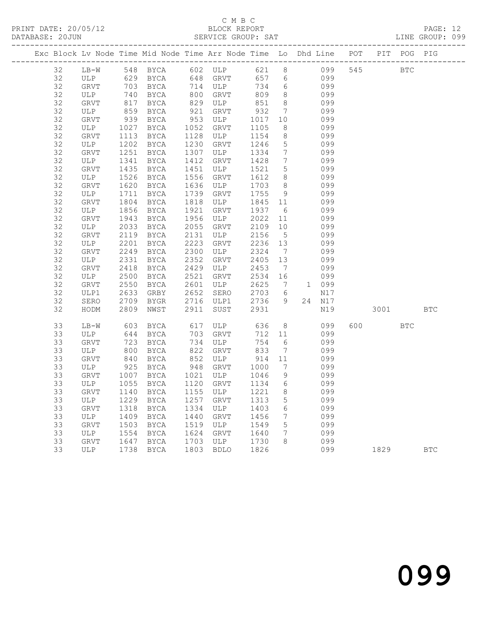## C M B C<br>BLOCK REPORT

PAGE: 12<br>LINE GROUP: 099

|          |             |              | Exc Block Lv Node Time Mid Node Time Arr Node Time Lo Dhd Line POT PIT POG PIG |              |             |                   |                 |           |            |          |            |            |
|----------|-------------|--------------|--------------------------------------------------------------------------------|--------------|-------------|-------------------|-----------------|-----------|------------|----------|------------|------------|
| 32       |             |              | LB-W 548 BYCA 602 ULP 621 8 099                                                |              |             |                   |                 |           |            | 545 BTC  |            |            |
| 32       |             |              | ULP 629 BYCA 648 GRVT                                                          |              |             |                   |                 | 657 6 099 |            |          |            |            |
| 32       | GRVT        | 703          | <b>BYCA</b>                                                                    |              | 714 ULP     | 734               | $6\overline{6}$ |           | 099        |          |            |            |
| 32       | ULP         | 740          | BYCA                                                                           | 800          | GRVT        | 809               | 8 <sup>8</sup>  |           | 099        |          |            |            |
| 32       | GRVT        | 817          | BYCA                                                                           | 829          | ULP         | 851               | 8 <sup>8</sup>  |           | 099        |          |            |            |
| 32       | ULP         | 859          | BYCA                                                                           | 921          | GRVT        | 932               | $\overline{7}$  |           | 099        |          |            |            |
| 32       | GRVT        | 939          | BYCA                                                                           | 953          | ULP         | 1017              | 10              |           | 099        |          |            |            |
| 32       | ULP         | 1027         | BYCA                                                                           | 1052         | GRVT        | 1105              | 8               |           | 099        |          |            |            |
| 32       | GRVT        | 1113         | BYCA                                                                           | 1128         | ULP         | 1154              | 8 <sup>8</sup>  |           | 099        |          |            |            |
| 32       | ULP         | 1202         | BYCA                                                                           | 1230         | GRVT        | 1246              | $5\overline{)}$ |           | 099        |          |            |            |
| 32       | GRVT        | 1251         | BYCA                                                                           | 1307         | ULP         | 1334              | $\overline{7}$  |           | 099        |          |            |            |
| 32       | ULP         | 1341         | BYCA                                                                           | 1412         | GRVT        | 1428              | $\overline{7}$  |           | 099        |          |            |            |
| 32       | GRVT        | 1435         | BYCA                                                                           | 1451         | ULP         | 1521              | $5\overline{)}$ |           | 099        |          |            |            |
| 32       | ULP         | 1526         | BYCA                                                                           | 1556         | GRVT        | 1612              | 8 <sup>8</sup>  |           | 099        |          |            |            |
| 32       | GRVT        | 1620         | BYCA                                                                           | 1636         | ULP         | 1703              | 8 <sup>8</sup>  |           | 099        |          |            |            |
| 32       | ULP         | 1711<br>1804 | BYCA                                                                           | 1739<br>1818 | GRVT        | 1755              | 9               |           | 099<br>099 |          |            |            |
| 32<br>32 | GRVT<br>ULP | 1856         | BYCA<br>BYCA                                                                   | 1921         | ULP<br>GRVT | 1845 11<br>1937 6 |                 |           | 099        |          |            |            |
| 32       | GRVT        | 1943         | BYCA                                                                           | 1956         | ULP         | 2022              | 11              |           | 099        |          |            |            |
| 32       | ULP         | 2033         | BYCA                                                                           | 2055         | GRVT        | 2109              | 10              |           | 099        |          |            |            |
| 32       | GRVT        | 2119         | BYCA                                                                           | 2131         | ULP         | 2156              | $5\overline{)}$ |           | 099        |          |            |            |
| 32       | ULP         | 2201         | BYCA                                                                           | 2223         | GRVT        | 2236 13           |                 |           | 099        |          |            |            |
| 32       | GRVT        | 2249         | BYCA                                                                           | 2300         | ULP         | 2324              | $\overline{7}$  |           | 099        |          |            |            |
| 32       | ULP         | 2331         | BYCA                                                                           | 2352         | GRVT        | 2405              | 13              |           | 099        |          |            |            |
| 32       | GRVT        | 2418         | BYCA                                                                           | 2429         | ULP         | 2453              | $\overline{7}$  |           | 099        |          |            |            |
| 32       | ULP         | 2500         | BYCA                                                                           | 2521         | GRVT        | 2534 16           |                 |           | 099        |          |            |            |
| 32       | GRVT        | 2550         | BYCA                                                                           | 2601         | ULP         | 2625              |                 | 7 1 099   |            |          |            |            |
| 32       | ULP1        | 2633         | GRBY                                                                           | 2652         | SERO        | 2703              | 6               |           | N17        |          |            |            |
| 32       | SERO        | 2709         | BYGR                                                                           | 2716         | ULP1        | 2736              | 9               |           | 24 N17     |          |            |            |
| 32       | HODM        | 2809         | NWST                                                                           | 2911         | SUST        | 2931              |                 |           | N19        | 3001 300 |            | <b>BTC</b> |
| 33       | LB-W        | 603          | BYCA                                                                           | 617          | ULP         | 636               | 8 <sup>8</sup>  |           | 099        | 600 000  | <b>BTC</b> |            |
| 33       | ULP         | 644          | BYCA                                                                           | 703          | GRVT        | 712               | 11              |           | 099        |          |            |            |
| 33       | GRVT        | 723          | BYCA                                                                           | 734          | ULP         | 754               | $6\overline{6}$ |           | 099        |          |            |            |
| 33       | ULP         | 800          | BYCA                                                                           | 822          | GRVT        | 833               | $\overline{7}$  |           | 099        |          |            |            |
| 33       | GRVT        | 840          | BYCA                                                                           | 852          | ULP         | 914               | 11              |           | 099        |          |            |            |
| 33       | ULP         | 925          | BYCA                                                                           | 948          | GRVT        | 1000              | $\overline{7}$  |           | 099        |          |            |            |
| 33       | GRVT        | 1007         | BYCA                                                                           |              | 1021 ULP    | 1046              | 9               |           | 099        |          |            |            |
| 33       | ULP         | 1055         | BYCA                                                                           |              | 1120 GRVT   | 1134 6            |                 |           | 099        |          |            |            |
| 33       |             |              | GRVT 1140 BYCA 1155 ULP 1221 8                                                 |              |             |                   |                 |           | 099        |          |            |            |
| 33       | ULP         | 1229         | BYCA                                                                           | 1257         | GRVT        | 1313              | 5               |           | 099        |          |            |            |
| 33       | GRVT        | 1318         | BYCA                                                                           | 1334         | ULP         | 1403              | 6               |           | 099        |          |            |            |
| 33       | ULP         | 1409         | BYCA                                                                           | 1440         | GRVT        | 1456              | 7               |           | 099        |          |            |            |
| 33       | GRVT        | 1503         | BYCA                                                                           | 1519         | ULP         | 1549              | 5               |           | 099        |          |            |            |
| 33       | ULP         | 1554         | BYCA                                                                           | 1624         | GRVT        | 1640              | 7               |           | 099        |          |            |            |
| 33       | <b>GRVT</b> | 1647         | BYCA                                                                           | 1703         | ULP         | 1730              | 8               |           | 099        |          |            |            |
| 33       | ULP         | 1738         | BYCA                                                                           | 1803         | <b>BDLO</b> | 1826              |                 |           | 099        | 1829     |            | <b>BTC</b> |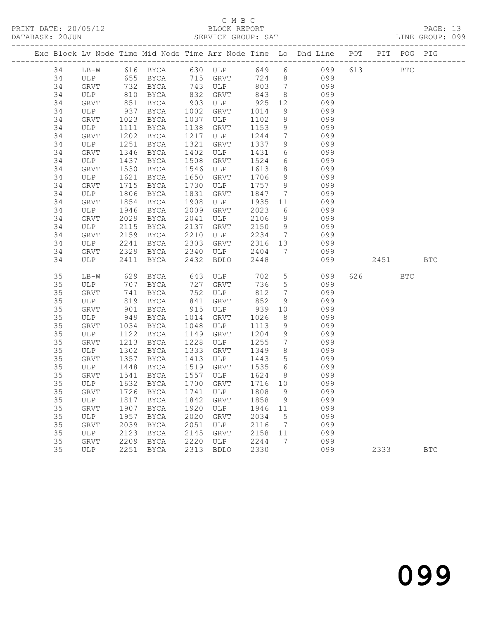| DATABASE: 20JUN |                                 |      |                                |      | SERVICE GROUP: SAT          |         |                                      | LINE GROUP: 099                                                                |        |         |            |  |
|-----------------|---------------------------------|------|--------------------------------|------|-----------------------------|---------|--------------------------------------|--------------------------------------------------------------------------------|--------|---------|------------|--|
|                 |                                 |      |                                |      |                             |         |                                      | Exc Block Lv Node Time Mid Node Time Arr Node Time Lo Dhd Line POT PIT POG PIG |        |         |            |  |
| 34              |                                 |      |                                |      |                             |         |                                      | LB-W 616 BYCA 630 ULP 649 6 099 613 BTC                                        |        |         |            |  |
| 34              |                                 |      |                                |      |                             |         |                                      | ULP 655 BYCA 715 GRVT 724 8 099                                                |        |         |            |  |
| 34              | GRVT 732<br>ULP 810<br>GRVT 851 |      |                                |      | BYCA 743 ULP 803 7          |         |                                      | 099                                                                            |        |         |            |  |
| 34              |                                 |      | BYCA                           |      | 832 GRVT 843<br>903 ULP 925 |         | 8 <sup>8</sup>                       | 099                                                                            |        |         |            |  |
| 34              |                                 |      | BYCA                           |      |                             |         |                                      | 12<br>099                                                                      |        |         |            |  |
| 34              | ULP                             | 937  | BYCA                           |      | 1002 GRVT                   | 1014    | 9                                    | 099                                                                            |        |         |            |  |
| 34              | GRVT                            | 1023 | BYCA                           |      | 1037 ULP                    | 1102    | 9                                    | 099                                                                            |        |         |            |  |
| 34              | ULP                             | 1111 | BYCA                           |      | 1138 GRVT                   | 1153    | 9                                    | 099                                                                            |        |         |            |  |
| 34              | GRVT                            | 1202 | <b>BYCA</b>                    | 1217 | ULP                         | 1244    | $7\overline{ }$                      | 099                                                                            |        |         |            |  |
| 34              | ULP                             | 1251 | BYCA                           | 1321 | GRVT                        | 1337    | 9                                    | 099                                                                            |        |         |            |  |
| 34              | GRVT                            | 1346 | BYCA                           | 1402 | ULP                         | 1431    |                                      | $6\overline{}$<br>099                                                          |        |         |            |  |
| 34              | ULP                             | 1437 | BYCA                           | 1508 | GRVT                        | 1524    | $\begin{matrix} 6 \\ 8 \end{matrix}$ | 099                                                                            |        |         |            |  |
| 34              | GRVT                            | 1530 | BYCA                           | 1546 | ULP                         | 1613    |                                      | 099                                                                            |        |         |            |  |
| 34              | ULP                             | 1621 | BYCA                           | 1650 | GRVT                        | 1706    |                                      | 9 099                                                                          |        |         |            |  |
| 34              | GRVT                            | 1715 | BYCA                           | 1730 | ULP                         | 1757 9  |                                      | 099                                                                            |        |         |            |  |
| 34              | ULP                             | 1806 | BYCA                           | 1831 | GRVT                        | 1847    | $\overline{7}$                       | 099                                                                            |        |         |            |  |
| 34              | GRVT                            | 1854 | BYCA                           | 1908 | ULP                         | 1935 11 |                                      | 099                                                                            |        |         |            |  |
| 34              | ULP                             | 1946 | BYCA                           | 2009 | GRVT                        | 2023    |                                      | $6\overline{6}$<br>099                                                         |        |         |            |  |
| 34              | GRVT                            | 2029 | BYCA                           | 2041 | ULP                         | 2106    | 9                                    | 099                                                                            |        |         |            |  |
| 34              | ULP                             | 2115 | BYCA                           | 2137 | GRVT                        | 2150    | 9                                    | 099                                                                            |        |         |            |  |
| 34              | GRVT                            | 2159 | BYCA                           | 2210 | ULP                         | 2234    | $7\overline{ }$                      | 099                                                                            |        |         |            |  |
| 34              | ULP                             | 2241 | BYCA                           | 2303 | GRVT                        |         |                                      | 2316 13 099                                                                    |        |         |            |  |
| 34              | GRVT                            | 2329 | BYCA 2340                      |      | ULP                         | 2404    |                                      | 7 099                                                                          |        |         |            |  |
| 34              | ULP                             | 2411 | BYCA                           | 2432 | BDLO                        | 2448    |                                      |                                                                                | 099 00 | 2451    | <b>BTC</b> |  |
| 35              | LB-W                            |      |                                |      | 629 BYCA 643 ULP            |         |                                      | 702 5<br>099                                                                   |        | 626 BTC |            |  |
| 35              | ULP                             | 707  |                                |      | BYCA 727 GRVT               | 736     | 5 <sup>5</sup>                       | 099                                                                            |        |         |            |  |
| 35              | GRVT                            | 741  | BYCA                           |      | 752 ULP                     | 812     | $7\overline{ }$                      | 099                                                                            |        |         |            |  |
| 35              | ULP                             | 819  | BYCA                           | 841  | GRVT                        | 852     | 9                                    | 099                                                                            |        |         |            |  |
| 35              | GRVT                            | 901  | BYCA                           | 915  | $ULP$ 939                   |         | 10                                   | 099                                                                            |        |         |            |  |
| 35              | ULP                             | 949  | BYCA                           | 1014 | GRVT                        | 1026    | 8 <sup>8</sup>                       | 099                                                                            |        |         |            |  |
| 35              | GRVT                            | 1034 | BYCA                           | 1048 | ULP                         | 1113    | 9                                    | 099                                                                            |        |         |            |  |
| 35              | ULP                             | 1122 | BYCA                           | 1149 | GRVT                        | 1204    | 9                                    | 099                                                                            |        |         |            |  |
| 35              | GRVT                            | 1213 | BYCA                           | 1228 | ULP                         | 1255    | $7\overline{ }$                      | 099                                                                            |        |         |            |  |
| 35              | ULP                             | 1302 | BYCA                           | 1333 | GRVT                        | 1349    | 8 <sup>8</sup>                       | 099                                                                            |        |         |            |  |
| 35              | GRVT                            | 1357 | BYCA                           | 1413 | ULP                         | 1443    | 5 <sup>5</sup>                       | 099                                                                            |        |         |            |  |
| 35              | ULP                             |      | 1448 BYCA<br>1541 BYCA<br>BYCA | 1519 | GRVT                        | 1535    | $6\overline{6}$                      | 099                                                                            |        |         |            |  |
| 35              | GRVT                            |      |                                |      | 1557 ULP                    | 1624 8  |                                      | 099                                                                            |        |         |            |  |
| 35              |                                 |      |                                |      |                             |         |                                      | ULP 1632 BYCA 1700 GRVT 1716 10 099                                            |        |         |            |  |
| 35              | GRVT                            |      | 1726 BYCA                      | 1741 | ULP                         | 1808    | $\overline{9}$                       | 099                                                                            |        |         |            |  |
| 35              | ULP                             | 1817 | BYCA                           | 1842 | GRVT                        | 1858    | $\overline{9}$                       | 099                                                                            |        |         |            |  |
| 35              | GRVT                            | 1907 | BYCA                           | 1920 | ULP                         | 1946    | 11                                   | 099                                                                            |        |         |            |  |
| 35              | ULP                             | 1957 | BYCA                           | 2020 | GRVT                        | 2034    | $5^{\circ}$                          | 099                                                                            |        |         |            |  |
| 35              | GRVT                            | 2039 | BYCA                           | 2051 | ULP                         | 2116    | $\overline{7}$                       | 099                                                                            |        |         |            |  |
| 35              | ULP                             | 2123 | BYCA                           | 2145 | GRVT                        | 2158    | 11                                   | 099                                                                            |        |         |            |  |
| 35              | <b>GRVT</b>                     | 2209 | BYCA                           | 2220 | ULP                         | 2244    | $\overline{7}$                       | 099                                                                            |        |         |            |  |
| 35              | ULP                             |      | 2251 BYCA                      | 2313 | <b>BDLO</b>                 | 2330    |                                      | 099                                                                            |        | 2333    | <b>BTC</b> |  |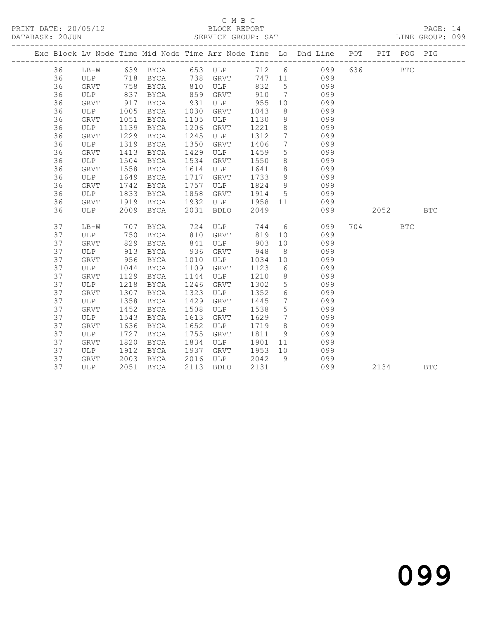### C M B C<br>BLOCK REPORT

PAGE: 14<br>LINE GROUP: 099

|    |             |            |                       |            |               |         |                              | Exc Block Lv Node Time Mid Node Time Arr Node Time Lo Dhd Line POT |          | PIT POG PIG  |            |
|----|-------------|------------|-----------------------|------------|---------------|---------|------------------------------|--------------------------------------------------------------------|----------|--------------|------------|
| 36 |             |            | LB-W 639 BYCA 653 ULP |            |               |         |                              | 712 6 099                                                          | 636 8    | $_{\rm BTC}$ |            |
| 36 | ULP 718     |            |                       |            | BYCA 738 GRVT |         |                              | 747 11 099                                                         |          |              |            |
| 36 | GRVT        | 758        | BYCA                  |            | 810 ULP       | 832     | $5\overline{)}$              | 099                                                                |          |              |            |
| 36 | ULP         | 837<br>917 | BYCA                  | 859<br>931 | GRVT          | 910     | $7\overline{ }$              | 099                                                                |          |              |            |
| 36 | GRVT        |            | BYCA                  |            | ULP           | 955     | 10                           | 099                                                                |          |              |            |
| 36 | ULP         | 1005       | BYCA                  | 1030       | GRVT          | 1043    | 8 <sup>8</sup>               | 099                                                                |          |              |            |
| 36 | GRVT        | 1051       | BYCA                  | 1105       | ULP           | 1130    | 9                            | 099                                                                |          |              |            |
| 36 | ULP         | 1139       | BYCA                  | 1206       | GRVT          | 1221    | 8 <sup>8</sup>               | 099                                                                |          |              |            |
| 36 | GRVT        | 1229       | BYCA                  | 1245       | ULP           | 1312    | $7\phantom{0}$               | 099                                                                |          |              |            |
| 36 | ULP         | 1319       | BYCA                  | 1350       | GRVT          | 1406    | $7\overline{ }$              | 099                                                                |          |              |            |
| 36 | GRVT        | 1413       | BYCA                  | 1429       | ULP           | 1459    | 5 <sup>5</sup>               | 099                                                                |          |              |            |
| 36 | ULP         | 1504       | BYCA                  | 1534       | GRVT          | 1550    | 8 <sup>8</sup>               | 099                                                                |          |              |            |
| 36 | GRVT        | 1558       | BYCA                  | 1614       | ULP           | 1641    | 8 <sup>8</sup>               | 099                                                                |          |              |            |
| 36 | ULP         | 1649       | BYCA                  | 1717       | GRVT          | 1733    | 9                            | 099                                                                |          |              |            |
| 36 | GRVT        | 1742       | BYCA                  | 1757       | ULP           | 1824    | 9                            | 099                                                                |          |              |            |
| 36 | ULP         | 1833       | BYCA                  | 1858       | GRVT          | 1914    | 5 <sup>5</sup>               | 099                                                                |          |              |            |
| 36 | GRVT        | 1919       | BYCA                  | 1932       | ULP           | 1958 11 |                              | 099                                                                |          |              |            |
| 36 | ULP         | 2009       | BYCA                  | 2031       | BDLO          | 2049    |                              | 099                                                                | 2052 200 |              | <b>BTC</b> |
| 37 | $LB-W$      | 707        | BYCA                  |            | 724 ULP       |         |                              | 744 6<br>099                                                       | 704      | <b>BTC</b>   |            |
| 37 | ULP         | 750        | BYCA                  | 810        | GRVT          | 819     | 10                           | 099                                                                |          |              |            |
| 37 | GRVT        | 829        | BYCA                  | 841        | ULP           | 903     | 10                           | 099                                                                |          |              |            |
| 37 | ULP         | 913        | BYCA                  | 936        | GRVT          | 948     | 8 <sup>8</sup>               | 099                                                                |          |              |            |
| 37 | GRVT        | 956        | BYCA                  | 1010       | ULP           | 1034    | 10                           | 099                                                                |          |              |            |
| 37 | ULP         | 1044       | BYCA                  | 1109       | GRVT          | 1123    | 6                            | 099                                                                |          |              |            |
| 37 | GRVT        | 1129       | BYCA                  | 1144       | ULP           | 1210    | 8 <sup>8</sup>               | 099                                                                |          |              |            |
| 37 | ULP         | 1218       | BYCA                  | 1246       | GRVT          | 1302    | 5 <sup>5</sup>               | 099                                                                |          |              |            |
| 37 | GRVT        | 1307       | BYCA                  | 1323       | ULP           | 1352    | $6\overline{6}$              | 099                                                                |          |              |            |
| 37 | ULP         | 1358       | BYCA                  | 1429       | GRVT          | 1445    | $7\phantom{.0}\phantom{.0}7$ | 099                                                                |          |              |            |
| 37 | <b>GRVT</b> | 1452       | BYCA                  | 1508       | ULP           | 1538    | $5\overline{)}$              | 099                                                                |          |              |            |
| 37 | ULP         | 1543       | BYCA                  | 1613       | GRVT          | 1629    | $\overline{7}$               | 099                                                                |          |              |            |
| 37 | GRVT        | 1636       | BYCA                  | 1652       | ULP           | 1719    | 8 <sup>8</sup>               | 099                                                                |          |              |            |
| 37 | ULP         | 1727       | BYCA                  | 1755       | GRVT          | 1811    | 9 <sup>°</sup>               | 099                                                                |          |              |            |
| 37 | GRVT        | 1820       | BYCA                  | 1834       | ULP           | 1901    |                              | 099<br>11 — 1                                                      |          |              |            |
| 37 | ULP         | 1912       | BYCA                  | 1937       | GRVT          | 1953    | 10                           | 099                                                                |          |              |            |
| 37 | GRVT        | 2003       | BYCA                  | 2016       | ULP           | 2042    | 9                            | 099                                                                |          |              |            |
| 37 | ULP         |            | 2051 BYCA             | 2113       | <b>BDLO</b>   | 2131    |                              | 099                                                                | 2134     |              | <b>BTC</b> |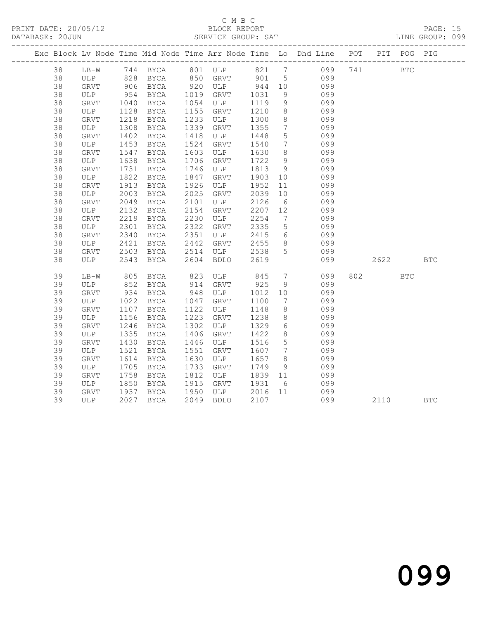#### C M B C<br>BLOCK REPORT SERVICE GROUP: SAT

|    |                       |                  |             |      |                     |         |                 | Exc Block Lv Node Time Mid Node Time Arr Node Time Lo Dhd Line POT PIT POG PIG |        |            |            |
|----|-----------------------|------------------|-------------|------|---------------------|---------|-----------------|--------------------------------------------------------------------------------|--------|------------|------------|
| 38 |                       |                  |             |      |                     |         |                 | LB-W 744 BYCA 801 ULP 821 7 099 741 BTC                                        |        |            |            |
| 38 |                       |                  |             |      |                     |         |                 | ULP 828 BYCA 850 GRVT 901 5 099                                                |        |            |            |
| 38 | GRVT                  |                  |             |      |                     |         |                 | 099                                                                            |        |            |            |
| 38 | ULP                   |                  |             |      |                     |         |                 | 099                                                                            |        |            |            |
| 38 | GRVT                  | 1040             | BYCA        |      | 1054 ULP            | 1119    | 9               | 099                                                                            |        |            |            |
| 38 | ULP                   | 1128<br>1218     | BYCA        | 1155 | GRVT                | 1210    | 8 <sup>8</sup>  | 099                                                                            |        |            |            |
| 38 | GRVT                  |                  | BYCA        | 1233 | ULP                 | 1300    | 8 <sup>8</sup>  | 099                                                                            |        |            |            |
| 38 | ULP                   | 1308             | BYCA        | 1339 | GRVT                | 1355    | $7\phantom{0}$  | 099                                                                            |        |            |            |
| 38 | GRVT                  | 1402             | BYCA        | 1418 | ULP                 | 1448    | $5\overline{)}$ | 099                                                                            |        |            |            |
| 38 | ULP                   | 1453             | BYCA        | 1524 | GRVT                | 1540    | $7\overline{ }$ | 099                                                                            |        |            |            |
| 38 | GRVT                  | $\frac{1}{1547}$ | BYCA        | 1603 | ULP                 | 1630    | 8 <sup>8</sup>  | 099                                                                            |        |            |            |
| 38 | ULP                   | 1638             | BYCA        | 1706 | GRVT                | 1722    | 9               | 099                                                                            |        |            |            |
| 38 | GRVT                  | 1731             | BYCA        | 1746 | ULP                 | 1813    | 9               | 099                                                                            |        |            |            |
| 38 | ULP                   | 1822             | BYCA        | 1847 | GRVT                | 1903 10 |                 | 099                                                                            |        |            |            |
| 38 | GRVT                  | 1913             | BYCA        | 1926 | ULP                 | 1952    | 11              | 099                                                                            |        |            |            |
| 38 | ULP                   | 2003             | BYCA        | 2025 | GRVT                | 2039    | 10              | 099                                                                            |        |            |            |
| 38 | GRVT                  | 2049             | BYCA        | 2101 | ULP                 | 2126    | $6\overline{6}$ | 099                                                                            |        |            |            |
| 38 | ULP                   | 2132             | BYCA        | 2154 | GRVT                | 2207    | 12              | 099                                                                            |        |            |            |
| 38 | ${\tt GRVT}$          | 2219             | BYCA        | 2230 | ULP                 | 2254    | $7\overline{ }$ | 099                                                                            |        |            |            |
| 38 | ULP                   | 2301             | BYCA        | 2322 | GRVT                | 2335    | 5 <sup>5</sup>  | 099                                                                            |        |            |            |
| 38 | GRVT                  | 2340             | BYCA        | 2351 | ULP                 | 2415    | 6               | 099                                                                            |        |            |            |
| 38 | ULP                   | 2421             | BYCA        | 2442 | GRVT 2455           |         | 8 <sup>8</sup>  | 099                                                                            |        |            |            |
| 38 | GRVT                  | 2503             | BYCA        | 2514 | ULP                 | 2538    | 5               | 099                                                                            |        |            |            |
| 38 | ULP                   | 2543             | BYCA 2604   |      | BDLO                | 2619    |                 | 099                                                                            | 2622   |            | <b>BTC</b> |
| 39 | LB-W                  | 805              | BYCA        | 823  | ULP 845             |         | $7\overline{ }$ | 099                                                                            | 802 30 | <b>BTC</b> |            |
| 39 | ULP                   | 852<br>934       | BYCA        |      | 914 GRVT<br>948 ULP | 925     | 9               | 099                                                                            |        |            |            |
| 39 | GRVT                  |                  | <b>BYCA</b> |      | ULP                 | 1012 10 |                 | 099                                                                            |        |            |            |
| 39 | ULP                   | 1022             | BYCA        | 1047 | GRVT                | 1100    | $7\overline{ }$ | 099                                                                            |        |            |            |
| 39 | GRVT                  | 1107             | BYCA        | 1122 | ULP                 | 1148    | 8 <sup>8</sup>  | 099                                                                            |        |            |            |
| 39 | ULP                   | 1156             | BYCA        | 1223 | GRVT                | 1238    | 8 <sup>8</sup>  | 099                                                                            |        |            |            |
| 39 | GRVT                  | 1246             | BYCA        | 1302 | ULP                 | 1329    | 6               | 099                                                                            |        |            |            |
| 39 | ULP                   | 1335             | BYCA        | 1406 | GRVT                | 1422    | 8 <sup>8</sup>  | 099                                                                            |        |            |            |
| 39 | GRVT                  | 1430             | BYCA        | 1446 | ULP                 | 1516    | $5\overline{)}$ | 099                                                                            |        |            |            |
| 39 | ULP                   | 1521             | BYCA        | 1551 | GRVT                | 1607    | $7\overline{ }$ | 099                                                                            |        |            |            |
| 39 | GRVT                  | 1614             | BYCA        | 1630 | ULP                 | 1657    | 8 <sup>8</sup>  | 099                                                                            |        |            |            |
| 39 | ULP                   | 1705             | BYCA        | 1733 | GRVT                | 1749    | 9               | 099                                                                            |        |            |            |
| 39 | GRVT                  | 1758             | BYCA        | 1812 | ULP                 | 1839 11 |                 | 099                                                                            |        |            |            |
| 39 | ULP                   | 1850             | BYCA        | 1915 | GRVT                | 1931    | 6               | 099                                                                            |        |            |            |
| 39 | GRVT 1937<br>ULP 2027 |                  | BYCA        |      | 1950 ULP            | 2016 11 |                 | 099                                                                            |        |            |            |
| 39 |                       |                  | 2027 BYCA   |      | 2049 BDLO           | 2107    |                 | 099                                                                            | 2110   |            | <b>BTC</b> |

099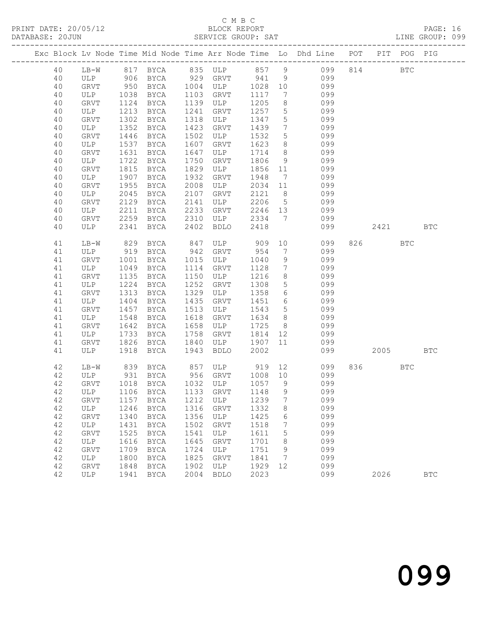|  | DATABASE: 20JUN |             |     |                                   |                    |              | SERVICE GROUP: SAT |              |                                    |                                                                                |        |          |            | LINE GROUP: 099 |  |
|--|-----------------|-------------|-----|-----------------------------------|--------------------|--------------|--------------------|--------------|------------------------------------|--------------------------------------------------------------------------------|--------|----------|------------|-----------------|--|
|  |                 |             |     |                                   |                    |              |                    |              |                                    | Exc Block Lv Node Time Mid Node Time Arr Node Time Lo Dhd Line POT PIT POG PIG |        |          |            |                 |  |
|  | 40              |             |     |                                   |                    |              |                    |              |                                    | LB-W 817 BYCA 835 ULP 857 9 099 814 BTC                                        |        |          |            |                 |  |
|  | 40              |             |     |                                   |                    |              |                    |              |                                    | ULP 906 BYCA 929 GRVT 941 9 099                                                |        |          |            |                 |  |
|  | 40              |             |     | GRVT 950<br>ULP 1038<br>GRVT 1124 |                    |              |                    |              |                                    | BYCA 1004 ULP 1028 10 099                                                      |        |          |            |                 |  |
|  | 40              |             |     |                                   | BYCA               |              | 1103 GRVT          | 1117         | $7\overline{ }$                    | 099                                                                            |        |          |            |                 |  |
|  | 40              | GRVT        |     | 1124                              | BYCA               |              | 1139 ULP           | 1205         | 8                                  | 099                                                                            |        |          |            |                 |  |
|  | 40              | ULP         |     | 1213                              | BYCA               |              | 1241 GRVT          | 1257         | 5 <sup>5</sup>                     | 099                                                                            |        |          |            |                 |  |
|  | 40              | GRVT        |     | 1302                              | BYCA               |              | 1318 ULP           | 1347         | 5 <sup>5</sup>                     | 099                                                                            |        |          |            |                 |  |
|  | 40<br>40        | ULP         |     | 1352<br>1446                      | BYCA               | 1423<br>1502 | GRVT<br>ULP        | 1439<br>1532 | $7\overline{ }$<br>$5\overline{)}$ | 099<br>099                                                                     |        |          |            |                 |  |
|  | 40              | GRVT<br>ULP |     | 1537                              | BYCA<br>BYCA       | 1607         | GRVT               | 1623         | 8 <sup>8</sup>                     | 099                                                                            |        |          |            |                 |  |
|  | 40              | GRVT        |     | 1631                              | BYCA               | 1647         | ULP                | 1714         | 8 <sup>8</sup>                     | 099                                                                            |        |          |            |                 |  |
|  | 40              | ULP         |     | 1722                              | BYCA               | 1750         | GRVT               | 1806         | 9                                  | 099                                                                            |        |          |            |                 |  |
|  | 40              | GRVT        |     | 1815                              | BYCA               | 1829         | ULP                | 1856 11      |                                    | 099                                                                            |        |          |            |                 |  |
|  | 40              | ULP         |     | 1907                              | BYCA               | 1932         | GRVT               | 1948         |                                    | 7 099                                                                          |        |          |            |                 |  |
|  | 40              | GRVT        |     | 1955                              | BYCA               | 2008         | ULP                | 2034         | 11                                 | 099                                                                            |        |          |            |                 |  |
|  | 40              | ULP         |     | 2045                              | BYCA               | 2107         | GRVT               | 2121 8       |                                    | 099                                                                            |        |          |            |                 |  |
|  | 40              | GRVT        |     | 2129                              | BYCA               | 2141         | ULP                | 2206         | 5 <sup>5</sup>                     | 099                                                                            |        |          |            |                 |  |
|  | 40              | ULP         |     | 2211                              | BYCA               | 2233         | GRVT               | 2246 13      |                                    | 099                                                                            |        |          |            |                 |  |
|  | 40              | GRVT        |     |                                   | 2259 BYCA 2310 ULP |              |                    |              |                                    | 2334 7 099                                                                     |        |          |            |                 |  |
|  | 40              | ULP         |     | 2341                              | BYCA 2402 BDLO     |              |                    | 2418         |                                    |                                                                                | 099 00 | 2421     |            | <b>BTC</b>      |  |
|  | 41              | $LB-W$      |     | 829                               | BYCA               |              | 847 ULP 909        |              |                                    | 10<br>099                                                                      |        | 826 32   | <b>BTC</b> |                 |  |
|  | 41              | ULP         |     |                                   | 919 BYCA           |              | 942 GRVT           | 954          | 7                                  | 099                                                                            |        |          |            |                 |  |
|  | 41              | GRVT        |     | 1001                              | BYCA               |              | 1015 ULP           | 1040         | 9                                  | 099                                                                            |        |          |            |                 |  |
|  | 41<br>41        | ULP         |     | 1049<br>1135                      | BYCA               | 1150         | 1114 GRVT          | 1128         | $7\overline{ }$<br>8 <sup>8</sup>  | 099                                                                            |        |          |            |                 |  |
|  | 41              | GRVT<br>ULP |     | 1224                              | BYCA<br>BYCA       | 1252         | ULP<br>GRVT        | 1216<br>1308 | 5 <sup>5</sup>                     | 099<br>099                                                                     |        |          |            |                 |  |
|  | 41              | GRVT        |     | 1313                              | BYCA               | 1329         | ULP                | 1358         | 6                                  | 099                                                                            |        |          |            |                 |  |
|  | 41              | ULP         |     | 1404                              | BYCA               | 1435         | GRVT               | 1451         | 6                                  | 099                                                                            |        |          |            |                 |  |
|  | 41              | GRVT        |     | 1457                              | BYCA               | 1513         | ULP                | 1543         | 5 <sup>5</sup>                     | 099                                                                            |        |          |            |                 |  |
|  | 41              | ULP         |     | 1548                              | <b>BYCA</b>        | 1618         | GRVT               | 1634         | 8 <sup>8</sup>                     | 099                                                                            |        |          |            |                 |  |
|  | 41              | GRVT        |     | 1642                              | BYCA               | 1658         | ULP                | 1725         | 8 <sup>8</sup>                     | 099                                                                            |        |          |            |                 |  |
|  | 41              | ULP         |     | 1733                              | BYCA               | 1758         | GRVT               | 1814 12      |                                    | 099                                                                            |        |          |            |                 |  |
|  | 41              | GRVT        |     |                                   | 1826 BYCA          | 1840         | ULP                | 1907         | 11                                 | 099                                                                            |        |          |            |                 |  |
|  | 41              |             | ULP |                                   | 1918 BYCA          | 1943         | <b>BDLO</b>        | 2002         |                                    |                                                                                | 099 00 | 2005 BTC |            |                 |  |
|  | 42              |             |     |                                   |                    |              |                    |              |                                    | LB-W 839 BYCA 857 ULP 919 12 099<br>ULP 931 BYCA 956 GRVT 1008 10 099          |        | 836 70   | BTC        |                 |  |
|  | 42              |             |     |                                   |                    |              |                    |              |                                    |                                                                                |        |          |            |                 |  |
|  |                 |             |     |                                   |                    |              |                    |              |                                    | 42 GRVT 1018 BYCA 1032 ULP 1057 9 099                                          |        |          |            |                 |  |
|  | 42              | ULP         |     | 1106                              | BYCA               | 1133         | GRVT               | 1148         | 9                                  | 099                                                                            |        |          |            |                 |  |
|  | 42              | GRVT        |     | 1157                              | BYCA               | 1212         | ULP                | 1239         | 7                                  | 099                                                                            |        |          |            |                 |  |
|  | 42<br>42        | ULP<br>GRVT |     | 1246<br>1340                      | BYCA<br>BYCA       | 1316<br>1356 | GRVT<br>ULP        | 1332<br>1425 | 8<br>6                             | 099<br>099                                                                     |        |          |            |                 |  |
|  | 42              | ULP         |     | 1431                              | BYCA               | 1502         | GRVT               | 1518         | 7                                  | 099                                                                            |        |          |            |                 |  |
|  | 42              | GRVT        |     | 1525                              | <b>BYCA</b>        | 1541         | ULP                | 1611         | 5                                  | 099                                                                            |        |          |            |                 |  |
|  | 42              | ULP         |     | 1616                              | BYCA               | 1645         | GRVT               | 1701         | 8                                  | 099                                                                            |        |          |            |                 |  |
|  | 42              | GRVT        |     | 1709                              | BYCA               | 1724         | ULP                | 1751         | 9                                  | 099                                                                            |        |          |            |                 |  |
|  | 42              | ULP         |     | 1800                              | BYCA               | 1825         | GRVT               | 1841         | $\overline{7}$                     | 099                                                                            |        |          |            |                 |  |
|  | 42              | GRVT        |     | 1848                              | BYCA               | 1902         | ULP                | 1929         | 12                                 | 099                                                                            |        |          |            |                 |  |
|  | 42              | ULP         |     | 1941                              | BYCA               | 2004         | <b>BDLO</b>        | 2023         |                                    | 099                                                                            |        | 2026     |            | $_{\rm BTC}$    |  |
|  |                 |             |     |                                   |                    |              |                    |              |                                    |                                                                                |        |          |            |                 |  |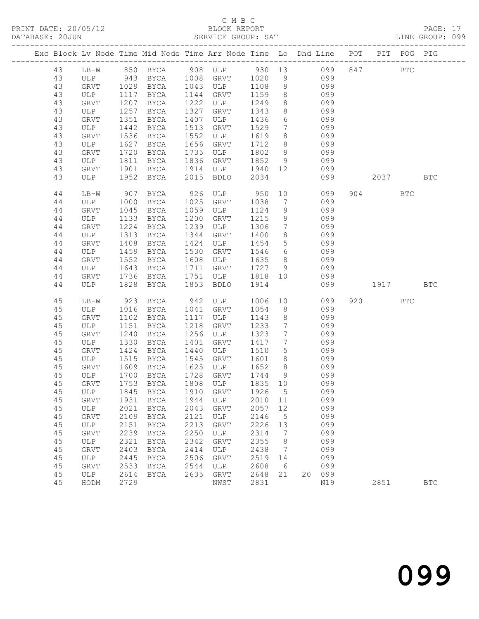#### C M B C<br>BLOCK REPORT SERVICE GROUP: SAT

|  |        |            |      |             |      | Exc Block Lv Node Time Mid Node Time Arr Node Time Lo Dhd Line POT PIT POG PIG |                 |                 |    |            |           |            |              |
|--|--------|------------|------|-------------|------|--------------------------------------------------------------------------------|-----------------|-----------------|----|------------|-----------|------------|--------------|
|  | 43     |            |      |             |      | LB-W 850 BYCA 908 ULP 930 13 099                                               |                 |                 |    |            | 847 BTC   |            |              |
|  | 43     | ULP        |      |             |      | 943 BYCA 1008 GRVT 1020 9                                                      |                 |                 |    | 099        |           |            |              |
|  | 43     | GRVT       |      | 1029 BYCA   |      | 1043 ULP                                                                       | 1108            | 9               |    | 099        |           |            |              |
|  | 43     | ULP        | 1117 | BYCA        | 1144 | GRVT                                                                           | 1159            | 8 <sup>8</sup>  |    | 099        |           |            |              |
|  | 43     | GRVT       | 1207 | BYCA        | 1222 | ULP                                                                            | 1249            | 8               |    | 099        |           |            |              |
|  | 43     | ULP        | 1257 | BYCA        | 1327 | GRVT                                                                           | 1343            | 8 <sup>1</sup>  |    | 099        |           |            |              |
|  | 43     | GRVT       | 1351 | BYCA        | 1407 | ULP                                                                            | 1436            | 6               |    | 099        |           |            |              |
|  | 43     | ULP        | 1442 | BYCA        | 1513 | GRVT                                                                           | 1529            | $7\overline{ }$ |    | 099        |           |            |              |
|  | 43     | GRVT       | 1536 | BYCA        | 1552 | ULP                                                                            | 1619            | 8               |    | 099        |           |            |              |
|  | 43     | ULP        | 1627 | BYCA        | 1656 | GRVT                                                                           | 1712            | 8 <sup>8</sup>  |    | 099        |           |            |              |
|  | 43     | GRVT       | 1720 | BYCA        | 1735 | ULP                                                                            | 1802            | 9               |    | 099        |           |            |              |
|  | 43     | ULP        | 1811 | BYCA        | 1836 | GRVT                                                                           | 1852            | 9               |    | 099        |           |            |              |
|  | 43     | GRVT       | 1901 | BYCA        | 1914 | ULP                                                                            | 1940            | 12              |    | 099        |           |            |              |
|  | 43     | ULP        | 1952 | BYCA        | 2015 | BDLO                                                                           | 2034            |                 |    | 099        | 2037      |            | <b>BTC</b>   |
|  | $4\,4$ | $LB-W$     | 907  | BYCA        | 926  | ULP                                                                            | 950             |                 | 10 | 099        | 904 — 100 | <b>BTC</b> |              |
|  | 44     | ULP        | 1000 | BYCA        | 1025 | GRVT                                                                           | 1038            | $7\overline{ }$ |    | 099        |           |            |              |
|  | 44     | GRVT       | 1045 | BYCA        | 1059 | ULP                                                                            | 1124            | 9               |    | 099        |           |            |              |
|  | 44     | ULP        | 1133 | BYCA        | 1200 | GRVT                                                                           | 1215            | 9               |    | 099        |           |            |              |
|  | 44     | GRVT       | 1224 | BYCA        | 1239 | ULP                                                                            | 1306            | $\overline{7}$  |    | 099        |           |            |              |
|  | 44     | ULP        | 1313 | BYCA        | 1344 | GRVT                                                                           | 1400            | 8 <sup>8</sup>  |    | 099        |           |            |              |
|  | 44     | GRVT       | 1408 | BYCA        | 1424 | ULP                                                                            | 1454            | 5 <sup>5</sup>  |    | 099        |           |            |              |
|  | 44     | ULP        | 1459 | BYCA        | 1530 | GRVT                                                                           | 1546            | $6\overline{6}$ |    | 099        |           |            |              |
|  | 44     | GRVT       | 1552 | BYCA        | 1608 | ULP                                                                            | 1635            | 8 <sup>8</sup>  |    | 099        |           |            |              |
|  | 44     | ULP        | 1643 | BYCA        | 1711 | GRVT                                                                           | 1727            | 9               |    | 099        |           |            |              |
|  | 44     | GRVT       | 1736 | BYCA        | 1751 | ULP                                                                            | 1818 10         |                 |    | 099        |           |            |              |
|  | 44     | ULP        | 1828 | BYCA        | 1853 | <b>BDLO</b>                                                                    | 1914            |                 |    | 099        | 1917      |            | <b>BTC</b>   |
|  | 45     | LB-W       | 923  | BYCA        |      | 942 ULP                                                                        | 1006            |                 | 10 | 099        | 920 000   | <b>BTC</b> |              |
|  | 45     | ULP        | 1016 | BYCA        | 1041 | GRVT                                                                           | 1054            | 8               |    | 099        |           |            |              |
|  | 45     | GRVT       | 1102 | BYCA        | 1117 | ULP                                                                            | 1143            | 8 <sup>8</sup>  |    | 099        |           |            |              |
|  | 45     | ULP        | 1151 | BYCA        | 1218 | GRVT                                                                           | 1233            | $7\overline{ }$ |    | 099        |           |            |              |
|  | 45     | GRVT       | 1240 | BYCA        | 1256 | ULP                                                                            | 1323            | $7\overline{ }$ |    | 099        |           |            |              |
|  | 45     | ULP        | 1330 | BYCA        | 1401 | GRVT                                                                           | 1417            | $7\phantom{0}$  |    | 099        |           |            |              |
|  | 45     | GRVT       | 1424 | BYCA        | 1440 | ULP                                                                            | 1510            | 5 <sup>5</sup>  |    | 099        |           |            |              |
|  | 45     | ULP        | 1515 | BYCA        | 1545 | GRVT                                                                           | 1601            | 8 <sup>8</sup>  |    | 099        |           |            |              |
|  | 45     | GRVT       | 1609 | BYCA        | 1625 | <b>ULP</b>                                                                     | 1652            | 8 <sup>8</sup>  |    | 099        |           |            |              |
|  | 45     | ULP        | 1700 | BYCA        | 1728 | GRVT                                                                           | 1744<br>1835 10 | 9               |    | 099        |           |            |              |
|  | 45     | GRVT       | 1753 | BYCA        |      | 1808 ULP                                                                       |                 |                 |    | 099        |           |            |              |
|  | 45     | GRVT       | 1931 | <b>BYCA</b> | 1944 | 45 ULP 1845 BYCA 1910 GRVT 1926 5<br>ULP                                       | 2010            | 11              |    | 099<br>099 |           |            |              |
|  | 45     | ULP        | 2021 | BYCA        | 2043 | GRVT                                                                           | 2057            | 12              |    | 099        |           |            |              |
|  | 45     | GRVT       | 2109 | <b>BYCA</b> | 2121 | ULP                                                                            | 2146            | 5               |    | 099        |           |            |              |
|  | 45     | ULP        | 2151 | <b>BYCA</b> | 2213 | GRVT                                                                           | 2226            | 13              |    | 099        |           |            |              |
|  | 45     | GRVT       | 2239 | <b>BYCA</b> | 2250 | ULP                                                                            | 2314            | 7               |    | 099        |           |            |              |
|  | 45     | <b>ULP</b> | 2321 | <b>BYCA</b> | 2342 | <b>GRVT</b>                                                                    | 2355            | 8               |    | 099        |           |            |              |
|  | 45     | GRVT       | 2403 | BYCA        | 2414 | ULP                                                                            | 2438            | 7               |    | 099        |           |            |              |
|  | 45     | ULP        | 2445 | <b>BYCA</b> | 2506 | GRVT                                                                           | 2519            | 14              |    | 099        |           |            |              |
|  | 45     | GRVT       | 2533 | <b>BYCA</b> | 2544 | ULP                                                                            | 2608            | - 6             |    | 099        |           |            |              |
|  | 45     | ULP        | 2614 | BYCA        | 2635 | GRVT                                                                           | 2648            | 21              | 20 | 099        |           |            |              |
|  | 45     | HODM       | 2729 |             |      | NWST                                                                           | 2831            |                 |    | N19        | 2851      |            | $_{\rm BTC}$ |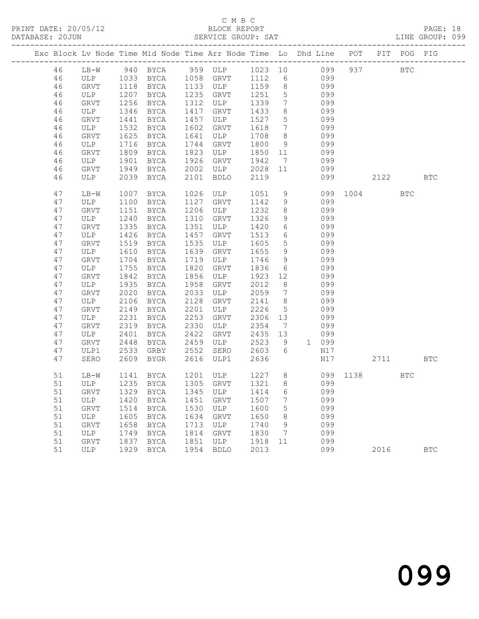### C M B C<br>BLOCK REPORT

PAGE: 18<br>LINE GROUP: 099

| Exc Block Lv Node Time Mid Node Time Arr Node Time Lo Dhd Line POT |              |              |                                   |              |              |              |                 |                                                                         |          |          | PIT POG PIG |            |
|--------------------------------------------------------------------|--------------|--------------|-----------------------------------|--------------|--------------|--------------|-----------------|-------------------------------------------------------------------------|----------|----------|-------------|------------|
| 46                                                                 |              |              |                                   |              |              |              |                 | LB-W 940 BYCA 959 ULP 1023 10 099<br>ULP 1033 BYCA 1058 GRVT 1112 6 099 |          | 937 BTC  |             |            |
| 46                                                                 |              |              |                                   |              |              |              |                 |                                                                         |          |          |             |            |
| 46                                                                 | GRVT         | 1118         | BYCA                              |              | 1133 ULP     | 1159         |                 | 8 099                                                                   |          |          |             |            |
| 46                                                                 | ULP          | 1207         | BYCA                              | 1235         | GRVT         | 1251         | $5\overline{)}$ | 099                                                                     |          |          |             |            |
| 46                                                                 | GRVT         | 1256         | BYCA                              | 1312         | ULP          | 1339         | $7\overline{ }$ | 099                                                                     |          |          |             |            |
| 46                                                                 | ULP          | 1346         | BYCA                              | 1417         | GRVT         | 1433         | 8               | 099                                                                     |          |          |             |            |
| 46                                                                 | GRVT         | 1441         | BYCA                              | 1457         | ULP          | 1527         | $5\overline{)}$ | 099                                                                     |          |          |             |            |
| 46                                                                 | ULP          | 1532         | BYCA                              | 1602         | GRVT         | 1618         | $7\overline{ }$ | 099                                                                     |          |          |             |            |
| 46                                                                 | GRVT         | 1625         | BYCA                              | 1641         | ULP          | 1708         | 8               | 099                                                                     |          |          |             |            |
| 46                                                                 | ULP          | 1716         | BYCA                              | 1744         | GRVT         | 1800         | 9               | 099                                                                     |          |          |             |            |
| 46                                                                 | GRVT         | 1809         | BYCA                              | 1823         | ULP          | 1850 11      |                 | 099                                                                     |          |          |             |            |
| 46                                                                 | ULP          | 1901         | BYCA                              | 1926         | GRVT         | 1942         | $\overline{7}$  | 099                                                                     |          |          |             |            |
| 46                                                                 | GRVT         | 1949         | BYCA                              | 2002         | ULP          | 2028 11      |                 | 099                                                                     |          |          |             |            |
| 46                                                                 | ULP          |              | 2039 BYCA                         | 2101         | BDLO         | 2119         |                 | 099                                                                     |          | 2122     |             | <b>BTC</b> |
|                                                                    |              |              |                                   |              |              |              |                 |                                                                         |          |          |             |            |
| 47                                                                 | LB-W         | 1007         | BYCA                              | 1026         | ULP          | 1051         | 9               |                                                                         | 099 1004 |          | <b>BTC</b>  |            |
| 47                                                                 | ULP          | 1100         | BYCA                              | 1127         | GRVT         | 1142         | 9               | 099                                                                     |          |          |             |            |
| 47                                                                 | GRVT         | 1151         | BYCA                              | 1206         | ULP          | 1232         | 8 <sup>8</sup>  | 099                                                                     |          |          |             |            |
| 47                                                                 | ULP          | 1240         | BYCA                              | 1310         | GRVT         | 1326         | 9               | 099                                                                     |          |          |             |            |
| 47                                                                 | GRVT         | 1335         | BYCA                              | 1351         | ULP          | 1420         | $6\overline{6}$ | 099                                                                     |          |          |             |            |
| 47                                                                 | ULP          | 1426         | BYCA                              | 1457         | GRVT         | 1513         | 6               | 099                                                                     |          |          |             |            |
| 47                                                                 | GRVT         | 1519         | BYCA                              | 1535         | ULP          | 1605         | 5 <sup>5</sup>  | 099                                                                     |          |          |             |            |
| 47                                                                 | ULP          | 1610         | BYCA                              | 1639         | GRVT         | 1655         | 9               | 099                                                                     |          |          |             |            |
| 47                                                                 | GRVT         | 1704         | BYCA                              | 1719         | ULP          | 1746         | 9               | 099                                                                     |          |          |             |            |
| 47                                                                 | ULP          | 1755         | BYCA                              | 1820         | GRVT         | 1836         | 6               | 099                                                                     |          |          |             |            |
| 47                                                                 | GRVT         | 1842         | BYCA                              | 1856         | ULP          | 1923         | 12              | 099                                                                     |          |          |             |            |
| 47                                                                 | ULP          | 1935         | BYCA                              | 1958         | GRVT         | 2012         | 8 <sup>8</sup>  | 099                                                                     |          |          |             |            |
| 47                                                                 | GRVT         | 2020         | BYCA                              | 2033         | ULP          | 2059         | $7\overline{ }$ | 099                                                                     |          |          |             |            |
| 47                                                                 | ULP          | 2106         | BYCA                              | 2128         | GRVT         | 2141         | 8 <sup>8</sup>  | 099                                                                     |          |          |             |            |
| 47                                                                 | GRVT         | 2149         | BYCA                              | 2201         | ULP          | 2226         | $5\overline{)}$ | 099                                                                     |          |          |             |            |
| 47                                                                 | ULP          | 2231         | BYCA                              | 2253         | GRVT         | 2306         | 13              | 099                                                                     |          |          |             |            |
| 47<br>47                                                           | GRVT<br>ULP  | 2319         | BYCA                              | 2330<br>2422 | ULP          | 2354<br>2435 | $\overline{7}$  | 099<br>099                                                              |          |          |             |            |
| 47                                                                 |              | 2401<br>2448 | BYCA                              | 2459         | GRVT<br>ULP  | 2523         | 13<br>9         | 1 099                                                                   |          |          |             |            |
| 47                                                                 | GRVT         | 2533         | BYCA                              | 2552         |              |              | 6               | N17                                                                     |          |          |             |            |
| 47                                                                 | ULP1<br>SERO |              | GRBY<br>2609 BYGR                 | 2616         | SERO<br>ULP1 | 2603<br>2636 |                 | N17                                                                     |          | 2711 BTC |             |            |
|                                                                    |              |              |                                   |              |              |              |                 |                                                                         |          |          |             |            |
| 51                                                                 | LB-W         | 1141         | BYCA                              |              | 1201 ULP     | 1227 8       |                 |                                                                         | 099 1138 |          | <b>BTC</b>  |            |
| 51                                                                 | ULP          |              | $1235$ BYCA                       |              | 1305 GRVT    | 1321 8       |                 | 099                                                                     |          |          |             |            |
|                                                                    |              |              | 51 GRVT 1329 BYCA 1345 ULP 1414 6 |              |              |              |                 | 099                                                                     |          |          |             |            |
| 51                                                                 | ULP          | 1420         | BYCA                              | 1451         | GRVT         | 1507         | 7               | 099                                                                     |          |          |             |            |
| 51                                                                 | GRVT         | 1514         | BYCA                              | 1530         | ULP          | 1600         | 5               | 099                                                                     |          |          |             |            |
| 51                                                                 | ULP          | 1605         | BYCA                              | 1634         | GRVT         | 1650         | 8               | 099                                                                     |          |          |             |            |
| 51                                                                 | GRVT         | 1658         | BYCA                              | 1713         | ULP          | 1740         | 9               | 099                                                                     |          |          |             |            |
| 51                                                                 | ULP          | 1749         | BYCA                              | 1814         | GRVT         | 1830         | 7               | 099                                                                     |          |          |             |            |
| 51                                                                 | <b>GRVT</b>  | 1837         | BYCA                              | 1851         | ULP          | 1918         | 11              | 099                                                                     |          |          |             |            |
| 51                                                                 | ULP          | 1929         | BYCA                              | 1954         | <b>BDLO</b>  | 2013         |                 | 099                                                                     |          | 2016     |             | <b>BTC</b> |
|                                                                    |              |              |                                   |              |              |              |                 |                                                                         |          |          |             |            |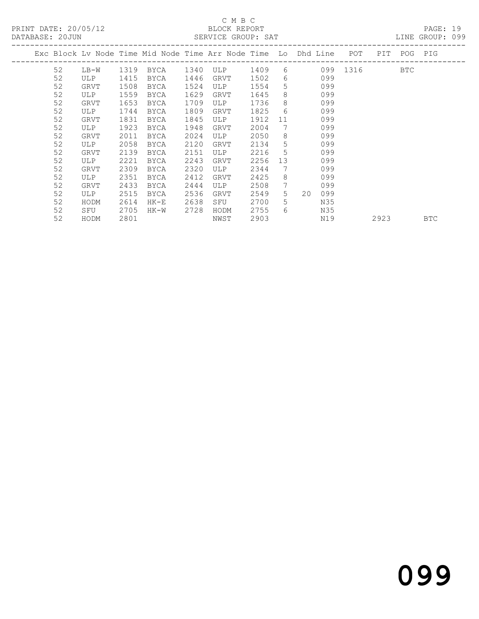PRINT DATE: 20/05/12 BLOCK REPORT<br>DATABASE: 20JUN BERVICE GROUP: SAT

## C M B C<br>BLOCK REPORT

PAGE: 19<br>LINE GROUP: 099

|    |      |      | Exc Block Lv Node Time Mid Node Time Arr Node Time Lo Dhd Line POT |      |            |      |                  |                |          | PIT  | POG PIG    |            |
|----|------|------|--------------------------------------------------------------------|------|------------|------|------------------|----------------|----------|------|------------|------------|
| 52 | LB-W | 1319 | <b>BYCA</b>                                                        | 1340 | ULP        | 1409 | 6                |                | 099 1316 |      | <b>BTC</b> |            |
| 52 | ULP  | 1415 | <b>BYCA</b>                                                        | 1446 | GRVT       | 1502 | $6 \overline{6}$ | 099            |          |      |            |            |
| 52 | GRVT | 1508 | <b>BYCA</b>                                                        | 1524 | ULP        | 1554 | 5                | 099            |          |      |            |            |
| 52 | ULP  | 1559 | <b>BYCA</b>                                                        | 1629 | GRVT       | 1645 | 8                | 099            |          |      |            |            |
| 52 | GRVT | 1653 | <b>BYCA</b>                                                        | 1709 | ULP        | 1736 | 8                | 099            |          |      |            |            |
| 52 | ULP  | 1744 | <b>BYCA</b>                                                        | 1809 | GRVT       | 1825 | 6                | 099            |          |      |            |            |
| 52 | GRVT | 1831 | <b>BYCA</b>                                                        | 1845 | ULP        | 1912 | 11               | 099            |          |      |            |            |
| 52 | ULP  | 1923 | <b>BYCA</b>                                                        | 1948 | GRVT       | 2004 | 7                | 099            |          |      |            |            |
| 52 | GRVT | 2011 | <b>BYCA</b>                                                        | 2024 | <b>ULP</b> | 2050 | 8                | 099            |          |      |            |            |
| 52 | ULP  | 2058 | <b>BYCA</b>                                                        | 2120 | GRVT       | 2134 | 5                | 099            |          |      |            |            |
| 52 | GRVT | 2139 | <b>BYCA</b>                                                        | 2151 | ULP        | 2216 | 5                | 099            |          |      |            |            |
| 52 | ULP  | 2221 | <b>BYCA</b>                                                        | 2243 | GRVT       | 2256 | 13               | 099            |          |      |            |            |
| 52 | GRVT | 2309 | BYCA                                                               | 2320 | ULP        | 2344 | 7                | 099            |          |      |            |            |
| 52 | ULP  | 2351 | <b>BYCA</b>                                                        | 2412 | GRVT       | 2425 | 8                | 099            |          |      |            |            |
| 52 | GRVT | 2433 | <b>BYCA</b>                                                        | 2444 | ULP        | 2508 | 7                | 099            |          |      |            |            |
| 52 | ULP  | 2515 | BYCA                                                               | 2536 | GRVT       | 2549 | 5 <sup>1</sup>   | $20 \,$<br>099 |          |      |            |            |
| 52 | HODM | 2614 | HK-E                                                               | 2638 | SFU        | 2700 | 5.               | N35            |          |      |            |            |
| 52 | SFU  | 2705 | HK-W                                                               | 2728 | HODM       | 2755 | 6                | N35            |          |      |            |            |
| 52 | HODM | 2801 |                                                                    |      | NWST       | 2903 |                  | N19            |          | 2923 |            | <b>BTC</b> |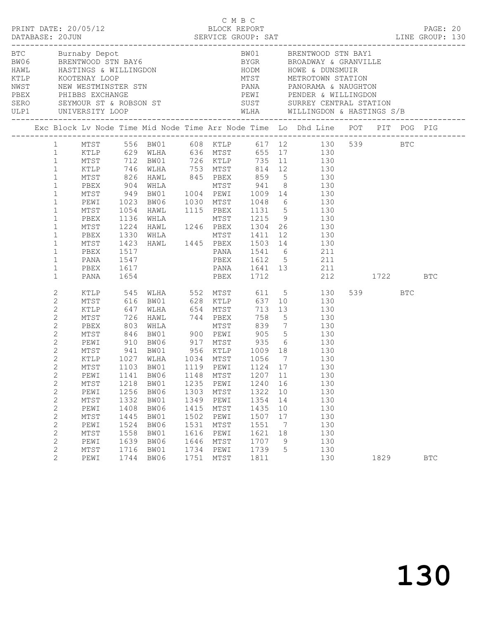|  |                                                                                                                                                                                                                                                                                                                                            | PRINT DATE: 20/05/12                                                                                 |                                                                                      |                                                                                                                                                                                                                    |                                                                                      | C M B C<br>BLOCK REPORT                                                              |                                                                                             |                                                       | LINE GROUP: 130                                                                                                                                                                                                                                                                                                                                                                                                                                                                                                                                        |                 | PAGE: 20   |  |
|--|--------------------------------------------------------------------------------------------------------------------------------------------------------------------------------------------------------------------------------------------------------------------------------------------------------------------------------------------|------------------------------------------------------------------------------------------------------|--------------------------------------------------------------------------------------|--------------------------------------------------------------------------------------------------------------------------------------------------------------------------------------------------------------------|--------------------------------------------------------------------------------------|--------------------------------------------------------------------------------------|---------------------------------------------------------------------------------------------|-------------------------------------------------------|--------------------------------------------------------------------------------------------------------------------------------------------------------------------------------------------------------------------------------------------------------------------------------------------------------------------------------------------------------------------------------------------------------------------------------------------------------------------------------------------------------------------------------------------------------|-----------------|------------|--|
|  |                                                                                                                                                                                                                                                                                                                                            | ULP1 UNIVERSITY LOOP                                                                                 |                                                                                      | BTC Burnaby Depot<br>BW06 BRENTWOOD STN BAY6<br>HAWL HASTINGS & WILLINGDON<br>KTLP KOOTENAY LOOP<br>NWST NEW WESTMINSTER STN<br>PBEX PHIBBS EXCHANGE<br>SERO SEYMOUR ST & ROBSON ST<br>SERO SEYMOUR ST & ROBSON ST |                                                                                      |                                                                                      |                                                                                             |                                                       | BW01 BRENTWOOD STN BAY1<br>BYGR         BROADWAY & GRANVILLE<br>HODM          HOWE & DUNSMUIR<br>MTST        METROTOWN STATION<br>PANA PANORAMA & NAUGHTON<br>PEWI PENDER & WILLINGDON<br>SUST SURREY CENTRAL STATION<br>WLHA WILLINGDON & HASTINGS S/B                                                                                                                                                                                                                                                                                                |                 |            |  |
|  |                                                                                                                                                                                                                                                                                                                                            |                                                                                                      |                                                                                      |                                                                                                                                                                                                                    |                                                                                      |                                                                                      |                                                                                             |                                                       | Exc Block Lv Node Time Mid Node Time Arr Node Time Lo Dhd Line POT PIT POG PIG                                                                                                                                                                                                                                                                                                                                                                                                                                                                         |                 |            |  |
|  | 1<br>$\mathbf{1}$<br>$\mathbf{1}$<br>$\mathbf{1}$<br>$\mathbf{1}$<br>$\mathbf{1}$<br>$\mathbf{1}$<br>$\mathbf{1}$<br>$\mathbf{1}$<br>$\mathbf{1}$<br>$\mathbf{1}$<br>$\mathbf{1}$<br>$\mathbf{1}$<br>$\mathbf{1}$<br>$\mathbf{1}$                                                                                                          | PBEX<br>MTST<br>PEWI<br>MTST<br>PBEX<br>MTST<br>PBEX<br>MTST<br>PBEX<br>PANA<br>PBEX<br>PANA         | 1517<br>1547                                                                         | 1617<br>1654                                                                                                                                                                                                       |                                                                                      |                                                                                      |                                                                                             |                                                       | 1 MTST 556 BW01 608 KTLP 617 12 130 539 BTC<br>1 KTLP 629 WLHA 636 MTST 655 17 130<br>MTST 712 BW01 726 KTLP 735 11 130<br>KTLP 746 WLHA 753 MTST 814 12 130<br>MTST 826 HAWL 845 PBEX 859 5 130<br>904 WHLA MTST 941 8 130<br>949 BW01 1004 PEWI 1009 14 130<br>1023 BW06 1030 MTST 1048 6 130<br>1054 HAWL 1115 PBEX 1131 5 130<br>1136 WHLA MTST 1215 9 130<br>1224 HAWL 1246 PBEX 1304 26 130<br>1330 WHLA MTST 1411 12 130<br>1423 HAWL 1445 PBEX 1503 14 130<br>PANA 1541 6 211<br>PBEX 1612 5 211<br>PANA 1641 13 211<br>PBEX 1712 212 1722 BTC |                 |            |  |
|  | $\mathbf{2}$<br>$\mathbf{2}$<br>$\mathbf{2}$<br>$\mathbf{2}$<br>$\mathbf{2}$<br>$\mathbf{2}$<br>$\mathbf{2}$<br>$\mathbf{2}$<br>$\overline{2}$<br>$2^{\circ}$<br>2<br>$\mathbf{2}$<br>$\overline{c}$<br>$\mathbf{2}$<br>$\mathbf{2}$<br>$\mathbf{2}$<br>$\overline{c}$<br>$\mathbf{2}$<br>$\mathbf{2}$<br>$\overline{c}$<br>$\overline{2}$ | MTST<br>KTLP<br>PEWI<br>MTST<br>PEWI<br>MTST<br>PEWI<br>MTST<br>PEWI<br>MTST<br>PEWI<br>MTST<br>PEWI | 1141<br>1218<br>1256<br>1332<br>1408<br>1445<br>1524<br>1558<br>1639<br>1716<br>1744 | 726 HAWL 744 PBEX<br>1027 WLHA 1034 MTST 1056 7<br>MTST 1103 BW01 1119 PEWI 1124 17<br>BW06<br>BW01<br>BW06<br>BW01<br>BW06<br>BW01<br>BW06<br>BW01<br>BW06<br>BW01<br>BW06                                        | 1148<br>1235<br>1303<br>1349<br>1415<br>1502<br>1531<br>1616<br>1646<br>1734<br>1751 | MTST<br>PEWI<br>MTST<br>PEWI<br>MTST<br>PEWI<br>MTST<br>PEWI<br>MTST<br>PEWI<br>MTST | 758<br>1207<br>1240<br>1322<br>1354<br>1435<br>1507<br>1551<br>1621<br>1707<br>1739<br>1811 | 11<br>16<br>10<br>14<br>10<br>17<br>7<br>18<br>9<br>5 | XTLP 545 WLHA 552 MTST 611 5 130<br>MTST 616 BW01 628 KTLP 637 10 130<br>KTLP 647 WLHA 654 MTST 713 13 130<br>5 130<br>PBEX 803 WHLA MTST 839 7 130<br>MTST 846 BW01 900 PEWI 905 5 130<br>PEWI 910 BW06 917 MTST 935 6 130<br>MTST 941 BW01 956 KTLP 1009 18 130<br>130<br>130<br>130<br>130<br>130<br>130<br>130<br>130<br>130<br>130<br>130<br>130<br>130                                                                                                                                                                                           | 539 BTC<br>1829 | <b>BTC</b> |  |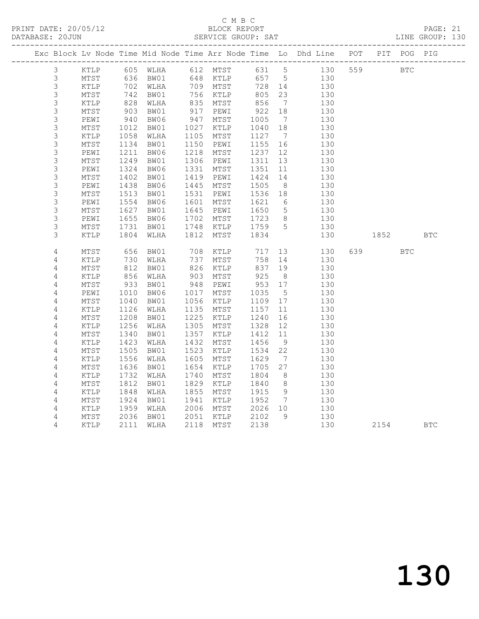## C M B C<br>BLOCK REPORT

PAGE: 21<br>LINE GROUP: 130

|                |                         |                                                                                                     | Exc Block Lv Node Time Mid Node Time Arr Node Time Lo Dhd Line POT |             |                 |             |                       |           |            |            | PIT POG    | PIG        |
|----------------|-------------------------|-----------------------------------------------------------------------------------------------------|--------------------------------------------------------------------|-------------|-----------------|-------------|-----------------------|-----------|------------|------------|------------|------------|
| $\mathcal{S}$  | KTLP                    |                                                                                                     | 605 WLHA 612 MTST                                                  |             |                 | 631 5       |                       |           | 130 559    | <b>BTC</b> |            |            |
| 3              | MTST                    | 636                                                                                                 | BW01                                                               |             | 648 KTLP        |             |                       | 657 5 130 |            |            |            |            |
| $\mathsf S$    | KTLP                    | 702                                                                                                 | WLHA                                                               |             | 709 MTST        | 728 14      |                       | 130       |            |            |            |            |
| $\mathsf 3$    | MTST                    | 742                                                                                                 | BW01                                                               |             | 756 KTLP        | 805         | 23                    | 130       |            |            |            |            |
| $\mathsf 3$    | KTLP                    | 828                                                                                                 | WLHA                                                               | 835         | MTST            |             | $\overline{7}$        |           | 130        |            |            |            |
| 3              | $\mathtt{MTST}$         | $\frac{6}{903}$                                                                                     | BW01                                                               | 917         | PEWI            | 856<br>922  | 18                    |           | 130        |            |            |            |
| $\mathsf 3$    | PEWI                    | 940<br>1012                                                                                         | BW06                                                               | 947         | MTST            | 1005        | $\overline{7}$        |           | 130        |            |            |            |
| $\mathsf S$    | $\mathtt{MTST}$         |                                                                                                     | BW01                                                               | 1027        | KTLP            | 1040        | 18                    |           | 130        |            |            |            |
| $\mathsf S$    | $\texttt{KTLP}$         | 1058                                                                                                | WLHA                                                               | 1105        | MTST            | 1127        | $\overline{7}$        |           | 130        |            |            |            |
| $\mathsf S$    | MTST                    | 1134                                                                                                | BW01                                                               | 1150        | PEWI            | 1155        | 16                    |           | 130        |            |            |            |
| $\mathsf S$    | PEWI                    | 1211                                                                                                | BW06                                                               | 1218        | MTST            | 1237        | 12                    |           | 130        |            |            |            |
| 3              | $\mathtt{MTST}$         | 1249                                                                                                | BW01                                                               | 1306        | PEWI            | 1311        | 13                    |           | 130        |            |            |            |
| $\mathsf 3$    | PEWI                    | 1324                                                                                                | BW06                                                               | 1331        | MTST            | 1351        | 11                    |           | 130        |            |            |            |
| $\mathsf 3$    | MTST                    | 1402                                                                                                | BW01                                                               | 1419        | PEWI            | 1424        | 14                    |           | 130        |            |            |            |
| $\mathsf 3$    | PEWI                    | 1438                                                                                                | BW06                                                               | 1445        | MTST            | 1505        | 8 <sup>8</sup>        | 130       |            |            |            |            |
| $\mathsf S$    | MTST                    | 1513                                                                                                | BW01                                                               | 1531        | PEWI            | 1536 18     |                       | 130       |            |            |            |            |
| $\mathsf S$    | PEWI                    | 1554                                                                                                | BW06                                                               | 1601        | MTST            | 1621        | 6                     | 130       |            |            |            |            |
| $\mathsf 3$    | MTST                    | 1627                                                                                                | BW01                                                               | 1645        | PEWI            | 1650        | $5^{\circ}$           | 130       |            |            |            |            |
| 3              | PEWI                    | 1655                                                                                                | BW06                                                               | 1702        | MTST            | 1723        | 8 <sup>8</sup>        | 130       |            |            |            |            |
| $\mathsf S$    | $\mathtt{MTST}$         | 1731                                                                                                | BW01                                                               | 1748        | KTLP            | 1759 5      |                       |           | 130        |            |            |            |
| 3              | KTLP                    | 1804                                                                                                | WLHA                                                               | 1812        | MTST            | 1834        |                       |           | 130        | 1852       |            | <b>BTC</b> |
|                |                         |                                                                                                     |                                                                    |             |                 |             |                       |           |            |            |            |            |
| $\sqrt{4}$     | MTST                    | 656                                                                                                 | BW01                                                               | 708         | KTLP            | 717         |                       | 13        | 130        | 639        | <b>BTC</b> |            |
| 4              | KTLP                    | 730<br>$\begin{array}{c} \n \begin{array}{c} 2 \\  812 \\  \hline\n 2\n \end{array} \n \end{array}$ | WLHA                                                               | 737<br>826  | MTST            | 758         | 14<br>19              |           | 130<br>130 |            |            |            |
| $\sqrt{4}$     | ${\tt MTST}$            | 856                                                                                                 | BW01                                                               | 903         | $\texttt{KTLP}$ | 837<br>925  |                       |           |            |            |            |            |
| 4              | $\texttt{KTLP}$         |                                                                                                     | WLHA                                                               |             | MTST            |             | 8 <sup>8</sup>        |           | 130        |            |            |            |
| $\sqrt{4}$     | $\mathtt{MTST}$         | 933<br>1010                                                                                         | BW01<br>BW06                                                       | 948<br>1017 | PEWI<br>MTST    | 953<br>1035 | 17<br>$5\phantom{.0}$ |           | 130<br>130 |            |            |            |
| 4<br>4         | PEWI<br>$\mathtt{MTST}$ | 1040                                                                                                | BW01                                                               | 1056        | KTLP            | 1109        | 17                    |           | 130        |            |            |            |
| $\sqrt{4}$     | KTLP                    | 1126                                                                                                | WLHA                                                               | 1135        | MTST            | 1157        | 11                    |           | 130        |            |            |            |
| 4              | $\mathtt{MTST}$         | 1208                                                                                                | BW01                                                               | 1225        | KTLP            | 1240        | 16                    |           | 130        |            |            |            |
| $\sqrt{4}$     | KTLP                    | 1256                                                                                                | WLHA                                                               | 1305        | MTST            | 1328        | 12                    |           | 130        |            |            |            |
| 4              | MTST                    | 1340                                                                                                | BW01                                                               | 1357        | KTLP            | 1412        | 11                    |           | 130        |            |            |            |
| 4              | KTLP                    | 1423                                                                                                | WLHA                                                               | 1432        | MTST            | 1456        | 9                     |           | 130        |            |            |            |
| 4              | MTST                    | 1505                                                                                                | BW01                                                               | 1523        | KTLP            | 1534        | 22                    |           | 130        |            |            |            |
| $\overline{4}$ | KTLP                    | 1556                                                                                                | WLHA                                                               | 1605        | MTST            | 1629        | $7\phantom{.0}\,$     |           | 130        |            |            |            |
| $\sqrt{4}$     | $\mathtt{MTST}$         | 1636                                                                                                | BW01                                                               | 1654        | KTLP            | 1705        | 27                    |           | 130        |            |            |            |
| 4              | KTLP                    | 1732                                                                                                | WLHA                                                               | 1740        | MTST            | 1804        | 8 <sup>8</sup>        |           | 130        |            |            |            |
| 4              | $\mathtt{MTST}$         | 1812                                                                                                | BW01                                                               | 1829        | KTLP            | 1840        | 8 <sup>8</sup>        |           | 130        |            |            |            |
| $\overline{4}$ | KTLP                    | 1848                                                                                                | WLHA                                                               | 1855        | MTST            | 1915        | 9                     |           | 130        |            |            |            |
| 4              | $\mathtt{MTST}$         | 1924                                                                                                | BW01                                                               | 1941        | KTLP            | 1952        | $\overline{7}$        |           | 130        |            |            |            |
| 4              | $\texttt{KTLP}$         | 1959                                                                                                | WLHA                                                               | 2006        | MTST            | 2026 10     |                       | 130       |            |            |            |            |
| $\overline{4}$ | MTST                    | 2036                                                                                                | BW01                                                               | 2051        | KTLP            | 2102        | 9                     | 130       |            |            |            |            |
| 4              | KTLP                    | 2111                                                                                                | WLHA                                                               | 2118        | MTST            | 2138        |                       |           | 130        | 2154       |            | <b>BTC</b> |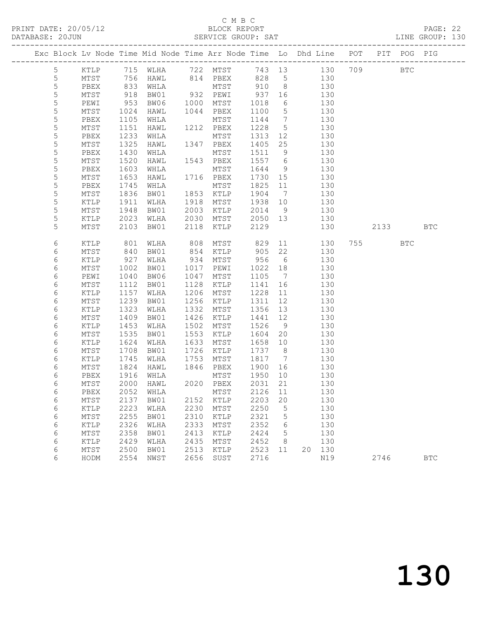#### C M B C<br>BLOCK REPORT

PAGE: 22<br>LINE GROUP: 130

| Exc Block Lv Node Time Mid Node Time Arr Node Time Lo Dhd Line POT |                 |            |                                  |      |                              |         |                 |     |     |          | PIT POG PIG  |            |
|--------------------------------------------------------------------|-----------------|------------|----------------------------------|------|------------------------------|---------|-----------------|-----|-----|----------|--------------|------------|
| 5                                                                  | KTLP            |            | 715 WLHA 722 MTST 743 13 130 709 |      |                              |         |                 |     |     |          | $_{\rm BTC}$ |            |
| 5                                                                  | MTST            |            | HAWL                             |      |                              |         |                 |     | 130 |          |              |            |
| 5                                                                  | PBEX            | 756<br>833 | WHLA                             |      | 814 PBEX 828 5<br>MTST 910 8 |         |                 |     | 130 |          |              |            |
| 5                                                                  | MTST            | 918        | BW01                             |      | 932 PEWI                     | 937 16  |                 | 130 |     |          |              |            |
| 5                                                                  | PEWI            | 953        | BW06                             | 1000 | MTST                         | 1018    | 6               |     | 130 |          |              |            |
| 5                                                                  | MTST            | 1024       | HAWL                             |      | 1044 PBEX                    | 1100    | $5\overline{)}$ |     | 130 |          |              |            |
| 5                                                                  | PBEX            | 1105       | WHLA                             |      | MTST                         | 1144    | $\overline{7}$  |     | 130 |          |              |            |
| 5                                                                  | MTST            | 1151       | HAWL                             |      | 1212 PBEX                    | 1228    | $5^{\circ}$     | 130 |     |          |              |            |
| $\mathsf S$                                                        | PBEX            | 1233       | WHLA                             |      | MTST                         | 1313    | 12              |     | 130 |          |              |            |
| 5                                                                  | MTST            | 1325       | HAWL                             |      | 1347 PBEX                    | 1405    | 25              |     | 130 |          |              |            |
| 5                                                                  | PBEX            | 1430       | WHLA                             |      | MTST                         | 1511    | 9               |     | 130 |          |              |            |
| $\mathsf S$                                                        | MTST            | 1520       | HAWL                             |      | 1543 PBEX                    | 1557 6  |                 |     | 130 |          |              |            |
| 5                                                                  | PBEX            | 1603       | WHLA                             |      | MTST                         | 1644    | 9               |     | 130 |          |              |            |
| 5                                                                  | MTST            | 1653       | HAWL                             |      | 1716 PBEX                    | 1730 15 |                 |     | 130 |          |              |            |
| $\mathsf S$                                                        | PBEX            | 1745       | WHLA                             |      | MTST                         | 1825    | 11              |     | 130 |          |              |            |
| $\mathsf S$                                                        | MTST            | 1836       | BW01                             |      | 1853 KTLP                    | 1904    | $\overline{7}$  |     | 130 |          |              |            |
| 5                                                                  | KTLP            | 1911       | WLHA                             | 1918 | MTST                         | 1938    | 10              |     | 130 |          |              |            |
| 5                                                                  | MTST            | 1948       | BW01                             | 2003 | KTLP                         | 2014    | 9               |     | 130 |          |              |            |
| 5                                                                  | KTLP            | 2023       | WLHA                             | 2030 | MTST                         | 2050 13 |                 |     | 130 |          |              |            |
| 5                                                                  | MTST            | 2103       | BW01                             | 2118 | KTLP                         | 2129    |                 |     | 130 | 2133 BTC |              |            |
| 6                                                                  | KTLP            | 801        | WLHA                             | 808  | MTST                         | 829     | 11              |     | 130 |          | <b>BTC</b>   |            |
| 6                                                                  | MTST            | 840        | BW01                             |      | 854 KTLP                     | 905     | 22              |     | 130 |          |              |            |
| 6                                                                  | KTLP            | 927        | WLHA                             | 934  | MTST                         | 956     | 6               |     | 130 |          |              |            |
| 6                                                                  | MTST            | 1002       | BW01                             | 1017 | PEWI                         | 1022    | 18              |     | 130 |          |              |            |
| 6                                                                  | PEWI            | 1040       | BW06                             | 1047 | MTST                         | 1105    | $\overline{7}$  |     | 130 |          |              |            |
| 6                                                                  | MTST            | 1112       | BW01                             | 1128 | KTLP                         | 1141    | 16              |     | 130 |          |              |            |
| 6                                                                  | KTLP            | 1157       | WLHA                             | 1206 | MTST                         | 1228    | 11              |     | 130 |          |              |            |
| 6                                                                  | MTST            | 1239       | BW01                             | 1256 | KTLP                         | 1311    | 12              |     | 130 |          |              |            |
| 6                                                                  | KTLP            | 1323       | WLHA                             | 1332 | MTST                         | 1356    | 13              |     | 130 |          |              |            |
| 6                                                                  | MTST            | 1409       | BW01                             | 1426 | KTLP                         | 1441    | 12              |     | 130 |          |              |            |
| 6                                                                  | KTLP            | 1453       | WLHA                             | 1502 | MTST                         | 1526    | 9               |     | 130 |          |              |            |
| 6                                                                  | MTST            | 1535       | BW01                             | 1553 | KTLP                         | 1604    | 20              |     | 130 |          |              |            |
| 6                                                                  | KTLP            | 1624       | WLHA                             | 1633 | MTST                         | 1658    | 10              |     | 130 |          |              |            |
| 6                                                                  | MTST            | 1708       | BW01                             | 1726 | KTLP                         | 1737    | 8 <sup>8</sup>  |     | 130 |          |              |            |
| 6                                                                  | KTLP            | 1745       | WLHA                             | 1753 | MTST                         | 1817    | $\overline{7}$  |     | 130 |          |              |            |
| 6                                                                  | MTST            | 1824       | HAWL                             | 1846 | PBEX                         | 1900    | 16              | 130 |     |          |              |            |
| 6                                                                  | PBEX            | 1916       | WHLA                             |      | MTST                         | 1950    | 10              |     | 130 |          |              |            |
| 6                                                                  | MTST            | 2000       | HAWL                             |      | 2020 PBEX                    | 2031    | 21              |     | 130 |          |              |            |
| 6                                                                  |                 |            | PBEX 2052 WHLA MTST 2126 11      |      |                              |         |                 |     | 130 |          |              |            |
| 6                                                                  | MTST            | 2137       | BW01                             | 2152 | KTLP                         | 2203    | 20              |     | 130 |          |              |            |
| 6                                                                  | KTLP            | 2223       | WLHA                             | 2230 | MTST                         | 2250    | 5               |     | 130 |          |              |            |
| 6                                                                  | $\mathtt{MTST}$ | 2255       | BW01                             | 2310 | KTLP                         | 2321    | 5               |     | 130 |          |              |            |
| 6                                                                  | KTLP            | 2326       | WLHA                             | 2333 | MTST                         | 2352    | 6               |     | 130 |          |              |            |
| 6                                                                  | MTST            | 2358       | BW01                             | 2413 | KTLP                         | 2424    | 5               |     | 130 |          |              |            |
| 6                                                                  | KTLP            | 2429       | WLHA                             | 2435 | MTST                         | 2452    | 8               |     | 130 |          |              |            |
| 6                                                                  | MTST            | 2500       | BW01                             | 2513 | KTLP                         | 2523    | 11              | 20  | 130 |          |              |            |
| 6                                                                  | HODM            | 2554       | NWST                             | 2656 | SUST                         | 2716    |                 |     | N19 | 2746     |              | <b>BTC</b> |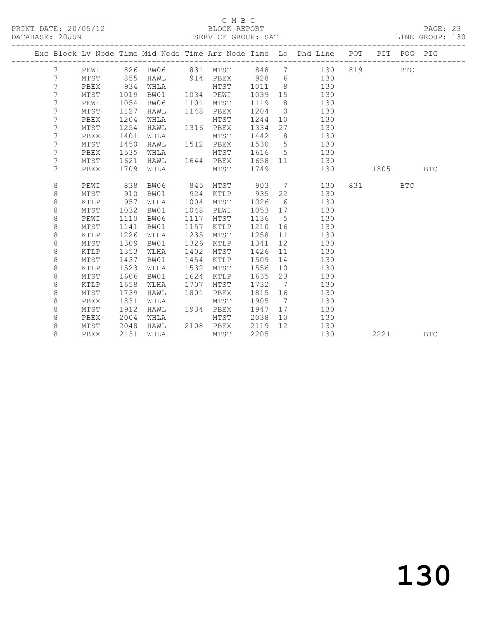PRINT DATE: 20/05/12 BLOCK REPORT<br>DATABASE: 20JUN BATABASE: 2010

#### C M B C<br>BLOCK REPORT

PAGE: 23<br>LINE GROUP: 130

|  |  |                 |      |      |                                            |      |                |         |                 | Exc Block Lv Node Time Mid Node Time Arr Node Time Lo Dhd Line POT PIT POG PIG |                                                      |            |            |
|--|--|-----------------|------|------|--------------------------------------------|------|----------------|---------|-----------------|--------------------------------------------------------------------------------|------------------------------------------------------|------------|------------|
|  |  | 7               | PEWI |      | 826 BW06       831   MTST        848     7 |      |                |         |                 | 130                                                                            | 819 — 10                                             | <b>BTC</b> |            |
|  |  | $7\phantom{.0}$ | MTST | 855  |                                            |      |                |         |                 |                                                                                |                                                      |            |            |
|  |  | $7\phantom{.}$  | PBEX | 934  |                                            |      |                |         |                 | HAWL 914 PBEX 928 6 130<br>WHLA MTST 1011 8 130                                |                                                      |            |            |
|  |  | $7\phantom{.0}$ | MTST | 1019 | BW01                                       |      | 1034 PEWI      | 1039 15 |                 | 130                                                                            |                                                      |            |            |
|  |  | $7\phantom{.}$  | PEWI | 1054 | BW06                                       |      | 1101 MTST      | 1119    | 8 <sup>8</sup>  | 130                                                                            |                                                      |            |            |
|  |  | $7\phantom{.0}$ | MTST | 1127 | HAWL                                       |      | 1148 PBEX      | 1204    | $\overline{0}$  | 130                                                                            |                                                      |            |            |
|  |  | 7               | PBEX | 1204 | WHLA                                       |      | MTST           | 1244    |                 | 130<br>10                                                                      |                                                      |            |            |
|  |  | 7               | MTST | 1254 | HAWL                                       |      | 1316 PBEX      | 1334    |                 | 130<br>27                                                                      |                                                      |            |            |
|  |  | 7               | PBEX | 1401 | WHLA                                       |      | MTST           | 1442    | 8 <sup>8</sup>  | 130                                                                            |                                                      |            |            |
|  |  | 7               | MTST | 1450 | HAWL                                       |      | 1512 PBEX      | 1530 5  |                 | 130                                                                            |                                                      |            |            |
|  |  | 7               | PBEX | 1535 | WHLA                                       |      | MTST           | 1616    |                 | $5\overline{}$<br>130                                                          |                                                      |            |            |
|  |  | $7\phantom{.0}$ | MTST | 1621 | HAWL                                       |      | 1644 PBEX 1658 |         |                 | 11 7<br>130                                                                    |                                                      |            |            |
|  |  | 7               | PBEX | 1709 | WHLA                                       |      | MTST           | 1749    |                 | 130                                                                            | 1805 - 1805 - 1806 - 1806 - 1806 - 1806 - 1806 - 181 |            | <b>BTC</b> |
|  |  |                 |      |      |                                            |      |                |         |                 |                                                                                |                                                      |            |            |
|  |  | 8               | PEWI | 838  | BW06                                       | 845  | MTST 903 7     |         |                 | 130                                                                            | 831 — 100                                            | <b>BTC</b> |            |
|  |  | 8               | MTST | 910  | BW01                                       |      | 924 KTLP 935   |         | 22              | 130                                                                            |                                                      |            |            |
|  |  | 8               | KTLP | 957  | WLHA                                       | 1004 | MTST           | 1026    | $6\overline{6}$ | 130                                                                            |                                                      |            |            |
|  |  | 8               | MTST | 1032 | BW01                                       | 1048 | PEWI           | 1053 17 |                 | 130                                                                            |                                                      |            |            |
|  |  | 8               | PEWI | 1110 | BW06                                       | 1117 | MTST           | 1136 5  |                 | 130                                                                            |                                                      |            |            |
|  |  | 8               | MTST | 1141 | BW01                                       | 1157 | KTLP           | 1210 16 |                 | 130                                                                            |                                                      |            |            |
|  |  | $\,8\,$         | KTLP | 1226 | WLHA                                       | 1235 | MTST           | 1258    | 11              | 130                                                                            |                                                      |            |            |
|  |  | $\,8\,$         | MTST | 1309 | BW01                                       | 1326 | KTLP           | 1341    | 12              | 130                                                                            |                                                      |            |            |
|  |  | $\,8\,$         | KTLP | 1353 | WLHA                                       | 1402 | MTST           | 1426    | 11              | 130                                                                            |                                                      |            |            |
|  |  | 8               | MTST | 1437 | BW01                                       | 1454 | KTLP           | 1509    | 14              | 130                                                                            |                                                      |            |            |
|  |  | $\,8\,$         | KTLP | 1523 | WLHA                                       | 1532 | MTST           | 1556    | 10              | 130                                                                            |                                                      |            |            |
|  |  | $\,8\,$         | MTST | 1606 | BW01                                       | 1624 | KTLP           | 1635    | 23              | 130                                                                            |                                                      |            |            |
|  |  | 8               | KTLP | 1658 | WLHA                                       | 1707 | MTST           | 1732    |                 | 7<br>130                                                                       |                                                      |            |            |
|  |  | $\,8\,$         | MTST | 1739 | HAWL                                       | 1801 | PBEX           | 1815 16 |                 | 130                                                                            |                                                      |            |            |
|  |  | 8               | PBEX | 1831 | WHLA                                       |      | MTST           | 1905    |                 | 130<br>7                                                                       |                                                      |            |            |
|  |  | 8               | MTST | 1912 | HAWL                                       |      | 1934 PBEX      | 1947 17 |                 | 130                                                                            |                                                      |            |            |
|  |  | 8               | PBEX | 2004 | WHLA                                       |      | MTST           | 2038    |                 | 10<br>130                                                                      |                                                      |            |            |
|  |  | 8               | MTST | 2048 | HAWL                                       |      | 2108 PBEX      | 2119    | 12              | 130                                                                            |                                                      |            |            |
|  |  | 8               | PBEX | 2131 | WHLA                                       |      | MTST           | 2205    |                 | 130                                                                            | 2221                                                 |            | <b>BTC</b> |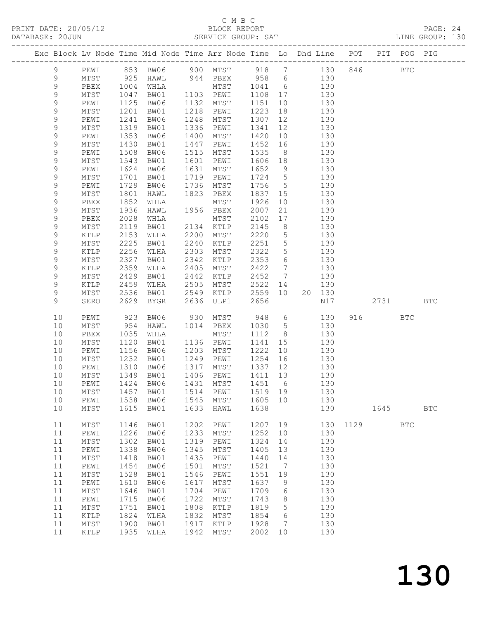#### C M B C

DATABASE: 20JUN SERVICE GROUP: SAT LINE GROUP: 130 ------------------------------------------------------------------------------------------------- Exc Block Lv Node Time Mid Node Time Arr Node Time Lo Dhd Line POT PIT POG PIG ------------------------------------------------------------------------------------------------- 9 PEWI 853 BW06 900 MTST 918 7 130 846 BTC 9 MTST 925 HAWL 944 PBEX 958 6 130 9 PBEX 1004 WHLA MTST 1041 6 130 9 MTST 1047 BW01 1103 PEWI 1108 17 130

| 9           | PEWI            | 1125 | BW06                | 1132 | MTST            | 1151    | 10              |    | 130 |      |      |              |            |
|-------------|-----------------|------|---------------------|------|-----------------|---------|-----------------|----|-----|------|------|--------------|------------|
| 9           | MTST            | 1201 | BW01                | 1218 | PEWI            | 1223    | 18              |    | 130 |      |      |              |            |
| 9           | PEWI            | 1241 | BW06                | 1248 | MTST            | 1307    | 12              |    | 130 |      |      |              |            |
| $\mathsf 9$ | MTST            | 1319 | BW01                | 1336 | PEWI            | 1341    | $12$            |    | 130 |      |      |              |            |
| $\mathsf 9$ | PEWI            | 1353 | BW06                | 1400 | MTST            | 1420    | 10              |    | 130 |      |      |              |            |
| $\mathsf 9$ | MTST            | 1430 | BW01                | 1447 | PEWI            | 1452    | 16              |    | 130 |      |      |              |            |
| 9           | PEWI            | 1508 | BW06                | 1515 | MTST            | 1535    | 8               |    | 130 |      |      |              |            |
| 9           | MTST            | 1543 | BW01                | 1601 | PEWI            | 1606    | 18              |    | 130 |      |      |              |            |
| $\mathsf 9$ | PEWI            | 1624 | BW06                | 1631 | $\mathtt{MTST}$ | 1652    | 9               |    | 130 |      |      |              |            |
| $\mathsf 9$ | MTST            | 1701 | BW01                | 1719 | PEWI            | 1724    | $\mathsf 5$     |    | 130 |      |      |              |            |
| $\mathsf 9$ | PEWI            | 1729 | BW06                | 1736 | MTST            | 1756    | $\overline{5}$  |    | 130 |      |      |              |            |
| 9           | $MTST$          | 1801 | HAWL                | 1823 | PBEX            | 1837    | 15              |    | 130 |      |      |              |            |
| $\mathsf 9$ | PBEX            | 1852 | WHLA                |      | $\mathtt{MTST}$ | 1926    | 10              |    | 130 |      |      |              |            |
| 9           | MTST            | 1936 | HAWL                | 1956 | PBEX            | 2007    | 21              |    | 130 |      |      |              |            |
| $\mathsf 9$ | PBEX            | 2028 | WHLA                |      | MTST            | 2102    | 17              |    | 130 |      |      |              |            |
| 9           | MTST            | 2119 | BW01                | 2134 | KTLP            | 2145    | 8               |    | 130 |      |      |              |            |
| $\mathsf 9$ | KTLP            | 2153 | WLHA                | 2200 | MTST            | 2220    | 5               |    | 130 |      |      |              |            |
| 9           | $MTST$          | 2225 | BW01                | 2240 | KTLP            | 2251    | $\mathsf S$     |    | 130 |      |      |              |            |
| $\mathsf 9$ | $\verb KTLP $   | 2256 | WLHA                | 2303 | MTST            | 2322    | 5               |    | 130 |      |      |              |            |
| $\mathsf 9$ | MTST            | 2327 | BW01                | 2342 | KTLP            | 2353    | 6               |    | 130 |      |      |              |            |
| $\mathsf 9$ | KTLP            | 2359 | WLHA                | 2405 | MTST            | 2422    | $7\phantom{.0}$ |    | 130 |      |      |              |            |
| 9           | MTST            | 2429 | BW01                | 2442 | KTLP            | 2452    | $7\phantom{.0}$ |    | 130 |      |      |              |            |
| $\mathsf 9$ | $\verb KTLP $   | 2459 | WLHA                | 2505 | MTST            | 2522    | 14              |    | 130 |      |      |              |            |
| $\mathsf 9$ | MTST            | 2536 | BW01                | 2549 | KTLP            | 2559    | 10              | 20 | 130 |      |      |              |            |
| 9           | SERO            | 2629 | <b>BYGR</b>         | 2636 | ULP1            | 2656    |                 |    | N17 |      | 2731 |              | <b>BTC</b> |
|             |                 |      |                     |      |                 |         |                 |    |     |      |      |              |            |
| 10          | PEWI            | 923  | BW06                | 930  | MTST            | 948     | 6               |    | 130 | 916  |      | <b>BTC</b>   |            |
| 10          | MTST            | 954  | HAWL                | 1014 | PBEX            | 1030    | 5               |    | 130 |      |      |              |            |
| 10          | PBEX            | 1035 | WHLA                |      | MTST            | 1112    | 8               |    | 130 |      |      |              |            |
| 10          | MTST            | 1120 | BW01                | 1136 | PEWI            | 1141    | 15              |    | 130 |      |      |              |            |
| 10          | PEWI            | 1156 | BW06                | 1203 | MTST            | 1222    | 10              |    | 130 |      |      |              |            |
| 10          | MTST            | 1232 | BW01                | 1249 | PEWI            | 1254    | 16              |    | 130 |      |      |              |            |
| 10          | PEWI            | 1310 | BW06                | 1317 | MTST            | 1337    | 12              |    | 130 |      |      |              |            |
| 10          | $\mathtt{MTST}$ | 1349 | BW01                | 1406 | PEWI            | 1411    | 13              |    | 130 |      |      |              |            |
| 10          | PEWI            | 1424 | BW06                | 1431 | MTST            | 1451    | 6               |    | 130 |      |      |              |            |
| 10          | MTST            | 1457 | BW01                | 1514 | PEWI            | 1519    | 19              |    | 130 |      |      |              |            |
| 10          | PEWI            | 1538 | BW06                | 1545 | MTST            | 1605    | 10              |    | 130 |      |      |              |            |
| 10          | MTST            | 1615 | BW01                | 1633 | HAWL            | 1638    |                 |    | 130 |      | 1645 |              | <b>BTC</b> |
|             |                 |      |                     |      |                 |         |                 |    |     |      |      |              |            |
| 11          | $\mathtt{MTST}$ | 1146 | BW01                | 1202 | PEWI            | 1207    | 19              |    | 130 | 1129 |      | $_{\rm BTC}$ |            |
| 11          | PEWI            | 1226 | BW06                | 1233 | MTST            | 1252    | 10              |    | 130 |      |      |              |            |
| 11          | MTST            | 1302 | BW01                | 1319 | PEWI            | 1324    | 14              |    | 130 |      |      |              |            |
| 11          | PEWI            |      | 1338 BW06 1345 MTST |      |                 | 1405 13 |                 |    | 130 |      |      |              |            |
| 11          | MTST            | 1418 | BW01                | 1435 | PEWI            | 1440    | 14              |    | 130 |      |      |              |            |
| 11          | PEWI            | 1454 | BW06                | 1501 | MTST            | 1521    | $7\phantom{.0}$ |    | 130 |      |      |              |            |
| 11          | MTST            | 1528 | BW01                | 1546 | PEWI            | 1551    | 19              |    | 130 |      |      |              |            |
| 11          | PEWI            | 1610 | BW06                | 1617 | MTST            | 1637    | 9               |    | 130 |      |      |              |            |
| 11          | $MTST$          | 1646 | BW01                | 1704 | PEWI            | 1709    | 6               |    | 130 |      |      |              |            |
| 11          | PEWI            | 1715 | BW06                | 1722 | MTST            | 1743    | 8               |    | 130 |      |      |              |            |
| 11          | $MTST$          | 1751 | BW01                | 1808 | KTLP            | 1819    | 5               |    | 130 |      |      |              |            |
| 11          | KTLP            | 1824 | WLHA                | 1832 | MTST            | 1854    | 6               |    | 130 |      |      |              |            |
| 11          | MTST            | 1900 | BW01                | 1917 | KTLP            | 1928    | 7               |    | 130 |      |      |              |            |
| 11          | KTLP            | 1935 | WLHA                | 1942 | MTST            | 2002    | 10              |    | 130 |      |      |              |            |
|             |                 |      |                     |      |                 |         |                 |    |     |      |      |              |            |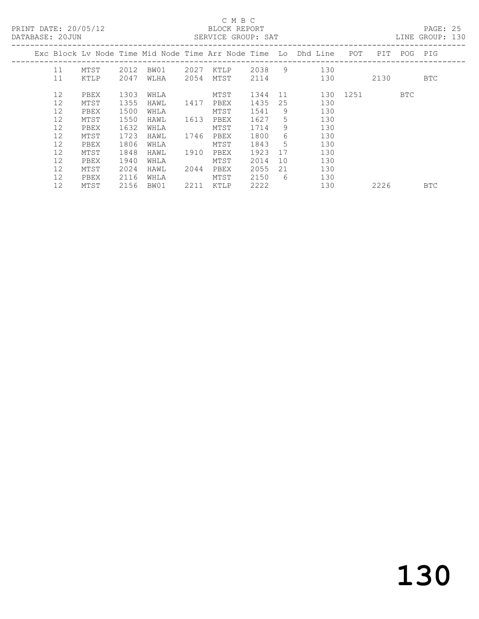|  | DATABASE: 20JUN | PRINT DATE: 20/05/12 |      |      |      | C M B C<br>BLOCK REPORT<br>SERVICE GROUP: SAT |      |    |                                                                    |          |             | PAGE: 25<br>LINE GROUP: 130 |  |
|--|-----------------|----------------------|------|------|------|-----------------------------------------------|------|----|--------------------------------------------------------------------|----------|-------------|-----------------------------|--|
|  |                 |                      |      |      |      |                                               |      |    | Exc Block Lv Node Time Mid Node Time Arr Node Time Lo Dhd Line POT |          | PIT POG PIG |                             |  |
|  | 11              | MTST                 | 2012 | BW01 | 2027 |                                               |      |    | KTLP 2038 9 130                                                    |          |             |                             |  |
|  | 11              | KTLP                 | 2047 | WLHA | 2054 | MTST                                          |      |    | 2114 130                                                           |          | 2130        | BTC                         |  |
|  | 12              | PBEX                 | 1303 | WHLA |      | MTST                                          | 1344 |    | 11                                                                 | 130 1251 | BTC         |                             |  |
|  | 12              | MTST                 | 1355 | HAWL | 1417 | PBEX                                          | 1435 | 25 | 130                                                                |          |             |                             |  |
|  | 12              | PBEX                 | 1500 | WHLA |      | MTST                                          | 1541 | 9  | 130                                                                |          |             |                             |  |
|  | 12              | MTST                 | 1550 | HAWL | 1613 | PBEX                                          | 1627 | 5  | 130                                                                |          |             |                             |  |
|  | 12              | PBEX                 | 1632 | WHLA |      | MTST                                          | 1714 | 9  | 130                                                                |          |             |                             |  |
|  | 12              | MTST                 | 1723 | HAWL |      | 1746 PBEX                                     | 1800 | 6  | 130                                                                |          |             |                             |  |
|  | 12              | PBEX                 | 1806 | WHLA |      | MTST                                          | 1843 | 5  | 130                                                                |          |             |                             |  |
|  | 12              | MTST                 | 1848 | HAWL | 1910 | PBEX                                          | 1923 | 17 | 130                                                                |          |             |                             |  |
|  | 12              | PBEX                 | 1940 | WHLA |      | MTST                                          | 2014 | 10 | 130                                                                |          |             |                             |  |
|  | 12              | MTST                 | 2024 | HAWL | 2044 | PBEX                                          | 2055 | 21 | 130                                                                |          |             |                             |  |
|  | 12              | PBEX                 | 2116 | WHLA |      | MTST                                          | 2150 | 6  | 130                                                                |          |             |                             |  |
|  | 12              | MTST                 | 2156 | BW01 | 2211 | KTLP                                          | 2222 |    | 130                                                                |          | 2226        | <b>BTC</b>                  |  |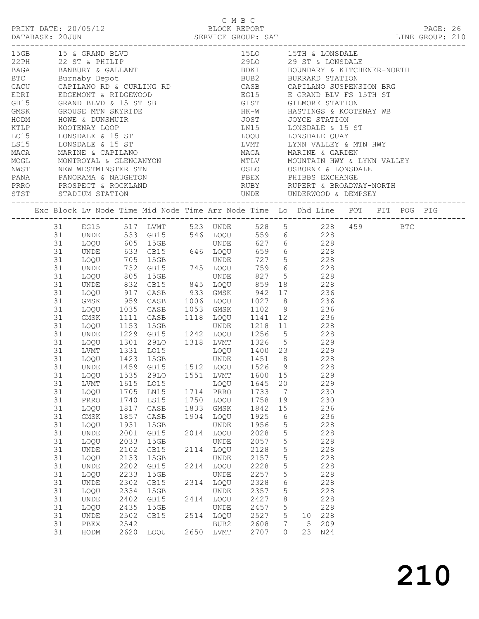| 31<br>31<br>31<br>31<br>31<br>31<br>31<br>31<br>31<br>31<br>31<br>31<br>31<br>31<br>31<br>31<br>31<br>31<br>31<br>31<br>31<br>31<br>31<br>31<br>31<br>31<br>31 | GMSK<br>LOQU<br>GMSK<br>LOQU<br>LVMT<br>LOQU<br>LOQU<br>LVMT<br>LOQU<br>PRRO<br>LOQU<br>GMSK<br>LOQU<br>$\ensuremath{\mathsf{UNDE}}$<br>LOQU<br>UNDE<br>LOQU<br>$\ensuremath{\mathsf{UNDE}}$<br>LOQU<br>$\ensuremath{\mathsf{UNDE}}$<br>LOQU<br>$\ensuremath{\mathsf{UNDE}}$<br>LOQU<br>UNDE<br>PBEX | 1535<br>1615<br>1705<br>1740<br>1817<br>1857<br>1931<br>2001<br>2033<br>2102<br>2133<br>2202<br>2233<br>2302<br>2334<br>2402<br>2435<br>2502<br>2542 | 29LO<br>LO15<br>LN15<br>LS15<br>CASB<br>CASB<br>15GB<br>GB15<br>15GB<br>GB15<br>15GB<br>GB15<br>15GB<br>GB15<br>15GB<br>GB15<br>15GB<br>GB15 | 1904                                                 | LOQU<br>LOQU<br>GMSK<br>LOQU<br>UNDE<br>LOQU<br>UNDE<br>LOQU<br>UNDE<br>LOQU<br>UNDE<br>LOQU<br>UNDE<br><b>UNDE</b><br>LOQU<br>BUB2 | 1600<br>1645<br>1733<br>1758<br>1842<br>1925<br>1956<br>2028<br>2057<br>2128<br>2157<br>2228<br>2257<br>2328<br>2357<br>2427<br>2457<br>2527<br>2608 | 20<br>$7\phantom{.0}$<br>19<br>15<br>6<br>$5\phantom{.0}$<br>5<br>$5\phantom{.0}$<br>$5\phantom{.0}$<br>$5\phantom{.0}$<br>$\overline{5}$<br>5<br>6<br>$5\phantom{.0}$<br>$8\,$<br>5<br>5<br>$7\phantom{.0}$ | 5 <sup>5</sup>     |                                                |                                                                                                                                                                                                                                                                                                                                                                                                                                                                                                                                                                                                                                                                                                                        |                      |                                             |                                                                                                                                                  |
|----------------------------------------------------------------------------------------------------------------------------------------------------------------|------------------------------------------------------------------------------------------------------------------------------------------------------------------------------------------------------------------------------------------------------------------------------------------------------|------------------------------------------------------------------------------------------------------------------------------------------------------|----------------------------------------------------------------------------------------------------------------------------------------------|------------------------------------------------------|-------------------------------------------------------------------------------------------------------------------------------------|------------------------------------------------------------------------------------------------------------------------------------------------------|--------------------------------------------------------------------------------------------------------------------------------------------------------------------------------------------------------------|--------------------|------------------------------------------------|------------------------------------------------------------------------------------------------------------------------------------------------------------------------------------------------------------------------------------------------------------------------------------------------------------------------------------------------------------------------------------------------------------------------------------------------------------------------------------------------------------------------------------------------------------------------------------------------------------------------------------------------------------------------------------------------------------------------|----------------------|---------------------------------------------|--------------------------------------------------------------------------------------------------------------------------------------------------|
| 31                                                                                                                                                             | HODM                                                                                                                                                                                                                                                                                                 |                                                                                                                                                      | LOQU                                                                                                                                         |                                                      |                                                                                                                                     | 2707                                                                                                                                                 |                                                                                                                                                                                                              |                    |                                                |                                                                                                                                                                                                                                                                                                                                                                                                                                                                                                                                                                                                                                                                                                                        |                      |                                             |                                                                                                                                                  |
|                                                                                                                                                                |                                                                                                                                                                                                                                                                                                      | UNDE<br>LOQU                                                                                                                                         |                                                                                                                                              | PRINT DATE: 20/05/12<br>15GB 15 & GRAND BLVD<br>2620 |                                                                                                                                     | 1551 LVMT<br>1714 PRRO<br>1750<br>1833<br>2014<br>2114<br>2214<br>2314<br>2414 LOQU<br>2514<br>2650 LVMT                                             | $C$ M B C                                                                                                                                                                                                    | BLOCK REPORT<br>15 | 31 UNDE 1459 GB15 1512 LOQU 1526 9<br>$\Omega$ | 31 UNDE 533 GB15 546 LOQU 559 6 228<br>31 UNDE 633 GB15 546 LOQU 559 6 228<br>31 UNDE 633 GB15 646 LOQU 659 6 228<br>31 UNDE 633 GB15 646 LOQU 659 6 228<br>31 LOQU 705 15GB UNDE 727 5 228<br>31 UNDE 732 GB15 745 LOQU 759 6 228<br>31 UNDE 73<br>959 CASB 1006 LOQU 1027 8 236<br>1035 CASB 1053 GMSK 1102 9<br>1111 CASB 1053 GMSK 1102 9<br>1111 CASB 1118 LOQU 1141 12 236<br>1153 15GB 10DE 1218 11 228<br>1229 GB15 1242 LOQU 1256 5 228<br>1301  29LO  1318  LVMT  1326  5  229<br>1331  LO15  LOQU  1400  23  229<br>1423  15GB  UNDE  1451  8  228<br>228<br>229<br>229<br>230<br>230<br>236<br>236<br>228<br>228<br>228<br>228<br>228<br>228<br>228<br>228<br>228<br>228<br>228<br>10 228<br>209<br>23 N24 | 15LO 15TH & LONSDALE | 31 EG15 517 LVMT 523 UNDE 528 5 228 459 BTC | PAGE: 26<br>DATABASE: 20JUN SERVICE GROUP: SAT LINE GROUP: 210<br>Exc Block Lv Node Time Mid Node Time Arr Node Time Lo Dhd Line POT PIT POG PIG |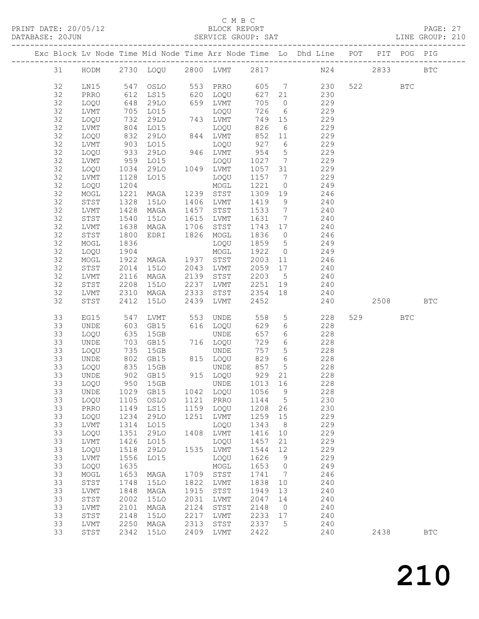#### C M B C<br>BLOCK REPORT

#### DATABASE: 20JUN SERVICE GROUP: SAT CONSTRUITS AND LINE GROUP: 210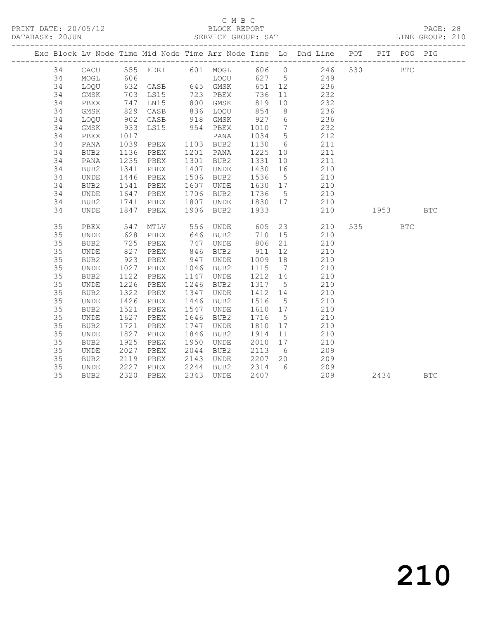## C M B C<br>BLOCK REPORT

PAGE: 28<br>LINE GROUP: 210

|    |                  |                      |               |      |                     |                   |                | Exc Block Lv Node Time Mid Node Time Arr Node Time Lo Dhd Line POT |          | PIT POG PIG |            |
|----|------------------|----------------------|---------------|------|---------------------|-------------------|----------------|--------------------------------------------------------------------|----------|-------------|------------|
| 34 |                  |                      |               |      |                     |                   |                | CACU 555 EDRI 601 MOGL 606 0 246 530                               |          | <b>BTC</b>  |            |
| 34 | MOGL             |                      |               |      |                     |                   |                |                                                                    |          |             |            |
| 34 | LOQU             |                      |               |      |                     |                   |                |                                                                    |          |             |            |
| 34 | GMSK             |                      |               |      |                     |                   |                |                                                                    |          |             |            |
| 34 | PBEX             | 747                  | LN15          |      | 800 GMSK            | 819               | 10             | 232                                                                |          |             |            |
| 34 | GMSK             | 829                  | CASB          |      | 836 LOQU 854        |                   | 8 <sup>8</sup> | 236                                                                |          |             |            |
| 34 | LOQU             | 902                  | CASB 918 GMSK |      |                     |                   |                | 236                                                                |          |             |            |
| 34 | GMSK             | $933$<br>$1017$      | LS15          |      | 954 PBEX            | $927$ 6<br>1010 7 |                | $\begin{array}{c} 232 \\ 212 \end{array}$                          |          |             |            |
| 34 | PBEX             |                      |               |      | PANA                | 1034 5            |                |                                                                    |          |             |            |
| 34 | PANA             | 1039                 | PBEX          |      | 1103 BUB2           | 1130 6            |                | 211                                                                |          |             |            |
| 34 | BUB2             | 1136                 | PBEX          |      | 1201 PANA           |                   |                | 1225 10 211                                                        |          |             |            |
| 34 | PANA             | 1235                 | PBEX          |      | 1301 BUB2           | 1331              | 10             | 211                                                                |          |             |            |
| 34 | BUB2             | 1341                 | PBEX          |      | 1407 UNDE           | 1430 16           |                | 210                                                                |          |             |            |
| 34 | UNDE             | 1446<br>1541         | PBEX          |      | 1506 BUB2           | 1536 5            |                | $\begin{array}{c} 210 \\ 210 \end{array}$                          |          |             |            |
| 34 | BUB <sub>2</sub> |                      | PBEX          |      | 1607 UNDE           | $1630$ 17         |                |                                                                    |          |             |            |
| 34 | UNDE             | 1647                 | PBEX          |      | 1706 BUB2           | 1736 5            |                | 210                                                                |          |             |            |
| 34 | BUB2             | 1741                 | PBEX          |      | 1807 UNDE 1830 17   |                   |                | 210                                                                |          |             |            |
| 34 | UNDE             | 1847                 |               |      | PBEX 1906 BUB2 1933 |                   |                | 210                                                                | 1953 BTC |             |            |
| 35 | PBEX             | 547                  |               |      |                     |                   |                |                                                                    | 535 7    | <b>BTC</b>  |            |
| 35 | UNDE             | 628                  |               |      |                     |                   |                | MTLV 556 UNDE 605 23 210<br>PBEX 646 BUB2 710 15 210               |          |             |            |
| 35 | BUB2             | 725                  | PBEX          |      | 747 UNDE            |                   |                | 806 21<br>210                                                      |          |             |            |
| 35 | UNDE             | 827                  | PBEX          |      | 846 BUB2            | 911               |                | 12 210                                                             |          |             |            |
| 35 | BUB2             | 923                  | PBEX          |      | 947 UNDE            | 1009 18           |                | 210                                                                |          |             |            |
| 35 | UNDE             |                      | PBEX          |      | 1046 BUB2           | 1115 7            |                | 210                                                                |          |             |            |
| 35 | BUB2             | 1027<br>1122<br>1226 | PBEX          |      | 1147 UNDE           | 1212 14           |                |                                                                    |          |             |            |
| 35 | UNDE             |                      | PBEX          |      | 1246 BUB2           | 1317 5            |                | $\begin{array}{c} 210 \\ 210 \end{array}$                          |          |             |            |
| 35 | BUB2             | 1322                 | PBEX          |      | 1347 UNDE           | 1412 14           |                | 210                                                                |          |             |            |
| 35 | UNDE             | 1426                 | PBEX          |      | 1446 BUB2           | 1516 5            |                | 210                                                                |          |             |            |
| 35 | BUB2             | 1521                 | PBEX          | 1547 | UNDE                | 1610 17           |                | 210                                                                |          |             |            |
| 35 | UNDE             |                      | PBEX          |      | 1646 BUB2           | 1716 5            |                | 210                                                                |          |             |            |
| 35 | BUB2             | 1627<br>1721         | PBEX          | 1747 | UNDE                | 1810 17           |                | 210                                                                |          |             |            |
| 35 | UNDE             | 1827                 | PBEX          |      | 1846 BUB2           | 1914 11           |                | 210                                                                |          |             |            |
| 35 | BUB2             | 1925                 | PBEX          | 1950 | UNDE                | 2010 17           |                | 210                                                                |          |             |            |
| 35 | UNDE             | 2027                 | PBEX          |      | 2044 BUB2           | 2113 6            |                | 209                                                                |          |             |            |
| 35 | BUB2             | 2119                 | PBEX          |      | 2143 UNDE           | 2207 20           |                | 209                                                                |          |             |            |
| 35 | UNDE             | 2227                 | PBEX          |      | 2244 BUB2           | 2314 6            |                | 209                                                                |          |             |            |
| 35 | BUB2             | 2320                 | PBEX          |      | 2343 UNDE           | 2407              |                | 209                                                                | 2434     |             | <b>BTC</b> |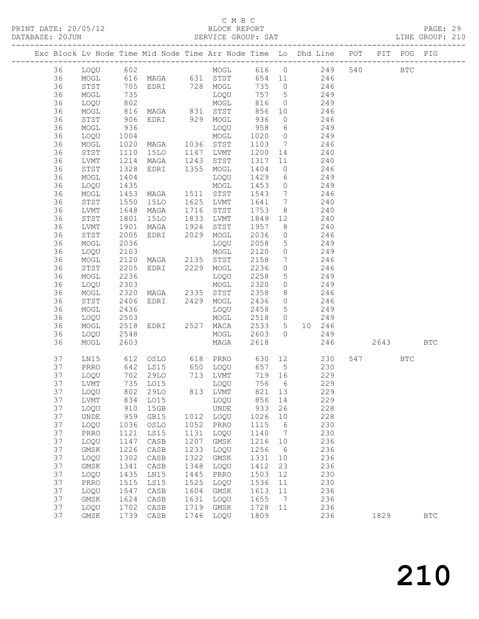#### C M B C<br>BLOCK REPORT

PAGE: 29<br>LINE GROUP: 210

|  |          |                     |              | Exc Block Lv Node Time Mid Node Time Arr Node Time Lo Dhd Line POT                               |              |                        |                |                 |                                                                                     |                  |     |      | PIT POG PIG |              |
|--|----------|---------------------|--------------|--------------------------------------------------------------------------------------------------|--------------|------------------------|----------------|-----------------|-------------------------------------------------------------------------------------|------------------|-----|------|-------------|--------------|
|  | 36       | LOQU 602            |              |                                                                                                  |              | MOGL 616 0 249         |                |                 |                                                                                     |                  | 540 |      | <b>BTC</b>  |              |
|  | 36       |                     |              | MOGL 616 MAGA 631 STST 654 11 246<br>STST 705 EDRI 728 MOGL 735 0 246<br>MOGL 735 LOQU 757 5 249 |              |                        |                |                 |                                                                                     |                  |     |      |             |              |
|  | 36       |                     |              |                                                                                                  |              |                        |                |                 |                                                                                     |                  |     |      |             |              |
|  | 36       |                     |              |                                                                                                  |              |                        |                |                 |                                                                                     |                  |     |      |             |              |
|  | 36       | LOQU                | 802          |                                                                                                  |              | MOGL                   | 816            |                 | $0$ 249                                                                             |                  |     |      |             |              |
|  | 36       | MOGL                | 816<br>906   | MAGA 831 STST<br>EDRI 929 MOGL                                                                   |              |                        | 856<br>936     |                 | $10$ $246$                                                                          |                  |     |      |             |              |
|  | 36       | STST                |              |                                                                                                  |              |                        |                | $\overline{0}$  |                                                                                     | 246              |     |      |             |              |
|  | 36       | MOGL                | 936          |                                                                                                  |              | LOQU                   | 958            |                 | 6 249                                                                               |                  |     |      |             |              |
|  | 36       | LOQU                | 1004         | MOGL<br>MAGA 1036 STST                                                                           |              |                        | 1020 0 249     |                 |                                                                                     |                  |     |      |             |              |
|  | 36       | MOGL                | 1020<br>1110 |                                                                                                  |              |                        | 1103 7         |                 |                                                                                     | 246              |     |      |             |              |
|  | 36       | STST                |              | 15LO 1147 LVMT                                                                                   |              |                        | 1200 14        |                 |                                                                                     | 240              |     |      |             |              |
|  | 36       | LVMT                | 1214         | MAGA 1243 STST                                                                                   |              |                        | 1317           |                 | 11 240                                                                              |                  |     |      |             |              |
|  | 36       | STST                | 1328         | EDRI 1355 MOGL                                                                                   |              |                        | 1404           |                 | $0 \qquad \qquad 246$                                                               |                  |     |      |             |              |
|  | 36       | MOGL                | 1404         |                                                                                                  |              | LOQU                   | 1429           |                 | 6 249                                                                               |                  |     |      |             |              |
|  | 36       | LOQU                | 1435<br>1453 |                                                                                                  |              | MOGL                   | 1453           |                 | $\begin{array}{ccc} 0 & \phantom{000} & 249 \\ 7 & \phantom{000} & 246 \end{array}$ |                  |     |      |             |              |
|  | 36       | MOGL                |              | MAGA                                                                                             |              | 1511 STST<br>1625 LVMT | 1543           |                 |                                                                                     |                  |     |      |             |              |
|  | 36<br>36 | STST<br>LVMT        | 1550<br>1648 | 15LO<br>MAGA                                                                                     |              | 1716 STST              | 1641 7<br>1753 | 8 <sup>8</sup>  | 240                                                                                 |                  |     |      |             |              |
|  | 36       | STST                |              | 15LO                                                                                             |              | 1833 LVMT              | 1849 12        |                 |                                                                                     | 240<br>240       |     |      |             |              |
|  | 36       | LVMT                | 1801<br>1901 | MAGA                                                                                             | 1926         | STST                   | 1957           |                 | $\frac{212}{8}$ 240                                                                 |                  |     |      |             |              |
|  | 36       | STST                | 2005         | EDRI 2029                                                                                        |              | MOGL                   | 2036           |                 | $0 \t 246$                                                                          |                  |     |      |             |              |
|  | 36       | MOGL                | 2036         |                                                                                                  |              | LOQU                   | 2058           | 5 <sub>5</sub>  | 249                                                                                 |                  |     |      |             |              |
|  | 36       | LOQU                | 2103         |                                                                                                  |              | MOGL                   | 2120           | $\overline{0}$  |                                                                                     |                  |     |      |             |              |
|  | 36       | MOGL                | 2120         | MAGA 2135 STST                                                                                   |              |                        | 2158           | 7               |                                                                                     | 249<br>246       |     |      |             |              |
|  | 36       | STST                | 2205         | EDRI 2229 MOGL                                                                                   |              |                        | 2236           | $\overline{0}$  | 246                                                                                 |                  |     |      |             |              |
|  | 36       | MOGL                | 2236         |                                                                                                  |              | LOQU                   | 2258           | 5 <sup>5</sup>  | 249                                                                                 |                  |     |      |             |              |
|  | 36       | LOQU                | 2303         | MOGL<br>MAGA 2335 STST                                                                           |              |                        | 2320           | $\circ$         |                                                                                     | $\frac{13}{249}$ |     |      |             |              |
|  | 36       | MOGL                | 2320         |                                                                                                  |              |                        | 2358           | 8 <sup>8</sup>  |                                                                                     | 246              |     |      |             |              |
|  | 36       | STST                | 2406         | EDRI 2429 MOGL                                                                                   |              |                        | 2436           | $\overline{0}$  | 246                                                                                 |                  |     |      |             |              |
|  | 36       | MOGL                | 2436         |                                                                                                  |              | LOQU                   | 2458           | $5\overline{)}$ | 249                                                                                 |                  |     |      |             |              |
|  | 36       | LOQU                | 2503<br>2518 |                                                                                                  |              | MOGL                   | 2518           | $\overline{0}$  |                                                                                     | 249              |     |      |             |              |
|  | 36       | MOGL                |              | EDRI 2527 MACA                                                                                   |              |                        | 2533           | 5 <sup>5</sup>  |                                                                                     | 10 246           |     |      |             |              |
|  | 36       | LOQU                | 2548         |                                                                                                  |              | MOGL                   | 2603           |                 | $0 \qquad \qquad 249$                                                               |                  |     |      |             |              |
|  | 36       | MOGL                | 2603         |                                                                                                  |              | MAGA                   | 2618           |                 |                                                                                     | 246              |     | 2643 |             | <b>BTC</b>   |
|  | 37       | LN15                |              |                                                                                                  |              |                        |                |                 |                                                                                     |                  |     | 547  | BTC         |              |
|  | 37       | PRRO                |              | 642 LS15 650 LOQU 657 5 230                                                                      |              |                        |                |                 |                                                                                     |                  |     |      |             |              |
|  | 37       | LOQU                |              | 702 29LO                                                                                         |              | 713 LVMT               | 719 16         |                 | 229                                                                                 |                  |     |      |             |              |
|  | 37       | LVMT                |              | 735 LO15                                                                                         |              | LOQU                   | 756 6          |                 |                                                                                     | 229              |     |      |             |              |
|  |          |                     |              | 37 LOQU 802 29LO                                                                                 |              | 813 LVMT               | 821 13         |                 |                                                                                     | 229              |     |      |             |              |
|  | 37       | LVMT                | 834          | LO15                                                                                             |              | LOQU                   | 856            | 14              |                                                                                     | 229              |     |      |             |              |
|  | 37       | LOQU                | 910          | 15GB                                                                                             |              | <b>UNDE</b>            | 933            | 26              |                                                                                     | 228              |     |      |             |              |
|  | 37<br>37 | <b>UNDE</b><br>LOQU | 959<br>1036  | GB15<br>OSLO                                                                                     | 1012<br>1052 | LOQU<br>PRRO           | 1026<br>1115   | 10              |                                                                                     | 228<br>230       |     |      |             |              |
|  | 37       | PRRO                | 1121         | LS15                                                                                             | 1131         | LOQU                   | 1140           | 6<br>7          |                                                                                     | 230              |     |      |             |              |
|  | 37       | LOQU                | 1147         | $\mathtt{CASB}$                                                                                  | 1207         | GMSK                   | 1216           | 10              |                                                                                     | 236              |     |      |             |              |
|  | 37       | GMSK                | 1226         | CASB                                                                                             | 1233         | LOQU                   | 1256           | 6               |                                                                                     | 236              |     |      |             |              |
|  | 37       | LOQU                | 1302         | CASB                                                                                             | 1322         | GMSK                   | 1331           | 10              |                                                                                     | 236              |     |      |             |              |
|  | 37       | GMSK                | 1341         | CASB                                                                                             | 1348         | LOQU                   | 1412           | 23              |                                                                                     | 236              |     |      |             |              |
|  | 37       | LOQU                | 1435         | LN15                                                                                             | 1445         | PRRO                   | 1503           | 12              |                                                                                     | 230              |     |      |             |              |
|  | 37       | PRRO                | 1515         | LS15                                                                                             | 1525         | LOQU                   | 1536           | 11              |                                                                                     | 230              |     |      |             |              |
|  | 37       | LOQU                | 1547         | CASB                                                                                             | 1604         | GMSK                   | 1613           | 11              |                                                                                     | 236              |     |      |             |              |
|  | 37       | $\rm{GMSK}$         | 1624         | CASB                                                                                             | 1631         | LOQU                   | 1655           | $7\phantom{.0}$ |                                                                                     | 236              |     |      |             |              |
|  | 37       | LOQU                | 1702         | CASB                                                                                             | 1719         | $\rm{GMSK}$            | 1728           | 11              |                                                                                     | 236              |     |      |             |              |
|  | 37       | GMSK                | 1739         | CASB                                                                                             | 1746         | LOQU                   | 1809           |                 |                                                                                     | 236              |     | 1829 |             | $_{\rm BTC}$ |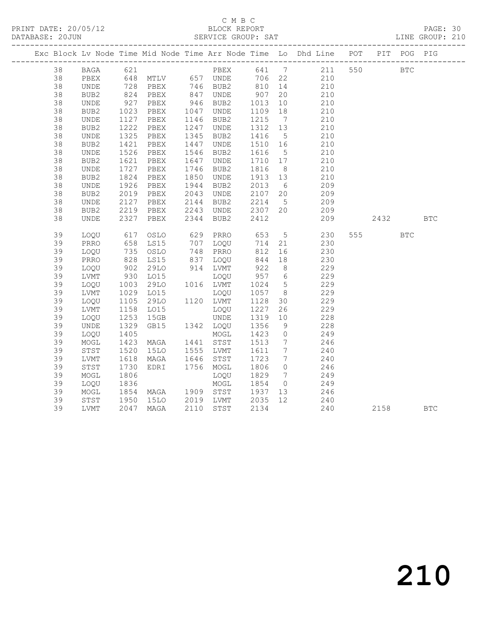## C M B C<br>BLOCK REPORT

PAGE: 30<br>LINE GROUP: 210

|    |             |                                            |                                                             |                            |                      |                              | Exc Block Lv Node Time Mid Node Time Arr Node Time Lo Dhd Line POT PIT POG PIG |         |            |            |
|----|-------------|--------------------------------------------|-------------------------------------------------------------|----------------------------|----------------------|------------------------------|--------------------------------------------------------------------------------|---------|------------|------------|
| 38 | BAGA        | 621                                        |                                                             |                            |                      |                              | PBEX 641 7 211 550 BTC                                                         |         |            |            |
| 38 | PBEX        |                                            | 648 MTLV       657  UNDE<br>728    PBEX         746    BUB2 |                            | 706 22<br>810 14     |                              | 210                                                                            |         |            |            |
| 38 | UNDE        |                                            |                                                             |                            |                      |                              | 210                                                                            |         |            |            |
| 38 | BUB2        |                                            | 824 PBEX                                                    | 847 UNDE                   | 907<br>$307$<br>1013 | 20                           | 210                                                                            |         |            |            |
| 38 | UNDE        | $\begin{array}{c} 927 \\ 1023 \end{array}$ | PBEX                                                        | 946 BUB2<br>1047 UNDE      |                      | 10                           | 210                                                                            |         |            |            |
| 38 | BUB2        |                                            | PBEX                                                        |                            | 1109 18              |                              | 210                                                                            |         |            |            |
| 38 | UNDE        |                                            | PBEX                                                        | 1146 BUB2                  | 1215                 | $7\overline{ }$              | 210                                                                            |         |            |            |
| 38 | BUB2        | 1127<br>1222<br>1325                       | PBEX                                                        | 1247 UNDE                  | 1312 13              |                              | 210                                                                            |         |            |            |
| 38 | <b>UNDE</b> |                                            | PBEX                                                        | 1345 BUB2                  | 1416                 | $5\overline{)}$              | 210                                                                            |         |            |            |
| 38 | BUB2        | 1421                                       | PBEX                                                        | 1447 UNDE                  | 1510 16              |                              | 210                                                                            |         |            |            |
| 38 | UNDE        | 1526                                       | PBEX                                                        | 1546 BUB2                  | 1616                 | $5\overline{)}$              | 210                                                                            |         |            |            |
| 38 | BUB2        | 1621                                       | PBEX                                                        | 1647 UNDE                  | 1710 17              |                              | 210                                                                            |         |            |            |
| 38 | UNDE        | 1727<br>1824                               | PBEX                                                        | 1746 BUB2                  | 1816                 | 8 <sup>8</sup>               | 210                                                                            |         |            |            |
| 38 | BUB2        |                                            | PBEX                                                        | 1850 UNDE                  | 1913 13              |                              | 210                                                                            |         |            |            |
| 38 | UNDE        | 1926                                       | PBEX                                                        | 1944 BUB2                  | 2013                 | 6                            | 209                                                                            |         |            |            |
| 38 | BUB2        | 2019<br>2127                               | PBEX                                                        | 2043 UNDE<br>2144 BUB2     | 2107 20              |                              | 209                                                                            |         |            |            |
| 38 | UNDE        |                                            | PBEX                                                        |                            | 2214 5               |                              | 209                                                                            |         |            |            |
| 38 | BUB2        |                                            | 2219 PBEX                                                   | 2243 UNDE                  | 2307 20              |                              | 209                                                                            |         |            |            |
| 38 | <b>UNDE</b> | 2327                                       | PBEX                                                        | 2344 BUB2                  | 2412                 |                              | 209                                                                            | 2432    |            | <b>BTC</b> |
| 39 | LOQU        | 617                                        | OSLO                                                        | 629 PRRO 653               |                      | 5 <sup>5</sup>               | 230                                                                            | 555 000 | <b>BTC</b> |            |
| 39 | PRRO        |                                            |                                                             |                            | 714 21               |                              | 230                                                                            |         |            |            |
| 39 | LOQU        |                                            | 658 LS15<br>735 OSLO                                        | 707    LOQU<br>748    PRRO | 812                  | 16                           | 230                                                                            |         |            |            |
| 39 | PRRO        |                                            | LS15                                                        | 837 LOQU                   | 844                  | 18                           | 230                                                                            |         |            |            |
| 39 | LOQU        |                                            | 29LO                                                        |                            | 922                  | 8 <sup>8</sup>               | 229                                                                            |         |            |            |
| 39 | LVMT        | $828$<br>$902$<br>$930$                    | LO15                                                        | 914 LVMT<br>LOQU           | 957 6                |                              | 229                                                                            |         |            |            |
| 39 | LOQU        |                                            | 29LO                                                        | 1016 LVMT                  | 1024                 | $5\overline{)}$              | 229                                                                            |         |            |            |
| 39 | LVMT        |                                            | L015                                                        | LOQU                       | 1057 8               |                              | 229                                                                            |         |            |            |
| 39 | LOQU        | 1003<br>1029<br>1105                       | 29LO                                                        | 1120 LVMT                  | 1128 30              |                              | 229                                                                            |         |            |            |
| 39 | LVMT        |                                            | LO15                                                        | LOQU                       | 1227                 | 26                           | 229                                                                            |         |            |            |
| 39 | LOQU        | 1158<br>1253                               | 15GB                                                        | UNDE                       | 1319 10              |                              | 228                                                                            |         |            |            |
| 39 | <b>UNDE</b> | 1329                                       | GB15 1342 LOQU                                              |                            | 1356                 | 9                            | 228                                                                            |         |            |            |
| 39 | LOQU        |                                            |                                                             | MOGL                       | 1423                 | $\overline{0}$               | 249                                                                            |         |            |            |
| 39 | MOGL        | 1405<br>1423                               | MAGA                                                        | 1441 STST                  | 1513                 | $\overline{7}$               | 246                                                                            |         |            |            |
| 39 | STST        | 1520                                       | 15LO 1555 LVMT                                              |                            | 1611                 | $7\phantom{.0}\phantom{.0}7$ | 240                                                                            |         |            |            |
| 39 | LVMT        |                                            | MAGA                                                        | 1646 STST                  | 1723                 | $\overline{7}$               | 240                                                                            |         |            |            |
| 39 | STST        |                                            | EDRI 1756 MOGL                                              |                            | 1806                 | $\overline{0}$               | $\frac{1}{246}$                                                                |         |            |            |
| 39 | MOGL        | 16.<br>1730<br>1906<br>1806                |                                                             | LOQU                       | 1829                 | $7\overline{ }$              | 249                                                                            |         |            |            |
| 39 | LOQU        | 1836                                       |                                                             | MOGL                       | 1854                 | $\overline{0}$               | 249                                                                            |         |            |            |
| 39 | MOGL        | 1854                                       |                                                             |                            | 1937 13              |                              | 246                                                                            |         |            |            |
| 39 | STST        |                                            |                                                             | 15LO 2019 LVMT 2035 12     |                      |                              | 240                                                                            |         |            |            |
| 39 | LVMT        |                                            | 1950 15LO 2019 LVMT 2035<br>2047 MAGA 2110 STST 2134        |                            |                      |                              | 240                                                                            | 2158    |            | <b>BTC</b> |
|    |             |                                            |                                                             |                            |                      |                              |                                                                                |         |            |            |

210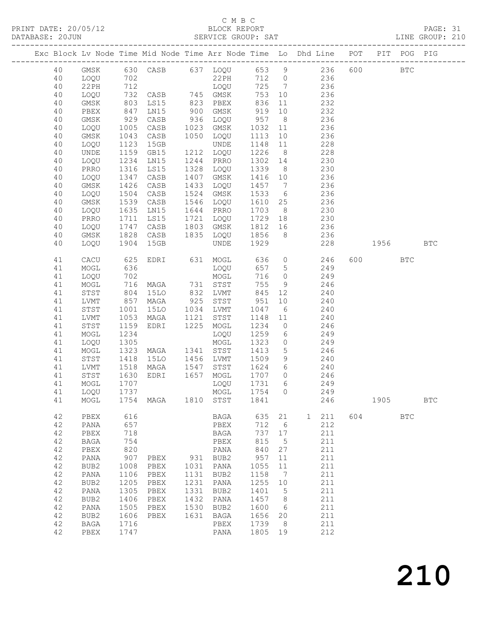## C M B C<br>BLOCK REPORT

PAGE: 31<br>LINE GROUP: 210

|          |                   |              |               |            |                     |              |                      | Exc Block Lv Node Time Mid Node Time Arr Node Time Lo Dhd Line POT |     |      | PIT POG PIG  |              |
|----------|-------------------|--------------|---------------|------------|---------------------|--------------|----------------------|--------------------------------------------------------------------|-----|------|--------------|--------------|
| 40       | GMSK              |              | 630 CASB      |            | 637 LOQU            | 653 9        |                      | 236                                                                | 600 |      | $_{\rm BTC}$ |              |
| 40       | LOQU              | 702          |               |            | 22PH                | 712          | $\overline{0}$       | 236                                                                |     |      |              |              |
| 40       | 22PH              | 712          |               |            | LOQU                | 725          | $\overline{7}$       | 236                                                                |     |      |              |              |
| 40       | LOQU              | 732          | CASB 745 GMSK |            |                     | 753          | 10                   | 236                                                                |     |      |              |              |
| 40       | GMSK              | 803          | LS15          | 823        | PBEX                | 836          | 11                   | 232                                                                |     |      |              |              |
| 40       | PBEX              | 847          | LN15          | 900        | GMSK                | 919          | 10                   | 232                                                                |     |      |              |              |
| 40       | GMSK              | 929          | CASB          | 936        | LOQU                | 957          | 8 <sup>8</sup>       | 236                                                                |     |      |              |              |
| 40       | LOQU              | 1005         | CASB          | 1023       | GMSK                | 1032         | 11                   | 236                                                                |     |      |              |              |
| 40       | GMSK              | 1043         | CASB<br>15GB  | 1050       | LOQU                | 1113         | 10                   | 236<br>228                                                         |     |      |              |              |
| 40<br>40 | LOQU<br>UNDE      | 1123<br>1159 | GB15          |            | UNDE<br>1212 LOQU   | 1148<br>1226 | 11<br>8 <sup>8</sup> | 228                                                                |     |      |              |              |
| 40       | LOQU              | 1234         | LN15          | 1244       | PRRO                | 1302         | 14                   | 230                                                                |     |      |              |              |
| 40       | PRRO              | 1316         | LS15          | 1328       | LOQU                | 1339         | 8 <sup>8</sup>       | 230                                                                |     |      |              |              |
| 40       | LOQU              | 1347         | CASB          | 1407       | GMSK                | 1416         | 10                   | 236                                                                |     |      |              |              |
| 40       | GMSK              | 1426         | CASB          | 1433       | LOQU                | 1457         | $\overline{7}$       | 236                                                                |     |      |              |              |
| 40       | LOQU              | 1504         | CASB          | 1524       | GMSK                | 1533         | 6                    | 236                                                                |     |      |              |              |
| 40       | GMSK              | 1539         | CASB          | 1546       | LOQU                | 1610         | 25                   | 236                                                                |     |      |              |              |
| 40       | LOQU              | 1635         | LN15          | 1644       | PRRO                | 1703         | 8 <sup>8</sup>       | 230                                                                |     |      |              |              |
| 40       | PRRO              | 1711         | LS15          | 1721       | LOQU                | 1729         | 18                   | 230                                                                |     |      |              |              |
| 40       | LOQU              | 1747         | CASB          | 1803       | GMSK                | 1812         | 16                   | 236                                                                |     |      |              |              |
| 40       | GMSK              | 1828         | CASB          | 1835       | LOQU                | 1856         | 8 <sup>8</sup>       | 236                                                                |     |      |              |              |
| 40       | LOQU              | 1904         | 15GB          |            | UNDE                | 1929         |                      | 228                                                                |     | 1956 |              | $_{\rm BTC}$ |
| 41       | CACU              | 625          | EDRI          |            | 631 MOGL            | 636          | $\overline{0}$       | 246                                                                | 600 |      | <b>BTC</b>   |              |
| 41       | MOGL              | 636          |               |            | LOQU                | 657          | $5\phantom{.0}$      | 249                                                                |     |      |              |              |
| 41       | LOQU              | 702          |               |            | MOGL                | 716          | $\circ$              | 249                                                                |     |      |              |              |
| 41       | MOGL              | 716          | MAGA          | 731        | STST                | 755          | 9                    | 246                                                                |     |      |              |              |
| 41<br>41 | STST<br>LVMT      | 804<br>857   | 15LO<br>MAGA  | 832<br>925 | LVMT<br>STST        | 845<br>951   | 12<br>10             | 240<br>240                                                         |     |      |              |              |
| 41       | STST              | 1001         | <b>15LO</b>   | 1034       | LVMT                | 1047         | 6                    | 240                                                                |     |      |              |              |
| 41       | LVMT              | 1053         | MAGA          | 1121       | STST                | 1148         | 11                   | 240                                                                |     |      |              |              |
| 41       | STST              | 1159         | EDRI          | 1225       | MOGL                | 1234         | $\circ$              | 246                                                                |     |      |              |              |
| 41       | MOGL              | 1234         |               |            | LOQU                | 1259         | 6                    | 249                                                                |     |      |              |              |
| 41       | LOQU              | 1305         |               |            | MOGL                | 1323         | $\circ$              | 249                                                                |     |      |              |              |
| 41       | MOGL              | 1323         | MAGA          | 1341       | STST                | 1413         | 5                    | 246                                                                |     |      |              |              |
| 41       | STST              | 1418         | 15LO          | 1456       | LVMT                | 1509         | 9                    | 240                                                                |     |      |              |              |
| 41       | LVMT              | 1518         | MAGA          | 1547       | STST                | 1624         | 6                    | 240                                                                |     |      |              |              |
| 41       | STST              | 1630         | EDRI          | 1657       | MOGL                | 1707         | $\circ$              | 246                                                                |     |      |              |              |
| 41       | MOGL              | 1707         |               |            | LOQU                | 1731         | 6                    | 249                                                                |     |      |              |              |
| 41<br>41 | LOQU 1737<br>MOGL | 1754         | MAGA          | 1810       | MOGL 1754 0<br>STST | 1841         |                      | 249<br>246                                                         |     | 1905 |              | $_{\rm BTC}$ |
|          |                   |              |               |            |                     |              |                      |                                                                    |     |      |              |              |
| 42       | PBEX              | 616          |               |            | BAGA                | 635          | 21                   | 211<br>1                                                           | 604 |      | <b>BTC</b>   |              |
| 42       | PANA              | 657          |               |            | PBEX                | 712          | - 6                  | 212                                                                |     |      |              |              |
| 42       | ${\tt PBEX}$      | 718          |               |            | BAGA                | 737          | $17$                 | 211                                                                |     |      |              |              |
| 42       | $_{\rm BAGA}$     | 754          |               |            | PBEX                | 815          | 5                    | 211                                                                |     |      |              |              |
| 42<br>42 | PBEX<br>PANA      | 820<br>907   | PBEX          | 931        | PANA<br>BUB2        | 840<br>957   | 27<br>11             | 211<br>211                                                         |     |      |              |              |
| 42       | BUB2              | 1008         | PBEX          | 1031       | PANA                | 1055         | 11                   | 211                                                                |     |      |              |              |
| 42       | PANA              | 1106         | PBEX          | 1131       | BUB2                | 1158         | 7                    | 211                                                                |     |      |              |              |
| 42       | BUB2              | 1205         | PBEX          | 1231       | PANA                | 1255         | 10                   | 211                                                                |     |      |              |              |
| 42       | PANA              | 1305         | PBEX          | 1331       | BUB2                | 1401         | 5                    | 211                                                                |     |      |              |              |
| 42       | BUB2              | 1406         | PBEX          | 1432       | PANA                | 1457         | $\,8\,$              | 211                                                                |     |      |              |              |
| 42       | PANA              | 1505         | PBEX          | 1530       | BUB2                | 1600         | 6                    | 211                                                                |     |      |              |              |
| 42       | BUB2              | 1606         | PBEX          | 1631       | BAGA                | 1656         | 20                   | 211                                                                |     |      |              |              |
| 42       | <b>BAGA</b>       | 1716         |               |            | PBEX                | 1739         | -8                   | 211                                                                |     |      |              |              |
| 42       | PBEX              | 1747         |               |            | PANA                | 1805         | 19                   | 212                                                                |     |      |              |              |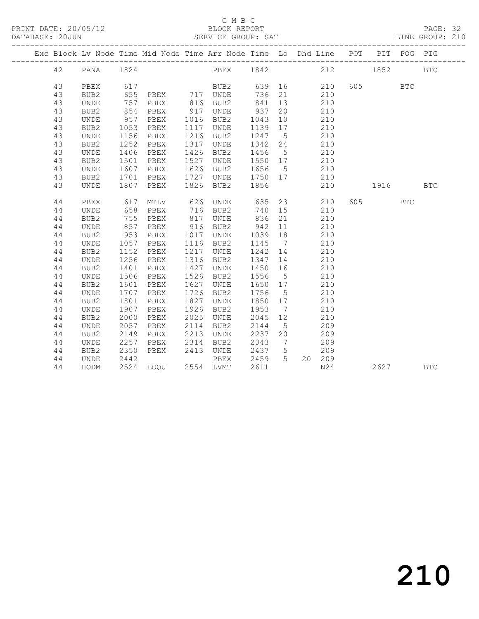#### C M B C<br>BLOCK REPORT

PAGE: 32<br>LINE GROUP: 210

|  |          |                     |              | Exc Block Lv Node Time Mid Node Time Arr Node Time Lo Dhd Line POT |              |               |              |                              |            |         | PIT POG PIG |            |
|--|----------|---------------------|--------------|--------------------------------------------------------------------|--------------|---------------|--------------|------------------------------|------------|---------|-------------|------------|
|  | 42       | PANA                | 1824         |                                                                    |              | PBEX 1842 212 |              |                              |            | 1852    |             | <b>BTC</b> |
|  | 43       | PBEX                | 617          |                                                                    |              | BUB2          | 639          |                              | 210        | 605 000 | <b>BTC</b>  |            |
|  | 43       | BUB <sub>2</sub>    | 655          | PBEX                                                               |              | 717 UNDE      | 736          | 21                           | 210        |         |             |            |
|  | 43       | <b>UNDE</b>         | 757          | PBEX                                                               | 816          | BUB2          | 841          | 13                           | 210        |         |             |            |
|  | 43       | BUB2                | 854          | PBEX                                                               | 917          | <b>UNDE</b>   | 937          | 20                           | 210        |         |             |            |
|  | 43       | UNDE                | 957          | PBEX                                                               | 1016         | BUB2          | 1043         | 10                           | 210        |         |             |            |
|  | 43       | BUB <sub>2</sub>    | 1053         | PBEX                                                               | 1117         | <b>UNDE</b>   | 1139         | 17                           | 210        |         |             |            |
|  | 43       | <b>UNDE</b>         | 1156         | PBEX                                                               | 1216         | BUB2          | 1247         | $5^{\circ}$                  | 210        |         |             |            |
|  | 43       | BUB <sub>2</sub>    | 1252         | PBEX                                                               | 1317         | <b>UNDE</b>   | 1342         | 24                           | 210        |         |             |            |
|  | 43       | <b>UNDE</b>         | 1406         | PBEX                                                               | 1426         | BUB2          | 1456         | 5                            | 210        |         |             |            |
|  | 43       | BUB2                | 1501         | PBEX                                                               | 1527         | <b>UNDE</b>   | 1550         | 17                           | 210        |         |             |            |
|  | 43       | <b>UNDE</b>         | 1607         | PBEX                                                               | 1626         | BUB2          | 1656         | $5^{\circ}$                  | 210        |         |             |            |
|  | 43       | BUB2                | 1701         | PBEX                                                               | 1727         | <b>UNDE</b>   | 1750         | 17                           | 210        |         |             |            |
|  | 43       | <b>UNDE</b>         | 1807         | PBEX                                                               | 1826         | BUB2          | 1856         |                              | 210        | 1916    |             | <b>BTC</b> |
|  |          |                     |              |                                                                    |              |               |              |                              |            |         |             |            |
|  | 44       | PBEX                | 617          | MTLV                                                               | 626          | <b>UNDE</b>   | 635          | 23                           | 210        | 605 60  | <b>BTC</b>  |            |
|  | 44       | <b>UNDE</b>         | 658          | PBEX                                                               | 716          | BUB2          | 740          | 15                           | 210        |         |             |            |
|  | 44       | BUB2                | 755          | PBEX                                                               | 817          | <b>UNDE</b>   | 836          | 21                           | 210        |         |             |            |
|  | 44       | <b>UNDE</b>         | 857          | PBEX                                                               | 916          | BUB2          | 942          | 11                           | 210        |         |             |            |
|  | 44       | BUB2                | 953          | PBEX                                                               | 1017         | <b>UNDE</b>   | 1039         | 18                           | 210        |         |             |            |
|  | 44       | <b>UNDE</b>         | 1057         | PBEX                                                               | 1116         | BUB2          | 1145         | $\overline{7}$               | 210        |         |             |            |
|  | 44       | BUB <sub>2</sub>    | 1152         | PBEX                                                               | 1217         | <b>UNDE</b>   | 1242         | 14                           | 210        |         |             |            |
|  | 44       | <b>UNDE</b>         | 1256         | PBEX                                                               | 1316         | BUB2          | 1347         | 14                           | 210        |         |             |            |
|  | 44       | BUB <sub>2</sub>    | 1401         | PBEX                                                               | 1427         | <b>UNDE</b>   | 1450         | 16                           | 210        |         |             |            |
|  | 44       | <b>UNDE</b>         | 1506         | PBEX                                                               | 1526         | BUB2          | 1556         | $5\overline{)}$              | 210        |         |             |            |
|  | 44       | BUB2                | 1601<br>1707 | PBEX                                                               | 1627<br>1726 | <b>UNDE</b>   | 1650<br>1756 | 17                           | 210        |         |             |            |
|  | 44<br>44 | <b>UNDE</b>         | 1801         | PBEX                                                               | 1827         | BUB2          | 1850         | 5                            | 210<br>210 |         |             |            |
|  | 44       | BUB2<br><b>UNDE</b> | 1907         | PBEX<br>PBEX                                                       | 1926         | UNDE<br>BUB2  | 1953         | 17<br>$\overline{7}$         | 210        |         |             |            |
|  | 44       | BUB <sub>2</sub>    | 2000         | PBEX                                                               | 2025         | <b>UNDE</b>   | 2045         | 12 <sup>°</sup>              | 210        |         |             |            |
|  | 44       | <b>UNDE</b>         | 2057         | PBEX                                                               | 2114         | BUB2          | 2144         | 5                            | 209        |         |             |            |
|  | 44       | BUB2                | 2149         | PBEX                                                               | 2213         | <b>UNDE</b>   | 2237         | 20                           | 209        |         |             |            |
|  | 44       | <b>UNDE</b>         | 2257         | PBEX                                                               | 2314         | BUB2          | 2343         | $7\phantom{.0}\phantom{.0}7$ | 209        |         |             |            |
|  | 44       | BUB2                | 2350         | PBEX                                                               | 2413         | <b>UNDE</b>   | 2437         | 5                            | 209        |         |             |            |
|  | 44       | UNDE                | 2442         |                                                                    |              | PBEX          | 2459         | $5^{\circ}$                  | 20 209     |         |             |            |
|  | 44       | HODM                |              | 2524 LOQU 2554 LVMT                                                |              |               | 2611         |                              | N24        | 2627    |             | <b>BTC</b> |
|  |          |                     |              |                                                                    |              |               |              |                              |            |         |             |            |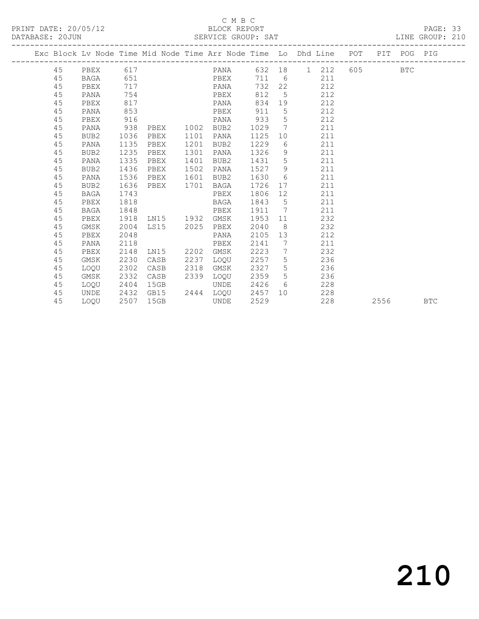#### C M B C<br>BLOCK REPORT

PAGE: 33<br>LINE GROUP: 210

|  |    |          |      |                |      |                      |        |                 | Exc Block Lv Node Time Mid Node Time Arr Node Time Lo Dhd Line POT PIT POG PIG |           |        |            |            |
|--|----|----------|------|----------------|------|----------------------|--------|-----------------|--------------------------------------------------------------------------------|-----------|--------|------------|------------|
|  |    |          |      |                |      |                      |        |                 |                                                                                |           |        |            |            |
|  | 45 | PBEX 617 |      |                |      |                      |        |                 | PANA 632 18 1 212                                                              | 605 - 100 |        | <b>BTC</b> |            |
|  | 45 | BAGA     | 651  |                |      | <b>EXECUTE:</b> PBEX |        |                 | 711 6<br>211                                                                   |           |        |            |            |
|  | 45 | PBEX     | 717  |                |      | PANA                 | 732    | 22              | 212                                                                            |           |        |            |            |
|  | 45 | PANA     | 754  |                |      | PBEX                 | 812    |                 | $5\overline{}$<br>212                                                          |           |        |            |            |
|  | 45 | PBEX     | 817  |                |      | PANA                 | 834    |                 | 19<br>212                                                                      |           |        |            |            |
|  | 45 | PANA     | 853  |                |      | PBEX 911             |        | $5\overline{)}$ | 212                                                                            |           |        |            |            |
|  | 45 | PBEX     | 916  |                |      | PANA                 | 933    | $5^{\circ}$     | 212                                                                            |           |        |            |            |
|  | 45 | PANA     | 938  | PBEX           | 1002 | BUB2                 | 1029   | $7\overline{ }$ | 211                                                                            |           |        |            |            |
|  | 45 | BUB2     | 1036 | PBEX           | 1101 | PANA                 | 1125   | 10              | 211                                                                            |           |        |            |            |
|  | 45 | PANA     | 1135 | PBEX           | 1201 | BUB2                 | 1229   |                 | $6 \qquad \qquad$<br>211                                                       |           |        |            |            |
|  | 45 | BUB2     | 1235 | PBEX           | 1301 | PANA                 | 1326   | 9               | 211                                                                            |           |        |            |            |
|  | 45 | PANA     | 1335 | PBEX           | 1401 | BUB2                 | 1431 5 |                 | 211                                                                            |           |        |            |            |
|  | 45 | BUB2     | 1436 | PBEX           | 1502 | PANA                 | 1527   | 9               | 211                                                                            |           |        |            |            |
|  | 45 | PANA     | 1536 | PBEX           | 1601 | BUB2                 | 1630   | 6               | 211                                                                            |           |        |            |            |
|  | 45 | BUB2     | 1636 | PBEX 1701      |      | BAGA                 | 1726   | 17              | 211                                                                            |           |        |            |            |
|  | 45 | BAGA     | 1743 |                |      | PBEX                 | 1806   |                 | 211                                                                            |           |        |            |            |
|  | 45 | PBEX     | 1818 |                |      | BAGA                 | 1843   |                 | $5\overline{)}$<br>211                                                         |           |        |            |            |
|  | 45 | BAGA     | 1848 |                |      | PBEX                 | 1911 7 |                 | 211                                                                            |           |        |            |            |
|  | 45 | PBEX     | 1918 | LN15 1932 GMSK |      |                      | 1953   | 11              | 232                                                                            |           |        |            |            |
|  | 45 | GMSK     | 2004 | LS15 2025      |      | PBEX                 | 2040   | 8 <sup>8</sup>  | 232                                                                            |           |        |            |            |
|  | 45 | PBEX     | 2048 |                |      | PANA                 | 2105   |                 | 212<br>13                                                                      |           |        |            |            |
|  | 45 | PANA     | 2118 |                |      | PBEX                 | 2141   | $\overline{7}$  | 211                                                                            |           |        |            |            |
|  | 45 | PBEX     | 2148 | LN15 2202 GMSK |      |                      | 2223   | $\overline{7}$  | 232                                                                            |           |        |            |            |
|  | 45 | GMSK     | 2230 | CASB           | 2237 | LOQU                 | 2257 5 |                 | 236                                                                            |           |        |            |            |
|  | 45 | LOOU     | 2302 | CASB           | 2318 | GMSK                 | 2327   | 5 <sup>5</sup>  | 236                                                                            |           |        |            |            |
|  | 45 | GMSK     | 2332 | CASB           | 2339 | LOQU                 | 2359   | 5               | 236                                                                            |           |        |            |            |
|  | 45 | LOQU     | 2404 | 15GB           |      | UNDE                 | 2426   | $6\degree$      | 228                                                                            |           |        |            |            |
|  | 45 | UNDE     | 2432 | GB15           |      | 2444 LOQU            | 2457   |                 | 228<br>10                                                                      |           |        |            |            |
|  | 45 | LOOU     | 2507 | 15GB           |      | UNDE                 | 2529   |                 | 228                                                                            |           | 2556 7 |            | <b>BTC</b> |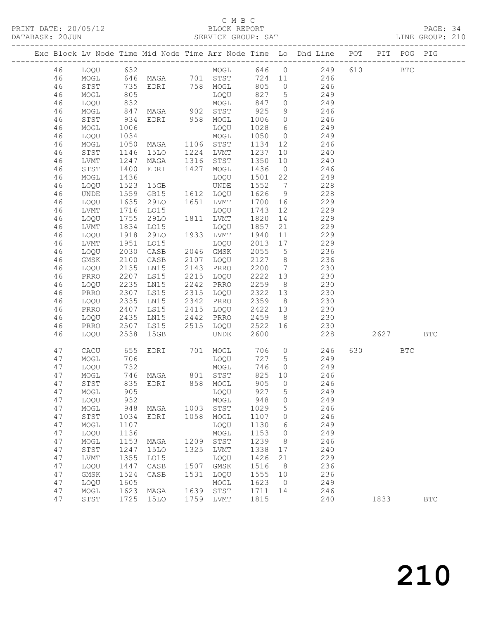#### C M B C

PRINT DATE: 20/05/12 BLOCK REPORT PAGE: 34 DATABASE: 20JUN SERVICE GROUP: SAT ------------------------------------------------------------------------------------------------- Exc Block Lv Node Time Mid Node Time Arr Node Time Lo Dhd Line POT PIT POG PIG ------------------------------------------------------------------------------------------------- 46 LOQU 632 MOGL 646 0 249 610 BTC 46 MOGL 646 MAGA 701 STST 724 11 246 46 STST 735 EDRI 758 MOGL 805 0 246 46 MOGL 805 LOQU 827 5 249 46 LOQU 832 MOGL 847 0 249 46 MOGL 847 MAGA 902 STST 925 9 246 46 STST 934 EDRI 958 MOGL 1006 0 246 46 MOGL 1006 LOQU 1028 6 249 46 LOQU 1034 MOGL 1050 0 249 46 MOGL 1050 MAGA 1106 STST 1134 12 246 46 STST 1146 15LO 1224 LVMT 1237 10 240 46 LVMT 1247 MAGA 1316 STST 1350 10 240 46 STST 1400 EDRI 1427 MOGL 1436 0 246 46 MOGL 1436 LOQU 1501 22 249 46 LOQU 1523 15GB UNDE 1552 7 228 46 UNDE 1559 GB15 1612 LOQU 1626 9 228 46 LOQU 1635 29LO 1651 LVMT 1700 16 229 46 LVMT 1716 LO15 LOQU 1743 12 229 46 LOQU 1755 29LO 1811 LVMT 1820 14 229 46 LVMT 1834 LO15 LOQU 1857 21 229 46 LOQU 1918 29LO 1933 LVMT 1940 11 229 46 LVMT 1951 LO15 LOQU 2013 17 229 46 LOQU 2030 CASB 2046 GMSK 2055 5 236 46 GMSK 2100 CASB 2107 LOQU 2127 8 236 46 LOQU 2135 LN15 2143 PRRO 2200 7 230 46 PRRO 2207 LS15 2215 LOQU 2222 13 230 46 LOQU 2235 LN15 2242 PRRO 2259 8 230 46 PRRO 2307 LS15 2315 LOQU 2322 13 230 46 LOQU 2335 LN15 2342 PRRO 2359 8 230 46 PRRO 2407 LS15 2415 LOQU 2422 13 230 46 LOQU 2435 LN15 2442 PRRO 2459 8 230 46 PRRO 2507 LS15 2515 LOQU 2522 16 230 46 LOQU 2538 15GB UNDE 2600 228 2627 BTC 47 CACU 655 EDRI 701 MOGL 706 0 246 630 BTC

| 46 | <b>LOQU</b> | 2538 | 15GB |      | UNDE        | 2600 |                | 228 | 2627 | BTC        |
|----|-------------|------|------|------|-------------|------|----------------|-----|------|------------|
| 47 | CACU        | 655  | EDRI | 701  | MOGL        | 706  | 0              | 246 | 630  | <b>BTC</b> |
| 47 | MOGL        | 706  |      |      | <b>LOOU</b> | 727  | 5              | 249 |      |            |
| 47 | LOQU        | 732  |      |      | MOGL        | 746  | $\circ$        | 249 |      |            |
| 47 | MOGL        | 746  | MAGA | 801  | STST        | 825  | 10             | 246 |      |            |
| 47 | STST        | 835  | EDRI | 858  | MOGL        | 905  | 0              | 246 |      |            |
| 47 | MOGL        | 905  |      |      | LOQU        | 927  | 5              | 249 |      |            |
| 47 | LOQU        | 932  |      |      | MOGL        | 948  | 0              | 249 |      |            |
| 47 | MOGL        | 948  | MAGA | 1003 | STST        | 1029 | 5              | 246 |      |            |
| 47 | STST        | 1034 | EDRI | 1058 | MOGL        | 1107 | 0              | 246 |      |            |
| 47 | MOGL        | 1107 |      |      | LOQU        | 1130 | 6              | 249 |      |            |
| 47 | LOQU        | 1136 |      |      | MOGL        | 1153 | 0              | 249 |      |            |
| 47 | MOGL        | 1153 | MAGA | 1209 | STST        | 1239 | 8              | 246 |      |            |
| 47 | STST        | 1247 | 15LO | 1325 | LVMT        | 1338 | 17             | 240 |      |            |
| 47 | LVMT        | 1355 | LO15 |      | LOQU        | 1426 | 21             | 229 |      |            |
| 47 | LOQU        | 1447 | CASB | 1507 | GMSK        | 1516 | 8              | 236 |      |            |
| 47 | GMSK        | 1524 | CASB | 1531 | LOQU        | 1555 | 10             | 236 |      |            |
| 47 | LOQU        | 1605 |      |      | MOGL        | 1623 | $\overline{0}$ | 249 |      |            |
| 47 | MOGL        | 1623 | MAGA | 1639 | STST        | 1711 | 14             | 246 |      |            |
| 47 | STST        | 1725 | 15LO | 1759 | LVMT        | 1815 |                | 240 | 1833 | <b>BTC</b> |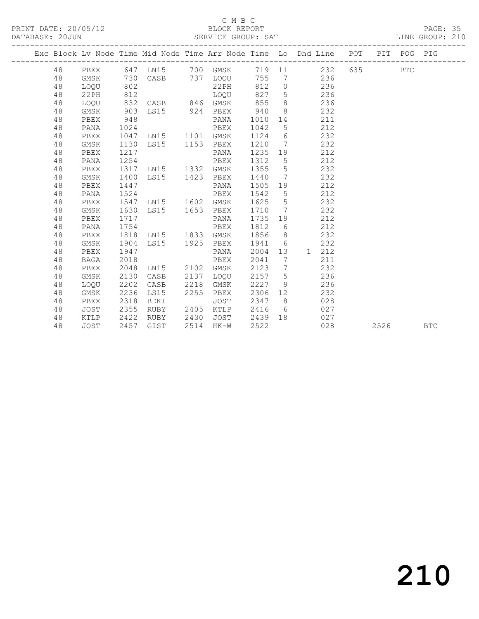| PRINT DATE: 20/05/12<br>BLOCK REPORT | PAGE: |  |  |
|--------------------------------------|-------|--|--|
|--------------------------------------|-------|--|--|

|    |             |      |                                     |      |                                                                                                                                                                                                                                                                                               |      | C M B C<br>PRINT DATE: 20/05/12<br>DATABASE: 20JUN SERVICE GROUP: SAT LINE GROUP: 210                                               |  |      |            |  |
|----|-------------|------|-------------------------------------|------|-----------------------------------------------------------------------------------------------------------------------------------------------------------------------------------------------------------------------------------------------------------------------------------------------|------|-------------------------------------------------------------------------------------------------------------------------------------|--|------|------------|--|
|    |             |      |                                     |      |                                                                                                                                                                                                                                                                                               |      | Exc Block Lv Node Time Mid Node Time Arr Node Time Lo Dhd Line POT PIT POG PIG                                                      |  |      |            |  |
| 48 |             |      |                                     |      |                                                                                                                                                                                                                                                                                               |      | PBEX 647 LN15 700 GMSK 719 11 232 635 BTC                                                                                           |  |      |            |  |
| 48 | GMSK        |      |                                     |      |                                                                                                                                                                                                                                                                                               |      | 730 CASB 737 LOQU 755 7 236                                                                                                         |  |      |            |  |
| 48 | LOQU        |      |                                     |      |                                                                                                                                                                                                                                                                                               |      |                                                                                                                                     |  |      |            |  |
| 48 | 22PH        |      |                                     |      |                                                                                                                                                                                                                                                                                               |      | 802 22PH 812 0 236<br>812 LOQU 827 5 236<br>832 CASB 846 GMSK 855 8 236                                                             |  |      |            |  |
| 48 | LOQU        |      |                                     |      |                                                                                                                                                                                                                                                                                               |      |                                                                                                                                     |  |      |            |  |
| 48 | GMSK        |      |                                     |      |                                                                                                                                                                                                                                                                                               |      | 903 LS15 924 PBEX 940 8 232                                                                                                         |  |      |            |  |
| 48 | PBEX        |      |                                     |      |                                                                                                                                                                                                                                                                                               |      |                                                                                                                                     |  |      |            |  |
| 48 | PANA        |      |                                     |      | 948<br>948<br>1024<br>1047 LN15<br>1101 GMSK<br>1124 6<br>1130 LS15<br>1153 PBEX<br>1210 7<br>1217<br>PANA<br>1235 19<br>1254<br>PBEX<br>1130 LS15<br>PBEX<br>1210 7<br>PBEX<br>1210 7<br>PANA<br>1235<br>235<br>PBEX<br>1210 7<br>PANA<br>1235<br>PBEX<br>1210 7<br>PANA<br>1235<br>PBEX<br> |      | PANA 1010 14 211<br>PBEX 1042 5 212<br>GMSK 1124 6 232<br>PBEX 1210 7 232<br>PANA 1235 19 212<br>PBEX 1312 5 212<br>PBEX 1312 5 212 |  |      |            |  |
| 48 | PBEX        |      |                                     |      |                                                                                                                                                                                                                                                                                               |      |                                                                                                                                     |  |      |            |  |
| 48 | GMSK        |      |                                     |      |                                                                                                                                                                                                                                                                                               |      |                                                                                                                                     |  |      |            |  |
| 48 | PBEX        |      |                                     |      |                                                                                                                                                                                                                                                                                               |      |                                                                                                                                     |  |      |            |  |
| 48 | PANA        |      |                                     |      |                                                                                                                                                                                                                                                                                               |      |                                                                                                                                     |  |      |            |  |
| 48 | PBEX        |      | 1317 LN15 1332 GMSK                 |      |                                                                                                                                                                                                                                                                                               |      | $1355 \t 5 \t 232$                                                                                                                  |  |      |            |  |
| 48 | GMSK        | 1400 | LS15 1423 PBEX                      |      |                                                                                                                                                                                                                                                                                               | 1440 | 7 232                                                                                                                               |  |      |            |  |
| 48 | PBEX        | 1447 |                                     |      | PANA                                                                                                                                                                                                                                                                                          | 1505 | 19 212                                                                                                                              |  |      |            |  |
| 48 | PANA        | 1524 |                                     |      | PBEX                                                                                                                                                                                                                                                                                          | 1542 | 5 212                                                                                                                               |  |      |            |  |
| 48 | PBEX        |      | 1547 LN15 1602 GMSK                 |      |                                                                                                                                                                                                                                                                                               |      | 1625 5 232                                                                                                                          |  |      |            |  |
| 48 | GMSK        |      | 1630 LS15 1653 PBEX                 |      |                                                                                                                                                                                                                                                                                               |      | 1710 7 232                                                                                                                          |  |      |            |  |
| 48 | PBEX        | 1717 |                                     |      | PANA                                                                                                                                                                                                                                                                                          |      | 1735 19 212                                                                                                                         |  |      |            |  |
| 48 | PANA        | 1754 |                                     |      | PBEX                                                                                                                                                                                                                                                                                          |      | 1812 6 212                                                                                                                          |  |      |            |  |
| 48 | PBEX        |      | 1818 LN15 1833 GMSK                 |      |                                                                                                                                                                                                                                                                                               |      | 1856 8 232                                                                                                                          |  |      |            |  |
| 48 | GMSK        | 1904 |                                     |      | LS15 1925 PBEX 1941 6 232                                                                                                                                                                                                                                                                     |      |                                                                                                                                     |  |      |            |  |
| 48 | PBEX        | 1947 |                                     |      | PANA                                                                                                                                                                                                                                                                                          |      | 2004 13 1 212                                                                                                                       |  |      |            |  |
| 48 | BAGA        | 2018 |                                     |      | PBEX                                                                                                                                                                                                                                                                                          | 2041 | 7 211                                                                                                                               |  |      |            |  |
| 48 | PBEX        | 2048 | LN15 2102 GMSK                      |      |                                                                                                                                                                                                                                                                                               | 2123 | 7 232                                                                                                                               |  |      |            |  |
| 48 | GMSK        | 2130 | CASB                                |      | 2137 LOQU                                                                                                                                                                                                                                                                                     |      | 2157 5 236                                                                                                                          |  |      |            |  |
| 48 | LOOU        | 2202 | CASB                                | 2218 | GMSK                                                                                                                                                                                                                                                                                          |      | 2227 9 236                                                                                                                          |  |      |            |  |
| 48 | GMSK        | 2236 | LS15                                |      | 2255 PBEX                                                                                                                                                                                                                                                                                     |      | 2306 12 232                                                                                                                         |  |      |            |  |
| 48 | PBEX        | 2318 | BDKI                                |      | JOST                                                                                                                                                                                                                                                                                          |      | 2347 8 028                                                                                                                          |  |      |            |  |
| 48 | JOST        |      | 2355 RUBY<br>2422 RUBY<br>2457 GIST |      |                                                                                                                                                                                                                                                                                               |      | 2405 KTLP 2416 6 027<br>2430 JOST 2439 18 027<br>2514 HK-W 2522 028                                                                 |  |      |            |  |
| 48 | KTLP        |      |                                     |      |                                                                                                                                                                                                                                                                                               |      |                                                                                                                                     |  |      |            |  |
| 48 | <b>JOST</b> |      |                                     |      |                                                                                                                                                                                                                                                                                               |      |                                                                                                                                     |  | 2526 | <b>BTC</b> |  |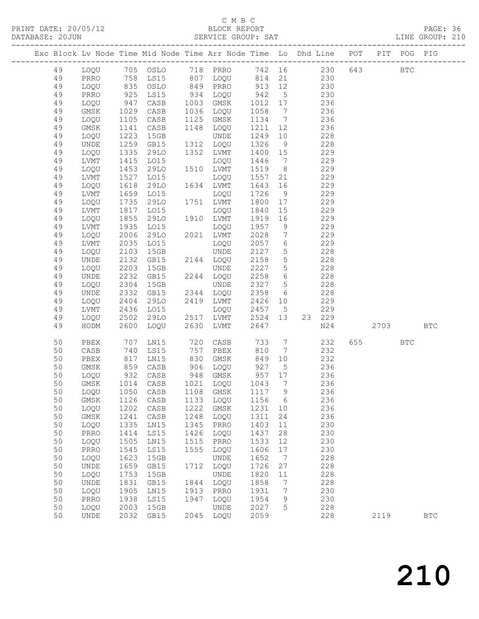| DATABASE: 20JUN |          |                              |              |                                  |              |                      |                   |                                  | SERVICE GROUP: SAT LINE GROUP: 210                                             |         |              |  |
|-----------------|----------|------------------------------|--------------|----------------------------------|--------------|----------------------|-------------------|----------------------------------|--------------------------------------------------------------------------------|---------|--------------|--|
|                 |          |                              |              |                                  |              |                      |                   |                                  | Exc Block Lv Node Time Mid Node Time Arr Node Time Lo Dhd Line POT PIT POG PIG |         |              |  |
|                 | 49       |                              |              |                                  |              |                      |                   |                                  | LOQU 705 OSLO 718 PRRO 742 16 230 643 BTC                                      |         |              |  |
|                 | 49       | PRRO                         |              |                                  |              |                      |                   |                                  | 758 LS15 807 LOQU 814 21 230                                                   |         |              |  |
|                 | 49       | LOQU                         |              |                                  |              |                      |                   |                                  |                                                                                |         |              |  |
|                 | 49       | PRRO                         |              |                                  |              |                      |                   |                                  |                                                                                |         |              |  |
|                 | 49       | LOQU                         |              |                                  |              |                      |                   |                                  | 236                                                                            |         |              |  |
|                 | 49       | GMSK                         | 1029         | CASB                             |              | 1036 LOQU            | 1058              | $\overline{7}$                   | 236                                                                            |         |              |  |
|                 | 49       | LOQU                         | 1105         | CASB                             |              | 1125 GMSK            | 1134              | $7\overline{ }$                  | 236                                                                            |         |              |  |
|                 | 49       | GMSK                         | 1141         | CASB                             |              | 1148 LOQU            | 1211              | 12                               | 236                                                                            |         |              |  |
|                 | 49       | LOQU                         | 1223         | 15GB                             |              | UNDE                 | 1249              | 10                               | 228                                                                            |         |              |  |
|                 | 49       | UNDE                         | 1259         | GB15                             |              | 1312 LOQU            | 1326              | 9                                | 228                                                                            |         |              |  |
|                 | 49       | LOQU                         | 1335         | 29LO                             |              | 1352 LVMT            | 1400 15           |                                  | 229                                                                            |         |              |  |
|                 | 49       | LVMT                         |              | L015                             |              | LOQU                 | 1446              | $\overline{7}$                   | 229                                                                            |         |              |  |
|                 | 49       | LOQU                         | 1415<br>1453 | 29LO                             |              | 1510 LVMT            | 1519              | 8 <sup>8</sup>                   | 229                                                                            |         |              |  |
|                 | 49       | LVMT                         | 1527         | LO15                             |              | LOQU                 | 1557              | 21                               | 229                                                                            |         |              |  |
|                 | 49       | LOQU                         | 1618         | 29LO                             |              | 1634 LVMT            | 1643              | 16                               | 229                                                                            |         |              |  |
|                 | 49       | LVMT                         | 1659<br>1735 | L015                             |              | LOQU                 | 1726              | 9                                | 229                                                                            |         |              |  |
|                 | 49       | LOQU                         |              | 29LO                             |              | 1751 LVMT            | 1800              | 17                               | 229                                                                            |         |              |  |
|                 | 49       | LVMT                         | 1817         | LO15                             |              | LOQU                 | 1840              | 15                               | 229                                                                            |         |              |  |
|                 | 49       | LOQU                         | 1855         | 29LO                             |              | 1910 LVMT            | 1919              | 16                               | 229                                                                            |         |              |  |
|                 | 49       | LVMT                         | 1935         | L015                             |              | LOQU                 | 1957              | 9                                | 229                                                                            |         |              |  |
|                 | 49       | LOQU                         | 2006         | 29LO                             |              | 2021 LVMT            | 2028              | $7\overline{ }$                  | 229                                                                            |         |              |  |
|                 | 49       | LVMT                         | 2035         | LO15                             |              | LOQU                 | 2057              | $6\overline{6}$                  | 229                                                                            |         |              |  |
|                 | 49<br>49 | LOQU                         | 2103<br>2132 | 15GB<br>GB15                     |              | UNDE<br>2144 LOQU    | 2127<br>2158      | 5 <sup>5</sup><br>5 <sup>5</sup> | 228<br>228                                                                     |         |              |  |
|                 | 49       | UNDE<br>LOQU                 | 2203         | 15GB                             |              | UNDE                 | 2227              | 5 <sup>5</sup>                   | 228                                                                            |         |              |  |
|                 | 49       | UNDE                         | 2232         | GB15                             |              | 2244 LOQU            | 2258              | $6\overline{6}$                  | 228                                                                            |         |              |  |
|                 | 49       | LOQU                         | 2304         | 15GB                             |              | UNDE                 | 2327              | $5\overline{)}$                  | 228                                                                            |         |              |  |
|                 | 49       | UNDE                         | 2332         | GB15                             |              | 2344 LOQU            | 2358              | 6                                | 228                                                                            |         |              |  |
|                 | 49       | LOQU                         |              | 29LO                             |              | 2419 LVMT            | 2426 10           |                                  | 229                                                                            |         |              |  |
|                 | 49       | LVMT                         | 2404<br>2436 | LO15                             |              | LOQU                 | 2457 5            |                                  | 229                                                                            |         |              |  |
|                 | 49       | LOQU                         | 2502         | 29LO                             |              | 2517 LVMT            | 2524 13           |                                  | 23 229                                                                         |         |              |  |
|                 | 49       | HODM                         | 2600         | LOQU                             | 2630         | LVMT                 | 2647              |                                  | N24                                                                            | 2703    | <b>BTC</b>   |  |
|                 | 50       | PBEX                         | 707          | LNI5                             |              | 720 CASB             | 733               | $7\overline{ }$                  | 232                                                                            | 655 BTC |              |  |
|                 | 50       | CASB                         | 740          | LS15                             |              | 757 PBEX             | 810               | $7\overline{ }$                  | 232                                                                            |         |              |  |
|                 | 50       | PBEX                         |              | 817 LN15<br>859 CASB<br>932 CASB |              | 830 GMSK             | 849               | 10                               | 232                                                                            |         |              |  |
|                 | 50       | GMSK                         |              |                                  |              | 906 LOQU<br>948 GMSK | 927  5<br>957  17 | 5 <sup>5</sup>                   | 236                                                                            |         |              |  |
|                 | 50       | LOQU                         |              |                                  |              | 948 GMSK             |                   |                                  | 236                                                                            |         |              |  |
|                 | 50       |                              |              |                                  |              |                      |                   |                                  | GMSK 1014 CASB 1021 LOQU 1043 7 236                                            |         |              |  |
|                 | 50       | LOQU                         | 1050         | CASB                             | 1108         | GMSK                 | 1117              | $\overline{9}$                   | 236                                                                            |         |              |  |
|                 | 50       | GMSK                         | 1126         | CASB                             | 1133         | LOQU                 | 1156              | $6\overline{6}$                  | 236                                                                            |         |              |  |
|                 | 50       | LOQU                         | 1202         | CASB                             | 1222         | GMSK                 | 1231              | 10                               | 236                                                                            |         |              |  |
|                 | 50       | GMSK                         | 1241         | CASB                             | 1248         | LOQU                 | 1311              | 24                               | 236                                                                            |         |              |  |
|                 | 50<br>50 | LOQU<br>PRRO                 | 1335<br>1414 | LN15<br>LS15                     | 1345<br>1426 | PRRO<br>LOQU         | 1403<br>1437      | 11<br>28                         | 230<br>230                                                                     |         |              |  |
|                 | 50       | LOQU                         | 1505         | LN15                             | 1515         | PRRO                 | 1533              | 12                               | 230                                                                            |         |              |  |
|                 | 50       | PRRO                         | 1545         | LS15                             | 1555         | LOQU                 | 1606              | 17                               | 230                                                                            |         |              |  |
|                 | 50       | LOQU                         | 1623         | 15GB                             |              | UNDE                 | 1652              | $\overline{7}$                   | 228                                                                            |         |              |  |
|                 | 50       | UNDE                         | 1659         | GB15                             | 1712         | LOQU                 | 1726              | 27                               | 228                                                                            |         |              |  |
|                 | 50       | LOQU                         | 1753         | 15GB                             |              | UNDE                 | 1820              | 11                               | 228                                                                            |         |              |  |
|                 | 50       | $\ensuremath{\mathsf{UNDE}}$ | 1831         | GB15                             | 1844         | LOQU                 | 1858              | $7\phantom{.0}$                  | 228                                                                            |         |              |  |
|                 | 50       | LOQU                         | 1905         | LN15                             | 1913         | PRRO                 | 1931              | 7                                | 230                                                                            |         |              |  |
|                 | 50       | PRRO                         | 1938         | LS15                             | 1947         | LOQU                 | 1954              | 9                                | 230                                                                            |         |              |  |
|                 | 50       | LOQU                         | 2003         | 15GB                             |              | UNDE                 | 2027              | 5                                | 228                                                                            |         |              |  |
|                 | 50       | UNDE                         | 2032         | GB15                             |              | 2045 LOQU            | 2059              |                                  | 228                                                                            | 2119    | $_{\rm BTC}$ |  |
|                 |          |                              |              |                                  |              |                      |                   |                                  |                                                                                |         |              |  |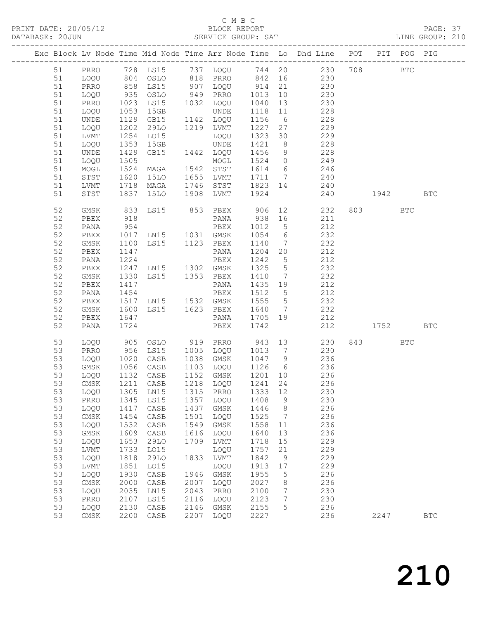| DATABASE: 20JUN |          |              |              |                                               |              |                                                          |                      |                 | SERVICE GROUP: SAT AND LINE GROUP: 210                                                           |          |         |            |
|-----------------|----------|--------------|--------------|-----------------------------------------------|--------------|----------------------------------------------------------|----------------------|-----------------|--------------------------------------------------------------------------------------------------|----------|---------|------------|
|                 |          |              |              |                                               |              |                                                          |                      |                 | Exc Block Lv Node Time Mid Node Time Arr Node Time Lo Dhd Line POT PIT POG PIG                   |          |         |            |
|                 | 51       |              |              |                                               |              |                                                          |                      |                 | PRRO 728 LS15 737 LOQU 744 20 230 708 BTC                                                        |          |         |            |
|                 | 51       |              |              |                                               |              |                                                          |                      |                 | LOQU 804 OSLO 818 PRRO 842 16 230                                                                |          |         |            |
|                 | 51       | PRRO         |              |                                               |              |                                                          |                      |                 | 858 LS15 907 LOQU 914 21 230<br>935 OSLO 949 PRRO 1013 10 230<br>1023 LS15 1032 LOQU 1040 13 230 |          |         |            |
|                 | 51       | LOQU         |              |                                               |              |                                                          |                      |                 |                                                                                                  |          |         |            |
|                 | 51       | PRRO         |              |                                               |              |                                                          |                      |                 |                                                                                                  |          |         |            |
|                 | 51       | LOQU         | 1053         | 15GB                                          |              | UNDE                                                     | 1118 11              |                 | 228                                                                                              |          |         |            |
|                 | 51       | UNDE         |              | 1129 GB15 1142 LOQU                           |              |                                                          | 1156 6               |                 | 228                                                                                              |          |         |            |
|                 | 51       | LOQU         | 1202<br>1254 | 29LO 1219 LVMT                                |              |                                                          | 1227 27              |                 | 229                                                                                              |          |         |            |
|                 | 51       | LVMT         |              | LO15                                          |              | LOQU                                                     |                      |                 | $1323$ 30 229                                                                                    |          |         |            |
|                 | 51       | LOQU         | 1353         | 15GB                                          |              | UNDE                                                     |                      |                 | 1421 8 228                                                                                       |          |         |            |
|                 | 51       | UNDE         | 1429         | GB15 1442 LOQU                                |              |                                                          |                      |                 | 1456 9 228                                                                                       |          |         |            |
|                 | 51       | LOQU         | 1505<br>1524 |                                               |              | MOGL                                                     |                      |                 | 1524 0 249<br>1614 6 246                                                                         |          |         |            |
|                 | 51       | MOGL         |              | MAGA                                          |              | 1542 STST                                                |                      |                 |                                                                                                  |          |         |            |
|                 | 51       | STST         | 1620         |                                               |              |                                                          |                      |                 | 15LO 1655 LVMT 1711 7 240                                                                        |          |         |            |
|                 | 51       | LVMT         | 1718         |                                               |              |                                                          |                      |                 | MAGA 1746 STST 1823 14 240                                                                       |          |         |            |
|                 | 51       | STST         | 1837         | 15LO                                          |              | 1908 LVMT                                                | 1924                 |                 | 240 1942                                                                                         |          |         | <b>BTC</b> |
|                 | 52       | GMSK         | 833          |                                               |              | LS15 853 PBEX 906 12                                     |                      |                 | 232                                                                                              |          | 803 BTC |            |
|                 | 52       | PBEX         | 918          |                                               |              |                                                          |                      |                 | PANA 938 16 211                                                                                  |          |         |            |
|                 | 52       | PANA         | 954<br>1017  |                                               |              | PBEX 1012 5<br>LN15 1031 GMSK 1054 6                     |                      |                 | 212                                                                                              |          |         |            |
|                 | 52       | PBEX         |              |                                               |              |                                                          |                      |                 | 232                                                                                              |          |         |            |
|                 | 52       | GMSK         | 1100         |                                               |              |                                                          |                      |                 | LS15 1123 PBEX 1140 7 232                                                                        |          |         |            |
|                 | 52       | PBEX         |              | 1147 PANA<br>1224 PBEX<br>1247 LN15 1302 GMSK |              | PANA                                                     | 1204 20              |                 | 212                                                                                              |          |         |            |
|                 | 52       | PANA         |              |                                               |              |                                                          | 1242 5               |                 | 212                                                                                              |          |         |            |
|                 | 52       | PBEX         |              |                                               |              |                                                          | 1325 5               |                 | 232                                                                                              |          |         |            |
|                 | 52       | GMSK         | 1330         | LS15 1353 PBEX                                |              |                                                          |                      |                 | 1410 7 232                                                                                       |          |         |            |
|                 | 52       | PBEX         | 1417         |                                               |              | PANA 1435 19                                             |                      |                 | 212                                                                                              |          |         |            |
|                 | 52       | PANA         | 1454         |                                               |              | PBEX                                                     | 1512 5               |                 | 212                                                                                              |          |         |            |
|                 | 52       | PBEX         |              |                                               |              | 1517 LN15 1532 GMSK 1555 5<br>1600 LS15 1623 PBEX 1640 7 |                      |                 | 232<br>232                                                                                       |          |         |            |
|                 | 52       | GMSK         |              |                                               |              |                                                          |                      |                 |                                                                                                  |          |         |            |
|                 | 52<br>52 | PBEX<br>PANA | 1647<br>1724 |                                               |              | PBEX                                                     | 1742                 |                 | PANA 1705 19 212                                                                                 | 212 1752 |         | <b>BTC</b> |
|                 |          |              |              |                                               |              |                                                          |                      |                 |                                                                                                  |          |         |            |
|                 | 53       | LOQU         |              |                                               |              | 905 OSLO 919 PRRO 943 13                                 |                      |                 | 230<br>956 LS15 1005 LOQU 1013 7 230                                                             |          | 843 BTC |            |
|                 | 53       | PRRO         |              |                                               |              |                                                          |                      |                 |                                                                                                  |          |         |            |
|                 | 53       | LOQU<br>GMSK |              | 1020 CASB<br>1056 CASB<br>1132 CASB           |              | CASB 1038 GMSK 1047 9                                    |                      |                 | 236                                                                                              |          |         |            |
|                 | 53<br>53 |              |              | CASB                                          |              | 1152 GMSK                                                | $\overline{1201}$ 10 |                 | 1103 LOQU 1126 6 236<br>1152 GMSK 1201 10 236                                                    |          |         |            |
|                 |          | LOQU         |              |                                               |              |                                                          |                      |                 | 236                                                                                              |          |         |            |
|                 |          |              |              |                                               |              |                                                          |                      |                 | 53 GMSK 1211 CASB 1218 LOQU 1241 24 236<br>230                                                   |          |         |            |
|                 | 53<br>53 | LOQU<br>PRRO | 1305<br>1345 | LN15<br>LS15                                  | 1315<br>1357 | PRRO<br>LOQU                                             | 1333<br>1408         | 12<br>9         | 230                                                                                              |          |         |            |
|                 | 53       | LOQU         | 1417         | CASB                                          | 1437         | GMSK                                                     | 1446                 | 8               | 236                                                                                              |          |         |            |
|                 | 53       | GMSK         | 1454         | CASB                                          | 1501         | LOQU                                                     | 1525                 | $\overline{7}$  | 236                                                                                              |          |         |            |
|                 | 53       | LOQU         | 1532         | CASB                                          | 1549         | GMSK                                                     | 1558                 | 11              | 236                                                                                              |          |         |            |
|                 | 53       | $\rm{GMSK}$  | 1609         | CASB                                          | 1616         | LOQU                                                     | 1640                 | 13              | 236                                                                                              |          |         |            |
|                 | 53       | LOQU         | 1653         | 29LO                                          | 1709         | LVMT                                                     | 1718                 | 15              | 229                                                                                              |          |         |            |
|                 | 53       | LVMT         | 1733         | LO15                                          |              | LOQU                                                     | 1757                 | 21              | 229                                                                                              |          |         |            |
|                 | 53       | LOQU         | 1818         | 29LO                                          | 1833         | LVMT                                                     | 1842                 | $\overline{9}$  | 229                                                                                              |          |         |            |
|                 | 53       | LVMT         | 1851         | LO15                                          |              | LOQU                                                     | 1913                 | 17              | 229                                                                                              |          |         |            |
|                 | 53       | LOQU         | 1930         | CASB                                          | 1946         | GMSK                                                     | 1955                 | 5               | 236                                                                                              |          |         |            |
|                 | 53       | $\rm{GMSK}$  | 2000         | CASB                                          | 2007         | LOQU                                                     | 2027                 | 8               | 236                                                                                              |          |         |            |
|                 | 53       | LOQU         | 2035         | LN15                                          | 2043         | PRRO                                                     | 2100                 | $7\phantom{.0}$ | 230                                                                                              |          |         |            |
|                 | 53       | PRRO         | 2107         | LS15                                          | 2116         | LOQU                                                     | 2123                 | $7\phantom{.0}$ | 230                                                                                              |          |         |            |
|                 | 53       | LOQU         | 2130         | CASB                                          | 2146         | GMSK                                                     | 2155                 | 5               | 236                                                                                              |          |         |            |
|                 | 53       | GMSK         | 2200         | CASB                                          | 2207         | LOQU                                                     | 2227                 |                 | 236                                                                                              |          | 2247    | <b>BTC</b> |
|                 |          |              |              |                                               |              |                                                          |                      |                 |                                                                                                  |          |         |            |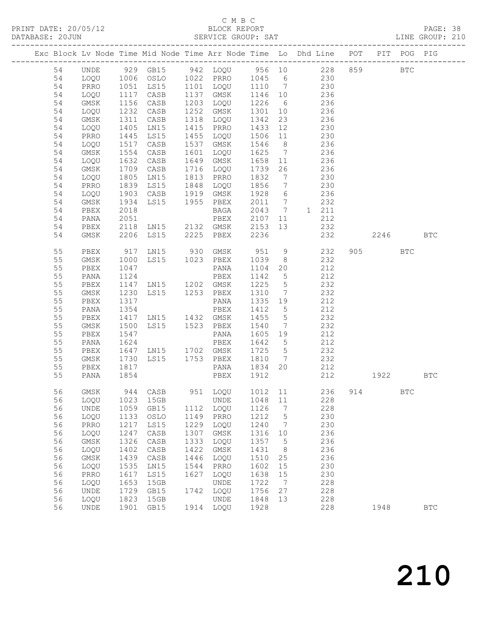| DATABASE: 20JUN |    |                   |              |                                          |      |                     |         |                 | SERVICE GROUP: SAT                                                                                  |     |         |            | LINE GROUP: 210      |  |
|-----------------|----|-------------------|--------------|------------------------------------------|------|---------------------|---------|-----------------|-----------------------------------------------------------------------------------------------------|-----|---------|------------|----------------------|--|
|                 |    | ----------------- |              |                                          |      |                     |         |                 | Exc Block Lv Node Time Mid Node Time Arr Node Time Lo Dhd Line POT PIT POG PIG                      |     |         |            |                      |  |
|                 | 54 | UNDE              |              |                                          |      |                     |         |                 | 929 GB15 942 LOQU 956 10 228 859 BTC                                                                |     |         |            |                      |  |
|                 | 54 | LOQU              |              |                                          |      |                     |         |                 | 1006 OSLO 1022 PRRO 1045 6 230                                                                      |     |         |            |                      |  |
|                 | 54 | PRRO              |              |                                          |      |                     |         |                 | 1051 LS15 1101 LOQU 1110 7 230<br>1117 CASB 1137 GMSK 1146 10 236<br>1156 CASB 1203 LOQU 1226 6 236 |     |         |            |                      |  |
|                 | 54 | LOQU              |              |                                          |      |                     |         |                 |                                                                                                     |     |         |            |                      |  |
|                 | 54 | GMSK              |              |                                          |      |                     |         |                 |                                                                                                     |     |         |            |                      |  |
|                 | 54 | LOQU              | 1232         | CASB                                     |      | 1252 GMSK           |         |                 | 1301 10 236                                                                                         |     |         |            |                      |  |
|                 | 54 | GMSK              | 1311         | CASB                                     |      | 1318 LOQU           | 1342    | 23              | 236                                                                                                 |     |         |            |                      |  |
|                 | 54 | LOQU              |              | LNI5                                     |      |                     |         |                 |                                                                                                     |     |         |            |                      |  |
|                 | 54 | PRRO              | 1405<br>1445 | LS15                                     |      |                     |         |                 | 1415 PRRO 1433 12 230<br>1455 LOQU 1506 11 230                                                      |     |         |            |                      |  |
|                 | 54 | LOQU              | 1517         | CASB                                     |      | 1537 GMSK           |         |                 | 1546 8 236                                                                                          |     |         |            |                      |  |
|                 | 54 | GMSK              | 1554         | CASB                                     |      | 1601 LOQU           |         |                 | 1625 7 236                                                                                          |     |         |            |                      |  |
|                 | 54 | LOQU              |              | CASB                                     |      | 1649 GMSK           |         |                 |                                                                                                     |     |         |            |                      |  |
|                 | 54 | GMSK              | 1632<br>1709 | CASB                                     |      | $1716$ LOQU $1739$  |         |                 | 1658 11 236<br>1739 26 236                                                                          |     |         |            |                      |  |
|                 | 54 | LOQU              | 1805         | LNI5                                     |      | 1813 PRRO 1832      |         | $7\overline{ }$ | 230                                                                                                 |     |         |            |                      |  |
|                 | 54 | PRRO              | 1839         | LS15                                     |      | 1848 LOQU 1856      |         | $7\overline{)}$ | 230                                                                                                 |     |         |            |                      |  |
|                 | 54 | LOQU              |              |                                          |      |                     |         |                 |                                                                                                     |     |         |            |                      |  |
|                 | 54 | GMSK              | 1903<br>1934 | CASB 1919 GMSK<br>LS15 1955 PBEX<br>BAGA |      |                     |         |                 | 1928 6 236<br>2011 7 232                                                                            |     |         |            |                      |  |
|                 | 54 | PBEX              | 2018         |                                          |      |                     |         |                 | BAGA 2043 7 1 211                                                                                   |     |         |            |                      |  |
|                 | 54 | PANA              | 2051         |                                          |      | PBEX                | 2107    |                 | 11<br>212                                                                                           |     |         |            |                      |  |
|                 | 54 | PBEX              | 2118         |                                          |      |                     |         |                 |                                                                                                     |     |         |            |                      |  |
|                 | 54 | GMSK              |              |                                          |      |                     |         |                 | 2118 LN15 2132 GMSK 2153 13 232<br>2206 LS15 2225 PBEX 2236 232<br>232                              |     | 2246    |            | <b>BTC</b>           |  |
|                 | 55 | PBEX              |              |                                          |      |                     |         |                 | 917 LN15 930 GMSK 951 9 232                                                                         |     | 905 700 | <b>BTC</b> |                      |  |
|                 | 55 | GMSK              | 1000         | LS15 1023 PBEX                           |      |                     | 1039    | 8 <sup>1</sup>  | 232                                                                                                 |     |         |            |                      |  |
|                 | 55 | PBEX              | 1047         |                                          |      | PANA                | 1104    | 20              | 212                                                                                                 |     |         |            |                      |  |
|                 | 55 | PANA              | 1124         |                                          |      | PBEX                | 1142 5  |                 | 212                                                                                                 |     |         |            |                      |  |
|                 | 55 | PBEX              |              | 1147 LN15 1202 GMSK                      |      |                     | 1225    | $5\overline{)}$ | 232                                                                                                 |     |         |            |                      |  |
|                 | 55 | GMSK              | 1230         | LS15 1253 PBEX                           |      |                     | 1310    | $7\overline{ }$ | 232                                                                                                 |     |         |            |                      |  |
|                 | 55 | PBEX              | 1317         |                                          |      | PANA                | 1335 19 |                 | 212                                                                                                 |     |         |            |                      |  |
|                 | 55 | PANA              | 1354         |                                          |      | PBEX                | 1412 5  |                 | 212                                                                                                 |     |         |            |                      |  |
|                 | 55 | PBEX              | 1417         | LN15 1432 GMSK                           |      |                     | 1455    | 5 <sup>5</sup>  | 232                                                                                                 |     |         |            |                      |  |
|                 | 55 | GMSK              | 1500         | LS15 1523 PBEX                           |      |                     | 1540    |                 | 7 232                                                                                               |     |         |            |                      |  |
|                 | 55 | PBEX              | 1547         |                                          |      | PANA                | 1605 19 |                 | 212                                                                                                 |     |         |            |                      |  |
|                 | 55 | PANA              | 1624         |                                          |      | PBEX                | 1642 5  |                 | 212                                                                                                 |     |         |            |                      |  |
|                 | 55 | PBEX              |              | 1647 LN15 1702 GMSK 1725 5               |      |                     |         |                 | 232                                                                                                 |     |         |            |                      |  |
|                 | 55 | GMSK              | 1730         |                                          |      | LS15 1753 PBEX 1810 |         | $\overline{7}$  | 232                                                                                                 |     |         |            |                      |  |
|                 | 55 | PBEX              | 1817<br>1854 |                                          |      | PANA                | 1834 20 |                 | 212                                                                                                 |     |         |            |                      |  |
|                 | 55 | PANA              |              |                                          |      | PBEX 1912           |         |                 | 212                                                                                                 |     | 1922    |            | BTC                  |  |
|                 | 56 | GMSK              | 944          | CASB                                     | 951  | LOQU                | 1012    | 11              | 236                                                                                                 | 914 |         | BTC        |                      |  |
|                 | 56 | LOQU              | 1023         | 15GB                                     |      | UNDE                | 1048    | $11\,$          | 228                                                                                                 |     |         |            |                      |  |
|                 | 56 | UNDE              | 1059         | GB15                                     | 1112 | LOQU                | 1126    | 7               | 228                                                                                                 |     |         |            |                      |  |
|                 | 56 | LOQU              | 1133         | OSLO                                     | 1149 | PRRO                | 1212    | 5               | 230                                                                                                 |     |         |            |                      |  |
|                 | 56 | PRRO              | 1217         | LS15                                     | 1229 | LOQU                | 1240    | 7               | 230                                                                                                 |     |         |            |                      |  |
|                 | 56 | LOQU              | 1247         | CASB                                     | 1307 | $\rm{GMSK}$         | 1316    | 10              | 236                                                                                                 |     |         |            |                      |  |
|                 | 56 | GMSK              | 1326         | $\mathtt{CASE}$                          | 1333 | LOQU                | 1357    | 5               | 236                                                                                                 |     |         |            |                      |  |
|                 | 56 | LOQU              | 1402         | $\mathtt{CASE}$                          | 1422 | GMSK                | 1431    | 8               | 236                                                                                                 |     |         |            |                      |  |
|                 | 56 | GMSK              | 1439         | CASB                                     | 1446 | LOQU                | 1510    | 25              | 236                                                                                                 |     |         |            |                      |  |
|                 | 56 | LOQU              | 1535         | LN15                                     | 1544 | PRRO                | 1602    | 15              | 230                                                                                                 |     |         |            |                      |  |
|                 | 56 | PRRO              | 1617         | LS15                                     | 1627 | LOQU                | 1638    | 15              | 230                                                                                                 |     |         |            |                      |  |
|                 | 56 | LOQU              | 1653         | 15GB                                     |      | <b>UNDE</b>         | 1722    | 7               | 228                                                                                                 |     |         |            |                      |  |
|                 | 56 | UNDE              | 1729         | GB15                                     | 1742 | LOQU                | 1756    | 27              | 228                                                                                                 |     |         |            |                      |  |
|                 | 56 | LOQU              | 1823         | 15GB                                     |      | UNDE                | 1848    | 13              | 228                                                                                                 |     |         |            |                      |  |
|                 | 56 | UNDE              | 1901         | GB15                                     | 1914 | LOQU                | 1928    |                 | 228                                                                                                 |     | 1948    |            | $\operatorname{BTC}$ |  |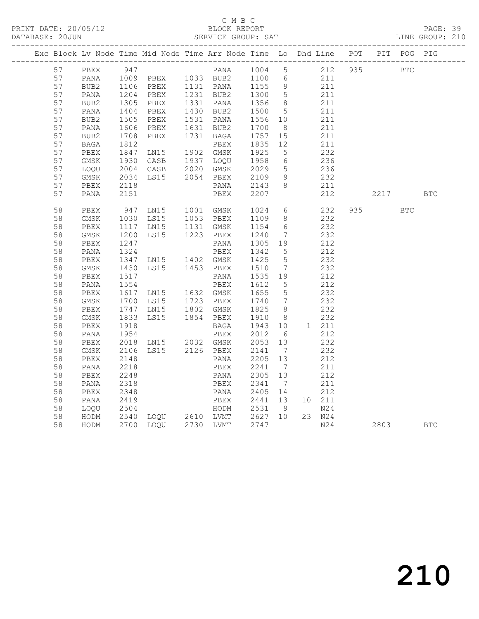#### C M B C<br>BLOCK REPORT

PAGE: 39<br>LINE GROUP: 210

|  | 57       | PBEX         | 947          |                                            |                                                                                        |                  |                 | 212 935 BTC                               |      |            |            |
|--|----------|--------------|--------------|--------------------------------------------|----------------------------------------------------------------------------------------|------------------|-----------------|-------------------------------------------|------|------------|------------|
|  | 57       | PANA         |              |                                            |                                                                                        |                  |                 |                                           |      |            |            |
|  | 57       | BUB2         |              |                                            |                                                                                        |                  |                 | $\begin{array}{c} 211 \\ 211 \end{array}$ |      |            |            |
|  | 57       | PANA         |              |                                            |                                                                                        |                  |                 | 211                                       |      |            |            |
|  | 57       | BUB2         |              |                                            |                                                                                        |                  |                 | 211                                       |      |            |            |
|  | 57       | PANA         |              |                                            | 1204 PBEX 1231 BUB2 1300 5<br>1305 PBEX 1331 PANA 1356 8<br>1404 PBEX 1430 BUB2 1500 5 |                  |                 | 211                                       |      |            |            |
|  | 57       | BUB2         |              | PBEX                                       | 1531 PANA                                                                              | 1556 10          |                 | 211                                       |      |            |            |
|  | 57       | PANA         | 1505<br>1606 | PBEX                                       | 1631 BUB2                                                                              | 1700             | 8 <sup>8</sup>  | 211                                       |      |            |            |
|  | 57       | BUB2         | 1708         | PBEX                                       | 1731 BAGA                                                                              | 1757 15          |                 | 211                                       |      |            |            |
|  | 57       | BAGA         | 1708<br>1812 |                                            | PBEX                                                                                   | 1835 12          |                 | 211                                       |      |            |            |
|  | 57       | PBEX         | 1847         | LN15 1902 GMSK<br>CASB 1937 LOQU           |                                                                                        | 1925             | $5\overline{)}$ | 232                                       |      |            |            |
|  | 57       | GMSK         | 1930         |                                            |                                                                                        | 1958             | $6\overline{6}$ | 236                                       |      |            |            |
|  | 57       | LOQU         |              |                                            |                                                                                        | 2029             | $5\overline{)}$ | 236                                       |      |            |            |
|  | 57       | GMSK         |              | 2004 CASB 2020 GMSK<br>2034 LS15 2054 PBEX | PBEX 2109<br>PANA 2143                                                                 |                  | 9               | 232                                       |      |            |            |
|  | 57       | PBEX         | 2118         |                                            |                                                                                        |                  | 8 <sup>8</sup>  | 211                                       |      |            |            |
|  | 57       | PANA         | 2151         |                                            | PBEX                                                                                   | 2207             |                 | 212                                       | 2217 |            | BTC        |
|  | 58       | PBEX         |              |                                            |                                                                                        |                  |                 | 232                                       |      | <b>BTC</b> |            |
|  | 58       | GMSK         |              | 947 LN15 1001 GMSK<br>1030 LS15 1053 PBEX  |                                                                                        | 1024 6<br>1109 8 |                 | 232                                       |      |            |            |
|  | 58       | PBEX         |              | 1117 LN15 1131 GMSK                        |                                                                                        | 1154             | 6               | 232                                       |      |            |            |
|  | 58       | GMSK         | 1200         | LS15                                       | 1223 PBEX                                                                              | 1240             | $\overline{7}$  | 232                                       |      |            |            |
|  | 58       | PBEX         | 1247         |                                            | PANA                                                                                   | 1305 19          |                 | 212                                       |      |            |            |
|  | 58       | PANA         | 1324         |                                            |                                                                                        | 1342<br>1425     | $5^{\circ}$     | 212                                       |      |            |            |
|  | 58       | PBEX         |              |                                            |                                                                                        |                  | $5\overline{)}$ | 232                                       |      |            |            |
|  | 58       | $\rm{GMSK}$  | 1430         | LS15 1453 PBEX                             |                                                                                        | 1510             | $\overline{7}$  | 232                                       |      |            |            |
|  | 58       | PBEX         | 1517         |                                            | PANA                                                                                   | 1535 19          |                 | 212                                       |      |            |            |
|  | 58       | PANA         | 1554         |                                            | PBEX                                                                                   | 1612             | $5^{\circ}$     | 212                                       |      |            |            |
|  | 58       | PBEX         | 1617         | LN15 1632 GMSK<br>LS15 1723 PBEX           |                                                                                        | 1655 5<br>1740 7 |                 | 232                                       |      |            |            |
|  | 58       | GMSK         | 1700         |                                            |                                                                                        |                  |                 | 232                                       |      |            |            |
|  | 58       | PBEX         | 1747<br>1833 | LNI5                                       | 1802 GMSK<br>1854 PBEX                                                                 | 1825<br>1910     | 8 <sup>8</sup>  | 232                                       |      |            |            |
|  | 58       | GMSK         |              | LS15                                       |                                                                                        |                  | 8 <sup>1</sup>  | 232                                       |      |            |            |
|  | 58<br>58 | PBEX         | 1918<br>1954 |                                            | BAGA<br>PBEX                                                                           | 1943 10<br>2012  | 6               | 1 211<br>212                              |      |            |            |
|  |          | PANA         |              | 2018 LN15 2032 GMSK                        |                                                                                        | $2053$ 13        |                 |                                           |      |            |            |
|  | 58<br>58 | PBEX<br>GMSK | 2106         | LS15 2126 PBEX                             |                                                                                        | 2141             | $\overline{7}$  | 232<br>232                                |      |            |            |
|  | 58       | PBEX         | 2148         |                                            | PANA                                                                                   | 2205 13          |                 | 212                                       |      |            |            |
|  | 58       | PANA         | 2218         |                                            | PBEX                                                                                   | 2241             | $\overline{7}$  | 211                                       |      |            |            |
|  | 58       | PBEX         | 2248         |                                            | PANA                                                                                   | 2305 13          |                 | 212                                       |      |            |            |
|  | 58       | PANA         | 2318         |                                            | PBEX                                                                                   | 2341             | $\overline{7}$  | 211                                       |      |            |            |
|  | 58       | PBEX         | 2348         |                                            | PANA                                                                                   | 2405 14          |                 | 212                                       |      |            |            |
|  | 58       | PANA         | 2419         |                                            | PBEX                                                                                   | 2441 13          |                 | 10 211                                    |      |            |            |
|  | 58       | LOQU         |              |                                            |                                                                                        |                  |                 | N24                                       |      |            |            |
|  | 58       | HODM         |              |                                            |                                                                                        |                  |                 | 23 N24                                    |      |            |            |
|  | 58       | HODM         |              |                                            | 2700 LOQU 2730 LVMT 2747                                                               |                  |                 | N24                                       | 2803 |            | <b>BTC</b> |
|  |          |              |              |                                            |                                                                                        |                  |                 |                                           |      |            |            |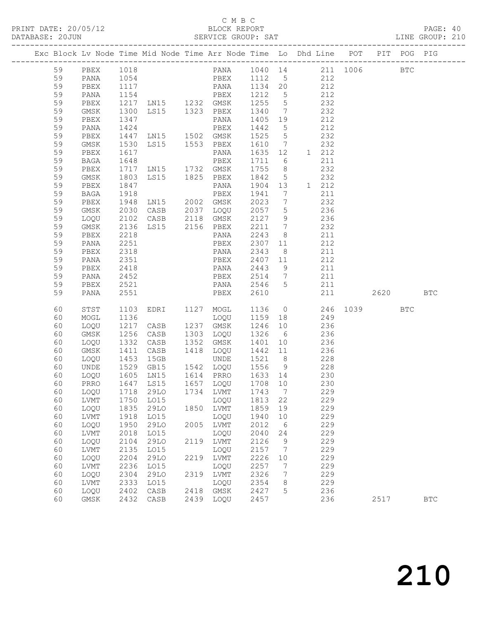| DATABASE: 20JUN |          |              |                  |                                                                                                |      |                                                       |              |                      |                                           |            |          |     | LINE GROUP: 210 |  |
|-----------------|----------|--------------|------------------|------------------------------------------------------------------------------------------------|------|-------------------------------------------------------|--------------|----------------------|-------------------------------------------|------------|----------|-----|-----------------|--|
|                 |          |              |                  | Exc Block Lv Node Time Mid Node Time Arr Node Time Lo Dhd Line POT PIT POG PIG                 |      |                                                       |              |                      |                                           |            |          |     |                 |  |
|                 | 59       |              |                  | PBEX 1018  PANA 1040 14  211 1006  BTC                                                         |      |                                                       |              |                      |                                           |            |          |     |                 |  |
|                 | 59       | PANA         |                  | 1054   PBEX   1112   5   212                                                                   |      |                                                       |              |                      |                                           |            |          |     |                 |  |
|                 | 59       | PBEX         |                  |                                                                                                |      |                                                       |              |                      |                                           |            |          |     |                 |  |
|                 | 59       | PANA         |                  |                                                                                                |      |                                                       |              |                      |                                           |            |          |     |                 |  |
|                 | 59       | PBEX         |                  |                                                                                                |      |                                                       |              |                      |                                           |            |          |     |                 |  |
|                 | 59       | GMSK         | 1300             |                                                                                                |      | LS15 1323 PBEX 1340 7 232                             |              |                      |                                           |            |          |     |                 |  |
|                 | 59       | PBEX         | 1347             |                                                                                                |      | PANA                                                  |              |                      | 1405 19 212                               |            |          |     |                 |  |
|                 | 59       | PANA         |                  |                                                                                                |      |                                                       |              |                      | 212                                       |            |          |     |                 |  |
|                 | 59       | PBEX         |                  |                                                                                                |      |                                                       |              |                      | 232                                       |            |          |     |                 |  |
|                 | 59       | GMSK         | 1530             |                                                                                                |      | LS15 1553 PBEX 1610 7 232                             |              |                      |                                           |            |          |     |                 |  |
|                 | 59       | PBEX         | 1617             |                                                                                                |      | PANA                                                  |              |                      | 1635 12 1 212                             |            |          |     |                 |  |
|                 | 59       | BAGA         |                  |                                                                                                |      |                                                       |              |                      | 211                                       |            |          |     |                 |  |
|                 | 59       | PBEX         |                  |                                                                                                |      |                                                       |              |                      | 232                                       |            |          |     |                 |  |
|                 | 59       | GMSK         | 1803             |                                                                                                |      | LS15 1825 PBEX 1842 5 232                             |              |                      |                                           |            |          |     |                 |  |
|                 | 59       | PBEX         | 1847             |                                                                                                |      | PANA 1904 13 1 212                                    |              |                      |                                           |            |          |     |                 |  |
|                 | 59       | BAGA         |                  | PANA 1904 13<br>PBEX 1941 7<br>LN15 2002 GMSK 2023 7                                           |      |                                                       |              |                      |                                           | 211        |          |     |                 |  |
|                 | 59       | PBEX         | 1918<br>1948     |                                                                                                |      |                                                       |              |                      | 232                                       |            |          |     |                 |  |
|                 | 59       | GMSK         | 2030             |                                                                                                |      | CASB 2037 LOQU 2057 5                                 |              |                      | 236                                       |            |          |     |                 |  |
|                 | 59       | LOQU         | 2102             |                                                                                                |      | CASB 2118 GMSK                                        | 2127 9       |                      | 236                                       |            |          |     |                 |  |
|                 | 59       | GMSK         | 2136<br>2218     |                                                                                                |      | LS15 2156 PBEX 2211 7                                 |              |                      |                                           |            |          |     |                 |  |
|                 | 59       | PBEX         | 2218             |                                                                                                |      | PANA                                                  | 2243 8       |                      | $\begin{array}{c} 232 \\ 211 \end{array}$ |            |          |     |                 |  |
|                 | 59       | PANA         | 2251             |                                                                                                |      | PBEX                                                  |              |                      | 2307 11 212                               |            |          |     |                 |  |
|                 | 59       | PBEX         | 2318             |                                                                                                |      | PANA                                                  | 2343         |                      | 8 211                                     |            |          |     |                 |  |
|                 | 59       | PANA         | 2351             |                                                                                                |      | PBEX 2407 11 212                                      |              |                      |                                           |            |          |     |                 |  |
|                 | 59       | PBEX         | 2418             |                                                                                                |      | PANA                                                  | 2443 9       |                      | 211                                       |            |          |     |                 |  |
|                 | 59       | PANA         | $\frac{-}{2452}$ |                                                                                                |      | PBEX 2514 7 211                                       |              |                      |                                           |            |          |     |                 |  |
|                 | 59       | PBEX         | 2521             |                                                                                                |      | PANA 2546 5 211                                       |              |                      |                                           |            |          |     |                 |  |
|                 | 59       | PANA         | 2551             |                                                                                                |      | <b>PBEX</b>                                           | 2610         |                      |                                           | 211        | 2620 BTC |     |                 |  |
|                 | 60       | STST         |                  | 1103 EDRI 1127 MOGL 1136 0                                                                     |      |                                                       |              |                      |                                           |            | 246 1039 | BTC |                 |  |
|                 | 60       | MOGL         | 1136             |                                                                                                |      | LOQU 1159 18 249                                      |              |                      |                                           |            |          |     |                 |  |
|                 | 60       | LOQU         | 1217             | CASB 1237 GMSK                                                                                 |      |                                                       | 1246 10      |                      | 236                                       |            |          |     |                 |  |
|                 | 60       | GMSK         |                  | 1256 CASB<br>1332 CASB<br>CASB 1303 LOQU                                                       |      | 1303  LOQU     1326    6<br>1352   GMSK     1401   10 |              |                      | 236                                       |            |          |     |                 |  |
|                 | 60       | LOQU         |                  |                                                                                                |      |                                                       |              |                      | 236                                       |            |          |     |                 |  |
|                 | 60       | GMSK         | 1411             |                                                                                                |      | CASB 1418 LOQU 1442 11 236                            |              |                      |                                           |            |          |     |                 |  |
|                 | 60       | LOQU         |                  |                                                                                                |      |                                                       |              |                      |                                           |            |          |     |                 |  |
|                 | 60       | UNDE         |                  | 1453 15GB UNDE 1521 8 228<br>1529 GB15 1542 LOQU 1556 9 228<br>1605 LN15 1614 PRRO 1633 14 230 |      |                                                       |              |                      |                                           |            |          |     |                 |  |
|                 | 60       | LOQU         |                  |                                                                                                |      |                                                       |              |                      |                                           |            |          |     |                 |  |
|                 |          |              |                  | 60 PRRO 1647 LS15 1657 LOQU 1708 10 230                                                        |      |                                                       |              |                      |                                           |            |          |     |                 |  |
|                 | 60       | LOQU         | 1718             | 29LO                                                                                           |      | 1734 LVMT                                             | 1743         | $\overline{7}$       |                                           | 229        |          |     |                 |  |
|                 | 60       | LVMT         | 1750             | L015                                                                                           |      | LOQU                                                  | 1813         | 22                   |                                           | 229        |          |     |                 |  |
|                 | 60       | LOQU         | 1835             | 29LO                                                                                           |      | 1850 LVMT                                             | 1859         | 19                   |                                           | 229        |          |     |                 |  |
|                 | 60       | LVMT         | 1918             | L015                                                                                           |      | LOQU                                                  | 1940         | 10                   |                                           | 229        |          |     |                 |  |
|                 | 60       | LOQU         | 1950             | 29LO                                                                                           | 2005 | LVMT                                                  | 2012         | 6                    |                                           | 229        |          |     |                 |  |
|                 | 60       | LVMT         | 2018             | L015                                                                                           |      | LOQU                                                  | 2040         | 24                   |                                           | 229        |          |     |                 |  |
|                 | 60       | LOQU         | 2104             | 29LO                                                                                           |      | 2119 LVMT                                             | 2126         | 9                    |                                           | 229        |          |     |                 |  |
|                 | 60       | LVMT         | 2135             | LO15                                                                                           |      | LOQU                                                  | 2157         | $\overline{7}$       |                                           | 229        |          |     |                 |  |
|                 | 60       | LOQU         | 2204             | 29LO                                                                                           | 2219 | LVMT                                                  | 2226         | 10                   |                                           | 229        |          |     |                 |  |
|                 | 60<br>60 | LVMT<br>LOQU | 2236<br>2304     | LO15<br>29LO                                                                                   | 2319 | LOQU<br>LVMT                                          | 2257<br>2326 | 7<br>$7\phantom{.0}$ |                                           | 229<br>229 |          |     |                 |  |
|                 | 60       | ${\rm LVMT}$ | 2333             | LO15                                                                                           |      | LOQU                                                  | 2354         | 8                    |                                           | 229        |          |     |                 |  |
|                 | 60       | LOQU         | 2402             | CASB                                                                                           | 2418 | GMSK                                                  | 2427         | 5                    |                                           | 236        |          |     |                 |  |
|                 | 60       | GMSK         | 2432             | CASB                                                                                           | 2439 | LOQU                                                  | 2457         |                      |                                           | 236        | 2517     |     | <b>BTC</b>      |  |
|                 |          |              |                  |                                                                                                |      |                                                       |              |                      |                                           |            |          |     |                 |  |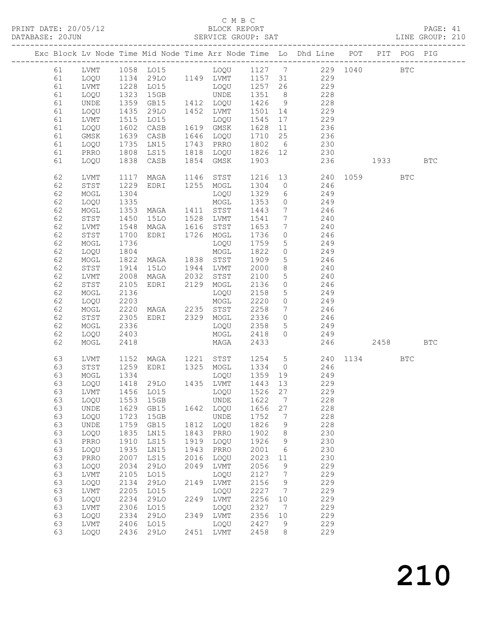PRINT DATE: 20/05/12 BLOCK REPORT<br>DATABASE: 20JUN BATABASE: 2010

#### C M B C<br>BLOCK REPORT

PAGE: 41<br>LINE GROUP: 210

|  |          |              |                      |                                  |      |                             |              |                 | Exc Block Lv Node Time Mid Node Time Arr Node Time Lo Dhd Line POT PIT POG PIG |      |              |            |
|--|----------|--------------|----------------------|----------------------------------|------|-----------------------------|--------------|-----------------|--------------------------------------------------------------------------------|------|--------------|------------|
|  | 61       | LVMT         |                      |                                  |      |                             |              |                 | 1058 LO15 LOQU 1127 7 229 1040                                                 |      | $_{\rm BTC}$ |            |
|  | 61       | LOQU         |                      |                                  |      |                             |              |                 | 1134 29LO 1149 LVMT 1157 31 229                                                |      |              |            |
|  | 61       | LVMT         |                      | LO15                             |      |                             |              |                 | 229                                                                            |      |              |            |
|  | 61       | LOQU         | 1228<br>1323         | 15GB                             |      | LOQU 1257 26<br>UNDE 1351 8 |              |                 | 228                                                                            |      |              |            |
|  | 61       | UNDE         | 1359                 | GB15                             |      | 1412 LOQU 1426 9            |              |                 | 228                                                                            |      |              |            |
|  | 61       | LOQU         | 1435                 | 29LO                             |      | 1452 LVMT                   | 1501 14      |                 | 229                                                                            |      |              |            |
|  | 61       | LVMT         |                      | LO15                             |      | LOQU                        | 1545         | 17              | 229                                                                            |      |              |            |
|  | 61       | LOQU         | 1515<br>1602<br>1602 | CASB                             |      | 1619 GMSK                   | 1628         | 11              | 236                                                                            |      |              |            |
|  | 61       | GMSK         | 1639                 | CASB                             |      | 1646 LOQU                   | 1710         | 25              | 236                                                                            |      |              |            |
|  | 61       | LOQU         | 1735                 | LN15                             |      | 1743 PRRO                   |              |                 | 1802 6 230                                                                     |      |              |            |
|  | 61       | PRRO         | 1808                 | LS15                             |      | 1818 LOQU                   |              |                 | 1826 12 230                                                                    |      |              |            |
|  | 61       | LOQU         | 1838                 | CASB                             |      | 1854 GMSK                   | 1903         |                 | 236                                                                            | 1933 |              | <b>BTC</b> |
|  |          |              |                      |                                  |      |                             |              |                 |                                                                                |      |              |            |
|  | 62       | <b>LVMT</b>  | 1117                 | MAGA                             |      | 1146 STST                   |              |                 | 1216 13 240 1059                                                               |      | <b>BTC</b>   |            |
|  | 62       | STST         | 1229                 | EDRI 1255 MOGL                   |      |                             | 1304         |                 | $0$ 246                                                                        |      |              |            |
|  | 62       | MOGL         | 1304                 |                                  |      | LOQU                        | 1329         | 6               | 249                                                                            |      |              |            |
|  | 62       | LOQU         | 1335                 |                                  |      | MOGL                        | 1353         | $\overline{0}$  | $\frac{1}{249}$                                                                |      |              |            |
|  | 62       | MOGL         | 1353                 | MAGA 1411 STST                   |      |                             | 1443         | $7\overline{ }$ | 246                                                                            |      |              |            |
|  | 62       | STST         | 1450                 | 15LO                             |      | 1528 LVMT                   | 1541         | $7\phantom{.0}$ | 240                                                                            |      |              |            |
|  | 62       | LVMT         | 1548                 | MAGA                             |      | 1616 STST                   | 1653         | $7\overline{ }$ | 240                                                                            |      |              |            |
|  | 62       | STST         | 1700                 | EDRI 1726 MOGL                   |      |                             | 1736         | $\circ$         | 246                                                                            |      |              |            |
|  | 62       | MOGL         | 1736                 |                                  |      | LOQU                        | 1759         | 5 <sup>5</sup>  | 249                                                                            |      |              |            |
|  | 62       | LOQU         | 1804                 |                                  |      | MOGL                        | 1822         | $\circ$         | 249                                                                            |      |              |            |
|  | 62       | MOGL         | 1822                 | MAGA 1838 STST                   |      |                             | 1909         | 5 <sup>5</sup>  | $\begin{array}{c} 15 \\ 246 \end{array}$                                       |      |              |            |
|  | 62       | STST         | 1914                 | 15LO                             |      | 1944 LVMT                   | 2000         | 8               | 240                                                                            |      |              |            |
|  | 62       | LVMT         | 2008                 | MAGA                             | 2032 | STST                        | 2100         | $5\overline{)}$ | 240                                                                            |      |              |            |
|  | 62       | STST         | 2105                 | EDRI 2129                        |      | MOGL                        | 2136         | $\circ$         | 246                                                                            |      |              |            |
|  | 62       | MOGL         | 2136                 |                                  |      | LOQU                        | 2158         | 5 <sup>5</sup>  | 249                                                                            |      |              |            |
|  | 62       | LOQU         | 2203                 |                                  |      | MOGL                        | 2220         | $\overline{O}$  | 249                                                                            |      |              |            |
|  | 62       | MOGL         | 2220                 | MAGA 2235 STST                   |      |                             | 2258         |                 | $7 \qquad \qquad 246$                                                          |      |              |            |
|  | 62       | STST         | 2305                 | EDRI 2329                        |      | MOGL                        | 2336         |                 | $0 \qquad \qquad 246$                                                          |      |              |            |
|  | 62       | MOGL         | 2336                 |                                  |      | LOQU                        | 2358         | 5 <sup>5</sup>  | 249                                                                            |      |              |            |
|  | 62       | LOQU         | 2403                 |                                  |      | MOGL                        | 2418         | $\Omega$        | 249                                                                            |      |              |            |
|  | 62       | MOGL         | 2418                 |                                  |      | MAGA                        | 2433         |                 | 246                                                                            | 2458 |              | <b>BTC</b> |
|  | 63       | LVMT         | 1152                 | MAGA 1221 STST<br>EDRI 1325 MOGL |      |                             |              |                 | 1254 5 240 1134                                                                |      | <b>BTC</b>   |            |
|  | 63       | STST         | 1259                 |                                  |      |                             | 1334         | $\overline{0}$  | 246                                                                            |      |              |            |
|  | 63       | MOGL         | 1334                 |                                  |      | LOQU 1359 19                |              |                 | 249                                                                            |      |              |            |
|  | 63       | LOQU         |                      | 1418  29LO  1435  LVMT           |      |                             | 1443 13      |                 | 229                                                                            |      |              |            |
|  | 63       | LVMT         | 1456                 | LO15                             |      | LOQU                        | 1526 27      |                 | 229                                                                            |      |              |            |
|  | 63       | LOQU         | 1553                 | 15GB                             |      | UNDE                        | 1622         | 7               | 228                                                                            |      |              |            |
|  | 63       | UNDE         | 1629                 | GB15                             | 1642 | LOQU                        | 1656         | 27              | 228                                                                            |      |              |            |
|  | 63       | LOQU         | 1723                 | 15GB                             |      | <b>UNDE</b>                 | 1752         | 7               | 228                                                                            |      |              |            |
|  | 63       | UNDE         | 1759                 | GB15                             | 1812 | LOQU                        | 1826         | 9               | 228                                                                            |      |              |            |
|  | 63       | LOQU         | 1835                 | LN15                             | 1843 | PRRO                        | 1902         | 8               | 230                                                                            |      |              |            |
|  | 63       | PRRO         | 1910                 | LS15                             | 1919 | LOQU                        | 1926         | 9               | 230                                                                            |      |              |            |
|  | 63       | LOQU         | 1935                 | LN15                             | 1943 | PRRO                        | 2001         | 6               | 230                                                                            |      |              |            |
|  | 63       | PRRO         | 2007                 | LS15                             | 2016 | LOQU                        | 2023         | 11              | 230                                                                            |      |              |            |
|  | 63       | LOQU         | 2034                 | <b>29LO</b>                      | 2049 | LVMT                        | 2056         | 9               | 229                                                                            |      |              |            |
|  | 63       | LVMT         | 2105                 | L015                             |      | LOQU                        | 2127         | 7               | 229                                                                            |      |              |            |
|  | 63       | LOQU         | 2134                 | <b>29LO</b>                      | 2149 | <b>LVMT</b>                 | 2156         | 9               | 229                                                                            |      |              |            |
|  | 63<br>63 | LVMT         | 2205                 | L015                             |      | LOQU                        | 2227         | 7               | 229<br>229                                                                     |      |              |            |
|  | 63       | LOQU         | 2234<br>2306         | <b>29LO</b><br>L015              | 2249 | LVMT                        | 2256<br>2327 | $10$<br>7       | 229                                                                            |      |              |            |
|  | 63       | LVMT<br>LOQU | 2334                 | <b>29LO</b>                      | 2349 | LOQU<br>LVMT                | 2356         | $10$            | 229                                                                            |      |              |            |
|  | 63       | LVMT         | 2406                 | L015                             |      | LOQU                        | 2427         | 9               | 229                                                                            |      |              |            |
|  | 63       | LOQU         | 2436                 | 29LO                             | 2451 | LVMT                        | 2458         | 8               | 229                                                                            |      |              |            |
|  |          |              |                      |                                  |      |                             |              |                 |                                                                                |      |              |            |

# 210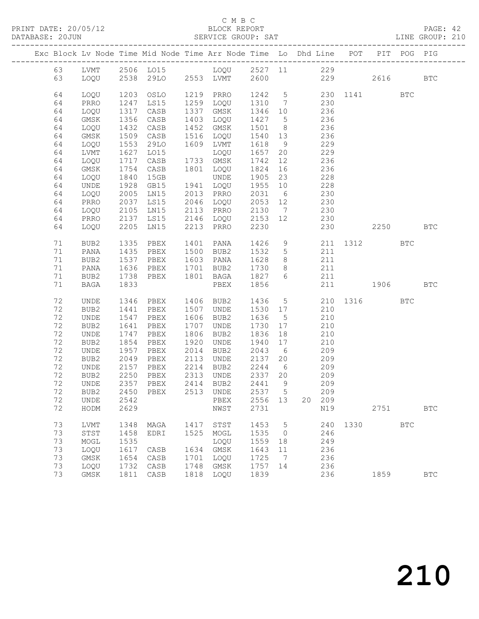#### C M B C<br>BLOCK REPORT

PAGE: 42<br>LINE GROUP: 210

|          |              |              | Exc Block Lv Node Time Mid Node Time Arr Node Time Lo Dhd Line POT |      |                        |                                                                                                                                                                                                  |                     |     |                 |                     |          | PIT POG PIG |              |
|----------|--------------|--------------|--------------------------------------------------------------------|------|------------------------|--------------------------------------------------------------------------------------------------------------------------------------------------------------------------------------------------|---------------------|-----|-----------------|---------------------|----------|-------------|--------------|
| 63       |              |              |                                                                    |      |                        |                                                                                                                                                                                                  |                     |     |                 |                     |          |             |              |
| 63       |              |              |                                                                    |      |                        |                                                                                                                                                                                                  |                     |     |                 | 229                 | 2616     |             | <b>BTC</b>   |
|          |              |              |                                                                    |      |                        |                                                                                                                                                                                                  |                     |     |                 |                     |          |             |              |
| 64       | LOQU         | 1203         | OSLO                                                               |      | 1219 PRRO              |                                                                                                                                                                                                  |                     |     |                 | 1242 5 230 1141 BTC |          |             |              |
| 64       | PRRO         | 1247         | LS15                                                               |      | 1259 LOQU              | $\begin{array}{cccc} 1 & 1 & 1 & 1 \\ 1 & 3 & 1 & 0 \\ 1 & 3 & 4 & 6 \\ 1 & 0 & 1 & 0 \end{array}$ $\qquad \qquad \begin{array}{c} 2 & 3 & 0 \\ 2 & 3 & 6 \\ 2 & 3 & 6 \\ 2 & 1 & 0 \end{array}$ |                     |     |                 |                     |          |             |              |
| 64       | LOQU         | 1317         | CASB                                                               |      | 1337 GMSK              |                                                                                                                                                                                                  |                     |     |                 |                     |          |             |              |
| 64       | GMSK         | 1356         | CASB                                                               |      | 1403 LOQU              | 1427 5                                                                                                                                                                                           |                     | 236 |                 |                     |          |             |              |
| 64       | LOQU         | 1432         | CASB                                                               |      | 1452 GMSK              | 1501                                                                                                                                                                                             | 8 <sup>8</sup>      | 236 |                 |                     |          |             |              |
| 64       | GMSK         | 1509         | CASB                                                               |      | 1516 LOQU              | 1540 13                                                                                                                                                                                          |                     | 236 |                 |                     |          |             |              |
| 64       | LOQU         | 1553         | 29LO                                                               |      | 1609 LVMT              | 1618                                                                                                                                                                                             | 9                   |     | 229             |                     |          |             |              |
| 64       | LVMT         | 1627         | LO15                                                               |      | LOQU                   | 1657                                                                                                                                                                                             | 20                  | 229 |                 |                     |          |             |              |
| 64       | LOQU         | 1717         | CASB                                                               |      | 1733 GMSK              | 1742                                                                                                                                                                                             | 12                  | 236 |                 |                     |          |             |              |
| 64       | GMSK         | 1754         | CASB                                                               |      | 1801 LOQU              | 1824                                                                                                                                                                                             | 16                  |     | 236             |                     |          |             |              |
| 64       | LOQU         | 1840         | 15GB                                                               |      | UNDE                   | 1905 23                                                                                                                                                                                          |                     |     | 228             |                     |          |             |              |
| 64       | UNDE         | 1928         | GB15                                                               |      | 1941 LOQU              | 1955 10                                                                                                                                                                                          |                     |     | $\frac{2}{228}$ |                     |          |             |              |
| 64       | LOQU         | 2005         | LN15                                                               |      | 2013 PRRO              | 2031                                                                                                                                                                                             | 6                   | 230 |                 |                     |          |             |              |
| 64       | PRRO         | 2037         | LS15                                                               |      | 2046 LOQU              | 2053 12                                                                                                                                                                                          |                     | 230 |                 |                     |          |             |              |
| 64       | LOQU         | 2105<br>2137 | LN15                                                               |      | 2113 PRRO<br>2146 LOQU | 2130 7                                                                                                                                                                                           |                     |     | 230<br>230      |                     |          |             |              |
| 64       | PRRO         |              | <b>LS15</b>                                                        |      |                        | 2153 12                                                                                                                                                                                          |                     |     |                 |                     |          |             |              |
| 64       | LOQU         | 2205         | LNI5                                                               |      | 2213 PRRO              | 2230                                                                                                                                                                                             |                     |     |                 | 230                 | 2250 BTC |             |              |
|          |              |              |                                                                    |      |                        |                                                                                                                                                                                                  |                     |     |                 |                     |          |             |              |
| 71       | BUB2         | 1335         | PBEX                                                               |      | 1401 PANA              | 1426                                                                                                                                                                                             |                     |     |                 | 9 211 1312 BTC      |          |             |              |
| 71       | PANA         | 1435         | PBEX                                                               |      | 1500 BUB2              | 1532                                                                                                                                                                                             | $5\overline{)}$     | 211 | 211             |                     |          |             |              |
| 71       | BUB2         | 1537         | PBEX                                                               |      | 1603 PANA              | 1628                                                                                                                                                                                             | 8 <sup>8</sup>      |     |                 |                     |          |             |              |
| 71       | PANA         | 1636         | PBEX 1701 BUB2                                                     |      | 1801 BAGA              | 1730<br>1827                                                                                                                                                                                     | 8 <sup>8</sup><br>6 | 211 |                 |                     |          |             |              |
| 71<br>71 | BUB2<br>BAGA | 1738<br>1833 | PBEX                                                               |      |                        | 1856                                                                                                                                                                                             |                     |     | 211             | 211 1906            |          |             | <b>BTC</b>   |
|          |              |              |                                                                    |      | PBEX                   |                                                                                                                                                                                                  |                     |     |                 |                     |          |             |              |
| 72       | UNDE         | 1346         | PBEX 1406 BUB2                                                     |      |                        |                                                                                                                                                                                                  |                     |     |                 | 1436 5 210 1316 BTC |          |             |              |
| 72       | BUB2         | 1441         | PBEX                                                               |      | 1507 UNDE              | 1530 17                                                                                                                                                                                          |                     |     | 210             |                     |          |             |              |
| 72       | UNDE         | 1547         | PBEX                                                               |      | 1606 BUB2              | 1636                                                                                                                                                                                             | $5\overline{)}$     |     | 210             |                     |          |             |              |
| 72       | BUB2         | 1641         | PBEX                                                               | 1707 | UNDE                   | 1730                                                                                                                                                                                             | 17                  | 210 |                 |                     |          |             |              |
| 72       | UNDE         | 1747         | PBEX                                                               |      | 1806 BUB2              | 1836                                                                                                                                                                                             | 18                  | 210 |                 |                     |          |             |              |
| 72       | BUB2         | 1854         | PBEX                                                               | 1920 | UNDE                   | 1940                                                                                                                                                                                             | 17                  |     | 210             |                     |          |             |              |
| 72       | UNDE         | 1957         | PBEX                                                               |      | 2014 BUB2              | 2043                                                                                                                                                                                             | 6 <sup>6</sup>      |     | 209             |                     |          |             |              |
| 72       | BUB2         | 2049         | PBEX                                                               | 2113 | UNDE                   | 2137                                                                                                                                                                                             | 20                  | 209 |                 |                     |          |             |              |
| 72       | UNDE         | 2157         | PBEX                                                               |      | 2214 BUB2              | 2244                                                                                                                                                                                             | 6                   | 209 |                 |                     |          |             |              |
| 72       | BUB2         | 2250         | PBEX                                                               |      | 2313 UNDE              | 2337 20                                                                                                                                                                                          |                     |     | 209             |                     |          |             |              |
| 72       | UNDE         | 2357         | PBEX                                                               |      | 2414 BUB2              | 2441                                                                                                                                                                                             | $\overline{9}$      |     | 209             |                     |          |             |              |
|          |              |              | 72 BUB2 2450 PBEX 2513 UNDE 2537                                   |      |                        |                                                                                                                                                                                                  | 5 <sup>5</sup>      |     | 209             |                     |          |             |              |
| 72       | UNDE         | 2542         |                                                                    |      | PBEX                   | 2556 13                                                                                                                                                                                          |                     |     | 20 209          |                     |          |             |              |
| 72       | HODM         | 2629         |                                                                    |      | NWST                   | 2731                                                                                                                                                                                             |                     |     | N19             |                     | 2751     |             | <b>BTC</b>   |
|          |              |              |                                                                    |      |                        |                                                                                                                                                                                                  |                     |     |                 |                     |          |             |              |
| 73       | LVMT         | 1348         | MAGA                                                               | 1417 | STST                   | 1453                                                                                                                                                                                             | 5                   |     | 240             | 1330                |          | <b>BTC</b>  |              |
| 73       | STST         | 1458         | EDRI                                                               | 1525 | MOGL                   | 1535                                                                                                                                                                                             | $\overline{0}$      |     | 246             |                     |          |             |              |
| 73       | MOGL         | 1535         |                                                                    |      | LOQU                   | 1559                                                                                                                                                                                             | 18                  |     | 249             |                     |          |             |              |
| 73       | LOQU         | 1617         | CASB                                                               | 1634 | GMSK                   | 1643                                                                                                                                                                                             | 11                  |     | 236             |                     |          |             |              |
| 73       | GMSK         | 1654         | CASB                                                               | 1701 | LOQU                   | 1725                                                                                                                                                                                             | $\overline{7}$      |     | 236             |                     |          |             |              |
| 73       | LOQU         | 1732         | CASB                                                               | 1748 | GMSK                   | 1757                                                                                                                                                                                             | 14                  |     | 236             |                     |          |             |              |
| 73       | GMSK         | 1811         | CASB                                                               | 1818 | LOQU                   | 1839                                                                                                                                                                                             |                     |     | 236             |                     | 1859     |             | $_{\rm BTC}$ |

210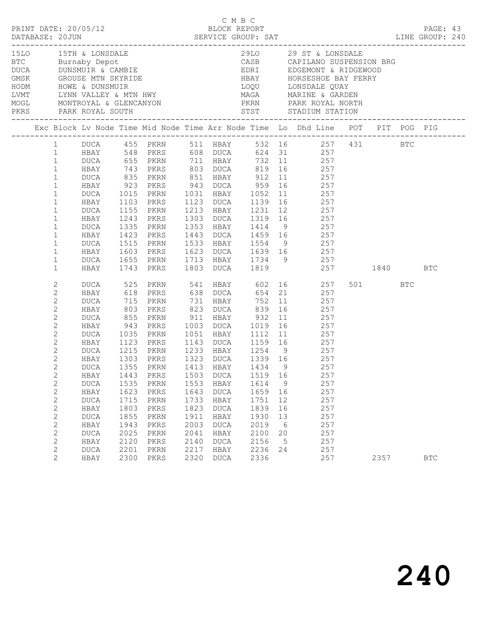|  |                                                                                                                                                                                                                                                                                                                                                                                                                                                                                                                                         |                                                                                                                                                                                                                                                                                             |                                                                                                                                                           |                                                                                                                                                                                                                                                  |                                                                              |                                                                                                                      |                                                                                                    |                                                                         | 1510 15TH & LONSDALE 2910 29 ST & LONSDALE BTC Burnaby Depot CASB CAPILANO SUSPENSION BRG DUCA DUNSMUIR & CAMBIE CASE CAPILANO SUSPENSION BRG CAPILANO SUSPENSION BRG CAPILANO SUSPENSION BRG CAPILANO SUSPENSION BRG CAPILANO                                                                                                                                                                                                                                                                                                                                                                                                                                                                                                                                                                            |         |            |  |
|--|-----------------------------------------------------------------------------------------------------------------------------------------------------------------------------------------------------------------------------------------------------------------------------------------------------------------------------------------------------------------------------------------------------------------------------------------------------------------------------------------------------------------------------------------|---------------------------------------------------------------------------------------------------------------------------------------------------------------------------------------------------------------------------------------------------------------------------------------------|-----------------------------------------------------------------------------------------------------------------------------------------------------------|--------------------------------------------------------------------------------------------------------------------------------------------------------------------------------------------------------------------------------------------------|------------------------------------------------------------------------------|----------------------------------------------------------------------------------------------------------------------|----------------------------------------------------------------------------------------------------|-------------------------------------------------------------------------|-----------------------------------------------------------------------------------------------------------------------------------------------------------------------------------------------------------------------------------------------------------------------------------------------------------------------------------------------------------------------------------------------------------------------------------------------------------------------------------------------------------------------------------------------------------------------------------------------------------------------------------------------------------------------------------------------------------------------------------------------------------------------------------------------------------|---------|------------|--|
|  |                                                                                                                                                                                                                                                                                                                                                                                                                                                                                                                                         |                                                                                                                                                                                                                                                                                             |                                                                                                                                                           |                                                                                                                                                                                                                                                  |                                                                              |                                                                                                                      |                                                                                                    |                                                                         | Exc Block Lv Node Time Mid Node Time Arr Node Time Lo Dhd Line POT PIT POG PIG                                                                                                                                                                                                                                                                                                                                                                                                                                                                                                                                                                                                                                                                                                                            |         |            |  |
|  | $1 \quad$<br>1<br>$\mathbf{1}$<br>$\mathbf{1}$<br>$\mathbf{1}$<br>$\mathbf{1}$<br>$\mathbf{1}$<br>$\mathbf{1}$<br>$\mathbf{1}$<br>$\mathbf{1}$<br>$\mathbf{1}$<br>$\mathbf{1}$<br>$\mathbf{1}$<br>$\mathbf{1}$<br>$\mathbf{1}$<br>$\mathbf{1}$<br>2<br>$\mathbf{2}$<br>$\mathbf{2}$<br>$\mathbf{2}$<br>$\sqrt{2}$<br>2<br>$\mathbf{2}$<br>$\mathbf{2}$<br>$\overline{c}$<br>$\mathbf{2}$<br>$\mathbf{2}$<br>$\mathbf{2}$<br>$\mathbf{2}$<br>$\mathbf{2}$<br>2<br>$\mathbf{2}$<br>$\mathbf{2}$<br>$\mathbf{2}$<br>2<br>$\mathbf{2}$<br>2 | HBAY<br>DUCA<br>HBAY<br>DUCA<br>HBAY<br>DUCA<br>HBAY<br>DUCA<br>HBAY<br>DUCA<br>HBAY<br>DUCA 525 PKRN<br>HBAY 618 PKRS<br>DUCA<br>HBAY<br>DUCA<br>HBAY<br>DUCA<br>HBAY<br>DUCA<br>HBAY<br>HBAY<br>DUCA<br>HBAY<br><b>DUCA</b><br>HBAY<br>DUCA<br>HBAY<br><b>DUCA</b><br>HBAY<br><b>DUCA</b> | 1103<br>1155<br>1243<br>1335<br>1423<br>803<br>855<br>943<br>1035<br>1123<br>1443<br>1535<br>1623<br>1715<br>1803<br>1855<br>1943<br>2025<br>2120<br>2201 | DUCA 655 PKRN 711 HBAY<br>743 PKRS<br>PKRS<br>PKRN<br>PKRS<br>PKRN<br>PKRS<br>715 PKRN<br>PKRS<br>PKRN<br>PKRS<br>PKRN<br>PKRS<br>1215 PKRN<br>1303 PKRS<br>PKRN<br>PKRS<br>PKRN<br>PKRS<br>PKRN<br>PKRS<br>PKRN<br>PKRS<br>PKRN<br>PKRS<br>PKRN | 1503<br>1553<br>1643<br>1733<br>1823<br>1911<br>2003<br>2041<br>2140<br>2217 | 731 HBAY<br><b>DUCA</b><br>HBAY<br><b>DUCA</b><br>HBAY<br><b>DUCA</b><br>HBAY<br><b>DUCA</b><br>HBAY<br>DUCA<br>HBAY | 823 DUCA 839 16<br>1519 16<br>1614<br>1659<br>1751<br>1839<br>1930<br>2019<br>2100<br>2156<br>2236 | 9<br>16<br>12<br>16<br>13<br>$6\overline{6}$<br>20<br>$5^{\circ}$<br>24 | DUCA 455 PKRN 511 HBAY 532 16 257 431 BTC<br>HBAY 548 PKRS 608 DUCA 624 31 257<br>732 11 257<br>803 DUCA 819 16 257<br>DUCA 835 PKRN 851 HBAY 912 11 257<br>HBAY 923 PKRS 943 DUCA 959 16 257<br>1015 PKRN 1031 HBAY 1052 11 257<br>1123 DUCA 1139 16 257<br>1213 HBAY 1231 12 257<br>1303 DUCA 1319 16 257<br>1353 HBAY 1414 9 257<br>1443 DUCA 1459 16 257<br>1515 PKRN 1533 HBAY 1554 9 257<br>1603 PKRS 1623 DUCA 1639 16 257<br>1655 PKRN 1713 HBAY 1734 9 257<br>1743 PKRS 1803 DUCA 1819 257 1840 BTC<br>PKRN 541 HBAY 602 16 257<br>PKRS 638 DUCA 654 21 257<br>752 11 257<br>257<br>1051 HBAY 1112 11 257<br>1143 DUCA 1159 16 257<br>1233 HBAY 1254 9 257<br>1323 DUCA 1339 16 257<br>DUCA 1355 PKRN 1413 HBAY 1434 9 257<br>257<br>257<br>257<br>257<br>257<br>257<br>257<br>257<br>257<br>257 | 501 BTC |            |  |
|  | $\overline{2}$                                                                                                                                                                                                                                                                                                                                                                                                                                                                                                                          | HBAY                                                                                                                                                                                                                                                                                        | 2300                                                                                                                                                      | PKRS                                                                                                                                                                                                                                             | 2320                                                                         | DUCA                                                                                                                 | 2336                                                                                               |                                                                         | 257                                                                                                                                                                                                                                                                                                                                                                                                                                                                                                                                                                                                                                                                                                                                                                                                       | 2357    | <b>BTC</b> |  |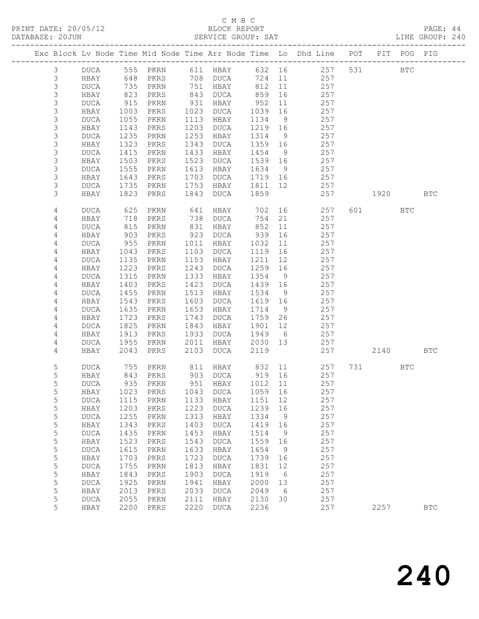## C M B C<br>BLOCK REPORT

PAGE: 44<br>LINE GROUP: 240

|  |                           |                     |              |              |              |                                  |              |                 | Exc Block Lv Node Time Mid Node Time Arr Node Time Lo Dhd Line POT |         | PIT POG PIG  |              |
|--|---------------------------|---------------------|--------------|--------------|--------------|----------------------------------|--------------|-----------------|--------------------------------------------------------------------|---------|--------------|--------------|
|  |                           |                     |              |              |              |                                  |              |                 |                                                                    |         |              |              |
|  | 3<br>$\mathsf 3$          | DUCA<br>HBAY        |              | 555 PKRN     |              | 611 HBAY<br>708 DUCA             | 724 11       |                 | 632 16 257<br>257                                                  | 531     | $_{\rm BTC}$ |              |
|  | $\mathsf 3$               | <b>DUCA</b>         | 648<br>735   | PKRS<br>PKRN |              | 751 HBAY                         | 812          | 11              | 257                                                                |         |              |              |
|  | 3                         | HBAY                | 823          | PKRS         | 843          | DUCA                             | 859          | 16              | 257                                                                |         |              |              |
|  | 3                         | <b>DUCA</b>         | 915          | PKRN         | 931          | HBAY                             | 952          | 11              | 257                                                                |         |              |              |
|  | $\mathsf 3$               | HBAY                | 1003         | PKRS         | 1023         | DUCA                             | 1039         | 16              | 257                                                                |         |              |              |
|  | $\mathsf 3$               | <b>DUCA</b>         | 1055         | PKRN         | 1113         | HBAY                             | 1134         | 9               | 257                                                                |         |              |              |
|  | $\ensuremath{\mathsf{3}}$ | HBAY                | 1143         | PKRS         | 1203         | DUCA                             | 1219 16      |                 | 257                                                                |         |              |              |
|  | $\mathsf 3$               | <b>DUCA</b>         | 1235         | PKRN         | 1253         | HBAY                             | 1314         | 9               | 257                                                                |         |              |              |
|  | $\mathsf 3$               | HBAY                | 1323         | PKRS         | 1343         | DUCA                             | 1359         | 16              | 257                                                                |         |              |              |
|  | $\ensuremath{\mathsf{3}}$ | <b>DUCA</b>         | 1415         | PKRN         | 1433         | HBAY                             | 1454         | 9               | 257                                                                |         |              |              |
|  | 3                         | HBAY                | 1503         | PKRS         | 1523         | DUCA                             | 1539 16      |                 | 257                                                                |         |              |              |
|  | 3                         | <b>DUCA</b>         | 1555         | PKRN         | 1613         | HBAY                             | 1634         | 9               | 257                                                                |         |              |              |
|  | 3                         | HBAY                | 1643         | PKRS         | 1703         | DUCA                             | 1719 16      |                 | 257                                                                |         |              |              |
|  | $\mathsf 3$               | <b>DUCA</b>         | 1735         | PKRN         | 1753         | HBAY                             | 1811 12      |                 | 257                                                                |         |              |              |
|  | 3                         | HBAY                | 1823         | PKRS         | 1843         | DUCA                             | 1859         |                 | 257                                                                | 1920    |              | <b>BTC</b>   |
|  | 4                         | <b>DUCA</b>         | 625          | PKRN         | 641          | HBAY                             | 702          | 16              | 257                                                                | 601 000 | <b>BTC</b>   |              |
|  | 4                         | HBAY                | 718<br>815   | PKRS         | 738          | DUCA                             | 754          | 21              | 257                                                                |         |              |              |
|  | 4<br>4                    | <b>DUCA</b><br>HBAY | 903          | PKRN<br>PKRS | 831<br>923   | HBAY<br>DUCA                     | 852<br>939   | 11<br>16        | 257<br>257                                                         |         |              |              |
|  | 4                         | <b>DUCA</b>         | 955          | PKRN         | 1011         | HBAY                             | 1032         | 11              | 257                                                                |         |              |              |
|  | $\overline{4}$            | HBAY                | 1043         | PKRS         | 1103         | DUCA                             | 1119         | 16              | 257                                                                |         |              |              |
|  | 4                         | <b>DUCA</b>         | 1135         | PKRN         | 1153         | HBAY                             | 1211         | 12              | 257                                                                |         |              |              |
|  | 4                         | HBAY                | 1223         | PKRS         | 1243         | DUCA                             | 1259         | 16              | 257                                                                |         |              |              |
|  | 4                         | <b>DUCA</b>         | 1315         | PKRN         | 1333         | HBAY                             | 1354         | 9               | 257                                                                |         |              |              |
|  | $\overline{4}$            | HBAY                | 1403         | PKRS         | 1423         | DUCA                             | 1439         | 16              | 257                                                                |         |              |              |
|  | 4                         | <b>DUCA</b>         | 1455         | PKRN         | 1513         | HBAY                             | 1534         | 9               | 257                                                                |         |              |              |
|  | 4                         | HBAY                | 1543         | PKRS         | 1603         | DUCA                             | 1619 16      |                 | 257                                                                |         |              |              |
|  | 4                         | <b>DUCA</b>         | 1635         | PKRN         | 1653         | HBAY                             | 1714         | 9               | 257                                                                |         |              |              |
|  | 4                         | HBAY                | 1723         | PKRS         | 1743         | DUCA                             | 1759         | 26              | 257                                                                |         |              |              |
|  | 4                         | <b>DUCA</b>         | 1825         | PKRN         | 1843         | HBAY                             | 1901         | 12              | 257                                                                |         |              |              |
|  | 4                         | HBAY                | 1913         | PKRS         | 1933         | DUCA                             | 1949         | $6\overline{6}$ | 257                                                                |         |              |              |
|  | 4                         | DUCA                | 1955         | PKRN         | 2011         | HBAY                             | 2030 13      |                 | 257                                                                |         |              |              |
|  | 4                         | HBAY                | 2043         | PKRS         | 2103         | DUCA                             | 2119         |                 | 257                                                                | 2140    |              | <b>BTC</b>   |
|  | $\mathsf S$               | <b>DUCA</b>         | 755          | PKRN         |              | 811 HBAY                         | 832 11       |                 | 257                                                                |         | BTC          |              |
|  | 5                         | HBAY                | 843          | PKRS         |              | 903 DUCA                         | 919 16       |                 | 257                                                                |         |              |              |
|  | 5                         | DUCA                | 935          | PKRN         |              | 951 HBAY                         | 1012 11      |                 | 257                                                                |         |              |              |
|  | 5                         |                     |              |              |              | HBAY 1023 PKRS 1043 DUCA 1059 16 |              |                 | 257                                                                |         |              |              |
|  | 5<br>5                    | <b>DUCA</b><br>HBAY | 1115<br>1203 | PKRN<br>PKRS | 1133<br>1223 | HBAY<br>DUCA                     | 1151<br>1239 | 12<br>16        | 257<br>257                                                         |         |              |              |
|  | 5                         | <b>DUCA</b>         | 1255         | PKRN         | 1313         | HBAY                             | 1334         | 9               | 257                                                                |         |              |              |
|  | 5                         | HBAY                | 1343         | PKRS         | 1403         | <b>DUCA</b>                      | 1419         | 16              | 257                                                                |         |              |              |
|  | 5                         | <b>DUCA</b>         | 1435         | PKRN         | 1453         | HBAY                             | 1514         | 9               | 257                                                                |         |              |              |
|  | 5                         | HBAY                | 1523         | PKRS         | 1543         | DUCA                             | 1559         | 16              | 257                                                                |         |              |              |
|  | 5                         | <b>DUCA</b>         | 1615         | PKRN         | 1633         | HBAY                             | 1654         | 9               | 257                                                                |         |              |              |
|  | $\mathsf S$               | HBAY                | 1703         | PKRS         | 1723         | <b>DUCA</b>                      | 1739         | 16              | 257                                                                |         |              |              |
|  | 5                         | <b>DUCA</b>         | 1755         | PKRN         | 1813         | HBAY                             | 1831         | 12              | 257                                                                |         |              |              |
|  | 5                         | HBAY                | 1843         | PKRS         | 1903         | <b>DUCA</b>                      | 1919         | 6               | 257                                                                |         |              |              |
|  | 5                         | <b>DUCA</b>         | 1925         | PKRN         | 1941         | HBAY                             | 2000         | 13              | 257                                                                |         |              |              |
|  | 5                         | HBAY                | 2013         | PKRS         | 2033         | <b>DUCA</b>                      | 2049         | 6               | 257                                                                |         |              |              |
|  | 5                         | <b>DUCA</b>         | 2055         | PKRN         | 2111         | HBAY                             | 2130         | 30              | 257                                                                |         |              |              |
|  | 5                         | HBAY                | 2200         | PKRS         | 2220         | <b>DUCA</b>                      | 2236         |                 | 257                                                                | 2257    |              | $_{\rm BTC}$ |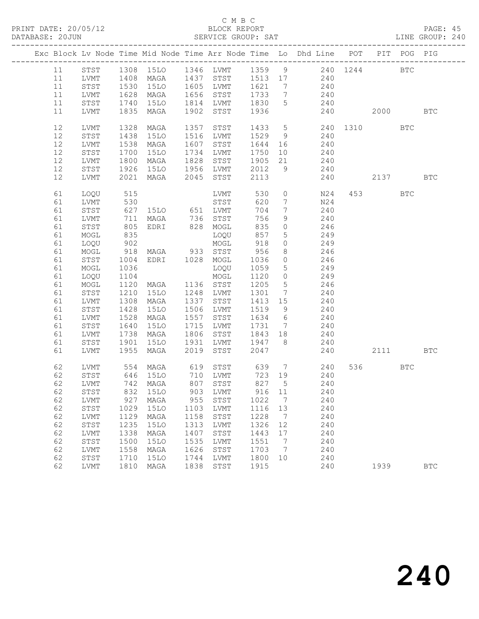#### C M B C<br>BLOCK REPORT

PAGE: 45<br>LINE GROUP: 240

|          |              |              |                                            |      |                                  |              |                               | Exc Block Lv Node Time Mid Node Time Arr Node Time Lo Dhd Line POT PIT POG PIG |                        |            |            |
|----------|--------------|--------------|--------------------------------------------|------|----------------------------------|--------------|-------------------------------|--------------------------------------------------------------------------------|------------------------|------------|------------|
| 11       |              |              |                                            |      |                                  |              |                               | STST 1308 15LO 1346 LVMT 1359 9 240 1244 BTC                                   |                        |            |            |
| 11       | LVMT         | 1408         |                                            |      |                                  |              |                               | MAGA 1437 STST 1513 17 240                                                     |                        |            |            |
| 11       | STST         | 1530         |                                            |      | 15LO 1605 LVMT 1621              |              | $\overline{7}$                | 240                                                                            |                        |            |            |
| 11       | LVMT         | 1628         | MAGA                                       |      | 1656 STST                        | 1733 7       |                               | 240                                                                            |                        |            |            |
| 11       | STST         | 1740         | 15LO                                       |      | 1814 LVMT                        | 1830         | $5^{\circ}$                   | 240                                                                            |                        |            |            |
| 11       | LVMT         | 1835         | MAGA                                       | 1902 | STST                             | 1936         |                               | 240                                                                            | 2000 00                |            | <b>BTC</b> |
| 12       | LVMT         | 1328         | MAGA                                       | 1357 | STST                             | 1433 5       |                               | 240 1310                                                                       |                        | <b>BTC</b> |            |
| 12       | STST         | 1438         | 15LO                                       |      | 1516 LVMT                        | 1529 9       |                               | 240                                                                            |                        |            |            |
| 12       | LVMT         | 1538         | MAGA                                       |      | 1607 STST                        | 1644 16      |                               | $\frac{210}{240}$                                                              |                        |            |            |
| 12       | STST         | 1700         | 15LO                                       |      | 1734 LVMT                        |              |                               | 1750 10 240                                                                    |                        |            |            |
| 12       | LVMT         | 1800         | MAGA                                       | 1828 | STST                             | 1905         | 21                            | 240                                                                            |                        |            |            |
| 12       | STST         |              | 1926 15LO 1956 LVMT<br>2021 MAGA 2045 STST |      |                                  | 2012         | 9                             | 240                                                                            |                        |            |            |
| 12       | LVMT         |              |                                            |      |                                  | 2113         |                               | 240                                                                            | 2137                   |            | <b>BTC</b> |
| 61       | LOQU         | 515          |                                            |      | LVMT                             | 530          | $\circ$                       | N24                                                                            | 453 and $\overline{a}$ | <b>BTC</b> |            |
| 61       | LVMT         |              |                                            |      |                                  | 620          | $\overline{7}$                | N24                                                                            |                        |            |            |
| 61       | STST         |              |                                            |      |                                  | 704          | $7\phantom{.0}$               | 240                                                                            |                        |            |            |
| 61       | LVMT         | 711          | MAGA 736 STST                              |      |                                  | 756          | 9                             | 240                                                                            |                        |            |            |
| 61       | STST         | 805          | EDRI 828 MOGL                              |      |                                  | 835          | $\circ$                       | 246                                                                            |                        |            |            |
| 61       | MOGL         | 835<br>902   |                                            |      | LOQU                             | 857          | $5\overline{)}$               | 249                                                                            |                        |            |            |
| 61       | LOQU         | 918          | MAGA 933 STST                              |      | MOGL                             | 918          | $\circ$                       | 249<br>246                                                                     |                        |            |            |
| 61       | MOGL         |              |                                            |      |                                  | 956          | 8                             |                                                                                |                        |            |            |
| 61       | STST         | 1004         | EDRI 1028 MOGL                             |      |                                  | 1036         | $\overline{0}$                | 246                                                                            |                        |            |            |
| 61       | MOGL         | 1036         |                                            |      | LOQU                             | 1059         | $5\overline{)}$               | 249                                                                            |                        |            |            |
| 61       | LOQU         | 1104         | MAGA 1136 STST                             |      | MOGL                             | 1120<br>1205 | $\overline{0}$                | 249<br>246                                                                     |                        |            |            |
| 61<br>61 | MOGL         | 1120<br>1210 |                                            |      | 15LO 1248 LVMT 1301              |              | $5^{\circ}$<br>$\overline{7}$ | 240                                                                            |                        |            |            |
| 61       | STST<br>LVMT | 1308         | MAGA                                       | 1337 | STST                             | 1413 15      |                               | 240                                                                            |                        |            |            |
| 61       | STST         | 1428         | 15LO                                       |      | 1506 LVMT                        | 1519         | 9                             | 240                                                                            |                        |            |            |
| 61       | LVMT         | 1528         | MAGA                                       | 1557 | STST                             | 1634 6       |                               | $240$                                                                          |                        |            |            |
| 61       | STST         | 1640         | 15LO                                       |      | 1715 LVMT                        | 1731 7       |                               | 240                                                                            |                        |            |            |
| 61       | LVMT         | 1738         | MAGA                                       |      | 1806 STST                        | 1843 18      |                               | 240                                                                            |                        |            |            |
| 61       | STST         | 1901         | 15LO                                       |      | 1931 LVMT                        | 1947 8       |                               | $240$                                                                          |                        |            |            |
| 61       | LVMT         | 1955         | MAGA                                       | 2019 | STST                             | 2047         |                               | 240                                                                            | 2111 BTC               |            |            |
| 62       | LVMT         |              | 554 MAGA                                   | 619  |                                  |              |                               | STST 639 7 240                                                                 | 536 7                  | <b>BTC</b> |            |
| 62       | STST         |              |                                            |      |                                  | 723 19       |                               | 240                                                                            |                        |            |            |
| 62       | LVMT         |              | 646 15LO<br>742 MAGA                       |      | 710 LVMT<br>807 STST<br>807 STST | 827 5        |                               | 240                                                                            |                        |            |            |
| 62       | STST         |              | 832 15LO                                   |      | 903 LVMT                         |              |                               | 916 11<br>240                                                                  |                        |            |            |
| 62       | LVMT         | 927          | MAGA                                       | 955  | STST                             | 1022         | $\overline{7}$                | 240                                                                            |                        |            |            |
| 62       | STST         | 1029         | 15LO                                       | 1103 | LVMT                             | 1116 13      |                               | 240                                                                            |                        |            |            |
| 62       | LVMT         | 1129         | MAGA                                       | 1158 | STST                             | 1228         | $\overline{7}$                | 240                                                                            |                        |            |            |
| 62       | STST         | 1235         | 15LO                                       | 1313 | LVMT                             | 1326         | 12                            | 240                                                                            |                        |            |            |
| 62       | LVMT         | 1338         | MAGA                                       | 1407 | STST                             | 1443         | 17                            | 240                                                                            |                        |            |            |
| 62       | STST         | 1500         | 15LO                                       | 1535 | LVMT                             | 1551         | $\overline{7}$                | 240                                                                            |                        |            |            |
| 62       | LVMT         | 1558         | MAGA                                       | 1626 | STST                             | 1703         | $\overline{7}$                | 240                                                                            |                        |            |            |
| 62       | STST         | 1710         | 15LO                                       | 1744 | LVMT                             | 1800         | 10                            | 240                                                                            |                        |            |            |
| 62       | LVMT         | 1810         | MAGA                                       | 1838 | STST                             | 1915         |                               | 240                                                                            | 1939                   |            | <b>BTC</b> |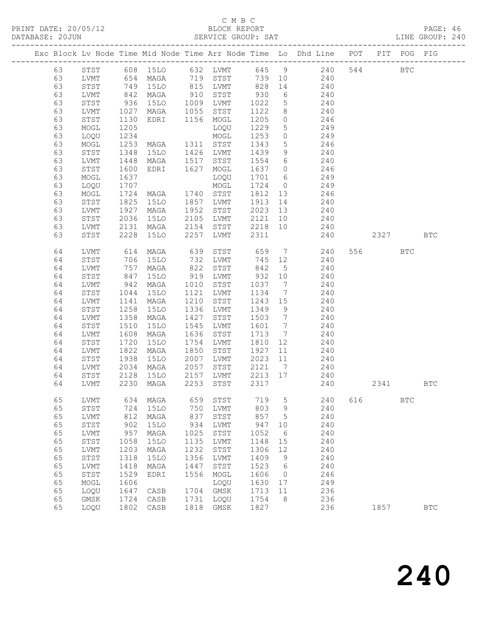| DATABASE: 20JUN |    |              |                       |                                          |      | SERVICE GROUP: SAT                                            |         |                 |                                                                                |     |         |            | LINE GROUP: 240 |  |
|-----------------|----|--------------|-----------------------|------------------------------------------|------|---------------------------------------------------------------|---------|-----------------|--------------------------------------------------------------------------------|-----|---------|------------|-----------------|--|
|                 |    |              |                       |                                          |      |                                                               |         |                 | Exc Block Lv Node Time Mid Node Time Arr Node Time Lo Dhd Line POT PIT POG PIG |     |         |            |                 |  |
|                 | 63 |              |                       |                                          |      |                                                               |         |                 | STST 608 15LO 632 LVMT 645 9 240 544 BTC                                       |     |         |            |                 |  |
|                 | 63 | LVMT         |                       |                                          |      |                                                               |         |                 | 654 MAGA 719 STST 739 10 240                                                   |     |         |            |                 |  |
|                 | 63 | STST         |                       | 749 15LO<br>842 MAGA<br>936 15LO         |      | 15LO 815 LVMT 828<br>MAGA 910 STST 930<br>15LO 1009 LVMT 1022 |         |                 | 14 240                                                                         |     |         |            |                 |  |
|                 | 63 | LVMT         |                       |                                          |      |                                                               |         | $6\overline{6}$ | 240                                                                            |     |         |            |                 |  |
|                 | 63 | STST         |                       |                                          |      |                                                               |         |                 | $\begin{array}{ccc}\n 5 & 240 \\  5 & 240\n\end{array}$                        |     |         |            |                 |  |
|                 | 63 | LVMT         | 1027                  | MAGA 1055 STST                           |      |                                                               | 1122    |                 | 8 240                                                                          |     |         |            |                 |  |
|                 | 63 | STST         | 1130                  | EDRI 1156 MOGL                           |      |                                                               | 1205    | $\overline{0}$  | 246                                                                            |     |         |            |                 |  |
|                 | 63 | MOGL         | 1205                  |                                          |      | LOQU                                                          | 1229    | 5 <sup>5</sup>  | 249                                                                            |     |         |            |                 |  |
|                 | 63 | LOQU         | 1234                  |                                          |      |                                                               | 1253    |                 | $\overline{0}$<br>249                                                          |     |         |            |                 |  |
|                 | 63 | MOGL         | 1253                  | LOQU<br>MOGL<br>MAGA 1311 STST           |      |                                                               | 1343    | 5 <sup>5</sup>  | 246                                                                            |     |         |            |                 |  |
|                 | 63 | STST         | 1348                  | 15LO 1426 LVMT                           |      |                                                               | 1439    | 9               | 240                                                                            |     |         |            |                 |  |
|                 | 63 | LVMT         |                       | MAGA 1517 STST                           |      |                                                               |         |                 |                                                                                |     |         |            |                 |  |
|                 | 63 | STST         | $14 - 1600$<br>$-637$ | EDRI 1627 MOGL                           |      |                                                               |         |                 | 1554 6 240<br>1637 0 246                                                       |     |         |            |                 |  |
|                 | 63 | MOGL         | 1637                  |                                          |      | LOQU                                                          |         |                 | 1701 6 249                                                                     |     |         |            |                 |  |
|                 | 63 | LOQU         | 1707                  |                                          |      |                                                               | 1724    |                 | $0$ 249                                                                        |     |         |            |                 |  |
|                 | 63 | MOGL         |                       | MOGL<br>MAGA 1740 STST<br>15LO 1857 LVMT |      |                                                               | 1812 13 |                 | 246                                                                            |     |         |            |                 |  |
|                 | 63 | STST         | 1724<br>1825          |                                          |      |                                                               | 1913 14 |                 | 240                                                                            |     |         |            |                 |  |
|                 | 63 | LVMT         | 1927                  | MAGA                                     | 1952 | STST                                                          | 2023 13 |                 | 240                                                                            |     |         |            |                 |  |
|                 | 63 | STST         | 2036                  | 15LO                                     |      | 2105 LVMT                                                     | 2121    | 10              | 240                                                                            |     |         |            |                 |  |
|                 | 63 | LVMT         | 2131                  | MAGA                                     |      | 2154 STST                                                     | 2218 10 |                 | 240                                                                            |     |         |            |                 |  |
|                 | 63 | STST         | 2228                  | 15LO                                     |      | 2257 LVMT                                                     | 2311    |                 | 240                                                                            |     | 2327    |            | <b>BTC</b>      |  |
|                 |    |              |                       |                                          |      |                                                               |         |                 |                                                                                |     |         |            |                 |  |
|                 | 64 | LVMT         | 614                   | MAGA                                     | 639  | STST                                                          | 659     |                 | 7 240                                                                          |     | 556 700 | <b>BTC</b> |                 |  |
|                 | 64 | STST         |                       | 15LO                                     | 732  | LVMT                                                          | 745     | 12              | 240                                                                            |     |         |            |                 |  |
|                 | 64 | LVMT         | 706<br>757<br>847     | MAGA                                     | 822  | STST                                                          | 842     | 5 <sup>5</sup>  | 240                                                                            |     |         |            |                 |  |
|                 | 64 | STST         |                       | 15LO                                     |      | 919 LVMT                                                      | 932 10  |                 | 240                                                                            |     |         |            |                 |  |
|                 | 64 | LVMT         | 942                   | MAGA                                     | 1010 | STST                                                          | 1037    | $7\overline{ }$ | 240                                                                            |     |         |            |                 |  |
|                 | 64 | STST         | 1044                  | 15LO                                     | 1121 | LVMT                                                          | 1134    | $7\overline{ }$ | 240                                                                            |     |         |            |                 |  |
|                 | 64 | LVMT         | 1141                  | MAGA                                     |      | 1210 STST                                                     | 1243 15 |                 |                                                                                |     |         |            |                 |  |
|                 | 64 | STST         | 1258                  | 15LO                                     |      | 1336 LVMT                                                     | 1349    | 9               | $240$<br>$240$                                                                 |     |         |            |                 |  |
|                 | 64 | LVMT         | 1358                  | MAGA                                     | 1427 | STST                                                          | 1503    | $7\overline{ }$ | 240                                                                            |     |         |            |                 |  |
|                 | 64 | STST         | 1510                  | 15LO                                     | 1545 | LVMT                                                          | 1601 7  |                 | 240                                                                            |     |         |            |                 |  |
|                 | 64 | LVMT         | 1608                  | MAGA                                     | 1636 | STST                                                          | 1713 7  |                 | 240                                                                            |     |         |            |                 |  |
|                 | 64 | STST         | 1720                  | 15LO                                     | 1754 | LVMT                                                          | 1810    | 12              | 240                                                                            |     |         |            |                 |  |
|                 | 64 | LVMT         | 1822                  | MAGA                                     | 1850 | STST                                                          | 1927    | 11              | 240                                                                            |     |         |            |                 |  |
|                 | 64 | STST         | 1938                  | 15LO                                     |      | 2007 LVMT                                                     | 2023    | 11              | 240                                                                            |     |         |            |                 |  |
|                 | 64 | LVMT         |                       | MAGA                                     |      | 2057 STST                                                     | 2121 7  |                 |                                                                                |     |         |            |                 |  |
|                 | 64 | STST         | 2034<br>2128          | 15LO                                     |      | $2157$ LVMT                                                   | 2213 17 |                 | $240$<br>$240$                                                                 |     |         |            |                 |  |
|                 |    |              |                       |                                          |      |                                                               |         |                 | 64 LVMT 2230 MAGA 2253 STST 2317 240                                           |     | 2341    |            | BTC             |  |
|                 |    |              |                       |                                          |      |                                                               |         |                 |                                                                                |     |         |            |                 |  |
|                 | 65 | LVMT         | 634                   | MAGA                                     | 659  | STST                                                          | 719     | 5               | 240                                                                            | 616 |         | <b>BTC</b> |                 |  |
|                 | 65 | ${\tt STST}$ | 724                   | <b>15LO</b>                              | 750  | LVMT                                                          | 803     | 9               | 240                                                                            |     |         |            |                 |  |
|                 | 65 | LVMT         | 812                   | MAGA                                     | 837  | STST                                                          | 857     | 5               | 240                                                                            |     |         |            |                 |  |
|                 | 65 | ${\tt STST}$ | 902                   | 15LO                                     | 934  | LVMT                                                          | 947     | 10              | 240                                                                            |     |         |            |                 |  |
|                 | 65 | ${\rm LVMT}$ | 957                   | MAGA                                     | 1025 | STST                                                          | 1052    | 6               | 240                                                                            |     |         |            |                 |  |
|                 | 65 | STST         | 1058                  | 15LO                                     | 1135 | LVMT                                                          | 1148    | 15              | 240                                                                            |     |         |            |                 |  |
|                 | 65 | ${\rm LVMT}$ | 1203                  | MAGA                                     | 1232 | STST                                                          | 1306    | 12              | 240                                                                            |     |         |            |                 |  |
|                 | 65 | STST         | 1318                  | 15LO                                     | 1356 | LVMT                                                          | 1409    | 9               | 240                                                                            |     |         |            |                 |  |
|                 | 65 | ${\rm LVMT}$ | 1418                  | MAGA                                     | 1447 | STST                                                          | 1523    | 6               | 240                                                                            |     |         |            |                 |  |
|                 | 65 | STST         | 1529                  | EDRI                                     | 1556 | MOGL                                                          | 1606    | $\overline{0}$  | 246                                                                            |     |         |            |                 |  |
|                 | 65 | $\sf{MOGL}$  | 1606                  |                                          |      | LOQU                                                          | 1630    | 17              | 249                                                                            |     |         |            |                 |  |
|                 | 65 | LOQU         | 1647                  | CASB                                     | 1704 | GMSK                                                          | 1713    | 11              | 236                                                                            |     |         |            |                 |  |
|                 | 65 | GMSK         | 1724                  | CASB                                     | 1731 | LOQU                                                          | 1754    | 8               | 236                                                                            |     |         |            |                 |  |
|                 | 65 | LOQU         | 1802                  | CASB                                     | 1818 | GMSK                                                          | 1827    |                 | 236                                                                            |     | 1857    |            | <b>BTC</b>      |  |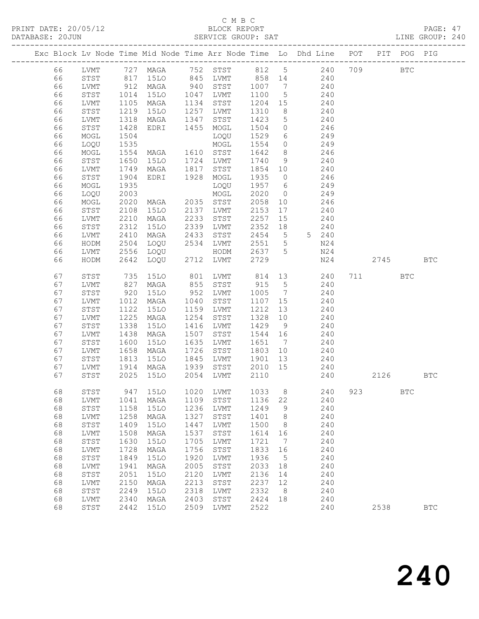PRINT DATE: 20/05/12 BLOCK REPORT<br>DATABASE: 20JUN BATABASE: 2010

#### C M B C<br>BLOCK REPORT

PAGE: 47<br>LINE GROUP: 240

|    |              |      |             |      |              |         |                 | Exc Block Lv Node Time Mid Node Time Arr Node Time Lo Dhd Line POT |     |      | PIT POG PIG |            |
|----|--------------|------|-------------|------|--------------|---------|-----------------|--------------------------------------------------------------------|-----|------|-------------|------------|
| 66 | LVMT         |      | 727 MAGA    |      | 752 STST     | 812 5   |                 | 240                                                                | 709 |      | <b>BTC</b>  |            |
| 66 | STST         | 817  | 15LO        |      | 845 LVMT     | 858 14  |                 | 240                                                                |     |      |             |            |
| 66 | LVMT         | 912  | MAGA        | 940  | STST         | 1007    | $\overline{7}$  | 240                                                                |     |      |             |            |
| 66 | STST         | 1014 | 15LO        |      | 1047 LVMT    | 1100    | $5\overline{)}$ | 240                                                                |     |      |             |            |
| 66 | LVMT         | 1105 | MAGA        | 1134 | STST         | 1204 15 |                 | 240                                                                |     |      |             |            |
| 66 | STST         | 1219 | 15LO        | 1257 | LVMT         | 1310    | 8 <sup>8</sup>  | 240                                                                |     |      |             |            |
| 66 | LVMT         | 1318 | MAGA        | 1347 | STST         | 1423    | $5^{\circ}$     | 240                                                                |     |      |             |            |
| 66 | STST         | 1428 | EDRI        | 1455 | MOGL         | 1504    | $\overline{0}$  | 246                                                                |     |      |             |            |
| 66 | $\sf{MOGL}$  | 1504 |             |      | LOQU         | 1529    | 6               | 249                                                                |     |      |             |            |
| 66 | LOQU         | 1535 |             |      | MOGL         | 1554    | $\overline{0}$  | 249                                                                |     |      |             |            |
| 66 | MOGL         | 1554 | MAGA        | 1610 | STST         | 1642    | 8 <sup>8</sup>  | 246                                                                |     |      |             |            |
| 66 | ${\tt STST}$ | 1650 | 15LO        | 1724 | LVMT         | 1740    | 9               | 240                                                                |     |      |             |            |
| 66 | LVMT         | 1749 | MAGA        | 1817 | STST         | 1854 10 |                 | 240                                                                |     |      |             |            |
| 66 | STST         | 1904 | EDRI        | 1928 | MOGL         | 1935    | $\overline{0}$  | 246                                                                |     |      |             |            |
| 66 | MOGL         | 1935 |             |      | LOQU         | 1957    | 6               | 249                                                                |     |      |             |            |
| 66 | LOQU         | 2003 |             |      | MOGL         | 2020    | $\overline{0}$  | 249                                                                |     |      |             |            |
| 66 | $\sf{MOGL}$  | 2020 | MAGA        |      | 2035 STST    | 2058    | 10              | 246                                                                |     |      |             |            |
| 66 | ${\tt STST}$ | 2108 | 15LO        |      | 2137 LVMT    | 2153    | 17              | 240                                                                |     |      |             |            |
| 66 | LVMT         | 2210 | MAGA        | 2233 | STST         | 2257    | 15              | 240                                                                |     |      |             |            |
| 66 | STST         | 2312 | <b>15LO</b> | 2339 | LVMT         | 2352    | 18              | 240                                                                |     |      |             |            |
| 66 | LVMT         | 2410 | MAGA        | 2433 | STST         | 2454    | $5^{\circ}$     | 5 240                                                              |     |      |             |            |
| 66 | HODM         | 2504 | LOQU        | 2534 | LVMT         | 2551    | $5\overline{)}$ | N24                                                                |     |      |             |            |
| 66 | LVMT         | 2556 | LOQU        |      | HODM         | 2637    | 5               | N24                                                                |     |      |             |            |
| 66 | HODM         | 2642 | LOQU        | 2712 | LVMT         | 2729    |                 | N24                                                                |     | 2745 |             | <b>BTC</b> |
| 67 | STST         | 735  | 15LO        | 801  | LVMT         | 814     | 13              | 240                                                                | 711 |      | <b>BTC</b>  |            |
| 67 | LVMT         | 827  | MAGA        | 855  | STST         | 915     | $5\overline{)}$ | 240                                                                |     |      |             |            |
| 67 | STST         | 920  | <b>15LO</b> | 952  | LVMT         | 1005    | $\overline{7}$  | 240                                                                |     |      |             |            |
| 67 | LVMT         | 1012 | MAGA        | 1040 | STST         | 1107    | 15              | 240                                                                |     |      |             |            |
| 67 | STST         | 1122 | <b>15LO</b> | 1159 | LVMT         | 1212    | 13              | 240                                                                |     |      |             |            |
| 67 | LVMT         | 1225 | MAGA        | 1254 | STST         | 1328    | 10              | 240                                                                |     |      |             |            |
| 67 | STST         | 1338 | <b>15LO</b> | 1416 | LVMT         | 1429    | 9               | 240                                                                |     |      |             |            |
| 67 | LVMT         | 1438 | MAGA        | 1507 | STST         | 1544    | 16              | 240                                                                |     |      |             |            |
| 67 | STST         | 1600 | <b>15LO</b> | 1635 | LVMT         | 1651    | $\overline{7}$  | 240                                                                |     |      |             |            |
| 67 | LVMT         | 1658 | MAGA        | 1726 | STST         | 1803    | 10              | 240                                                                |     |      |             |            |
| 67 | STST         | 1813 | 15LO        | 1845 | LVMT         | 1901    | 13              | 240                                                                |     |      |             |            |
| 67 | LVMT         | 1914 | MAGA        | 1939 | STST         | 2010    | 15              | 240                                                                |     |      |             |            |
| 67 | STST         | 2025 | 15LO        | 2054 | LVMT         | 2110    |                 | 240                                                                |     | 2126 |             | <b>BTC</b> |
| 68 | STST         | 947  | <b>15LO</b> | 1020 | LVMT         | 1033    | 8               | 240                                                                | 923 |      | <b>BTC</b>  |            |
| 68 | LVMT         | 1041 | MAGA        | 1109 | STST         | 1136    | 22              | 240                                                                |     |      |             |            |
| 68 | STST         | 1158 | <b>15LO</b> | 1236 | LVMT         | 1249    | 9               | 240                                                                |     |      |             |            |
| 68 | LVMT         | 1258 | MAGA        | 1327 | STST         | 1401    | 8               | 240                                                                |     |      |             |            |
| 68 | STST         | 1409 | <b>15LO</b> | 1447 | LVMT         | 1500    | 8               | 240                                                                |     |      |             |            |
| 68 | LVMT         | 1508 | MAGA        | 1537 | STST         | 1614    | 16              | 240                                                                |     |      |             |            |
| 68 | STST         | 1630 | <b>15LO</b> | 1705 | LVMT         | 1721    | 7               | 240                                                                |     |      |             |            |
| 68 | LVMT         | 1728 | MAGA        | 1756 | STST         | 1833    | 16              | 240                                                                |     |      |             |            |
| 68 | ${\tt STST}$ | 1849 | <b>15LO</b> | 1920 | <b>LVMT</b>  | 1936    | 5               | 240                                                                |     |      |             |            |
| 68 | LVMT         | 1941 | MAGA        | 2005 | STST         | 2033    | 18              | 240                                                                |     |      |             |            |
| 68 | ${\tt STST}$ | 2051 | <b>15LO</b> | 2120 | LVMT         | 2136    | 14              | 240                                                                |     |      |             |            |
| 68 | LVMT         | 2150 | MAGA        | 2213 | ${\tt STST}$ | 2237    | 12              | 240                                                                |     |      |             |            |
| 68 | STST         | 2249 | <b>15LO</b> | 2318 | LVMT         | 2332    | 8               | 240                                                                |     |      |             |            |
| 68 | LVMT         | 2340 | MAGA        | 2403 | ${\tt STST}$ | 2424    | 18              | 240                                                                |     |      |             |            |

68 STST 2442 15LO 2509 LVMT 2522 240 2538 BTC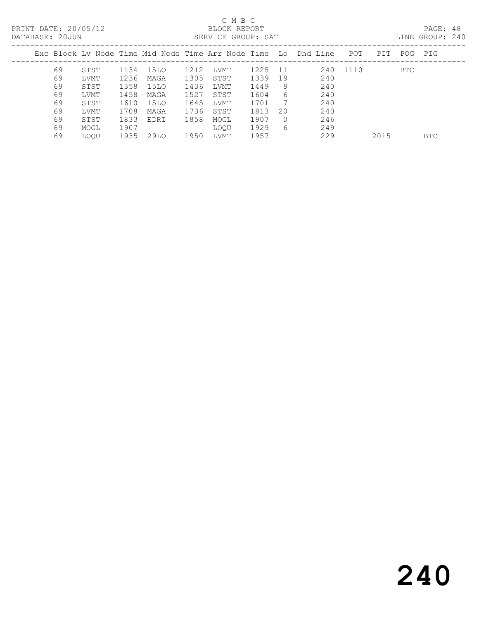PRINT DATE: 20/05/12 BLOCK REPORT<br>DATABASE: 20JUN BERVICE GROUP: SAT

### C M B C<br>BLOCK REPORT

PAGE: 48<br>LINE GROUP: 240

| DAIADAJE. ZUUUN |    |             |      |      |      | DENVICE GRUUF. DAI |      |          |                                                                     |          |      |     | ATNA GUOQI. ZIV |
|-----------------|----|-------------|------|------|------|--------------------|------|----------|---------------------------------------------------------------------|----------|------|-----|-----------------|
|                 |    |             |      |      |      |                    |      |          | Exc Block Lv Node Time Mid Node Time Arr Node Time  Lo  Dhd Line  . | POT      | PIT  | POG | PIG             |
|                 | 69 | STST        | 1134 | 15LO | 1212 | LVMT               | 1225 | 11       |                                                                     | 240 1110 |      | BTC |                 |
|                 | 69 | LVMT        | 1236 | MAGA | 1305 | STST               | 1339 | 19       | 240                                                                 |          |      |     |                 |
|                 | 69 | STST        | 1358 | 15LO | 1436 | LVMT               | 1449 | 9.       | 240                                                                 |          |      |     |                 |
|                 | 69 | LVMT        | 1458 | MAGA | 1527 | STST               | 1604 | 6        | 240                                                                 |          |      |     |                 |
|                 | 69 | STST        | 1610 | 15LO | 1645 | LVMT               | 1701 |          | 240                                                                 |          |      |     |                 |
|                 | 69 | LVMT        | 1708 | MAGA | 1736 | STST               | 1813 | 20       | 240                                                                 |          |      |     |                 |
|                 | 69 | STST        | 1833 | EDRI | 1858 | MOGL               | 1907 | $\Omega$ | 246                                                                 |          |      |     |                 |
|                 | 69 | MOGL        | 1907 |      |      | LOOU               | 1929 | 6        | 249                                                                 |          |      |     |                 |
|                 | 69 | <b>LOOU</b> | 1935 | 29LO | 1950 | LVMT               | 1957 |          | 229                                                                 |          | 2015 |     | BTC.            |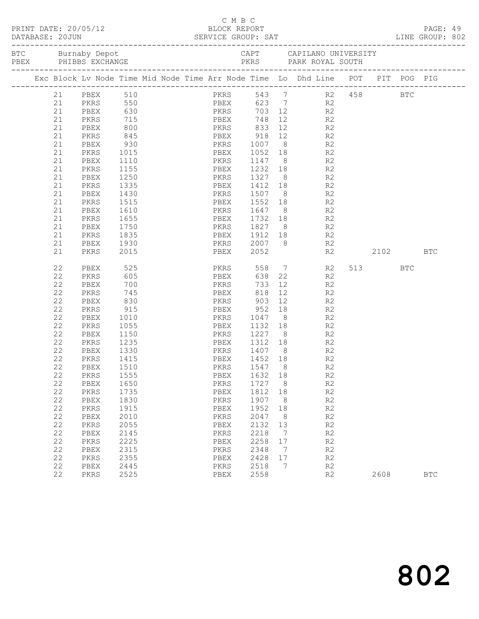| PRINT DATE: 20/05/12<br>DATABASE: 20JUN |                                                                                                                                                          | -20/05/12<br>0jun<br>---------------------                                                                                                                                                                   | C M B C<br>BLOCK REPORT                                                                                                                                                                                |                                                  | C M B C                                                                                                                          |  |                                                                                                                     | SERVICE GROUP: SAT<br>---------------------------------             |                                                                                                                                                                                                                                                                                                                                                         |          |             | PAGE: 49<br>LINE GROUP: 802 |            |  |
|-----------------------------------------|----------------------------------------------------------------------------------------------------------------------------------------------------------|--------------------------------------------------------------------------------------------------------------------------------------------------------------------------------------------------------------|--------------------------------------------------------------------------------------------------------------------------------------------------------------------------------------------------------|--------------------------------------------------|----------------------------------------------------------------------------------------------------------------------------------|--|---------------------------------------------------------------------------------------------------------------------|---------------------------------------------------------------------|---------------------------------------------------------------------------------------------------------------------------------------------------------------------------------------------------------------------------------------------------------------------------------------------------------------------------------------------------------|----------|-------------|-----------------------------|------------|--|
|                                         |                                                                                                                                                          |                                                                                                                                                                                                              |                                                                                                                                                                                                        |                                                  |                                                                                                                                  |  |                                                                                                                     |                                                                     |                                                                                                                                                                                                                                                                                                                                                         |          |             |                             |            |  |
|                                         |                                                                                                                                                          |                                                                                                                                                                                                              |                                                                                                                                                                                                        |                                                  |                                                                                                                                  |  |                                                                                                                     |                                                                     | Exc Block Lv Node Time Mid Node Time Arr Node Time Lo Dhd Line POT PIT POG PIG                                                                                                                                                                                                                                                                          |          |             |                             |            |  |
|                                         | 21<br>21<br>21<br>21<br>21<br>21<br>21<br>21<br>21<br>21<br>21<br>21<br>21<br>21<br>21<br>21<br>21<br>21<br>21<br>21                                     | PBEX 510<br>PKRS<br>PBEX<br>PKRS<br>PBEX<br>PKRS<br>PBEX<br>PKRS<br>PBEX<br>PKRS<br>PBEX<br>PKRS<br>PBEX<br>PKRS<br>PBEX<br>PKRS<br>PBEX<br>PKRS                                                             | 715<br>800<br>845<br>930<br>1015<br>1110<br>1155<br>1250<br>1335<br>1430<br>1515<br>1610<br>1655<br>1750<br>1835<br>1930<br>2015                                                                       | PKRS 833<br><b>PKRS</b> 1147<br><b>PKRS</b> 1507 |                                                                                                                                  |  | PBEX 748<br>PBEX 2052                                                                                               |                                                                     | PKRS 543 7 R2 458 BTC<br>PBEX 623 7 R2<br>PKRS 703 12 R2<br>12 R2<br>12 R2<br>PBEX 918 12 R2<br>PKRS 1007 8 R2<br>PBEX 1052 18 R2<br>8 R2<br>PBEX 1232 18 R2<br>PKRS 1327 8 R2<br>PBEX 1412 18 R2<br>8 R2<br>PBEX 1552 18 R2<br>PKRS 1647 8 R2<br>PBEX 1732 18 R2<br>PKRS 1827 8 R2<br>PBEX 1912 18 R2<br>PKRS 2007 8 R2<br>PBEX 2052 R2<br>R2          | 2102 BTC |             |                             |            |  |
|                                         | 22<br>22<br>22<br>22<br>22<br>22<br>22<br>22<br>22<br>22<br>22<br>22<br>22<br>22<br>22<br>22<br>22<br>22<br>22<br>22<br>22<br>22<br>22<br>22<br>22<br>22 | PBEX<br>PKRS<br>PBEX<br>PKRS<br>PBEX<br>PKRS<br>PBEX<br>PKRS<br>PBEX<br>PKRS<br>PBEX<br>PKRS<br>PBEX<br>PKRS<br>PBEX<br>PKRS<br>PBEX<br>PKRS<br>PBEX<br>PKRS<br>PBEX<br>PKRS<br>PBEX<br>PKRS<br>PBEX<br>PKRS | 525<br>605<br>700<br>745<br>830<br>915<br>1010<br>1055<br>1150<br>1235<br>1330<br>1415<br>1510<br>1555<br>1650<br>1735<br>1830<br>1915<br>2010<br>2055<br>2145<br>2225<br>2315<br>2355<br>2445<br>2525 | PBEX 1452 18                                     | PBEX<br>PKRS 903<br>PKRS<br>PBEX<br>PKRS<br>PBEX<br>PKRS<br>PBEX<br>PKRS<br>PBEX<br>PKRS<br>PBEX<br>PKRS<br>PBEX<br>PKRS<br>PBEX |  | 818<br>1547<br>1632<br>1727<br>1812<br>1907<br>1952<br>2047<br>2132<br>2218<br>2258<br>2348<br>2428<br>2518<br>2558 | 8<br>18<br>8<br>18<br>8<br>18<br>8<br>13<br>7<br>17<br>7<br>17<br>7 | PKRS 558 7 R2<br>$\begin{array}{c} 22 \\ 12 \end{array}$<br>R2<br>R <sub>2</sub><br>12 R2<br>12 and $\overline{a}$<br>R2<br>PBEX 952 18 R2<br>PKRS 1047 8 R2<br>PBEX 1132 18 R2<br>PKRS 1227 8 R2<br>PBEX 1312 18 R2<br>PKRS 1407 8 R2<br>R2<br>R <sub>2</sub><br>R2<br>$\mathbb{R}2$<br>R2<br>R2<br>R2<br>R2<br>R2<br>R2<br>R2<br>R2<br>R2<br>R2<br>R2 |          | 513<br>2608 | BTC                         | <b>BTC</b> |  |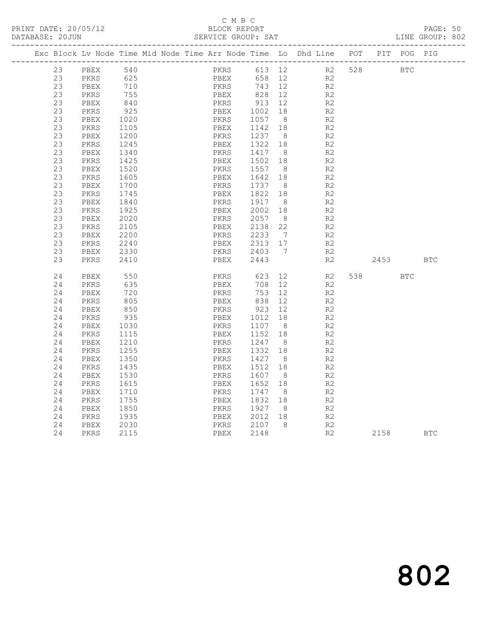#### C M B C<br>BLOCK REPORT

PAGE: 50<br>LINE GROUP: 802

|  |          |              |              |  |              |      |              |                      | Exc Block Lv Node Time Mid Node Time Arr Node Time Lo Dhd Line POT |     |            | PIT POG PIG |            |
|--|----------|--------------|--------------|--|--------------|------|--------------|----------------------|--------------------------------------------------------------------|-----|------------|-------------|------------|
|  | 23       | PBEX         | 540          |  |              | PKRS | 613 12       |                      | R2                                                                 | 528 | <b>BTC</b> |             |            |
|  | 23       | PKRS         | 625          |  |              | PBEX | 658          | 12                   | R2                                                                 |     |            |             |            |
|  | 23       | PBEX         | 710          |  | PKRS         |      | 743 12       |                      | R <sub>2</sub>                                                     |     |            |             |            |
|  | 23       | PKRS         | 755          |  | PBEX         |      | 828          | 12                   | R2                                                                 |     |            |             |            |
|  | 23       | PBEX         | 840          |  | PKRS         |      | 913          | 12                   | R <sub>2</sub>                                                     |     |            |             |            |
|  | 23       | PKRS         | 925          |  | PBEX         |      | 1002         | 18                   | R <sub>2</sub>                                                     |     |            |             |            |
|  | 23       | PBEX         | 1020         |  | PKRS         |      | 1057         | 8 <sup>8</sup>       | R2                                                                 |     |            |             |            |
|  | 23       | PKRS         | 1105         |  | PBEX         |      | 1142         | 18                   | R2                                                                 |     |            |             |            |
|  | 23       | PBEX         | 1200         |  | PKRS         |      | 1237         | 8 <sup>8</sup>       | R <sub>2</sub>                                                     |     |            |             |            |
|  | 23       | PKRS         | 1245         |  | PBEX         |      | 1322 18      |                      | R2                                                                 |     |            |             |            |
|  | 23       | PBEX         | 1340         |  | PKRS         |      | 1417         | 8                    | R2                                                                 |     |            |             |            |
|  | 23       | PKRS         | 1425         |  | PBEX         |      | 1502         | 18                   | R <sub>2</sub>                                                     |     |            |             |            |
|  | 23       | PBEX         | 1520         |  | PKRS         |      | 1557         | 8 <sup>8</sup>       | R <sub>2</sub>                                                     |     |            |             |            |
|  | 23       | PKRS         | 1605         |  | PBEX         |      | 1642         | 18                   | R2                                                                 |     |            |             |            |
|  | 23       | PBEX         | 1700         |  | PKRS         |      | 1737         | 8                    | R <sub>2</sub>                                                     |     |            |             |            |
|  | 23       | PKRS         | 1745         |  | PBEX         |      | 1822         | 18                   | R <sub>2</sub>                                                     |     |            |             |            |
|  | 23<br>23 | PBEX         | 1840         |  | PKRS         |      | 1917<br>2002 | 8 <sup>8</sup>       | R2<br>R2                                                           |     |            |             |            |
|  | 23       | PKRS<br>PBEX | 1925<br>2020 |  | PBEX<br>PKRS |      | 2057         | 18<br>8 <sup>8</sup> | R <sub>2</sub>                                                     |     |            |             |            |
|  | 23       | PKRS         | 2105         |  | PBEX         |      | 2138         | 22                   | R2                                                                 |     |            |             |            |
|  | 23       | PBEX         | 2200         |  | PKRS         |      | 2233         | $\overline{7}$       | R <sub>2</sub>                                                     |     |            |             |            |
|  | 23       | PKRS         | 2240         |  | PBEX         |      | 2313         | 17                   | R <sub>2</sub>                                                     |     |            |             |            |
|  | 23       | PBEX         | 2330         |  | PKRS         |      | 2403         | $\overline{7}$       | R2                                                                 |     |            |             |            |
|  | 23       | PKRS         | 2410         |  | PBEX         |      | 2443         |                      | R2                                                                 |     | 2453       |             | <b>BTC</b> |
|  |          |              |              |  |              |      |              |                      |                                                                    |     |            |             |            |
|  | 24       | PBEX         | 550          |  | PKRS         |      | 623          | 12 <sup>°</sup>      | R2                                                                 |     |            | <b>BTC</b>  |            |
|  | 24       | PKRS         | 635          |  | PBEX         |      | 708          | 12                   | R2                                                                 |     |            |             |            |
|  | 24       | PBEX         | 720          |  | PKRS         |      | 753          | 12                   | R <sub>2</sub>                                                     |     |            |             |            |
|  | 24       | PKRS         | 805          |  | PBEX         |      | 838          | 12                   | R2                                                                 |     |            |             |            |
|  | 24       | PBEX         | 850          |  | PKRS         |      | 923          | 12                   | R2                                                                 |     |            |             |            |
|  | 24       | PKRS         | 935          |  | PBEX         |      | 1012         | 18                   | R <sub>2</sub>                                                     |     |            |             |            |
|  | 24       | PBEX         | 1030         |  | PKRS         |      | 1107         | 8 <sup>8</sup>       | R <sub>2</sub>                                                     |     |            |             |            |
|  | 24       | PKRS         | 1115         |  | PBEX         |      | 1152         | 18                   | R2                                                                 |     |            |             |            |
|  | 24       | PBEX         | 1210         |  | PKRS         |      | 1247         | 8 <sup>8</sup>       | R2                                                                 |     |            |             |            |
|  | 24       | PKRS         | 1255         |  | PBEX         |      | 1332         | 18                   | R <sub>2</sub>                                                     |     |            |             |            |
|  | 24       | PBEX         | 1350         |  | PKRS         |      | 1427         | 8                    | R2                                                                 |     |            |             |            |
|  | 24       | PKRS         | 1435         |  | PBEX         |      | 1512         | 18                   | R2                                                                 |     |            |             |            |
|  | 24       | PBEX         | 1530         |  | PKRS         |      | 1607         | 8 <sup>8</sup>       | R <sub>2</sub>                                                     |     |            |             |            |
|  | 24       | PKRS         | 1615         |  | PBEX         |      | 1652         | 18                   | R2                                                                 |     |            |             |            |
|  | 24       | PBEX         | 1710         |  | PKRS         |      | 1747         | 8 <sup>8</sup>       | R2                                                                 |     |            |             |            |
|  | 24       | PKRS         | 1755         |  | PBEX         |      | 1832         | 18                   | R <sub>2</sub>                                                     |     |            |             |            |
|  | 24       | PBEX         | 1850         |  | PKRS         |      | 1927         | 8 <sup>8</sup>       | R2                                                                 |     |            |             |            |
|  | 24       | PKRS         | 1935         |  | PBEX         |      | 2012         | 18<br>- 8            | R2                                                                 |     |            |             |            |
|  | 24       | PBEX         | 2030         |  | PKRS         |      | 2107<br>2148 |                      | R <sub>2</sub><br>R2                                               |     |            |             | <b>BTC</b> |
|  | 24       | PKRS         | 2115         |  | PBEX         |      |              |                      |                                                                    |     | 2158       |             |            |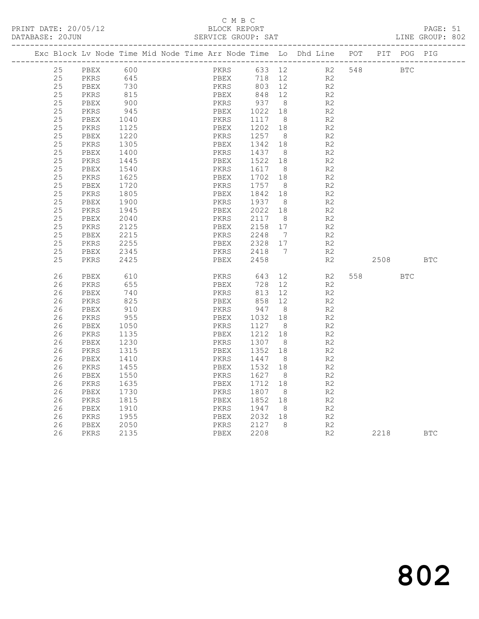#### C M B C<br>BLOCK REPORT

PAGE: 51<br>LINE GROUP: 802

|  |          | Exc Block Lv Node Time Mid Node Time Arr Node Time Lo Dhd Line POT PIT POG PIG |                 |  |              |              |                   |                |                       |                    |            |            |            |
|--|----------|--------------------------------------------------------------------------------|-----------------|--|--------------|--------------|-------------------|----------------|-----------------------|--------------------|------------|------------|------------|
|  | 25       | PBEX                                                                           | 600             |  |              |              |                   |                |                       | PKRS 633 12 R2 548 | <b>BTC</b> |            |            |
|  | 25       | PKRS                                                                           | 645<br>730      |  |              | PBEX<br>PKRS |                   |                | 718 12 R2             |                    |            |            |            |
|  | 25       | PBEX                                                                           |                 |  |              |              | 803 12            |                |                       | R2                 |            |            |            |
|  | 25       | PKRS                                                                           | 815             |  | PBEX         |              | 848 12            |                |                       | R2                 |            |            |            |
|  | 25       | PBEX                                                                           | 900             |  | PKRS         |              | 937 8             |                |                       | R2                 |            |            |            |
|  | 25       | PKRS                                                                           | 945             |  | PBEX         |              | 1022 18           |                |                       | R2                 |            |            |            |
|  | 25       | PBEX                                                                           | 1040            |  | PKRS         |              | 1117 8            |                |                       | R2                 |            |            |            |
|  | 25       | PKRS                                                                           | 1125            |  | PBEX         |              | 1202 18           |                |                       | R2                 |            |            |            |
|  | 25       | PBEX                                                                           | 1220<br>12.1305 |  | PKRS         |              | 1257 8            |                |                       | R2                 |            |            |            |
|  | 25<br>25 | PKRS                                                                           |                 |  | PBEX         |              | 1342 18           |                |                       | R2                 |            |            |            |
|  | 25       | PBEX                                                                           | 1400            |  | PKRS         |              | 1437 8            |                |                       | R2                 |            |            |            |
|  | 25       | PKRS<br>PBEX                                                                   | 1445<br>1540    |  | PBEX<br>PKRS |              | 1522 18<br>1617 8 |                |                       | R2<br>R2           |            |            |            |
|  | 25       | PKRS                                                                           | 1625            |  | PBEX         |              | 1702 18           |                |                       | R2                 |            |            |            |
|  | 25       | PBEX                                                                           | 1720            |  | PKRS         |              | 1757 8            |                |                       | R2                 |            |            |            |
|  | 25       | PKRS                                                                           | 1805            |  | PBEX         |              | 1842 18           |                |                       | R2                 |            |            |            |
|  | 25       | PBEX                                                                           | 1900            |  | PKRS         |              | 1937 8            |                |                       | R2                 |            |            |            |
|  | 25       | PKRS                                                                           | 1945            |  | PBEX         |              | 2022 18           |                |                       | R2                 |            |            |            |
|  | 25       | PBEX                                                                           | 2040            |  | PKRS         |              | 2117 8            |                |                       | R2                 |            |            |            |
|  | 25       | PKRS                                                                           | 2125            |  | PBEX         |              | 2158 17           |                |                       | R2                 |            |            |            |
|  | 25       | PBEX                                                                           | 2215            |  | PKRS         |              | 2248              | $\overline{7}$ |                       | R2                 |            |            |            |
|  | 25       | PKRS                                                                           | 2255            |  |              | PBEX         | 2328 17           |                |                       | R2                 |            |            |            |
|  | 25       | PBEX                                                                           | 2345            |  |              | PKRS         | 2418 7            |                |                       | R2                 |            |            |            |
|  | 25       | PKRS                                                                           | 2425            |  |              | PBEX         | 2458              |                |                       | R2                 | 2508       |            | <b>BTC</b> |
|  |          |                                                                                |                 |  |              |              |                   |                |                       |                    |            |            |            |
|  | 26       | PBEX                                                                           | 610             |  |              |              | PKRS 643          |                | 12 and $\overline{a}$ | R2                 | 558 35     | <b>BTC</b> |            |
|  | 26       | PKRS                                                                           | 655             |  | PBEX         |              | 728 12            |                |                       | R2                 |            |            |            |
|  | 26       | PBEX                                                                           | 740             |  | PKRS         |              | 813 12            |                |                       | R2                 |            |            |            |
|  | 26       | PKRS                                                                           | 825             |  | PBEX         |              | 858 12            |                |                       | R2                 |            |            |            |
|  | 26       | PBEX                                                                           | 910             |  | PKRS         |              | 858<br>947        | 8 <sup>8</sup> |                       | R2                 |            |            |            |
|  | 26       | PKRS                                                                           | 955             |  | PBEX         |              | 1032 18           |                |                       | R2                 |            |            |            |
|  | 26       | PBEX                                                                           | 1050            |  | PKRS         |              | 1127 8            |                |                       | R2                 |            |            |            |
|  | 26       | PKRS                                                                           | 1135            |  | PBEX         |              | 1212 18           |                |                       | R2                 |            |            |            |
|  | 26       | PBEX                                                                           | 1230            |  | PKRS         |              | 1307 8            |                |                       | R2                 |            |            |            |
|  | 26       | PKRS                                                                           | 1315            |  | PBEX         |              | 1352              | 18             |                       | R2                 |            |            |            |
|  | 26       | PBEX                                                                           | 1410            |  | PKRS         |              | 1447 8            |                |                       | R2                 |            |            |            |
|  | 26       | PKRS                                                                           | 1455            |  | PBEX         |              | 1532              | 18             |                       | R2                 |            |            |            |
|  | 26       | PBEX                                                                           | 1550            |  | PKRS         |              | 1627 8            |                |                       | R2                 |            |            |            |
|  | 26       | PKRS                                                                           | 1635            |  | PBEX         |              | 1712 18           |                |                       | R2                 |            |            |            |
|  | 26       | PBEX                                                                           | 1730            |  | PKRS         |              | 1807 8            |                |                       | R2                 |            |            |            |
|  | 26       | PKRS                                                                           | 1815            |  | PBEX         |              | 1852 18           |                |                       | R2                 |            |            |            |
|  | 26       | PBEX                                                                           | 1910            |  | PKRS         |              | 1947              | 8 <sup>1</sup> |                       | R2                 |            |            |            |
|  | 26       | PKRS                                                                           | 1955            |  | PBEX         |              | 2032 18           |                |                       | R <sub>2</sub>     |            |            |            |
|  | 26       | PBEX                                                                           | 2050            |  | PKRS         |              | 2127 8            |                |                       | R2                 |            |            |            |
|  | 26       | PKRS                                                                           | 2135            |  | PBEX         |              | 2208              |                |                       | R2                 | 2218       |            | <b>BTC</b> |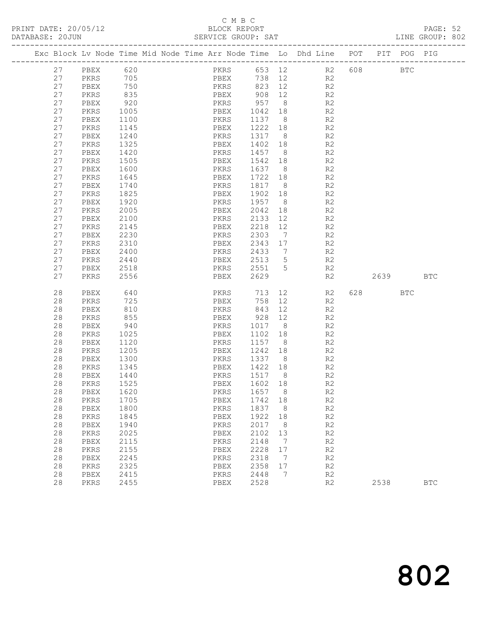#### C M B C<br>BLOCK REPORT

|  | DATABASE: 20JUN |              |              | ------------------                                                             | SERVICE GROUP: SAT                |                   |                      |                |          |            | LINE GROUP: 802 |  |
|--|-----------------|--------------|--------------|--------------------------------------------------------------------------------|-----------------------------------|-------------------|----------------------|----------------|----------|------------|-----------------|--|
|  |                 |              |              | Exc Block Lv Node Time Mid Node Time Arr Node Time Lo Dhd Line POT PIT POG PIG |                                   |                   |                      |                |          |            |                 |  |
|  | 27              | PBEX 620     |              |                                                                                | PKRS 653 12 R2 608 BTC            |                   |                      |                |          |            |                 |  |
|  | 27              | PKRS         | 705          |                                                                                | PBEX                              |                   |                      | 738 12 R2      |          |            |                 |  |
|  | 27              | PBEX         | 750          |                                                                                | PKRS 823 12 R2                    |                   |                      |                |          |            |                 |  |
|  | 27              | PKRS         | 835          |                                                                                | PBEX 908 12<br>PKRS 957 8<br>PBEX |                   |                      | R2             |          |            |                 |  |
|  | 27              | PBEX         | 920          |                                                                                |                                   |                   |                      | R2             |          |            |                 |  |
|  | 27              | PKRS         | 1005         |                                                                                | PBEX 1042 18                      |                   |                      | R2             |          |            |                 |  |
|  | 27              | PBEX         | 1100         |                                                                                | PKRS                              | 1137 8            |                      | R2             |          |            |                 |  |
|  | 27              | PKRS         | 1145         |                                                                                | PBEX                              | 1222 18           |                      | R2             |          |            |                 |  |
|  | 27              | PBEX         | 1240         |                                                                                | PKRS                              | 1317 8            |                      | R2             |          |            |                 |  |
|  | 27              | PKRS         | 1325         |                                                                                | PBEX                              | 1402 18           |                      | R2             |          |            |                 |  |
|  | 27              | PBEX         | 1420         |                                                                                | PKRS                              | 1457 8            |                      | R2             |          |            |                 |  |
|  | 27              | PKRS         | 1505         |                                                                                | PBEX                              | 1542 18           |                      | R2             |          |            |                 |  |
|  | 27              | PBEX         | 1600         |                                                                                | PKRS                              | 1637 8            |                      | R2             |          |            |                 |  |
|  | 27              | PKRS         | 1645         |                                                                                | PBEX                              | 1722 18           |                      | R2             |          |            |                 |  |
|  | 27              | PBEX         | 1740         |                                                                                | PKRS                              | 1817 8            |                      | R2             |          |            |                 |  |
|  | 27              | PKRS         | 1825<br>1920 |                                                                                | PBEX                              | 1902 18           |                      | R2             |          |            |                 |  |
|  | 27              | PBEX         |              |                                                                                | PKRS                              | 1957 8            |                      | R2             |          |            |                 |  |
|  | 27              | PKRS         | 2005         |                                                                                | PBEX                              | 2042 18           |                      | R2             |          |            |                 |  |
|  | 27              | PBEX         | 2100         |                                                                                | PKRS                              | 2133 12           |                      | R2             |          |            |                 |  |
|  | 27              | PKRS         | 2145         |                                                                                | PBEX                              | 2218 12<br>2303 7 |                      | R2             |          |            |                 |  |
|  | 27<br>27        | PBEX         | 2230<br>2310 |                                                                                | PKRS<br>PBEX                      |                   |                      | R <sub>2</sub> |          |            |                 |  |
|  | 27              | PKRS<br>PBEX | 2400         |                                                                                | PKRS                              | 2343 17<br>2433 7 |                      | R2<br>R2       |          |            |                 |  |
|  | 27              | PKRS         | 2440         |                                                                                | PBEX                              | 2513 5            |                      | R2             |          |            |                 |  |
|  | 27              | PBEX         | 2518         |                                                                                | PKRS                              | 2551 5            |                      | R2             |          |            |                 |  |
|  | 27              | PKRS         | 2556         |                                                                                | PBEX                              | 2629              |                      | R2             | 2639 BTC |            |                 |  |
|  | 28              | PBEX         | 640          |                                                                                | PKRS 713                          |                   | 12                   | R2             | 628 3    | <b>BTC</b> |                 |  |
|  | 28              | PKRS         | 725          |                                                                                | PBEX                              | 758               | 12                   | R2             |          |            |                 |  |
|  | 28              | PBEX         | 810          |                                                                                | PKRS                              | 843               | 12                   | R2             |          |            |                 |  |
|  | 28              | PKRS         | 855          |                                                                                | PBEX                              | 928 12            |                      | R <sub>2</sub> |          |            |                 |  |
|  | 28              | PBEX         | 940          |                                                                                | PKRS                              | 1017 8            |                      | R2             |          |            |                 |  |
|  | 28              | PKRS         | 1025         |                                                                                | PBEX                              | 1102 18           |                      | R2             |          |            |                 |  |
|  | 28              | PBEX         | 1120         |                                                                                | PKRS                              | 1157 8            |                      | R2             |          |            |                 |  |
|  | 28              | PKRS         | 1205         |                                                                                | PBEX                              | 1242 18           |                      | R2             |          |            |                 |  |
|  | 28              | PBEX         | 1300         |                                                                                | PKRS                              | 1337 8            |                      | R2             |          |            |                 |  |
|  | 28              | PKRS         | 1345         |                                                                                | PBEX                              | 1422 18           |                      | R2             |          |            |                 |  |
|  | 28              | PBEX         | 1440         |                                                                                | PKRS                              | 1517 8            |                      | R <sub>2</sub> |          |            |                 |  |
|  | 28              | PKRS 1525    |              |                                                                                | PBEX 1602 18                      |                   |                      | R2             |          |            |                 |  |
|  | 28              | PBEX         | 1620         |                                                                                | PKRS                              | 1657              | 8                    | R2             |          |            |                 |  |
|  | 28              | PKRS         | 1705         |                                                                                | PBEX                              | 1742 18           |                      | R2             |          |            |                 |  |
|  | 28              | PBEX         | 1800         |                                                                                | PKRS                              | 1837              | 8 <sup>8</sup>       | R2             |          |            |                 |  |
|  | 28<br>28        | PKRS         | 1845         |                                                                                | PBEX                              | 1922              | 18                   | R2             |          |            |                 |  |
|  | 28              | PBEX         | 1940         |                                                                                | PKRS                              | 2017<br>2102      | 8                    | R2             |          |            |                 |  |
|  | 28              | PKRS         | 2025<br>2115 |                                                                                | PBEX                              | 2148              | 13<br>$\overline{7}$ | R2<br>R2       |          |            |                 |  |
|  | 28              | PBEX<br>PKRS | 2155         |                                                                                | PKRS<br>PBEX                      | 2228              | 17                   | R2             |          |            |                 |  |
|  | 28              | PBEX         | 2245         |                                                                                | PKRS                              | 2318              | $\overline{7}$       | R2             |          |            |                 |  |
|  | 28              | PKRS         | 2325         |                                                                                | PBEX                              | 2358              | 17                   | R2             |          |            |                 |  |
|  | 28              | PBEX         | 2415         |                                                                                | PKRS                              | 2448              | 7                    | R2             |          |            |                 |  |
|  | 28              | PKRS         | 2455         |                                                                                | PBEX                              | 2528              |                      | R2             | 2538     |            | <b>BTC</b>      |  |
|  |                 |              |              |                                                                                |                                   |                   |                      |                |          |            |                 |  |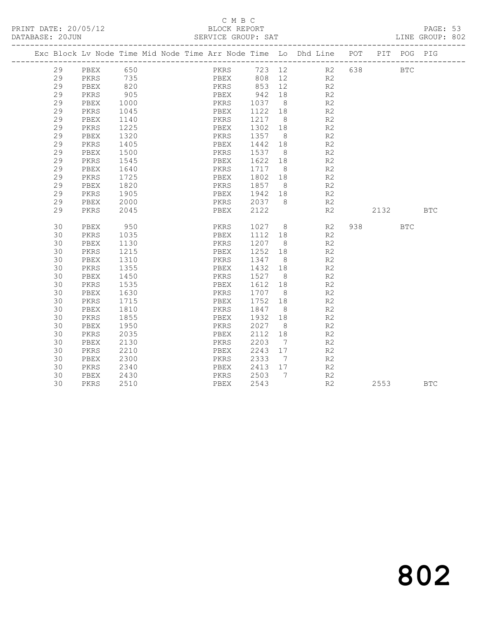#### C M B C<br>BLOCK REPORT SERVICE GROUP: SAT

|    |      |            | Exc Block Lv Node Time Mid Node Time Arr Node Time Lo Dhd Line POT |      |      |                            |                              |                    |     |      | PIT POG PIG |              |
|----|------|------------|--------------------------------------------------------------------|------|------|----------------------------|------------------------------|--------------------|-----|------|-------------|--------------|
| 29 | PBEX | 650        |                                                                    |      |      |                            |                              | PKRS 723 12 R2 638 |     |      | <b>BTC</b>  |              |
| 29 | PKRS | 735<br>820 |                                                                    |      |      | 808 12                     |                              | R2                 |     |      |             |              |
| 29 | PBEX |            |                                                                    |      |      | PBEX 808 12<br>PKRS 853 12 |                              | R2                 |     |      |             |              |
| 29 | PKRS | 905        |                                                                    | PBEX |      | 942 18                     |                              | R2                 |     |      |             |              |
| 29 | PBEX | 1000       |                                                                    |      | PKRS | 1037                       | 8 <sup>8</sup>               | R <sub>2</sub>     |     |      |             |              |
| 29 | PKRS | 1045       |                                                                    | PBEX |      | 1122 18                    |                              | R <sub>2</sub>     |     |      |             |              |
| 29 | PBEX | 1140       |                                                                    | PKRS |      | 1217 8                     |                              | R2                 |     |      |             |              |
| 29 | PKRS | 1225       |                                                                    | PBEX |      | 1302 18                    |                              | R2                 |     |      |             |              |
| 29 | PBEX | 1320       |                                                                    | PKRS |      | 1357                       | 8 <sup>8</sup>               | R <sub>2</sub>     |     |      |             |              |
| 29 | PKRS | 1405       |                                                                    | PBEX |      | 1442 18                    |                              | R2                 |     |      |             |              |
| 29 | PBEX | 1500       |                                                                    | PKRS |      | 1537 8                     |                              | R <sub>2</sub>     |     |      |             |              |
| 29 | PKRS | 1545       |                                                                    | PBEX |      | 1622 18                    |                              | R2                 |     |      |             |              |
| 29 | PBEX | 1640       |                                                                    | PKRS |      | 1717                       | 8 <sup>1</sup>               | R <sub>2</sub>     |     |      |             |              |
| 29 | PKRS | 1725       |                                                                    | PBEX |      | 1802 18                    |                              | R2                 |     |      |             |              |
| 29 | PBEX | 1820       |                                                                    | PKRS |      | 1857                       | 8 <sup>8</sup>               | R2                 |     |      |             |              |
| 29 | PKRS | 1905       |                                                                    | PBEX |      | 1942 18                    |                              | R2                 |     |      |             |              |
| 29 | PBEX | 2000       |                                                                    |      | PKRS | 2037                       | 8                            | R2                 |     |      |             |              |
| 29 | PKRS | 2045       |                                                                    | PBEX |      | 2122                       |                              | R2                 |     | 2132 |             | $_{\rm BTC}$ |
|    |      |            |                                                                    |      |      |                            |                              |                    |     |      |             |              |
| 30 | PBEX | 950        |                                                                    |      | PKRS | 1027 8                     |                              | R2                 | 938 |      | <b>BTC</b>  |              |
| 30 | PKRS | 1035       |                                                                    | PBEX |      | 1112 18                    |                              | R2                 |     |      |             |              |
| 30 | PBEX | 1130       |                                                                    | PKRS |      | 1207                       | 8 <sup>8</sup>               | R <sub>2</sub>     |     |      |             |              |
| 30 | PKRS | 1215       |                                                                    | PBEX |      | 1252 18                    |                              | R <sub>2</sub>     |     |      |             |              |
| 30 | PBEX | 1310       |                                                                    | PKRS |      | 1347                       | 8 <sup>8</sup>               | R <sub>2</sub>     |     |      |             |              |
| 30 | PKRS | 1355       |                                                                    | PBEX |      | 1432 18                    |                              | R2                 |     |      |             |              |
| 30 | PBEX | 1450       |                                                                    | PKRS |      | 1527                       | 8 <sup>8</sup>               | R2                 |     |      |             |              |
| 30 | PKRS | 1535       |                                                                    | PBEX |      | 1612 18                    |                              | R2                 |     |      |             |              |
| 30 | PBEX | 1630       |                                                                    | PKRS |      | 1707                       | 8 <sup>8</sup>               | R <sub>2</sub>     |     |      |             |              |
| 30 | PKRS | 1715       |                                                                    | PBEX |      | 1752 18                    |                              | R2                 |     |      |             |              |
| 30 | PBEX | 1810       |                                                                    | PKRS |      | 1847                       | 8 <sup>8</sup>               | R2                 |     |      |             |              |
| 30 | PKRS | 1855       |                                                                    | PBEX |      | 1932 18                    |                              | R2                 |     |      |             |              |
| 30 | PBEX | 1950       |                                                                    | PKRS |      | 2027                       | 8 <sup>8</sup>               | R <sub>2</sub>     |     |      |             |              |
| 30 | PKRS | 2035       |                                                                    | PBEX |      | 2112 18                    |                              | R2                 |     |      |             |              |
| 30 | PBEX | 2130       |                                                                    | PKRS |      | 2203                       | $7\phantom{.0}\phantom{.0}7$ | R <sub>2</sub>     |     |      |             |              |
| 30 | PKRS | 2210       |                                                                    | PBEX |      | 2243 17                    |                              | R2                 |     |      |             |              |
| 30 | PBEX | 2300       |                                                                    | PKRS |      | 2333                       | 7                            | R <sub>2</sub>     |     |      |             |              |
| 30 | PKRS | 2340       |                                                                    |      | PBEX | 2413 17                    |                              | R2                 |     |      |             |              |
| 30 | PBEX | 2430       |                                                                    | PKRS |      | 2503                       | $\overline{7}$               | R2                 |     |      |             |              |
| 30 | PKRS | 2510       |                                                                    |      | PBEX | 2543                       |                              | R <sub>2</sub>     |     | 2553 |             | <b>BTC</b>   |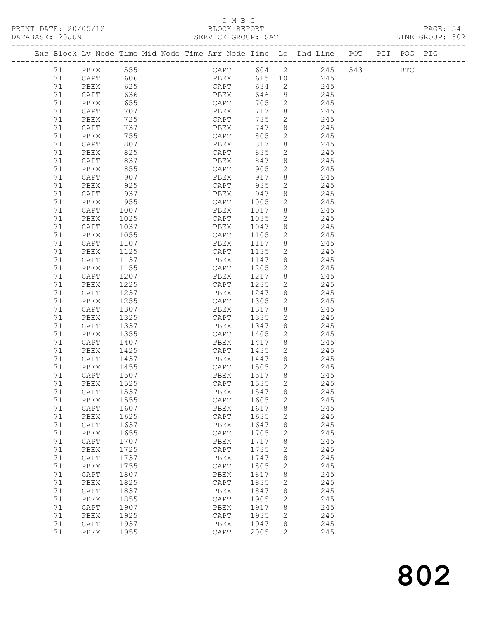#### C M B C<br>BLOCK BEPORT

|  |  | D |
|--|--|---|

|    |                      |      |                                                                                                                                                                                                                                | BLOCK REPORT             |        |   |                                                                                |  |  |  |
|----|----------------------|------|--------------------------------------------------------------------------------------------------------------------------------------------------------------------------------------------------------------------------------|--------------------------|--------|---|--------------------------------------------------------------------------------|--|--|--|
|    |                      |      |                                                                                                                                                                                                                                |                          |        |   | Exc Block Lv Node Time Mid Node Time Arr Node Time Lo Dhd Line POT PIT POG PIG |  |  |  |
|    | 71 PBEX 555          |      |                                                                                                                                                                                                                                |                          |        |   | CAPT 604 2 245 543 BTC                                                         |  |  |  |
|    | 71 CAPT 606          |      |                                                                                                                                                                                                                                |                          |        |   | PBEX 615 10 245                                                                |  |  |  |
|    | 71 PBEX 625          |      |                                                                                                                                                                                                                                |                          |        |   | CAPT 634 2 245                                                                 |  |  |  |
| 71 | CAPT                 | 636  |                                                                                                                                                                                                                                |                          |        |   | PBEX 646 9 245                                                                 |  |  |  |
| 71 | PBEX                 | 655  |                                                                                                                                                                                                                                | CAPT                     |        |   | 705 2 245                                                                      |  |  |  |
| 71 | CAPT                 | 707  |                                                                                                                                                                                                                                | PBEX                     |        |   | 717 8 245                                                                      |  |  |  |
| 71 | PBEX                 | 725  |                                                                                                                                                                                                                                | CAPT                     |        |   | 735 2 245                                                                      |  |  |  |
| 71 | CAPT                 |      | 737 — 2007 — 2008 — 2009 — 2010 — 2020 — 2020 — 2020 — 2020 — 2020 — 2020 — 2020 — 2020 — 2020 — 2020 — 2020 — 2020 — 2020 — 2020 — 2020 — 2020 — 2020 — 2020 — 2020 — 2020 — 2020 — 2020 — 2020 — 2020 — 2020 — 2020 — 2020 — | PBEX                     |        |   | 747 8 245                                                                      |  |  |  |
| 71 | PBEX                 | 755  |                                                                                                                                                                                                                                | CAPT                     |        |   | 805 2 245                                                                      |  |  |  |
| 71 | CAPT                 | 807  |                                                                                                                                                                                                                                | PBEX                     |        |   | 817 8 245                                                                      |  |  |  |
| 71 | PBEX                 | 825  |                                                                                                                                                                                                                                | CAPT                     |        |   | 835 2 245                                                                      |  |  |  |
| 71 | CAPT                 | 837  |                                                                                                                                                                                                                                | PBEX                     |        |   | 847 8 245                                                                      |  |  |  |
| 71 | PBEX                 | 855  |                                                                                                                                                                                                                                | CAPT                     | 905 2  |   | 245                                                                            |  |  |  |
| 71 | CAPT                 | 907  |                                                                                                                                                                                                                                | PBEX 917                 |        |   | 8 245                                                                          |  |  |  |
| 71 | PBEX 925             |      |                                                                                                                                                                                                                                |                          |        |   |                                                                                |  |  |  |
| 71 |                      |      |                                                                                                                                                                                                                                | CAPT 935 2<br>PBEX 947 8 |        |   |                                                                                |  |  |  |
| 71 | CAPT 937<br>PBEX 955 |      |                                                                                                                                                                                                                                | CAPT                     |        |   | 935 2<br>947 8 245<br>1005 2 245                                               |  |  |  |
| 71 | CAPT                 | 1007 |                                                                                                                                                                                                                                | PBEX                     | 1017   |   | 8 245                                                                          |  |  |  |
| 71 | PBEX                 | 1025 |                                                                                                                                                                                                                                | CAPT                     |        |   | 1035 2 245                                                                     |  |  |  |
| 71 | CAPT                 | 1037 |                                                                                                                                                                                                                                | PBEX                     |        |   | 1047 8 245                                                                     |  |  |  |
| 71 | PBEX                 | 1055 |                                                                                                                                                                                                                                | CAPT                     | 1105   |   | 2 245                                                                          |  |  |  |
| 71 | CAPT                 | 1107 |                                                                                                                                                                                                                                | PBEX                     | 1117   |   | 8 245                                                                          |  |  |  |
| 71 | PBEX                 |      | 1125                                                                                                                                                                                                                           | CAPT                     | 1135   |   | 2 245                                                                          |  |  |  |
| 71 | CAPT                 |      | 1137                                                                                                                                                                                                                           | PBEX                     | 1147   |   | 8 245                                                                          |  |  |  |
| 71 | PBEX                 |      | 1155                                                                                                                                                                                                                           | CAPT                     |        |   | 1205 2 245                                                                     |  |  |  |
| 71 | CAPT                 | 1207 |                                                                                                                                                                                                                                | PBEX                     | 1217   |   | 8 245                                                                          |  |  |  |
| 71 | PBEX                 | 1225 |                                                                                                                                                                                                                                | CAPT                     | 1235   |   | 2 245                                                                          |  |  |  |
| 71 | CAPT                 | 1237 |                                                                                                                                                                                                                                | PBEX                     | 1247   |   | 8 245                                                                          |  |  |  |
| 71 | PBEX                 | 1255 |                                                                                                                                                                                                                                | CAPT                     | 1305 2 |   | 245                                                                            |  |  |  |
| 71 | CAPT 1307            |      |                                                                                                                                                                                                                                | PBEX                     | 1317   |   | 8 245                                                                          |  |  |  |
| 71 | PBEX                 | 1325 |                                                                                                                                                                                                                                | CAPT                     | 1335   | 2 | 245                                                                            |  |  |  |

 71 CAPT 1337 PBEX 1347 8 245 71 PBEX 1355 CAPT 1405 2 245 71 CAPT 1407 PBEX 1417 8 245 71 PBEX 1425 CAPT 1435 2 245 71 CAPT 1437 PBEX 1447 8 245 71 PBEX 1455 CAPT 1505 2 245 71 CAPT 1507 PBEX 1517 8 245 71 PBEX 1525 CAPT 1535 2 245 71 CAPT 1537 PBEX 1547 8 245 71 PBEX 1555 CAPT 1605 2 245 71 CAPT 1607 PBEX 1617 8 245 71 PBEX 1625 CAPT 1635 2 245 71 CAPT 1637 PBEX 1647 8 245 71 PBEX 1655 CAPT 1705 2 245 71 CAPT 1707 PBEX 1717 8 245 71 PBEX 1725 CAPT 1735 2 245 71 CAPT 1737 PBEX 1747 8 245 71 PBEX 1755 CAPT 1805 2 245 71 CAPT 1807 PBEX 1817 8 245 71 PBEX 1825 CAPT 1835 2 245 71 CAPT 1837 PBEX 1847 8 245 71 PBEX 1855 CAPT 1905 2 245 71 CAPT 1907 PBEX 1917 8 245 71 PBEX 1925 CAPT 1935 2 245 71 CAPT 1937 PBEX 1947 8 245 71 PBEX 1955 CAPT 2005 2 245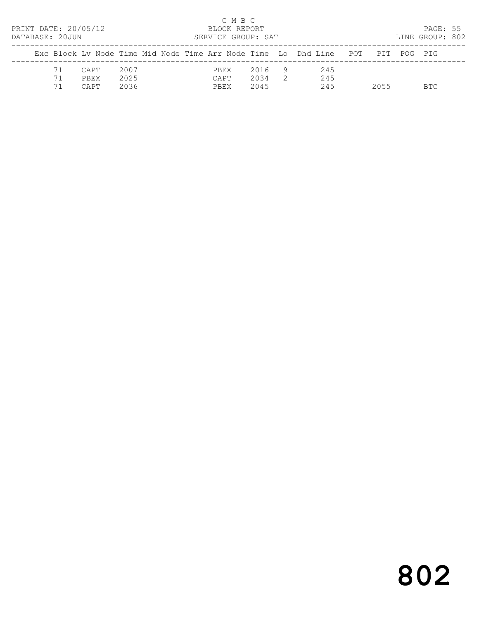| PRINT DATE: 20/05/12<br>DATABASE: 20JUN<br>Exc Block Ly Node Time Mid Node Time Arr Node Time Lo Dhd Line POT |                             |  |                      |  |  |  |                      | C M B C<br>BLOCK REPORT | SERVICE GROUP: SAT   |                |                   |      | PAGE: 55<br>LINE GROUP: 802 |  |
|---------------------------------------------------------------------------------------------------------------|-----------------------------|--|----------------------|--|--|--|----------------------|-------------------------|----------------------|----------------|-------------------|------|-----------------------------|--|
|                                                                                                               |                             |  |                      |  |  |  |                      |                         |                      |                |                   | PIT  | POG PTG                     |  |
| 71<br>71<br>71                                                                                                | CAPT<br><b>PREX</b><br>CAPT |  | 2007<br>2025<br>2036 |  |  |  | PBEX<br>CAPT<br>PBEX |                         | 2016<br>2034<br>2045 | $\overline{2}$ | 245<br>245<br>245 | 2055 | BTC.                        |  |

# 802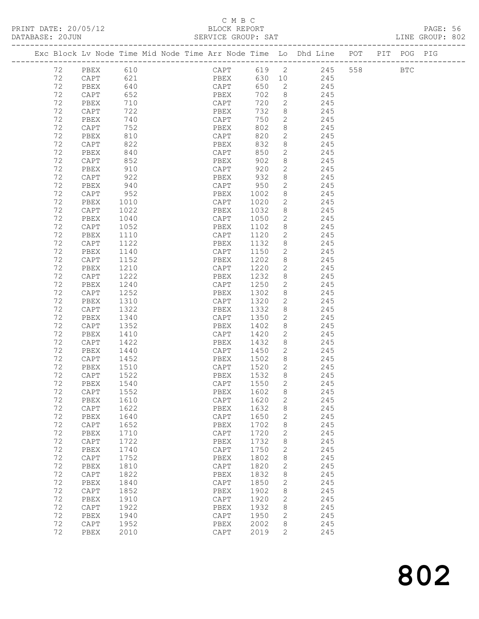#### C M B C DATABASE: 2012<br>BENATA SERVICE GROUP: SAT

| PRINT DATE: 20/05/12<br>DATABASE: 20JUN |                 |                                                                                | C M B C<br>BLOCK REPORT<br>SERVICE GROUP: SAT |      |                 |                        |         |            | PAGE: 56<br>LINE GROUP: 802 |  |
|-----------------------------------------|-----------------|--------------------------------------------------------------------------------|-----------------------------------------------|------|-----------------|------------------------|---------|------------|-----------------------------|--|
|                                         |                 | Exc Block Lv Node Time Mid Node Time Arr Node Time Lo Dhd Line POT PIT POG PIG |                                               |      |                 |                        |         |            |                             |  |
| 72 PBEX                                 |                 | 610                                                                            | CAPT 619 2                                    |      |                 |                        | 245 558 | <b>BTC</b> |                             |  |
| 72                                      | CAPT            | 621                                                                            | PBEX                                          |      |                 | 630 10<br>245          |         |            |                             |  |
| 72                                      | PBEX            | 640                                                                            | CAPT                                          | 650  |                 | $2\overline{ }$<br>245 |         |            |                             |  |
| 72                                      | CAPT            | 652                                                                            | PBEX                                          | 702  | 8               |                        |         |            |                             |  |
| 72                                      | PBEX            | 710                                                                            | CAPT                                          | 720  | $\overline{2}$  | $245$<br>$245$         |         |            |                             |  |
| 72                                      | CAPT            | 722                                                                            | PBEX                                          | 732  |                 | 8 245                  |         |            |                             |  |
| 72                                      | PBEX            | 740                                                                            | CAPT                                          | 750  | $\overline{2}$  | 245                    |         |            |                             |  |
| 72                                      | CAPT            | 752                                                                            | PBEX                                          | 802  | 8               |                        |         |            |                             |  |
| 72                                      | PBEX            | 810                                                                            | CAPT                                          | 820  | $2^{\circ}$     | 245<br>245             |         |            |                             |  |
| 72                                      | CAPT            | 822                                                                            | PBEX                                          | 832  |                 | 8 245                  |         |            |                             |  |
| 72                                      | PBEX            | 840                                                                            | CAPT                                          | 850  | $\overline{2}$  | 245                    |         |            |                             |  |
| 72                                      | CAPT            | 852                                                                            | PBEX                                          | 902  | 8               | 245                    |         |            |                             |  |
| 72                                      | PBEX            | 910                                                                            | CAPT                                          | 920  | $\overline{2}$  | 245                    |         |            |                             |  |
| 72                                      | CAPT            | 922                                                                            | PBEX                                          | 932  |                 | 8 245                  |         |            |                             |  |
| 72                                      | PBEX            | 940                                                                            | CAPT                                          | 950  | $\mathbf{2}$    | 245                    |         |            |                             |  |
| 72                                      | CAPT            | 952                                                                            | PBEX                                          | 1002 | 8               | 245                    |         |            |                             |  |
| 72                                      | PBEX            | 1010                                                                           | CAPT                                          | 1020 | $\overline{2}$  | 245                    |         |            |                             |  |
| 72                                      | CAPT            | 1022                                                                           | PBEX                                          | 1032 |                 | 8 245                  |         |            |                             |  |
| 72                                      | PBEX            | 1040                                                                           | CAPT                                          | 1050 | $\overline{2}$  | 245                    |         |            |                             |  |
| 72                                      | CAPT            | 1052                                                                           | PBEX                                          | 1102 | 8               | 245                    |         |            |                             |  |
| 72                                      | PBEX            | 1110                                                                           | CAPT                                          | 1120 | $2\overline{ }$ | 245                    |         |            |                             |  |
| 72                                      | CAPT            | 1122                                                                           | PBEX                                          | 1132 | 8               | 245                    |         |            |                             |  |
| 72                                      | PBEX            | 1140                                                                           | CAPT                                          | 1150 |                 | 2 245                  |         |            |                             |  |
| 72                                      | CAPT            | 1152                                                                           | PBEX                                          | 1202 |                 | 8<br>245               |         |            |                             |  |
| 72                                      | PBEX            | 1210                                                                           | CAPT                                          | 1220 | $2^{\circ}$     | 245                    |         |            |                             |  |
| 72                                      | CAPT            | 1222                                                                           | PBEX                                          | 1232 | 8               | 245                    |         |            |                             |  |
| 72                                      | PBEX            | 1240                                                                           | CAPT                                          | 1250 | $\overline{2}$  | 245                    |         |            |                             |  |
| 72                                      | CAPT            | 1252                                                                           | PBEX                                          | 1302 | 8               | 245                    |         |            |                             |  |
| 72                                      | PBEX            | 1310                                                                           | CAPT                                          | 1320 | $\mathbf{2}$    | 245                    |         |            |                             |  |
| 72                                      | CAPT            | 1322                                                                           | PBEX                                          | 1332 | 8               | 245                    |         |            |                             |  |
| 72                                      | PBEX            | 1340                                                                           | CAPT                                          | 1350 | $\overline{2}$  | 245                    |         |            |                             |  |
| 72                                      | CAPT            | 1352                                                                           | PBEX                                          | 1402 |                 | 8<br>245               |         |            |                             |  |
| 72                                      | PBEX            | 1410                                                                           | CAPT                                          | 1420 | $\overline{2}$  | 245                    |         |            |                             |  |
| 72                                      | CAPT            | 1422                                                                           | PBEX                                          | 1432 | $8\,$           | 245                    |         |            |                             |  |
| 72                                      | PBEX            | 1440                                                                           | CAPT                                          | 1450 | $\overline{2}$  | 245                    |         |            |                             |  |
| 72                                      | CAPT            | 1452                                                                           | PBEX                                          | 1502 | 8               | 245                    |         |            |                             |  |
| 72                                      | PBEX            | 1510                                                                           | ${\tt CAPT}$                                  | 1520 | $\mathbf{2}$    | 245                    |         |            |                             |  |
| 72                                      | $\texttt{CAPT}$ | 1522                                                                           | PBEX                                          | 1532 | 8               | 245                    |         |            |                             |  |
| 72                                      | ${\tt PBEX}$    | 1540                                                                           | $\texttt{CAPT}$                               | 1550 | 2               | 245                    |         |            |                             |  |
| 72                                      | $\texttt{CAPT}$ | 1552                                                                           | ${\tt PBEX}$                                  | 1602 | 8               | 245                    |         |            |                             |  |
| 72                                      | PBEX            | 1610                                                                           | $\texttt{CAPT}$                               | 1620 | 2               | 245                    |         |            |                             |  |
| 72                                      | $\texttt{CAPT}$ | 1622                                                                           | ${\tt PBEX}$                                  | 1632 | 8               | 245                    |         |            |                             |  |
| 72                                      | ${\tt PBEX}$    | 1640                                                                           | $\texttt{CAPT}$                               | 1650 | 2               | 245                    |         |            |                             |  |
| 72                                      | CAPT            | 1652                                                                           | PBEX                                          | 1702 | 8               | 245                    |         |            |                             |  |
| 72                                      | ${\tt PBEX}$    | 1710                                                                           | ${\tt CAPT}$                                  | 1720 | 2               | 245                    |         |            |                             |  |
| 72                                      | CAPT            | 1722                                                                           | ${\tt PBEX}$                                  | 1732 | 8               | 245                    |         |            |                             |  |
| 72                                      | PBEX            | 1740                                                                           | $\texttt{CAPT}$                               | 1750 | $\mathbf{2}$    | 245                    |         |            |                             |  |
| 72                                      | CAPT            | 1752                                                                           | PBEX                                          | 1802 | 8               | 245                    |         |            |                             |  |
| 72                                      | PBEX            | 1810                                                                           | $\texttt{CAPT}$                               | 1820 | 2               | 245                    |         |            |                             |  |
| 72                                      | CAPT            | 1822                                                                           | ${\tt PBEX}$                                  | 1832 | 8               | 245                    |         |            |                             |  |
| 72                                      | ${\tt PBEX}$    | 1840                                                                           | $\texttt{CAPT}$                               | 1850 | 2               | 245                    |         |            |                             |  |
| 72                                      | CAPT            | 1852                                                                           | PBEX                                          | 1902 | 8               | 245                    |         |            |                             |  |
| 72                                      | PBEX            | 1910                                                                           | ${\tt CAPT}$                                  | 1920 | 2               | 245                    |         |            |                             |  |
| 72                                      | $\texttt{CAPT}$ | 1922                                                                           | ${\tt PBEX}$                                  | 1932 | 8               | 245                    |         |            |                             |  |
| 72                                      | PBEX            | 1940                                                                           | $\texttt{CAPT}$                               | 1950 | $\mathbf{2}$    | 245                    |         |            |                             |  |
| 72                                      | CAPT            | 1952                                                                           | ${\tt PBEX}$                                  | 2002 | 8               | 245                    |         |            |                             |  |
| 72                                      | PBEX            | 2010                                                                           | CAPT                                          | 2019 | $\mathbf{2}$    | 245                    |         |            |                             |  |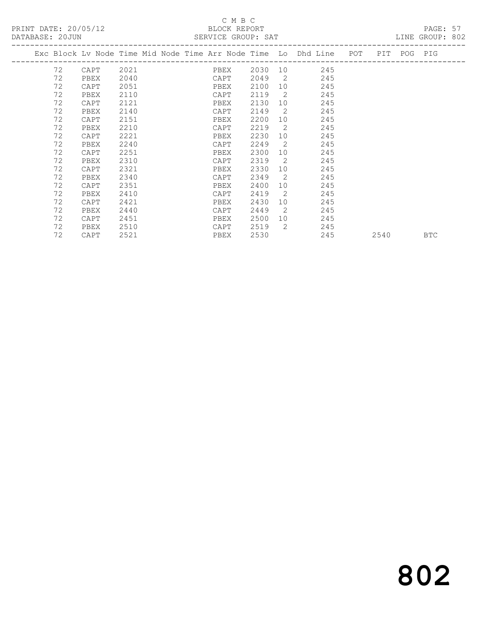#### C M B C<br>BLOCK REPORT

| Exc Block Lv Node Time Mid Node Time Arr Node Time Lo Dhd Line POT PIT POG PIG |                    |
|--------------------------------------------------------------------------------|--------------------|
|                                                                                |                    |
| 2030 10 245<br>72<br>2021 PBEX<br>CAPT                                         |                    |
| 72<br>2049<br>$\overline{2}$<br>2040<br>245<br>CAPT<br>PBEX                    |                    |
| 72<br>2100<br>245<br>2051<br>CAPT<br><b>EXERCISE PREX</b>                      |                    |
| 72<br>2119<br>$\overline{2}$<br>2110<br>245<br>CAPT<br>PBEX                    |                    |
| 72<br>2130<br>245<br>2121<br>10<br>CAPT<br>PBEX                                |                    |
| 72<br>2140<br>2149<br>2<br>245<br>CAPT<br>PBEX                                 |                    |
| 72<br>2151<br>2200<br>10<br>245<br>PBEX<br>CAPT                                |                    |
| 72<br>-2<br>2210<br>2219<br>245<br>CAPT<br>PBEX                                |                    |
| 72<br>2230<br>2221<br>10<br>245<br>PBEX<br>CAPT                                |                    |
| 72<br>$\overline{2}$<br>2240<br>2249<br>245<br>CAPT<br>PBEX                    |                    |
| 72<br>2300<br>245<br>2251<br>10<br>CAPT<br>PBEX                                |                    |
| 72<br>2319<br>$\overline{2}$<br>2310<br>245<br>CAPT<br>PBEX                    |                    |
| 72<br>2330<br>2321<br>10<br>245<br>PBEX<br>CAPT                                |                    |
| 72<br>2349<br>$\overline{2}$<br>245<br>2340<br>PBEX<br>CAPT                    |                    |
| 72<br>2400<br>245<br>2351<br>10<br>CAPT<br>PBEX                                |                    |
| 72<br>2<br>2410<br>2419<br>245<br>PBEX<br>CAPT                                 |                    |
| 72<br>2421<br>2430<br>245<br>10<br>CAPT<br>PBEX                                |                    |
| 72<br>2449<br>$\overline{2}$<br>245<br>2440<br>PBEX<br>CAPT                    |                    |
| 72<br>2500<br>245<br>2451<br>PBEX<br>CAPT                                      |                    |
| 72<br>2<br>2519<br>245<br>2510<br>CAPT<br>PBEX                                 |                    |
| 72<br>2530<br>245<br>2521<br>CAPT<br>PBEX                                      | 2540<br><b>BTC</b> |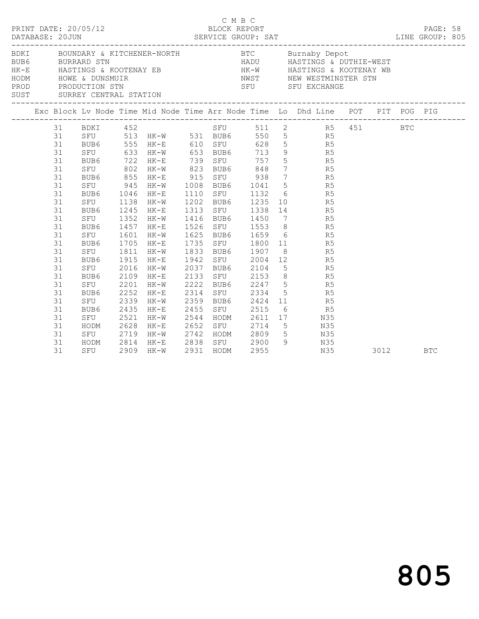|  | DATABASE: 20JUN                                                                                                                                          | PRINT DATE: 20/05/12                                                                                                                                                                      |                                                                                      |                                                                                                                                                                                                                  | C M B C                                                                                |  |                                                                                                                                                                                                                                                               |                                                                                                                                                                                                                                                                                                                                                                                                                                                                                                                                                                                                                                                                         |      |  |            |  |
|--|----------------------------------------------------------------------------------------------------------------------------------------------------------|-------------------------------------------------------------------------------------------------------------------------------------------------------------------------------------------|--------------------------------------------------------------------------------------|------------------------------------------------------------------------------------------------------------------------------------------------------------------------------------------------------------------|----------------------------------------------------------------------------------------|--|---------------------------------------------------------------------------------------------------------------------------------------------------------------------------------------------------------------------------------------------------------------|-------------------------------------------------------------------------------------------------------------------------------------------------------------------------------------------------------------------------------------------------------------------------------------------------------------------------------------------------------------------------------------------------------------------------------------------------------------------------------------------------------------------------------------------------------------------------------------------------------------------------------------------------------------------------|------|--|------------|--|
|  |                                                                                                                                                          |                                                                                                                                                                                           |                                                                                      |                                                                                                                                                                                                                  |                                                                                        |  |                                                                                                                                                                                                                                                               | BDKI BOUNDARY & KITCHENER-NORTH BTC Burnaby Depot<br>BURRARD STN BURRARD STN HADU HASTINGS & DUTHIE-WEST<br>HASTINGS & KOOTENAY EB<br>HODM HOWE & DUNSMUIR NET NET NEW WESTMINSTER STN<br>PRODUCTION STN SEU SFU EXCHANGE<br>SUST SURREY CENTRAL STATION                                                                                                                                                                                                                                                                                                                                                                                                                |      |  |            |  |
|  |                                                                                                                                                          |                                                                                                                                                                                           |                                                                                      |                                                                                                                                                                                                                  |                                                                                        |  |                                                                                                                                                                                                                                                               |                                                                                                                                                                                                                                                                                                                                                                                                                                                                                                                                                                                                                                                                         |      |  |            |  |
|  | 31<br>31<br>31<br>31<br>31<br>31<br>31<br>31<br>31<br>31<br>31<br>31<br>31<br>31<br>31<br>31<br>31<br>31<br>31<br>31<br>31<br>31<br>31<br>31<br>31<br>31 | SFU 945<br>BUB6<br>SFU<br>BUB6<br>SFU<br>BUB6<br>SFU<br>BUB6 1705<br>SFU 1811<br>BUB6<br>SFU<br>BUB6<br>SFU<br>BUB6<br>SFU<br>BUB6<br>SFU<br>HODM 2628 HK-E<br>SFU 2719 HK-W<br>HODM 2814 | 1352<br>1457<br>1601<br>1915<br>2016<br>2109<br>2201<br>2252<br>2339<br>2435<br>2521 | 31 BDKI 452<br>BUB6 555 HK-E 610 SFU<br>1046 HK-E<br>1138 HK-W<br>1245 HK-E<br>$HK-W$<br>$HK-E$<br>HK-W<br>$HK-E$<br>$HK-W$<br>HK-E<br>$HK-W$<br>$HK-E$<br>HK-W<br>HK-E<br>HK-W<br>$HK-E$<br>$HK-W$<br>HK-E 2838 | 1625<br>1942<br>2037 BUB6 2104<br>2133<br>2222<br>2314<br>2455<br>2544<br>2652<br>2742 |  | 1110 SFU 1132<br>1202 BUB6 1235<br>1313 SFU 1338<br>1416 BUB6 1450<br>1526 SFU 1553<br>1625 BUB6 1659<br>1735 SFU 1800<br>1833 BUB6 1907<br>SFU 2004<br>SFU 2153<br>BUB6 2247<br>SFU 2334<br>2359 BUB6 2424<br>SFU 2515<br>HODM 2611<br>SFU 2714<br>HODM 2809 | SFU 511 2 R5 451 BTC<br>SFU 513 HK-W 531 BUB6 550 5 R5<br>BUB6 555 HK-E 610 SFU 628 5<br>SFU 633 HK-W 653 BUB6 713 9 R5<br>BUB6 722 HK-E 739 SFU 757 5 R5<br>SFU 802 HK-W 823 BUB6 848 7 R5<br>BUB6 855 HK-E 915 SFU 938 7 R5<br>HK-W 1008 BUB6 1041 5 R5<br>$\begin{array}{ccc} 6 & & \text{R5} \\ 10 & & \text{R5} \\ 14 & & \text{R5} \end{array}$<br>7 R5<br>8 R5<br>$6$ R5<br>$\begin{array}{ccc} 11 & \quad & \quad \text{R5} \\ 8 & \quad & \quad \text{R5} \end{array}$<br>$12$ R5<br>$5$ R5<br>8 R5<br>$\begin{array}{ccc} 5 & & \text{R5} \\ 5 & & \text{R5} \end{array}$<br>$11$ R5<br>6 R5<br>17 N35<br>SFU 2714 5 N35<br>HODM 2809 5 N35<br>SFU 2900 9 N35 |      |  |            |  |
|  | 31                                                                                                                                                       | SFU                                                                                                                                                                                       |                                                                                      | 2909 HK-W                                                                                                                                                                                                        | 2931 HODM                                                                              |  | 2955                                                                                                                                                                                                                                                          | N35                                                                                                                                                                                                                                                                                                                                                                                                                                                                                                                                                                                                                                                                     | 3012 |  | <b>BTC</b> |  |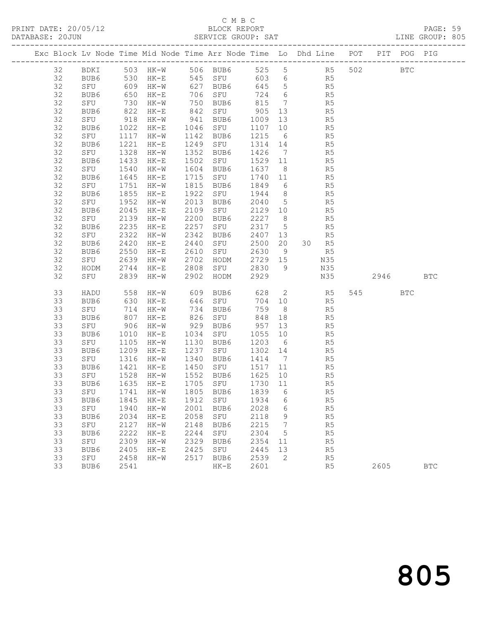## C M B C<br>BLOCK REPORT

PAGE: 59<br>LINE GROUP: 805

|    | Exc Block Lv Node Time Mid Node Time Arr Node Time Lo Dhd Line POT PIT POG PIG |                  |                      |      |           |         |                 |                |     |      |              |              |
|----|--------------------------------------------------------------------------------|------------------|----------------------|------|-----------|---------|-----------------|----------------|-----|------|--------------|--------------|
| 32 | BDKI 503 HK-W 506 BUB6 525 5 R5 502                                            |                  |                      |      |           |         |                 |                |     |      | $_{\rm BTC}$ |              |
| 32 | BUB6                                                                           |                  | 530 НК-Е<br>609 НК-W |      |           |         |                 | R5<br>R5       |     |      |              |              |
| 32 | SFU                                                                            |                  |                      |      |           |         |                 |                |     |      |              |              |
| 32 | BUB6                                                                           | 650              | HK-E                 |      | 706 SFU   | 724 6   |                 | R <sub>5</sub> |     |      |              |              |
| 32 | SFU                                                                            | 730              | HK-W                 |      | 750 BUB6  | 815     | $\overline{7}$  |                | R5  |      |              |              |
| 32 | BUB6                                                                           | 822              | HK-E                 |      | 842 SFU   | 905     | 13              |                | R5  |      |              |              |
| 32 | SFU                                                                            | 918              | HK-W                 |      | 941 BUB6  | 1009    | 13              |                | R5  |      |              |              |
| 32 | BUB6                                                                           | 1022             | HK-E                 |      | 1046 SFU  | 1107    | 10              |                | R5  |      |              |              |
| 32 | SFU                                                                            | 1117             | HK-W                 | 1142 | BUB6      | 1215 6  |                 |                | R5  |      |              |              |
| 32 | BUB6                                                                           | 1221             | $HK-E$               | 1249 | SFU       | 1314 14 |                 |                | R5  |      |              |              |
| 32 | SFU                                                                            | 1328             | HK-W                 | 1352 | BUB6      | 1426 7  |                 |                | R5  |      |              |              |
| 32 | BUB6                                                                           | 1433             | $HK-E$               | 1502 | SFU       | 1529 11 |                 | R <sub>5</sub> |     |      |              |              |
| 32 | SFU                                                                            | 1540             | HK-W                 | 1604 | BUB6      | 1637    | 8 <sup>8</sup>  |                | R5  |      |              |              |
| 32 | BUB6                                                                           | 1645             | $HK-E$               | 1715 | SFU       | 1740 11 |                 |                | R5  |      |              |              |
| 32 | SFU                                                                            | $\frac{1}{1751}$ | HK-W                 | 1815 | BUB6      | 1849    | 6               |                | R5  |      |              |              |
| 32 | BUB6                                                                           | 1855             | $HK-E$               | 1922 | SFU       | 1944    | 8 <sup>8</sup>  | R5             |     |      |              |              |
| 32 | SFU                                                                            | 1952             | HK-W                 | 2013 | BUB6      | 2040    | $5\overline{)}$ | R5             |     |      |              |              |
| 32 | BUB6                                                                           | 2045             | $HK-E$               | 2109 | SFU       | 2129 10 |                 |                | R5  |      |              |              |
| 32 | SFU                                                                            | 2139             | $HK-W$               | 2200 | BUB6      | 2227 8  |                 |                | R5  |      |              |              |
| 32 | BUB6                                                                           | 2235             | $HK-E$               | 2257 | SFU       | 2317 5  |                 | R <sub>5</sub> |     |      |              |              |
| 32 | SFU                                                                            | 2322             | HK-W                 | 2342 | BUB6      | 2407 13 |                 | <b>R5</b>      |     |      |              |              |
| 32 | BUB6                                                                           | 2420             | $HK-E$               | 2440 | SFU       | 2500    | 20              | 30 R5          |     |      |              |              |
| 32 | BUB6                                                                           | 2550             | $HK-E$               | 2610 | SFU       | 2630    | 9               |                | R5  |      |              |              |
| 32 | SFU                                                                            | 2639             | HK-W                 | 2702 | HODM      | 2729 15 |                 | N35            |     |      |              |              |
| 32 | HODM                                                                           | 2744             | HK-E                 | 2808 | SFU       | 2830    | $\overline{9}$  | N35            |     |      |              |              |
| 32 | SFU                                                                            | 2839             | HK-W                 | 2902 | HODM      | 2929    |                 |                | N35 | 2946 |              | <b>BTC</b>   |
| 33 | HADU                                                                           | 558              | $HK-W$               |      | 609 BUB6  |         |                 | 628 2 R5       |     | 545  | $_{\rm BTC}$ |              |
| 33 | BUB6                                                                           | 630              | $HK-E$               |      | 646 SFU   |         |                 | 704 10 R5      |     |      |              |              |
| 33 | SFU                                                                            | 714              | $HK-W$               |      | 734 BUB6  | 759     | 8 <sup>1</sup>  |                | R5  |      |              |              |
| 33 | BUB6                                                                           | 807              | $HK-E$               |      | 826 SFU   | 848     | 18              |                | R5  |      |              |              |
| 33 | SFU                                                                            | 906              | HK-W                 |      | 929 BUB6  | 957     | 13              |                | R5  |      |              |              |
| 33 | BUB6                                                                           | 1010             | $HK-E$               |      | 1034 SFU  | 1055    | 10              |                | R5  |      |              |              |
| 33 | SFU                                                                            | 1105             | HK-W                 | 1130 | BUB6      | 1203 6  |                 |                | R5  |      |              |              |
| 33 | BUB6                                                                           | 1209             | $HK-E$               | 1237 | SFU       | 1302 14 |                 |                | R5  |      |              |              |
| 33 | SFU                                                                            | 1316             | HK-W                 | 1340 | BUB6      | 1414 7  |                 |                | R5  |      |              |              |
| 33 | BUB6                                                                           | 1421             | HK-E                 |      | 1450 SFU  | 1517 11 |                 |                | R5  |      |              |              |
| 33 | SFU                                                                            | 1528             | HK-W                 |      | 1552 BUB6 | 1625    | 10              |                | R5  |      |              |              |
| 33 | BUB6                                                                           | 1635             | HK-E                 |      | 1705 SFU  | 1730 11 |                 |                | R5  |      |              |              |
|    | 33 SFU 1741 HK-W 1805 BUB6 1839 6                                              |                  |                      |      |           |         |                 |                | R5  |      |              |              |
| 33 | BUB6                                                                           | 1845             | $HK-E$               | 1912 | SFU       | 1934    | 6               |                | R5  |      |              |              |
| 33 | SFU                                                                            | 1940             | $HK-W$               | 2001 | BUB6      | 2028    | 6               |                | R5  |      |              |              |
| 33 | BUB6                                                                           | 2034             | $HK-E$               | 2058 | SFU       | 2118    | 9               |                | R5  |      |              |              |
| 33 | SFU                                                                            | 2127             | $HK-W$               | 2148 | BUB6      | 2215    | 7               |                | R5  |      |              |              |
| 33 | BUB6                                                                           | 2222             | $HK-E$               | 2244 | SFU       | 2304    | 5               |                | R5  |      |              |              |
| 33 | SFU                                                                            | 2309             | $HK-W$               | 2329 | BUB6      | 2354    | 11              |                | R5  |      |              |              |
| 33 | BUB6                                                                           | 2405             | $HK-E$               | 2425 | SFU       | 2445    | 13              |                | R5  |      |              |              |
| 33 | SFU                                                                            | 2458             | $HK-W$               | 2517 | BUB6      | 2539    | 2               |                | R5  |      |              |              |
| 33 | BUB6                                                                           | 2541             |                      |      | $HK-E$    | 2601    |                 |                | R5  | 2605 |              | $_{\rm BTC}$ |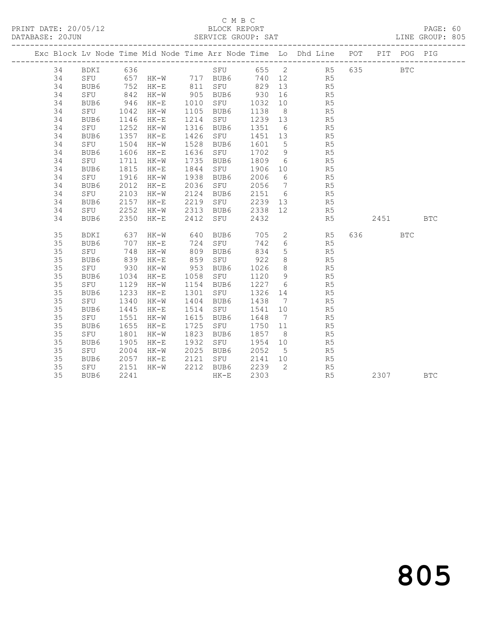#### C M B C<br>BLOCK REPORT SERVICE GROUP: SAT

|    |             |              |                      |      |                     |         |                 | Exc Block Lv Node Time Mid Node Time Arr Node Time Lo Dhd Line POT PIT POG PIG |         |              |            |
|----|-------------|--------------|----------------------|------|---------------------|---------|-----------------|--------------------------------------------------------------------------------|---------|--------------|------------|
| 34 | BDKI 636    |              |                      |      |                     |         |                 | SFU 655 2 R5 635                                                               |         | $_{\rm BTC}$ |            |
| 34 |             |              |                      |      |                     |         |                 | SFU 657 HK-W 717 BUB6 740 12 R5                                                |         |              |            |
| 34 | BUB6        |              | 752 НК-Е<br>842 НК-W |      | 811 SFU<br>905 BUB6 | 829 13  |                 |                                                                                |         |              |            |
| 34 | SFU         |              | $HK-W$               |      |                     | 930     | 16              | R5<br>R5                                                                       |         |              |            |
| 34 | BUB6        | 946          | $HK-E$               |      | 1010 SFU            | 1032    | 10              | R <sub>5</sub>                                                                 |         |              |            |
| 34 | SFU         | 1042         | $HK-W$               |      | 1105 BUB6           | 1138    | 8 <sup>8</sup>  | R <sub>5</sub>                                                                 |         |              |            |
| 34 | BUB6        | 1146         | $HK-E$               | 1214 | SFU                 | 1239 13 |                 | R5                                                                             |         |              |            |
| 34 | SFU         | 1252<br>1357 | HK-W                 | 1316 | BUB6                | 1351    | $6\overline{6}$ | R <sub>5</sub>                                                                 |         |              |            |
| 34 | BUB6        |              | $HK-E$               | 1426 | SFU                 | 1451 13 |                 | R5                                                                             |         |              |            |
| 34 | SFU         | 1504         | $HK-W$               | 1528 | BUB6                | 1601 5  |                 | $R_5$                                                                          |         |              |            |
| 34 | BUB6        | 1606         | $HK-E$               | 1636 | SFU                 | 1702 9  |                 | R <sub>5</sub>                                                                 |         |              |            |
| 34 | SFU         | 1711         | $HK-W$               | 1735 | BUB6                | 1809 6  |                 | R <sub>5</sub>                                                                 |         |              |            |
| 34 | BUB6        | 1815         | $HK-E$               | 1844 | SFU                 | 1906    | 10              | R <sub>5</sub>                                                                 |         |              |            |
| 34 | SFU         | 1916         | HK-W                 | 1938 | BUB6                | 2006    | $6\overline{6}$ | R5                                                                             |         |              |            |
| 34 | BUB6        | 2012         | $HK-E$               |      | 2036 SFU            | 2056 7  |                 | R5                                                                             |         |              |            |
| 34 | SFU         | 2103         | $HK-W$               | 2124 | BUB6                | 2151 6  |                 | R <sub>5</sub>                                                                 |         |              |            |
| 34 | BUB6        | 2157         | HK-E                 | 2219 | SFU                 |         |                 | 2239 13 R5                                                                     |         |              |            |
| 34 | SFU         | 2252         | $HK-W$               |      | 2313 BUB6           | 2338    | 12              | R5                                                                             |         |              |            |
| 34 | BUB6        | 2350         | $HK-E$               |      | 2412 SFU            | 2432    |                 | R5                                                                             | 2451    |              | <b>BTC</b> |
|    |             |              |                      |      |                     |         |                 |                                                                                |         |              |            |
| 35 | BDKI        | 637          | HK-W                 | 640  | BUB6                | 705     |                 | 2 R5                                                                           | 636 100 | <b>BTC</b>   |            |
| 35 | BUB6        | 707          | $HK-E$               |      | 724 SFU             | 742     | $6\overline{6}$ | R5                                                                             |         |              |            |
| 35 | SFU         | 748          | $HK-W$               | 809  | BUB6                | 834     | 5 <sup>5</sup>  | R <sub>5</sub>                                                                 |         |              |            |
| 35 | BUB6        | 839          | $HK-E$               | 859  | SFU                 | 922     | 8               | R <sub>5</sub>                                                                 |         |              |            |
| 35 | SFU         | 930<br>1034  | HK-W                 | 953  | BUB6                | 1026    | 8 <sup>8</sup>  | R5<br>R5                                                                       |         |              |            |
| 35 | BUB6        |              | HK-E                 |      | 1058 SFU            | 1120 9  |                 |                                                                                |         |              |            |
| 35 | SFU         | 1129         | $HK-W$               | 1154 | BUB6                | 1227 6  |                 | R5                                                                             |         |              |            |
| 35 | BUB6        | 1233         | $HK-E$               | 1301 | SFU                 | 1326 14 |                 | R5                                                                             |         |              |            |
| 35 | SFU         | 1340         | $HK-W$               | 1404 | BUB6                | 1438    | $\overline{7}$  | R <sub>5</sub>                                                                 |         |              |            |
| 35 | BUB6        | 1445         | $HK-E$               | 1514 | SFU                 | 1541    | 10              | R5                                                                             |         |              |            |
| 35 | SFU         | 1551         | HK-W                 | 1615 | BUB6                | 1648    | $\overline{7}$  | R5                                                                             |         |              |            |
| 35 | BUB6        | 1655         | $HK-E$               | 1725 | SFU                 | 1750 11 |                 | R5                                                                             |         |              |            |
| 35 | SFU         | 1801         | HK-W                 | 1823 | BUB6                | 1857    | 8 <sup>8</sup>  | R5                                                                             |         |              |            |
| 35 | BUB6        | 1905         | $HK-E$               | 1932 | SFU                 | 1954    | 10              | R5                                                                             |         |              |            |
| 35 | SFU         | 2004         | $HK-W$               | 2025 | BUB6                | 2052    | $5^{\circ}$     | R5                                                                             |         |              |            |
| 35 | BUB6<br>SFU | 2057         | $HK-E$               | 2121 | SFU                 | 2141 10 |                 | R <sub>5</sub>                                                                 |         |              |            |
| 35 |             | 2151         | $HK-W$               |      | 2212 BUB6           | 2239    | $\overline{2}$  | $R_5$                                                                          |         |              |            |
| 35 | BUB6        | 2241         |                      |      | $HK-E$              | 2303    |                 | R5                                                                             | 2307    |              | <b>BTC</b> |

805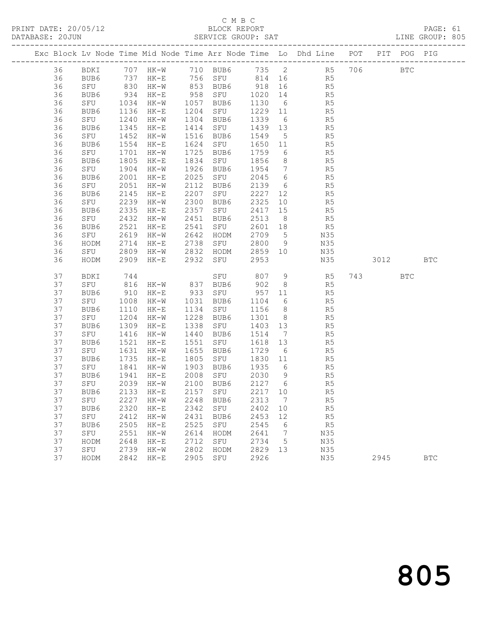#### C M B C<br>BLOCK REPORT

PAGE: 61<br>LINE GROUP: 805

|  |          |             |              |                                 |              |                |              |                   | Exc Block Lv Node Time Mid Node Time Arr Node Time Lo Dhd Line POT PIT POG PIG |     |      |              |            |
|--|----------|-------------|--------------|---------------------------------|--------------|----------------|--------------|-------------------|--------------------------------------------------------------------------------|-----|------|--------------|------------|
|  | 36       | BDKI        |              | 707 HK-W                        |              | 710 BUB6       | 735 2        |                   | R <sub>5</sub>                                                                 | 706 |      | $_{\rm BTC}$ |            |
|  | 36       | BUB6        | 737          | HK-E                            |              | 756 SFU 814 16 |              |                   | R5                                                                             |     |      |              |            |
|  | 36       | SFU         | 830          | $HK-W$                          |              | 853 BUB6       | 918          | 16                | R5                                                                             |     |      |              |            |
|  | 36       | BUB6        | 934          | HK-E                            | 958          | SFU            | 1020         | 14                | R5                                                                             |     |      |              |            |
|  | 36       | SFU         | 1034         | HK-W                            | 1057         | BUB6           | 1130         | 6                 | R5                                                                             |     |      |              |            |
|  | 36       | BUB6        | 1136         | $HK-E$                          | 1204         | SFU            | 1229         | 11                | R5                                                                             |     |      |              |            |
|  | 36       | SFU         | 1240         | $HK-W$                          | 1304         | BUB6           | 1339         | $6\overline{6}$   | R5                                                                             |     |      |              |            |
|  | 36       | BUB6        | 1345         | $HK-E$                          | 1414         | SFU            | 1439         | 13                | R5                                                                             |     |      |              |            |
|  | 36       | SFU         | 1452         | $HK-W$                          | 1516         | BUB6           | 1549         | $5^{\circ}$       | R5                                                                             |     |      |              |            |
|  | 36       | BUB6        | 1554         | $HK-E$                          | 1624         | SFU            | 1650         | 11                | R5                                                                             |     |      |              |            |
|  | 36       | SFU         | 1701         | HK-W                            | 1725         | BUB6           | 1759         | 6                 | R5                                                                             |     |      |              |            |
|  | 36       | BUB6        | 1805         | $HK-E$                          | 1834         | SFU            | 1856         | 8 <sup>8</sup>    | R5                                                                             |     |      |              |            |
|  | 36       | SFU         | 1904         | $HK-W$                          | 1926         | BUB6           | 1954         | $\overline{7}$    | R5                                                                             |     |      |              |            |
|  | 36       | BUB6        | 2001         | $HK-E$                          | 2025         | SFU            | 2045         | 6                 | R5                                                                             |     |      |              |            |
|  | 36       | SFU         | 2051         | $HK-W$                          | 2112         | BUB6           | 2139         | 6                 | R5                                                                             |     |      |              |            |
|  | 36       | BUB6        | 2145         | $HK-E$                          | 2207         | SFU            | 2227         | 12                | R5                                                                             |     |      |              |            |
|  | 36       | SFU         | 2239         | HK-W                            | 2300         | BUB6           | 2325         | 10                | R5                                                                             |     |      |              |            |
|  | 36       | BUB6        | 2335         | $HK-E$                          | 2357         | SFU            | 2417         | 15                | R5                                                                             |     |      |              |            |
|  | 36       | SFU         | 2432         | HK-W                            | 2451         | BUB6           | 2513         | 8 <sup>8</sup>    | R5                                                                             |     |      |              |            |
|  | 36       | BUB6        | 2521         | $HK-E$                          | 2541         | SFU            | 2601         | 18                | R5                                                                             |     |      |              |            |
|  | 36       | SFU         | 2619         | HK-W                            | 2642         | HODM           | 2709         | $5^{\circ}$       | N35                                                                            |     |      |              |            |
|  | 36       | HODM        | 2714         | $HK-E$                          | 2738         | SFU            | 2800         | 9                 | N35                                                                            |     |      |              |            |
|  | 36       | SFU         | 2809         | HK-W                            | 2832         | HODM           | 2859         | 10                | N35                                                                            |     |      |              |            |
|  | 36       | HODM        | 2909         | $HK-E$                          | 2932         | SFU            | 2953         |                   | N35                                                                            |     | 3012 |              | <b>BTC</b> |
|  | 37       | BDKI        | 744          |                                 |              | SFU            | 807          | 9                 | R <sub>5</sub>                                                                 |     | 743  | <b>BTC</b>   |            |
|  | 37       | SFU         | 816          | $HK-W$                          | 837          | BUB6           | 902          | 8 <sup>8</sup>    | R5                                                                             |     |      |              |            |
|  | 37       | BUB6        | 910          | HK-E                            | 933          | SFU            | 957          | 11                | R5                                                                             |     |      |              |            |
|  | 37       | SFU         | 1008         | HK-W                            | 1031         | BUB6           | 1104         | 6                 | R5                                                                             |     |      |              |            |
|  | 37       | BUB6        | 1110         | $HK-E$                          | 1134         | SFU            | 1156         | 8 <sup>8</sup>    | R5                                                                             |     |      |              |            |
|  | 37       | SFU         | 1204         | $HK-W$                          | 1228         | BUB6           | 1301         | 8 <sup>8</sup>    | R5                                                                             |     |      |              |            |
|  | 37       | BUB6        | 1309         | $HK-E$                          | 1338         | SFU            | 1403         | 13                | R5                                                                             |     |      |              |            |
|  | 37       | SFU         | 1416         | HK-W                            | 1440         | BUB6           | 1514         | $7\phantom{.0}\,$ | R5                                                                             |     |      |              |            |
|  | 37       | BUB6        | 1521         | $HK-E$                          | 1551         | SFU            | 1618         | 13                | R5                                                                             |     |      |              |            |
|  | 37       | SFU         | 1631         | $HK-W$                          | 1655         | BUB6           | 1729         | 6                 | R5                                                                             |     |      |              |            |
|  | 37       | BUB6        | 1735         | HK-E                            | 1805         | SFU            | 1830         | 11                | R5                                                                             |     |      |              |            |
|  | 37       | SFU         | 1841         | HK-W                            | 1903         | BUB6           | 1935         | 6                 | R5                                                                             |     |      |              |            |
|  | 37       | BUB6        | 1941         | HK-E                            | 2008<br>2100 | SFU            | 2030         | 9<br>6            | R5                                                                             |     |      |              |            |
|  | 37<br>37 | SFU         |              | 2039 HK-W                       |              | BUB6           | 2127         |                   | R <sub>5</sub>                                                                 |     |      |              |            |
|  |          |             |              | BUB6 2133 HK-E 2157 SFU 2217 10 |              |                |              |                   | R <sub>5</sub>                                                                 |     |      |              |            |
|  | 37<br>37 | SFU         | 2227<br>2320 | $HK-W$                          | 2248<br>2342 | BUB6           | 2313<br>2402 | 7                 | R5                                                                             |     |      |              |            |
|  | 37       | BUB6<br>SFU |              | $HK-E$                          | 2431         | SFU            |              | 10                | R5                                                                             |     |      |              |            |
|  | 37       | BUB6        | 2412<br>2505 | $HK-W$<br>$HK-E$                | 2525         | BUB6<br>SFU    | 2453<br>2545 | 12<br>6           | R5<br>R5                                                                       |     |      |              |            |
|  | 37       | SFU         | 2551         | $HK-W$                          | 2614         | HODM           | 2641         | 7                 | N35                                                                            |     |      |              |            |
|  | 37       | HODM        | 2648         | $HK-E$                          | 2712         | SFU            | 2734         | 5                 | N35                                                                            |     |      |              |            |
|  | 37       | ${\tt SFU}$ | 2739         | $HK-W$                          | 2802         | HODM           | 2829         | 13                | N35                                                                            |     |      |              |            |
|  | 37       | HODM        | 2842         | $HK-E$                          | 2905         | ${\tt SFU}$    | 2926         |                   | N35                                                                            |     | 2945 |              | <b>BTC</b> |
|  |          |             |              |                                 |              |                |              |                   |                                                                                |     |      |              |            |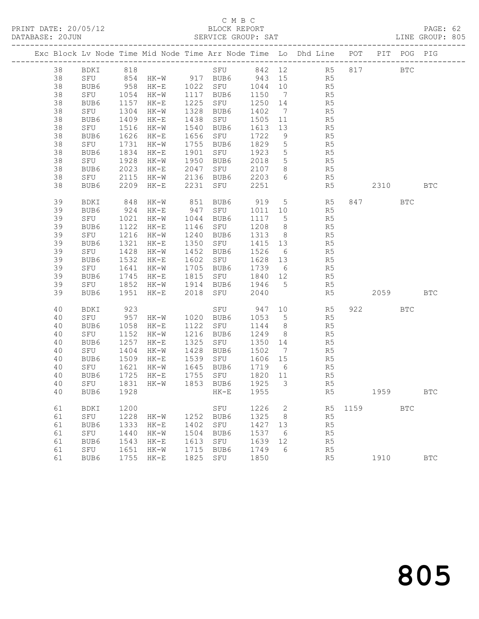## C M B C<br>BLOCK REPORT

PAGE: 62<br>LINE GROUP: 805

|  |          |             |              |                              |              |             |                |                          | Exc Block Lv Node Time Mid Node Time Arr Node Time Lo Dhd Line POT |         | PIT POG PIG |                      |
|--|----------|-------------|--------------|------------------------------|--------------|-------------|----------------|--------------------------|--------------------------------------------------------------------|---------|-------------|----------------------|
|  | 38       | BDKI 818    |              |                              |              |             |                |                          | SFU 842 12 R5 817                                                  |         | <b>BTC</b>  |                      |
|  | 38       |             |              | SFU 854 HK-W 917 BUB6 943 15 |              |             |                |                          | R <sub>5</sub>                                                     |         |             |                      |
|  | 38       | BUB6        |              | 958 HK-E 1022 SFU 1044 10    |              |             |                |                          | R5                                                                 |         |             |                      |
|  | 38       | SFU         | 1054         | HK-W                         | 1117         | BUB6        | 1150           | $\overline{7}$           | R5                                                                 |         |             |                      |
|  | 38       | BUB6        | 1157         | HK-E                         | 1225         | SFU         | 1250 14        |                          | R5                                                                 |         |             |                      |
|  | 38       | SFU         | 1304         | HK-W                         | 1328         | BUB6        | 1402           | $\overline{7}$           | R5                                                                 |         |             |                      |
|  | 38       | BUB6        | 1409         | HK-E                         | 1438         | SFU         | 1505 11        |                          | R5                                                                 |         |             |                      |
|  | 38       | SFU         | 1516         | HK-W                         | 1540         | BUB6        | 1613           | 13                       | R5                                                                 |         |             |                      |
|  | 38       | BUB6        | 1626         | HK-E                         | 1656         | SFU         | 1722           | 9                        | R5                                                                 |         |             |                      |
|  | 38       | SFU         | 1731         | HK-W                         | 1755         | BUB6        | 1829           | $5\overline{)}$          | R5                                                                 |         |             |                      |
|  | 38       | BUB6        | 1834         | $HK-E$                       | 1901         | SFU         | 1923           | $5^{\circ}$              | R <sub>5</sub>                                                     |         |             |                      |
|  | 38<br>38 | SFU<br>BUB6 | 1928<br>2023 | HK-W<br>HK-E                 | 1950<br>2047 | BUB6<br>SFU | 2018<br>2107 8 | $5\overline{)}$          | R5<br>R5                                                           |         |             |                      |
|  | 38       | SFU         | 2115         | HK-W                         | 2136         | BUB6        | 2203           | 6                        | R5                                                                 |         |             |                      |
|  | 38       | BUB6        | 2209         | HK-E                         | 2231         | SFU         | 2251           |                          | R5                                                                 | 2310    |             | <b>BTC</b>           |
|  |          |             |              |                              |              |             |                |                          |                                                                    |         |             |                      |
|  | 39       | BDKI        |              |                              |              | BUB6        | 919 5          |                          | R <sub>5</sub>                                                     | 847     | <b>BTC</b>  |                      |
|  | 39       | BUB6        |              | 848 HK-W<br>924 HK-E         | 851<br>947   | SFU         | 1011 10        |                          | R5                                                                 |         |             |                      |
|  | 39       | SFU         | 1021         | HK-W                         | 1044         | BUB6        | 1117 5         |                          | R5                                                                 |         |             |                      |
|  | 39       | BUB6        | 1122         | $HK-E$                       | 1146         | SFU         | 1208           | 8 <sup>8</sup>           | R5                                                                 |         |             |                      |
|  | 39       | SFU         | 1216         | HK-W                         | 1240         | BUB6        | 1313           | 8 <sup>8</sup>           | R5                                                                 |         |             |                      |
|  | 39       | BUB6        | 1321         | HK-E                         | 1350         | SFU         | 1415 13        |                          | R5                                                                 |         |             |                      |
|  | 39       | SFU         | 1428         | HK-W                         | 1452         | BUB6        | 1526           | 6                        | R5                                                                 |         |             |                      |
|  | 39       | BUB6        | 1532         | HK-E                         |              | 1602 SFU    | 1628 13        |                          | R5                                                                 |         |             |                      |
|  | 39       | SFU         | 1641         | HK-W                         |              | 1705 BUB6   | 1739 6         |                          | R5                                                                 |         |             |                      |
|  | 39       | BUB6        |              | 1745 HK-E                    |              | 1815 SFU    | 1840 12        |                          | R5                                                                 |         |             |                      |
|  | 39       | SFU         |              | 1852 HK-W                    |              | 1914 BUB6   | 1946 5         |                          | R5                                                                 |         |             |                      |
|  | 39       | BUB6        |              | 1951 HK-E                    | 2018         | SFU         | 2040           |                          | R5                                                                 | 2059    |             | <b>BTC</b>           |
|  | 40       | BDKI        | 923          |                              |              | SFU         | 947 10         |                          | R <sub>5</sub>                                                     | 922     | <b>BTC</b>  |                      |
|  | 40       | SFU         | 957          | $HK-W$                       |              | 1020 BUB6   | 1053 5         |                          | R5                                                                 |         |             |                      |
|  | 40       | BUB6        | 1058         | $HK-E$                       | 1122         | SFU         | 1144           | 8 <sup>8</sup>           | R5                                                                 |         |             |                      |
|  | 40       | SFU         | 1152         | HK-W                         | 1216         | BUB6        | 1249           | 8 <sup>8</sup>           | R5                                                                 |         |             |                      |
|  | 40       | BUB6        | 1257         | HK-E                         | 1325         | SFU         | 1350 14        |                          | R5                                                                 |         |             |                      |
|  | 40       | SFU         | 1404         | HK-W                         | 1428         | BUB6        | 1502 7         |                          | R5                                                                 |         |             |                      |
|  | 40       | BUB6        | 1509         | $HK-E$                       | 1539         | SFU         | 1606 15        |                          | R5                                                                 |         |             |                      |
|  | 40       | SFU         | 1621         | HK-W                         | 1645         | BUB6        | 1719 6         |                          | R5                                                                 |         |             |                      |
|  | 40       | BUB6        | 1725         | HK-E                         |              | 1755 SFU    | 1820 11        |                          | R5                                                                 |         |             |                      |
|  | 40       | SFU         |              | 1831 HK-W                    |              | 1853 BUB6   | 1925 3         |                          | R5                                                                 |         |             |                      |
|  | 40       |             |              |                              |              |             |                |                          | BUB6 1928 HK-E 1955 R5                                             | 1959    |             | $\operatorname{BTC}$ |
|  | 61       | BDKI        | 1200         |                              |              | SFU         | 1226           | $\overline{\phantom{a}}$ |                                                                    | R5 1159 | <b>BTC</b>  |                      |
|  | 61       | SFU         | 1228         | HK-W                         | 1252         | BUB6        | 1325           | 8                        | R5                                                                 |         |             |                      |
|  | 61       | BUB6        | 1333         | HK-E                         | 1402         | SFU         | 1427           | 13                       | R5                                                                 |         |             |                      |
|  | 61       | SFU         | 1440         | HK-W                         | 1504         | BUB6        | 1537           | - 6                      | R5                                                                 |         |             |                      |
|  | 61       | BUB6        | 1543         | HK-E                         | 1613         | SFU         | 1639           | 12                       | R5                                                                 |         |             |                      |
|  | 61       | SFU         | 1651         | HK-W                         | 1715         | BUB6        | 1749           | 6                        | R5                                                                 |         |             |                      |
|  | 61       | BUB6        |              | 1755 HK-E                    | 1825         | SFU         | 1850           |                          | R5                                                                 | 1910    |             | $_{\rm BTC}$         |
|  |          |             |              |                              |              |             |                |                          |                                                                    |         |             |                      |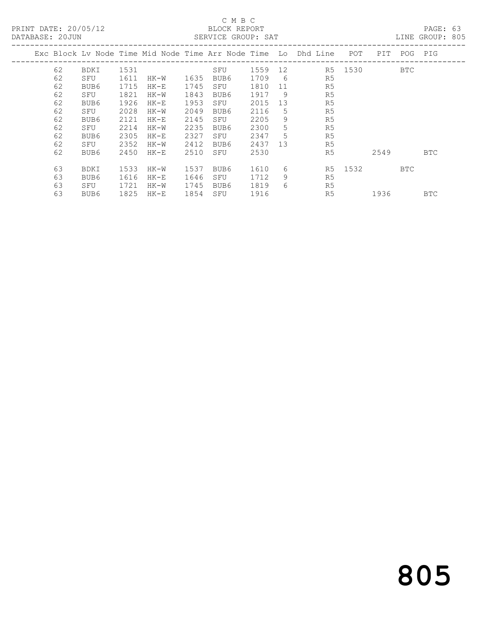PRINT DATE: 20/05/12 BLOCK REPORT<br>
DATABASE: 20JUN SERVICE GROUP: SAT

#### C M B C<br>BLOCK REPORT

PAGE: 63<br>LINE GROUP: 805

|    |             |      |        |      |      |      |    | Exc Block Lv Node Time Mid Node Time Arr Node Time Lo Dhd Line | POT. | PIT. | POG        | PIG        |
|----|-------------|------|--------|------|------|------|----|----------------------------------------------------------------|------|------|------------|------------|
| 62 | <b>BDKI</b> | 1531 |        |      | SFU  | 1559 | 12 | R5                                                             | 1530 |      | <b>BTC</b> |            |
| 62 | SFU         | 1611 | HK-W   | 1635 | BUB6 | 1709 | 6  | R5                                                             |      |      |            |            |
| 62 | BUB6        | 1715 | $HK-E$ | 1745 | SFU  | 1810 | 11 | R5                                                             |      |      |            |            |
| 62 | SFU         | 1821 | $HK-W$ | 1843 | BUB6 | 1917 | 9  | R5                                                             |      |      |            |            |
| 62 | BUB6        | 1926 | $HK-E$ | 1953 | SFU  | 2015 | 13 | R5                                                             |      |      |            |            |
| 62 | SFU         | 2028 | HK-W   | 2049 | BUB6 | 2116 | 5  | R <sub>5</sub>                                                 |      |      |            |            |
| 62 | BUB6        | 2121 | $HK-E$ | 2145 | SFU  | 2205 | 9  | R5                                                             |      |      |            |            |
| 62 | SFU         | 2214 | HK-W   | 2235 | BUB6 | 2300 | 5  | R5                                                             |      |      |            |            |
| 62 | BUB6        | 2305 | $HK-E$ | 2327 | SFU  | 2347 | 5  | R <sub>5</sub>                                                 |      |      |            |            |
| 62 | SFU         | 2352 | HK-W   | 2412 | BUB6 | 2437 | 13 | R5                                                             |      |      |            |            |
| 62 | BUB6        | 2450 | $HK-E$ | 2510 | SFU  | 2530 |    | R5                                                             |      | 2549 |            | <b>BTC</b> |
| 63 | <b>BDKI</b> | 1533 | HK-W   | 1537 | BUB6 | 1610 | 6  | R5                                                             | 1532 |      | BTC        |            |
| 63 | BUB6        | 1616 | $HK-E$ | 1646 | SFU  | 1712 | 9  | R5                                                             |      |      |            |            |
| 63 | SFU         | 1721 | HK-W   | 1745 | BUB6 | 1819 | 6  | R5                                                             |      |      |            |            |
| 63 | BUB6        | 1825 | $HK-E$ | 1854 | SFU  | 1916 |    | R5                                                             |      | 1936 |            | BTC        |
|    |             |      |        |      |      |      |    |                                                                |      |      |            |            |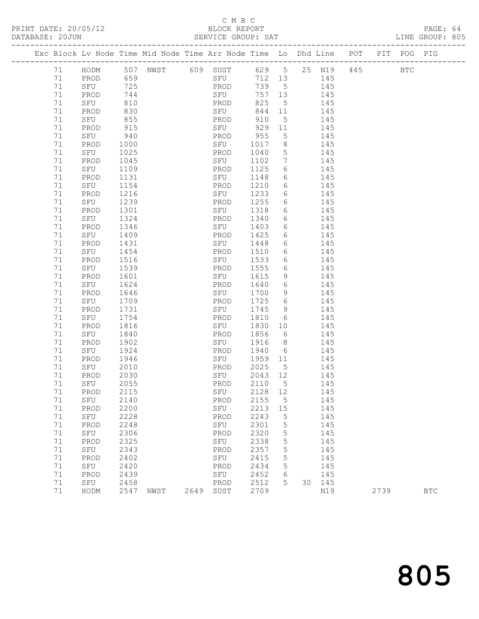## C M B C<br>BLOCK REPORT

| DATABASE: 20JUN |    |             |      |                                                                                |      | SERVICE GROUP: SAT |         |                              |        |        |         |      | LINE GROUP: 805 |  |
|-----------------|----|-------------|------|--------------------------------------------------------------------------------|------|--------------------|---------|------------------------------|--------|--------|---------|------|-----------------|--|
|                 |    |             |      | Exc Block Lv Node Time Mid Node Time Arr Node Time Lo Dhd Line POT PIT POG PIG |      |                    |         |                              |        |        |         |      |                 |  |
|                 | 71 |             |      | HODM 507 NWST 609 SUST 629 5 25 N19                                            |      |                    |         |                              |        |        | 445 BTC |      |                 |  |
|                 | 71 | PROD 659    |      |                                                                                |      | SFU                |         |                              | 712 13 | 145    |         |      |                 |  |
|                 | 71 | SFU         | 725  |                                                                                |      | PROD               | 739 5   |                              | 145    |        |         |      |                 |  |
|                 | 71 | PROD        | 744  |                                                                                |      | SFU                | 757 13  |                              |        | 145    |         |      |                 |  |
|                 | 71 | SFU         | 810  |                                                                                |      | PROD               | 825     | $5^{\circ}$                  |        | 145    |         |      |                 |  |
|                 | 71 | PROD        | 830  |                                                                                |      | SFU                | 844 11  |                              | 145    |        |         |      |                 |  |
|                 | 71 | SFU         | 855  |                                                                                |      | PROD               | 910     | $5^{\circ}$                  |        | 145    |         |      |                 |  |
|                 | 71 | PROD        | 915  |                                                                                |      | SFU                | 929 11  |                              |        | 145    |         |      |                 |  |
|                 | 71 | SFU         | 940  |                                                                                |      | PROD               | 955     | 5 <sup>5</sup>               |        | 145    |         |      |                 |  |
|                 | 71 | PROD        | 1000 |                                                                                |      | SFU                | 1017    | 8 <sup>8</sup>               | 145    |        |         |      |                 |  |
|                 | 71 | SFU         | 1025 |                                                                                |      | PROD               | 1040    | $5\phantom{.0}$              | 145    |        |         |      |                 |  |
|                 | 71 | PROD        | 1045 |                                                                                |      | SFU                | 1102    | $7\phantom{.0}\phantom{.0}7$ |        | 145    |         |      |                 |  |
|                 | 71 | SFU         | 1109 |                                                                                |      | PROD               | 1125    | 6                            |        | 145    |         |      |                 |  |
|                 | 71 | PROD        | 1131 |                                                                                |      | SFU                | 1148    |                              | 6 145  |        |         |      |                 |  |
|                 | 71 | SFU         | 1154 |                                                                                |      | PROD               | 1210    | 6                            | 145    |        |         |      |                 |  |
|                 | 71 | PROD        | 1216 |                                                                                |      | SFU                | 1233    | 6                            |        | 145    |         |      |                 |  |
|                 | 71 | SFU         | 1239 |                                                                                |      | PROD               | 1255    | 6                            |        | 145    |         |      |                 |  |
|                 | 71 | PROD        | 1301 |                                                                                |      | SFU                | 1318    | 6                            | 145    |        |         |      |                 |  |
|                 | 71 | SFU         | 1324 |                                                                                |      | PROD               | 1340    |                              | 6 145  |        |         |      |                 |  |
|                 | 71 | PROD        | 1346 |                                                                                |      | SFU                | 1403    | $6\overline{6}$              |        | 145    |         |      |                 |  |
|                 | 71 | SFU         | 1409 |                                                                                |      | PROD               | 1425    | 6                            |        | 145    |         |      |                 |  |
|                 | 71 | PROD        | 1431 |                                                                                |      | SFU                | 1448    |                              | 6 145  |        |         |      |                 |  |
|                 | 71 | SFU         | 1454 |                                                                                |      | PROD               | 1510    |                              | 6 145  |        |         |      |                 |  |
|                 | 71 | PROD        | 1516 |                                                                                |      | SFU                | 1533    | 6                            |        | 145    |         |      |                 |  |
|                 | 71 | SFU         | 1539 |                                                                                |      | PROD               | 1555    | 6                            |        | 145    |         |      |                 |  |
|                 | 71 | PROD        | 1601 |                                                                                |      | SFU                | 1615    | 9                            |        | 145    |         |      |                 |  |
|                 | 71 | SFU         | 1624 |                                                                                |      | PROD               | 1640    | $6\overline{6}$              | 145    |        |         |      |                 |  |
|                 | 71 | PROD        | 1646 |                                                                                |      | SFU                | 1700    | 9                            |        | 145    |         |      |                 |  |
|                 | 71 | SFU         | 1709 |                                                                                |      | PROD               | 1725    | $6\overline{6}$              |        | 145    |         |      |                 |  |
|                 | 71 | PROD        | 1731 |                                                                                |      | SFU                | 1745    | 9                            |        | 145    |         |      |                 |  |
|                 | 71 | SFU         | 1754 |                                                                                |      | PROD               | 1810    | 6                            | 145    |        |         |      |                 |  |
|                 | 71 | PROD        | 1816 |                                                                                |      | SFU                | 1830    | 10                           |        | 145    |         |      |                 |  |
|                 | 71 | SFU         | 1840 |                                                                                |      | PROD               | 1856    | 6                            |        | 145    |         |      |                 |  |
|                 | 71 | PROD        | 1902 |                                                                                |      | SFU                | 1916    | 8 <sup>1</sup>               |        | 145    |         |      |                 |  |
|                 | 71 | SFU         | 1924 |                                                                                |      | PROD               | 1940    | 6                            | 145    |        |         |      |                 |  |
|                 | 71 | PROD        | 1946 |                                                                                |      | SFU                | 1959    | 11                           |        | 145    |         |      |                 |  |
|                 | 71 | SFU         | 2010 |                                                                                |      | PROD               | 2025    | 5 <sup>5</sup>               |        | 145    |         |      |                 |  |
|                 | 71 | PROD        | 2030 |                                                                                |      | SFU                | 2043 12 |                              |        | 145    |         |      |                 |  |
|                 |    | 71 SFU 2055 |      |                                                                                |      | PROD 2110 5        |         |                              |        | 145    |         |      |                 |  |
|                 | 71 | PROD        | 2115 |                                                                                |      | SFU                | 2128    | 12                           |        | 145    |         |      |                 |  |
|                 | 71 | SFU         | 2140 |                                                                                |      | PROD               | 2155    | $5^{\circ}$                  |        | 145    |         |      |                 |  |
|                 | 71 | PROD        | 2200 |                                                                                |      | SFU                | 2213    | 15                           |        | 145    |         |      |                 |  |
|                 | 71 | SFU         | 2228 |                                                                                |      | PROD               | 2243    | 5                            |        | 145    |         |      |                 |  |
|                 | 71 | PROD        | 2248 |                                                                                |      | SFU                | 2301    | 5                            |        | 145    |         |      |                 |  |
|                 | 71 | SFU         | 2306 |                                                                                |      | PROD               | 2320    | 5                            |        | 145    |         |      |                 |  |
|                 | 71 | PROD        | 2325 |                                                                                |      | SFU                | 2338    | $\mathsf S$                  |        | 145    |         |      |                 |  |
|                 | 71 | SFU         | 2343 |                                                                                |      | PROD               | 2357    | 5                            |        | 145    |         |      |                 |  |
|                 | 71 | PROD        | 2402 |                                                                                |      | SFU                | 2415    | 5                            |        | 145    |         |      |                 |  |
|                 | 71 | SFU         | 2420 |                                                                                |      | PROD               | 2434    | 5                            |        | 145    |         |      |                 |  |
|                 | 71 | PROD        | 2439 |                                                                                |      | SFU                | 2452    | 6                            |        | 145    |         |      |                 |  |
|                 | 71 | SFU         | 2458 |                                                                                |      | PROD               | 2512    | 5                            |        | 30 145 |         |      |                 |  |
|                 | 71 | HODM        | 2547 | NWST                                                                           | 2649 | SUST               | 2709    |                              |        | N19    |         | 2739 | $_{\rm BTC}$    |  |
|                 |    |             |      |                                                                                |      |                    |         |                              |        |        |         |      |                 |  |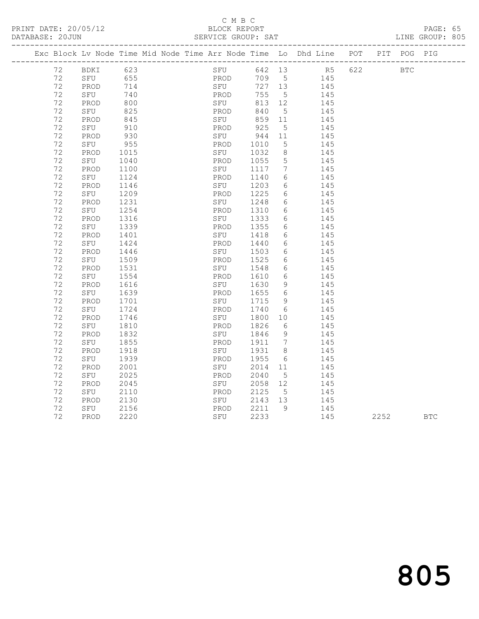#### C M B C<br>BLOCK REPORT

|  | DATABASE: 20JUN |             |      |  | SERVICE GROUP: SAT     |      |                 |                                                                                |  | LINE GROUP: 805 |  |
|--|-----------------|-------------|------|--|------------------------|------|-----------------|--------------------------------------------------------------------------------|--|-----------------|--|
|  |                 |             |      |  |                        |      |                 | Exc Block Lv Node Time Mid Node Time Arr Node Time Lo Dhd Line POT PIT POG PIG |  |                 |  |
|  |                 | 72 BDKI 623 |      |  |                        |      |                 | SFU 642 13 R5 622 BTC                                                          |  |                 |  |
|  | 72              | SFU         | 655  |  | <b>Example 19 PROD</b> |      |                 | 709 5<br>145                                                                   |  |                 |  |
|  | 72              | PROD        | 714  |  | SFU                    |      |                 | 727 13<br>145                                                                  |  |                 |  |
|  | 72              | SFU         | 740  |  | PROD                   | 755  |                 | $5 - 5$<br>145                                                                 |  |                 |  |
|  | 72              | PROD        | 800  |  | SFU                    | 813  | 12              | 145                                                                            |  |                 |  |
|  | 72              | SFU         | 825  |  | PROD                   | 840  |                 | $5 - 5$<br>145                                                                 |  |                 |  |
|  | 72              | PROD        | 845  |  | SFU                    | 859  | 11              | 145                                                                            |  |                 |  |
|  | 72              | SFU         | 910  |  | PROD                   | 925  | 5               | 145                                                                            |  |                 |  |
|  | 72              | PROD        | 930  |  | SFU                    | 944  | 11              | 145                                                                            |  |                 |  |
|  | 72              | SFU         | 955  |  | PROD                   | 1010 | 5               | 145                                                                            |  |                 |  |
|  | 72              | PROD        | 1015 |  | SFU                    | 1032 |                 | $8 - 8$<br>145                                                                 |  |                 |  |
|  | 72              | SFU         | 1040 |  | PROD                   | 1055 |                 | $5^{\circ}$<br>145                                                             |  |                 |  |
|  | 72              | PROD        | 1100 |  | SFU                    | 1117 | $7\overline{ }$ | 145                                                                            |  |                 |  |
|  | 72              | SFU         | 1124 |  | PROD                   | 1140 |                 | $6\overline{}$<br>145                                                          |  |                 |  |
|  | 72              | PROD        | 1146 |  | SFU                    | 1203 |                 | $6 \quad \sigma$<br>145                                                        |  |                 |  |
|  | 72              | SFU         | 1209 |  | PROD                   | 1225 | 6               | 145                                                                            |  |                 |  |
|  | 72              | PROD        | 1231 |  | SFU                    | 1248 |                 | 145<br>$6 \qquad \qquad$                                                       |  |                 |  |
|  | 72              | SFU         | 1254 |  | PROD                   | 1310 |                 | 145<br>$6 \quad \text{or}$                                                     |  |                 |  |
|  | 72              | PROD        | 1316 |  | SFU                    | 1333 | 6               | 145                                                                            |  |                 |  |
|  | 72              | SFU         | 1339 |  | PROD                   | 1355 | 6 —             | 145                                                                            |  |                 |  |
|  | 72              | PROD        | 1401 |  | SFU                    | 1418 | 6 —             | 145                                                                            |  |                 |  |
|  | 72              | SFU         | 1424 |  | PROD                   | 1440 |                 | $6 \quad \sigma$<br>145                                                        |  |                 |  |
|  | 72              | PROD        | 1446 |  | SFU                    | 1503 |                 | $6\overline{}$<br>145                                                          |  |                 |  |
|  | 72              | SFU         | 1509 |  | PROD                   | 1525 | 6               | 145                                                                            |  |                 |  |

 72 PROD 1531 SFU 1548 6 145 72 SFU 1554 PROD 1610 6 145 72 PROD 1616 SFU 1630 9 145 72 SFU 1639 PROD 1655 6 145 72 PROD 1701 SFU 1715 9 145 72 SFU 1724 PROD 1740 6 145 72 PROD 1746 SFU 1800 10 145 72 SFU 1810 PROD 1826 6 145 72 PROD 1832 SFU 1846 9 145 72 SFU 1855 PROD 1911 7 145 72 PROD 1918 SFU 1931 8 145 72 SFU 1939 PROD 1955 6 145 72 PROD 2001 SFU 2014 11 145 72 SFU 2025 PROD 2040 5 145 72 PROD 2045 SFU 2058 12 145 72 SFU 2110 PROD 2125 5 145 72 PROD 2130 SFU 2143 13 145 72 SFU 2156 PROD 2211 9 145

| $\overline{\phantom{0}}$<br><u>_</u> | PROD<br>∸∸ | つつつの<br>ے نے ت | SFI<br>◡∸◡<br>$\sim$ $\sim$ | $\sim$ $\sim$ $\sim$<br>ے بے بے<br>$\sim$ $\sim$ | $\overline{a}$<br>∸ ∸ ∽ | $\sim$ $\sim$ $\sim$ $\sim$<br>ے بے بے | <b>BTC</b><br>$\sim$ |
|--------------------------------------|------------|----------------|-----------------------------|--------------------------------------------------|-------------------------|----------------------------------------|----------------------|
|                                      |            |                |                             |                                                  |                         |                                        |                      |